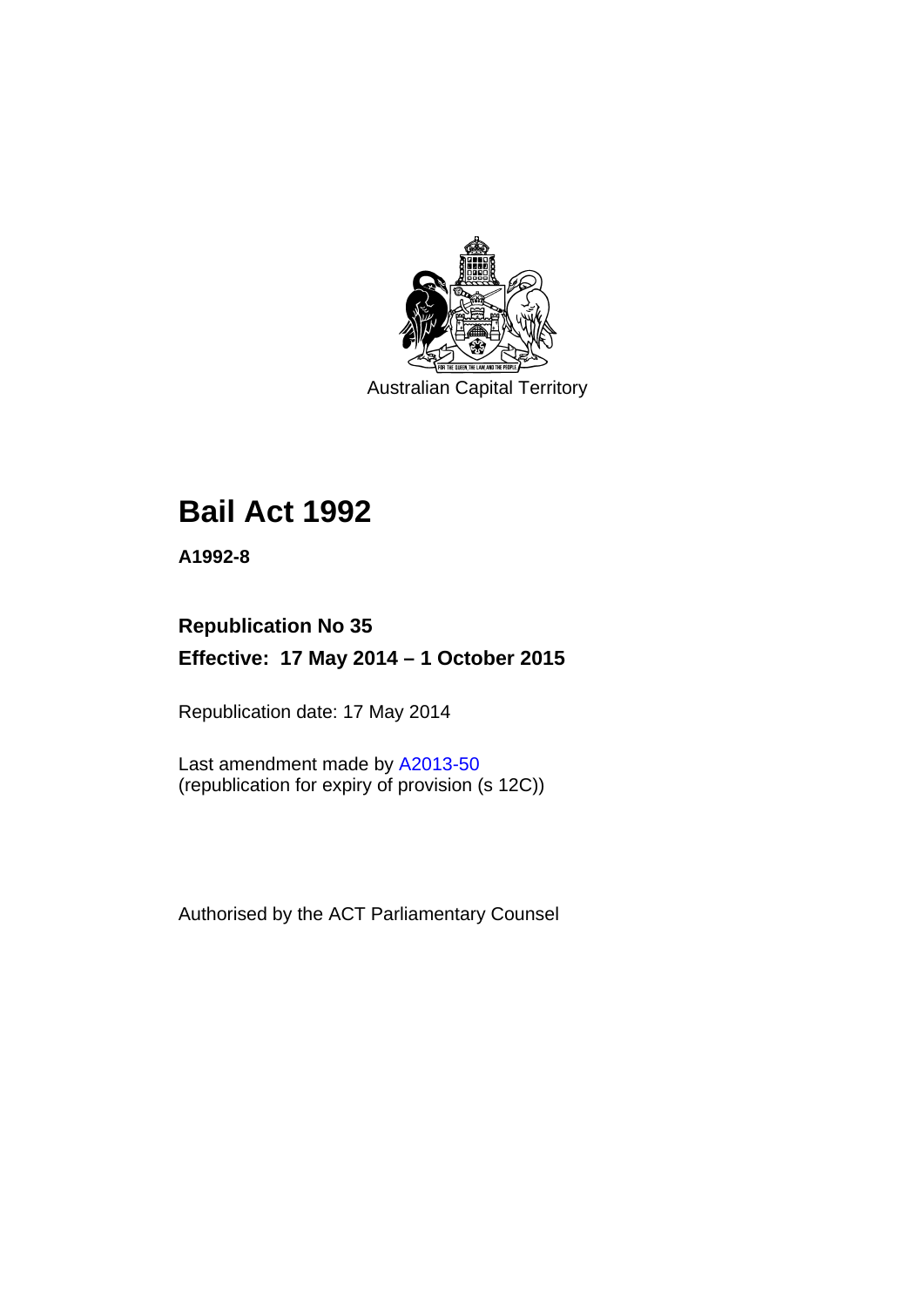

Australian Capital Territory

# **Bail Act 1992**

**A1992-8** 

# **Republication No 35 Effective: 17 May 2014 – 1 October 2015**

Republication date: 17 May 2014

Last amendment made by [A2013-50](http://www.legislation.act.gov.au/a/2013-50) (republication for expiry of provision (s 12C))

Authorised by the ACT Parliamentary Counsel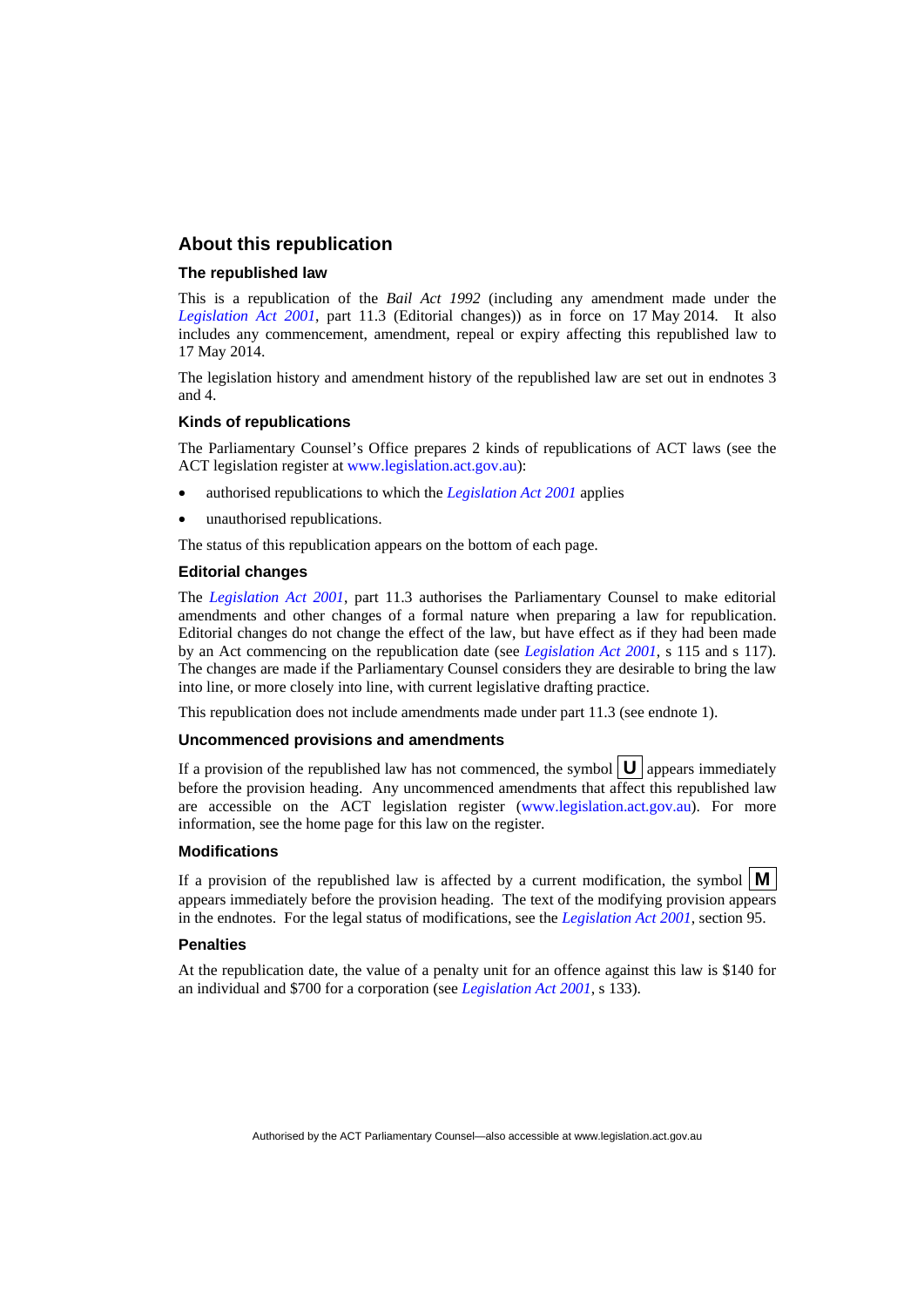#### **About this republication**

#### **The republished law**

This is a republication of the *Bail Act 1992* (including any amendment made under the *[Legislation Act 2001](http://www.legislation.act.gov.au/a/2001-14)*, part 11.3 (Editorial changes)) as in force on 17 May 2014*.* It also includes any commencement, amendment, repeal or expiry affecting this republished law to 17 May 2014.

The legislation history and amendment history of the republished law are set out in endnotes 3 and 4.

#### **Kinds of republications**

The Parliamentary Counsel's Office prepares 2 kinds of republications of ACT laws (see the ACT legislation register at [www.legislation.act.gov.au](http://www.legislation.act.gov.au/)):

- authorised republications to which the *[Legislation Act 2001](http://www.legislation.act.gov.au/a/2001-14)* applies
- unauthorised republications.

The status of this republication appears on the bottom of each page.

#### **Editorial changes**

The *[Legislation Act 2001](http://www.legislation.act.gov.au/a/2001-14)*, part 11.3 authorises the Parliamentary Counsel to make editorial amendments and other changes of a formal nature when preparing a law for republication. Editorial changes do not change the effect of the law, but have effect as if they had been made by an Act commencing on the republication date (see *[Legislation Act 2001](http://www.legislation.act.gov.au/a/2001-14)*, s 115 and s 117). The changes are made if the Parliamentary Counsel considers they are desirable to bring the law into line, or more closely into line, with current legislative drafting practice.

This republication does not include amendments made under part 11.3 (see endnote 1).

#### **Uncommenced provisions and amendments**

If a provision of the republished law has not commenced, the symbol  $\mathbf{U}$  appears immediately before the provision heading. Any uncommenced amendments that affect this republished law are accessible on the ACT legislation register [\(www.legislation.act.gov.au\)](http://www.legislation.act.gov.au/). For more information, see the home page for this law on the register.

#### **Modifications**

If a provision of the republished law is affected by a current modification, the symbol  $\mathbf{M}$ appears immediately before the provision heading. The text of the modifying provision appears in the endnotes. For the legal status of modifications, see the *[Legislation Act 2001](http://www.legislation.act.gov.au/a/2001-14)*, section 95.

#### **Penalties**

At the republication date, the value of a penalty unit for an offence against this law is \$140 for an individual and \$700 for a corporation (see *[Legislation Act 2001](http://www.legislation.act.gov.au/a/2001-14)*, s 133).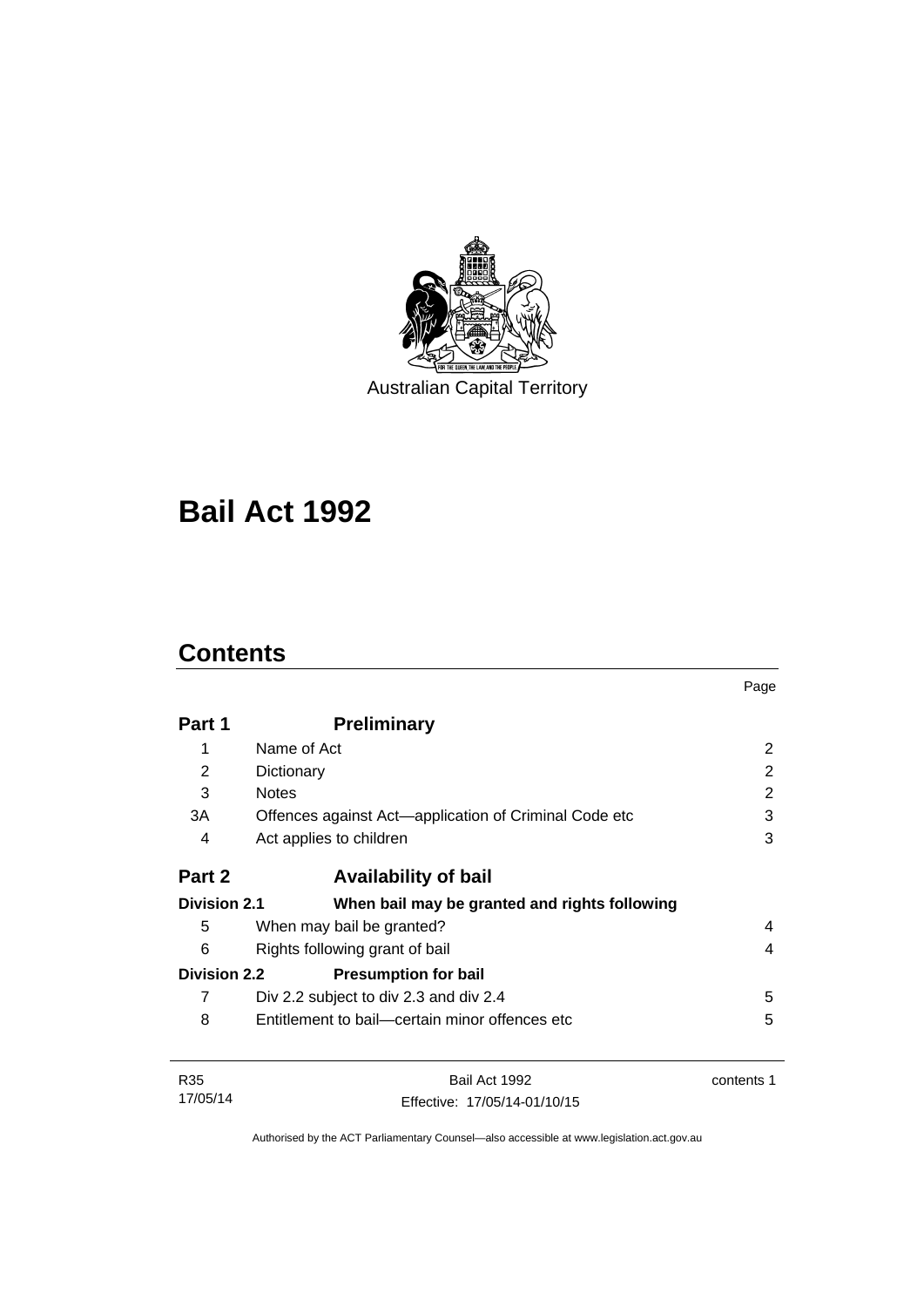

Australian Capital Territory

# **Bail Act 1992**

# **Contents**

|                     |                                                       | Page       |
|---------------------|-------------------------------------------------------|------------|
| Part 1              | <b>Preliminary</b>                                    |            |
| 1                   | Name of Act                                           | 2          |
| 2                   | Dictionary                                            | 2          |
| 3                   | <b>Notes</b>                                          | 2          |
| 3A                  | Offences against Act-application of Criminal Code etc | 3          |
| 4                   | Act applies to children                               | 3          |
| Part 2              | <b>Availability of bail</b>                           |            |
| <b>Division 2.1</b> | When bail may be granted and rights following         |            |
| 5                   | When may bail be granted?                             | 4          |
| 6                   | Rights following grant of bail                        | 4          |
| <b>Division 2.2</b> | <b>Presumption for bail</b>                           |            |
| 7                   | Div 2.2 subject to div 2.3 and div 2.4                | 5          |
| 8                   | Entitlement to bail—certain minor offences etc        | 5          |
| R <sub>35</sub>     | Bail Act 1992                                         | contents 1 |
| 17/05/14            | Fffective: 17/05/14-01/10/15                          |            |

Authorised by the ACT Parliamentary Counsel—also accessible at www.legislation.act.gov.au

Effective: 17/05/14-01/10/15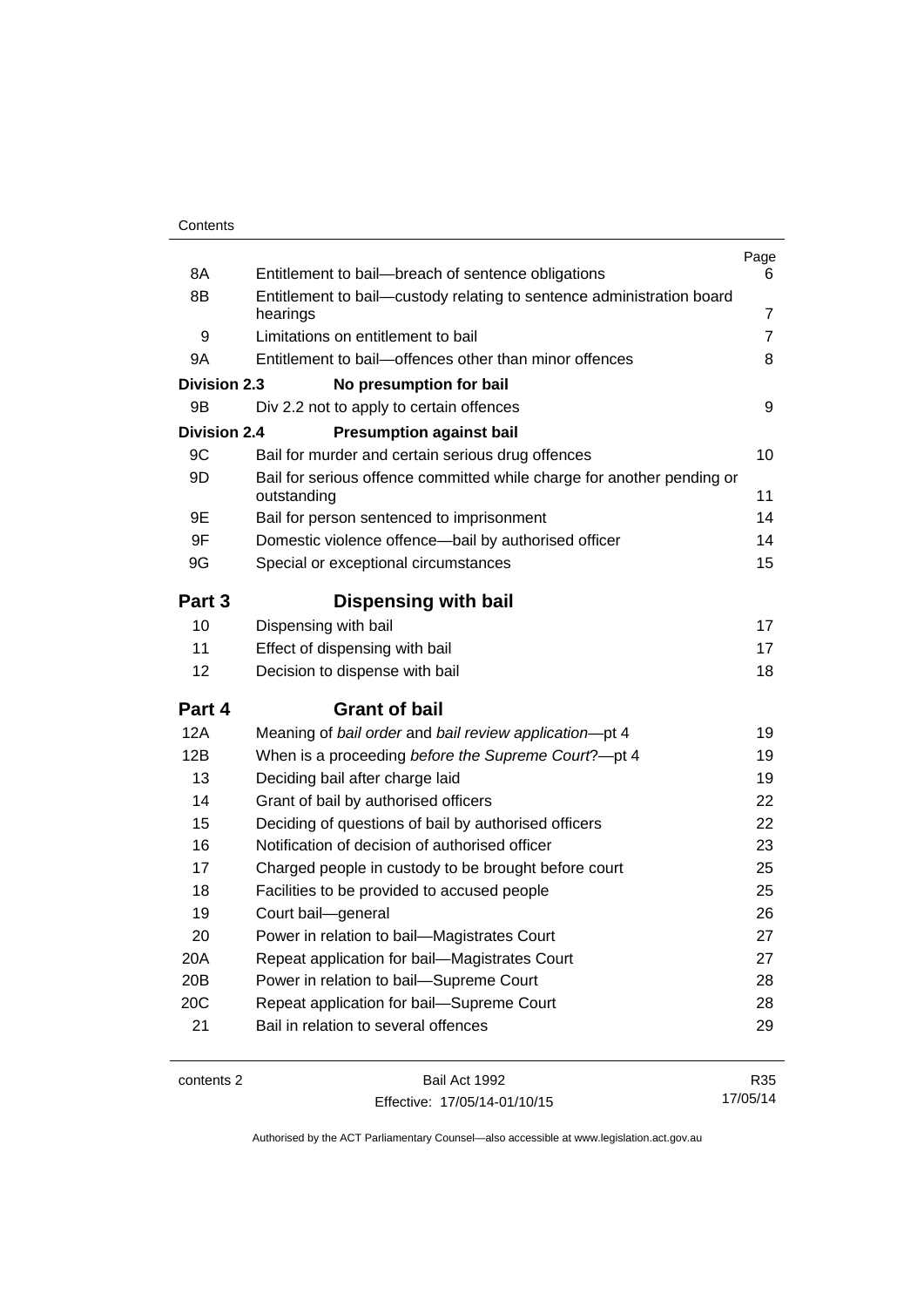| 8A                  | Entitlement to bail-breach of sentence obligations                                    | Page<br>6      |
|---------------------|---------------------------------------------------------------------------------------|----------------|
| 8B                  | Entitlement to bail-custody relating to sentence administration board                 |                |
|                     | hearings                                                                              | 7              |
| 9                   | Limitations on entitlement to bail                                                    | $\overline{7}$ |
| 9A                  | Entitlement to bail-offences other than minor offences                                | 8              |
| <b>Division 2.3</b> | No presumption for bail                                                               |                |
| 9B                  | Div 2.2 not to apply to certain offences                                              | 9              |
| <b>Division 2.4</b> | <b>Presumption against bail</b>                                                       |                |
| 9C                  | Bail for murder and certain serious drug offences                                     | 10             |
| 9D                  | Bail for serious offence committed while charge for another pending or<br>outstanding | 11             |
| 9Ε                  | Bail for person sentenced to imprisonment                                             | 14             |
| 9F                  | Domestic violence offence-bail by authorised officer                                  | 14             |
| 9G                  | Special or exceptional circumstances                                                  | 15             |
| Part 3              | Dispensing with bail                                                                  |                |
| 10                  | Dispensing with bail                                                                  | 17             |
| 11                  | Effect of dispensing with bail                                                        | 17             |
| 12                  | Decision to dispense with bail                                                        | 18             |
| Part 4              | <b>Grant of bail</b>                                                                  |                |
| 12A                 | Meaning of bail order and bail review application-pt 4                                | 19             |
| 12B                 | When is a proceeding before the Supreme Court?-pt 4                                   | 19             |
| 13                  | Deciding bail after charge laid                                                       | 19             |
| 14                  | Grant of bail by authorised officers                                                  | 22             |
| 15                  | Deciding of questions of bail by authorised officers                                  | 22             |
| 16                  | Notification of decision of authorised officer                                        | 23             |
| 17                  | Charged people in custody to be brought before court                                  | 25             |
| 18                  | Facilities to be provided to accused people                                           | 25             |
| 19                  | Court bail-general                                                                    | 26             |
| 20                  | Power in relation to bail-Magistrates Court                                           | 27             |
| 20A                 | Repeat application for bail-Magistrates Court                                         | 27             |
| 20B                 | Power in relation to bail-Supreme Court                                               | 28             |
| 20C                 | Repeat application for bail-Supreme Court                                             | 28             |
| 21                  | Bail in relation to several offences                                                  | 29             |
| contents 2          | Bail Act 1992                                                                         | R35            |

Effective: 17/05/14-01/10/15

R35 17/05/14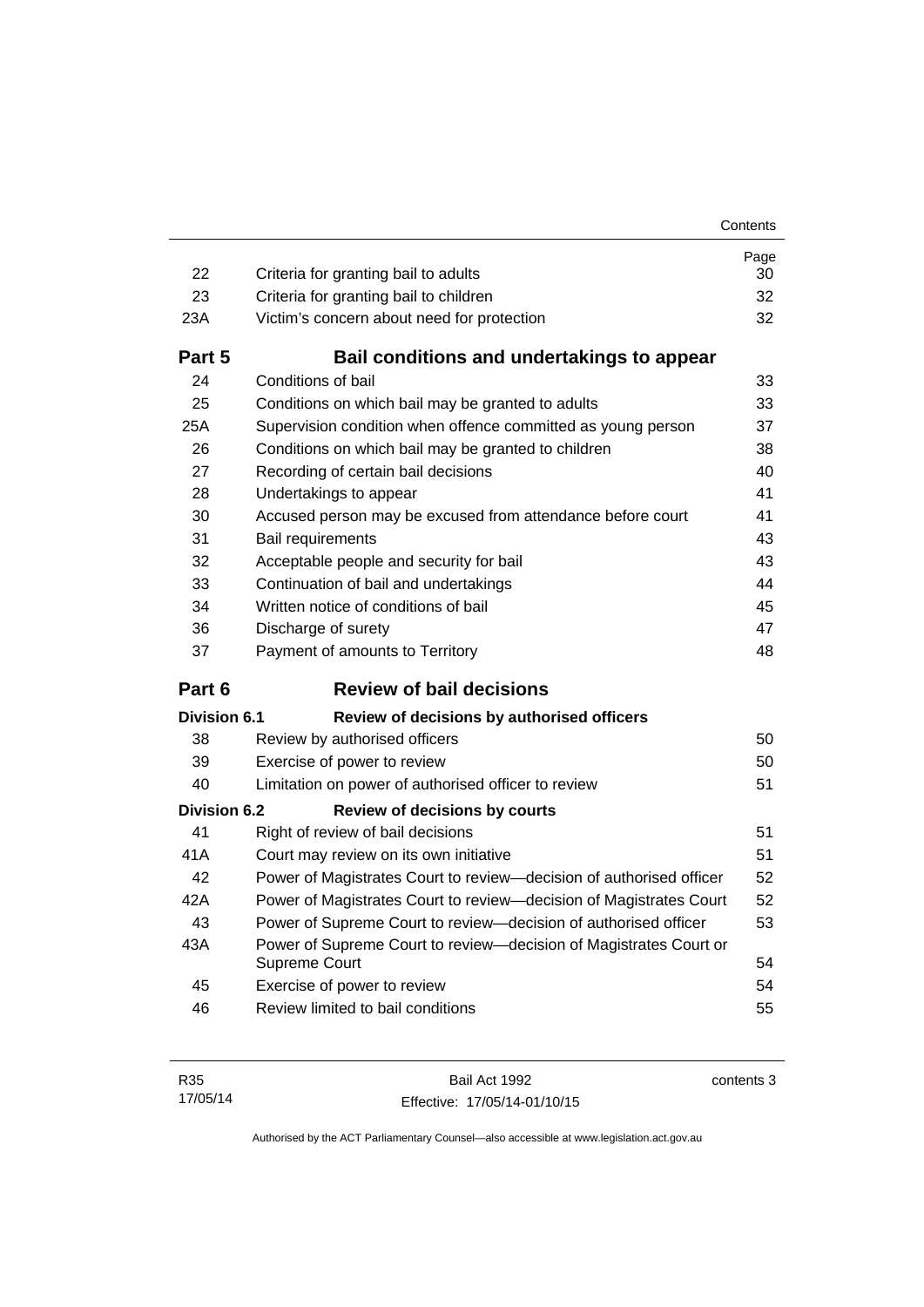| 22                  | Criteria for granting bail to adults                                               | Page<br>30 |  |
|---------------------|------------------------------------------------------------------------------------|------------|--|
| 23                  | Criteria for granting bail to children                                             | 32         |  |
| 23A                 | Victim's concern about need for protection                                         | 32         |  |
| Part 5              | Bail conditions and undertakings to appear                                         |            |  |
| 24                  | Conditions of bail                                                                 | 33         |  |
| 25                  | Conditions on which bail may be granted to adults                                  | 33         |  |
| 25A                 | Supervision condition when offence committed as young person                       | 37         |  |
| 26                  | Conditions on which bail may be granted to children                                | 38         |  |
| 27                  | Recording of certain bail decisions<br>40                                          |            |  |
| 28                  | 41<br>Undertakings to appear                                                       |            |  |
| 30                  | 41<br>Accused person may be excused from attendance before court                   |            |  |
| 31                  | Bail requirements<br>43                                                            |            |  |
| 32                  | Acceptable people and security for bail                                            | 43         |  |
| 33                  | Continuation of bail and undertakings                                              | 44         |  |
| 34                  | Written notice of conditions of bail                                               | 45         |  |
| 36                  | Discharge of surety                                                                | 47         |  |
|                     |                                                                                    |            |  |
| 37                  | Payment of amounts to Territory                                                    | 48         |  |
| Part 6              | <b>Review of bail decisions</b>                                                    |            |  |
| Division 6.1        | Review of decisions by authorised officers                                         |            |  |
| 38                  | Review by authorised officers                                                      | 50         |  |
| 39                  | Exercise of power to review                                                        | 50         |  |
| 40                  | Limitation on power of authorised officer to review                                | 51         |  |
| <b>Division 6.2</b> | <b>Review of decisions by courts</b>                                               |            |  |
| 41                  | Right of review of bail decisions                                                  | 51         |  |
| 41 A                | Court may review on its own initiative                                             | 51         |  |
| 42                  | Power of Magistrates Court to review-decision of authorised officer                | 52         |  |
| 42A                 | Power of Magistrates Court to review—decision of Magistrates Court                 | 52         |  |
| 43                  | Power of Supreme Court to review-decision of authorised officer                    | 53         |  |
| 43A                 | Power of Supreme Court to review-decision of Magistrates Court or<br>Supreme Court | 54         |  |
| 45                  | Exercise of power to review                                                        | 54         |  |
| 46                  | Review limited to bail conditions                                                  | 55         |  |

Bail Act 1992 Effective: 17/05/14-01/10/15 contents 3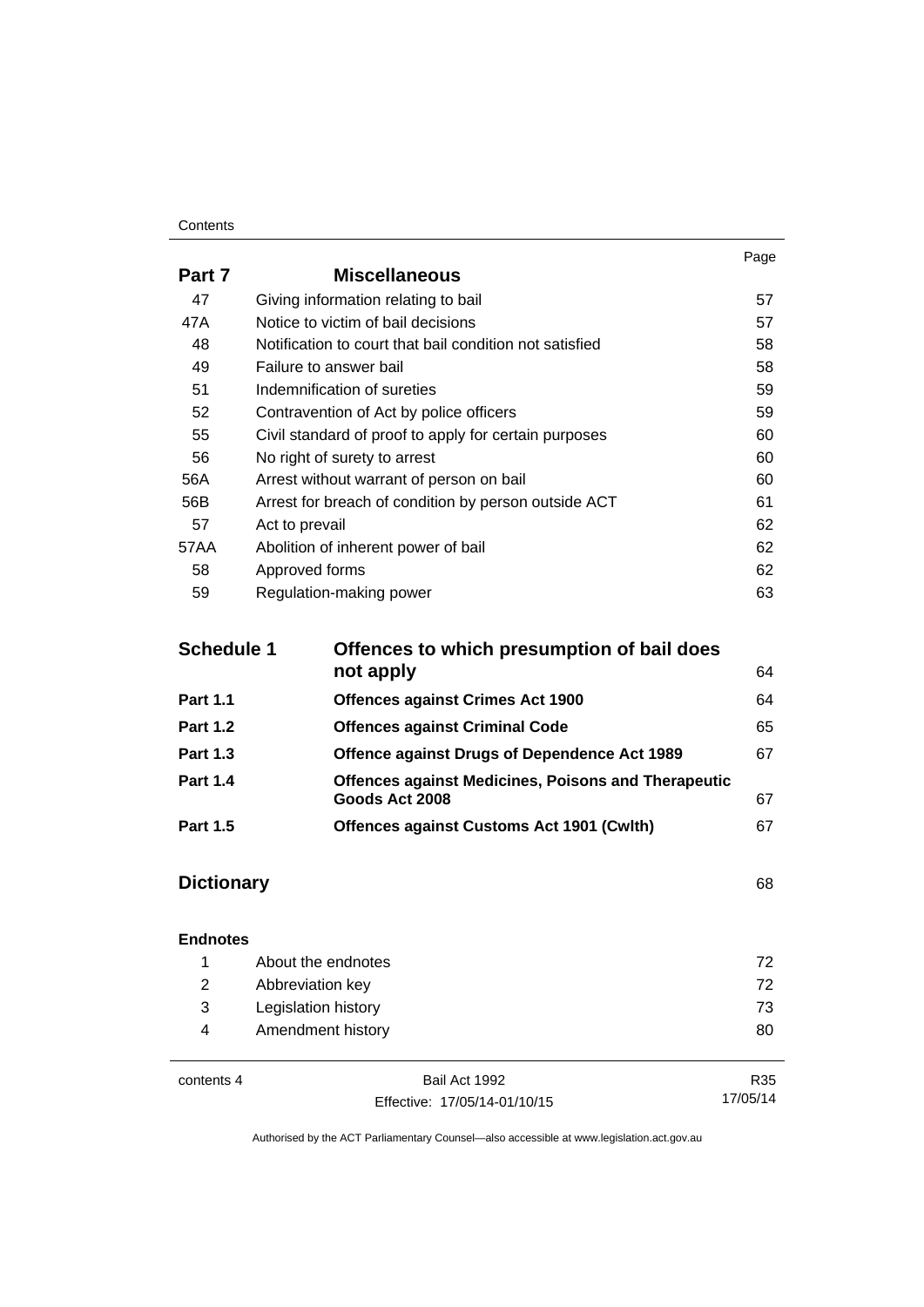#### **Contents**

|        |                                                         | Page |
|--------|---------------------------------------------------------|------|
| Part 7 | <b>Miscellaneous</b>                                    |      |
| 47     | Giving information relating to bail                     | 57   |
| 47A    | Notice to victim of bail decisions                      | 57   |
| 48     | Notification to court that bail condition not satisfied | 58   |
| 49     | Failure to answer bail                                  | 58   |
| 51     | Indemnification of sureties                             | 59   |
| 52     | Contravention of Act by police officers                 | 59   |
| 55     | Civil standard of proof to apply for certain purposes   | 60   |
| 56     | No right of surety to arrest                            | 60   |
| 56A    | Arrest without warrant of person on bail                | 60   |
| 56B    | Arrest for breach of condition by person outside ACT    | 61   |
| 57     | Act to prevail                                          | 62   |
| 57AA   | Abolition of inherent power of bail                     | 62   |
| 58     | Approved forms                                          | 62   |
| 59     | Regulation-making power                                 | 63   |

| <b>Schedule 1</b> | Offences to which presumption of bail does                 |    |  |
|-------------------|------------------------------------------------------------|----|--|
|                   | not apply                                                  | 64 |  |
| <b>Part 1.1</b>   | <b>Offences against Crimes Act 1900</b>                    | 64 |  |
| <b>Part 1.2</b>   | <b>Offences against Criminal Code</b>                      | 65 |  |
| <b>Part 1.3</b>   | <b>Offence against Drugs of Dependence Act 1989</b>        | 67 |  |
| <b>Part 1.4</b>   | <b>Offences against Medicines, Poisons and Therapeutic</b> |    |  |
|                   | Goods Act 2008                                             | 67 |  |
| <b>Part 1.5</b>   | Offences against Customs Act 1901 (Cwlth)                  | 67 |  |

# **[Dictionary](#page-75-0)** [68](#page-75-0)

#### **[Endnotes](#page-79-0)**

|     | About the endnotes  | 72. |
|-----|---------------------|-----|
| 2   | Abbreviation key    | 72. |
| - 3 | Legislation history | 73  |
| 4   | Amendment history   | 80  |
|     |                     |     |

contents 4 Bail Act 1992 Effective: 17/05/14-01/10/15

R35 17/05/14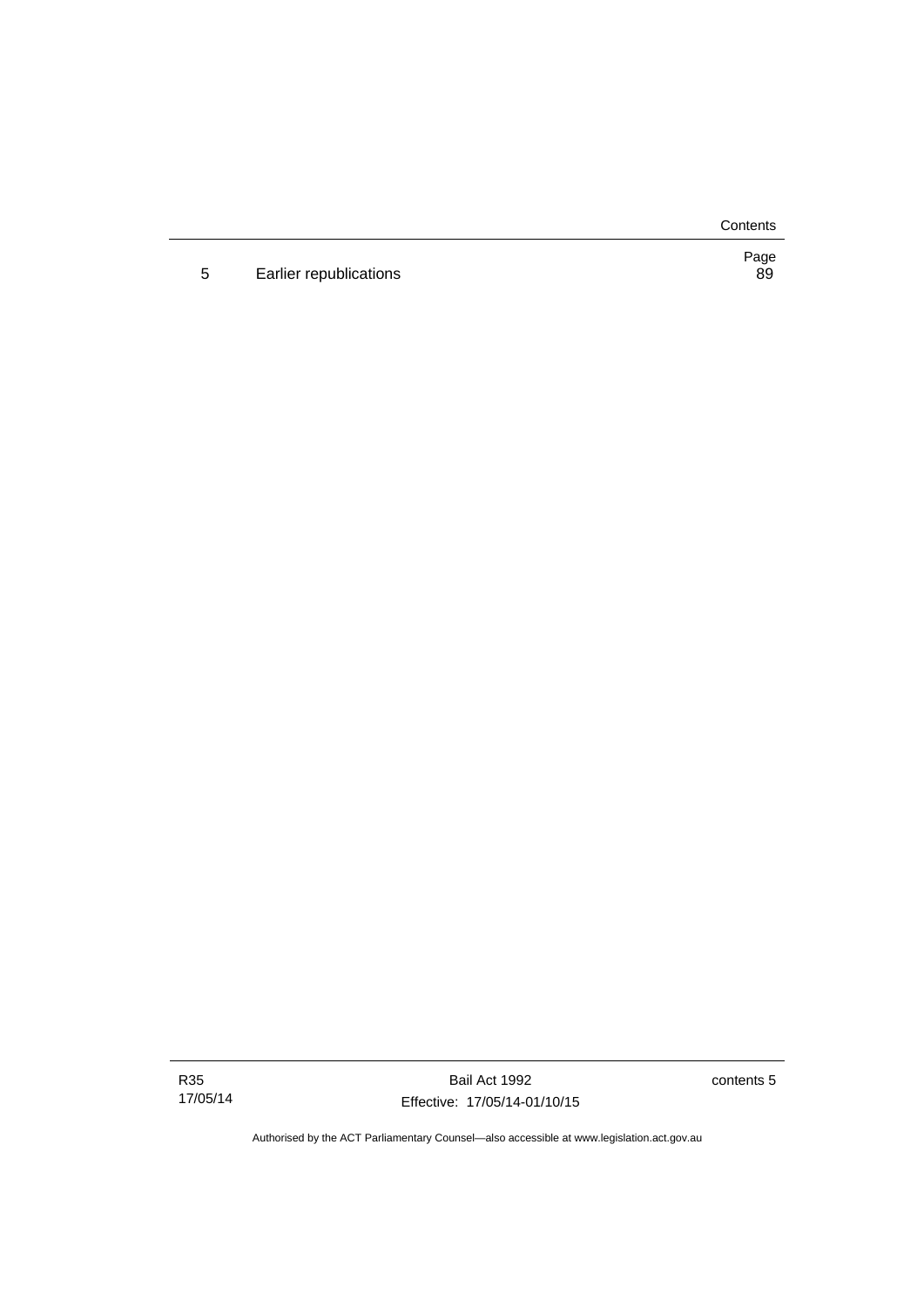**Contents** 

5 Earlier republications

Page<br>89

R35 17/05/14

Bail Act 1992 Effective: 17/05/14-01/10/15 contents 5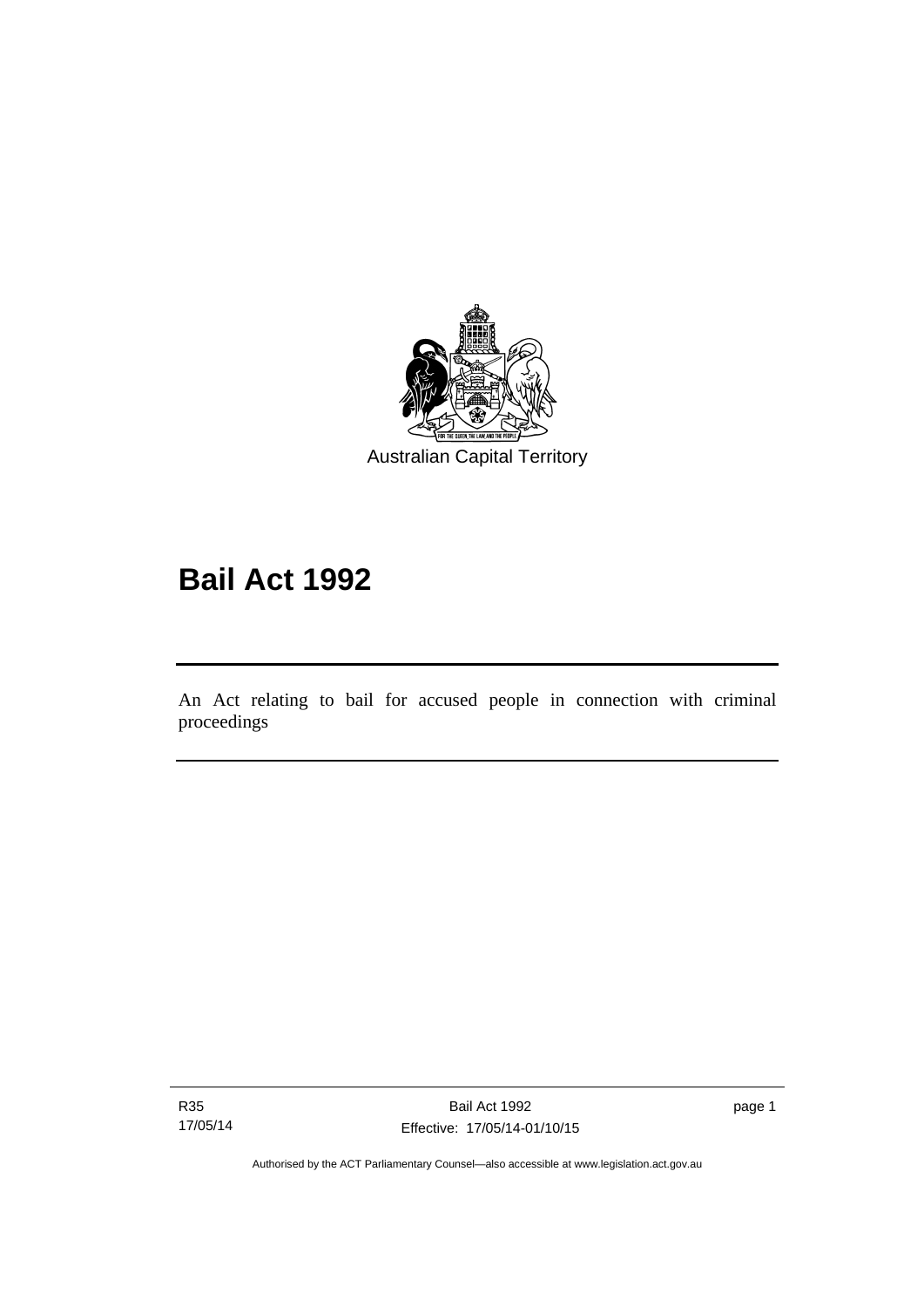

# **Bail Act 1992**

An Act relating to bail for accused people in connection with criminal proceedings

R35 17/05/14

Ī

page 1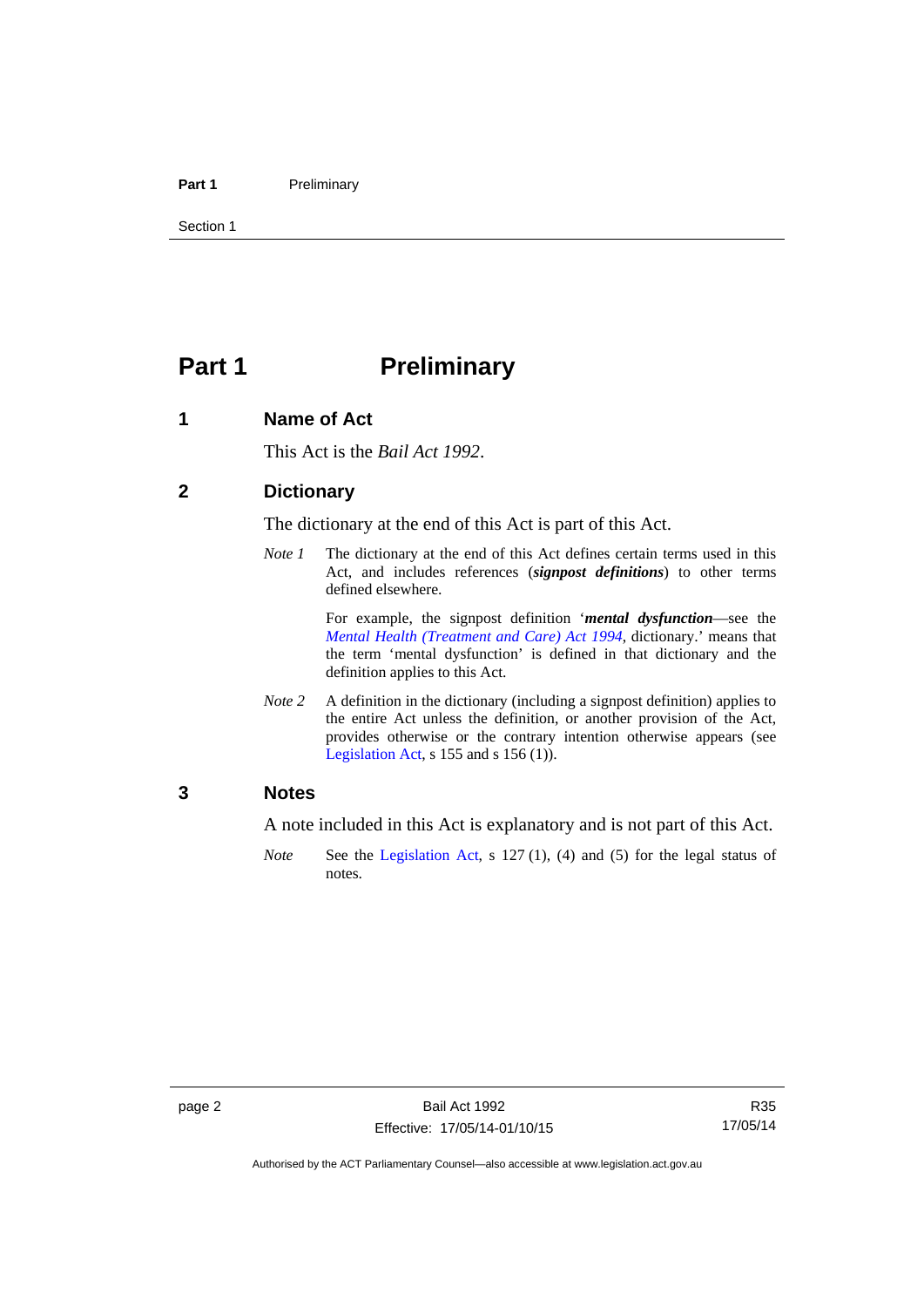#### Part 1 **Preliminary**

Section 1

# <span id="page-9-0"></span>**Part 1** Preliminary

#### <span id="page-9-1"></span>**1 Name of Act**

This Act is the *Bail Act 1992*.

#### <span id="page-9-2"></span>**2 Dictionary**

The dictionary at the end of this Act is part of this Act.

*Note 1* The dictionary at the end of this Act defines certain terms used in this Act, and includes references (*signpost definitions*) to other terms defined elsewhere.

> For example, the signpost definition '*mental dysfunction*—see the *[Mental Health \(Treatment and Care\) Act 1994](http://www.legislation.act.gov.au/a/1994-44)*, dictionary.' means that the term 'mental dysfunction' is defined in that dictionary and the definition applies to this Act.

*Note* 2 A definition in the dictionary (including a signpost definition) applies to the entire Act unless the definition, or another provision of the Act, provides otherwise or the contrary intention otherwise appears (see [Legislation Act,](http://www.legislation.act.gov.au/a/2001-14) s 155 and s 156 (1)).

#### <span id="page-9-3"></span>**3 Notes**

A note included in this Act is explanatory and is not part of this Act.

*Note* See the [Legislation Act,](http://www.legislation.act.gov.au/a/2001-14) s 127 (1), (4) and (5) for the legal status of notes.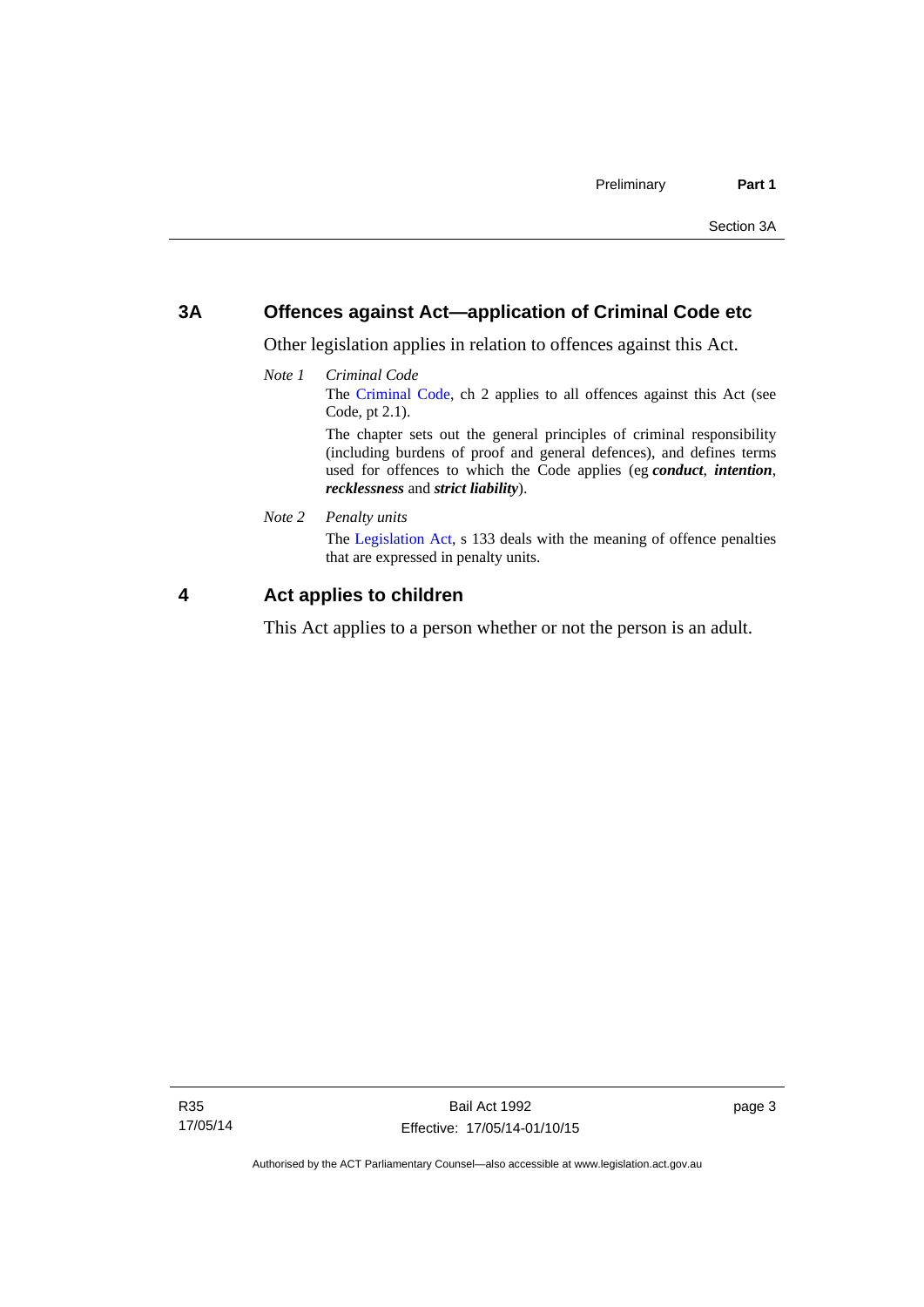#### <span id="page-10-0"></span>**3A Offences against Act—application of Criminal Code etc**

Other legislation applies in relation to offences against this Act.

*Note 1 Criminal Code* The [Criminal Code](http://www.legislation.act.gov.au/a/2002-51), ch 2 applies to all offences against this Act (see Code, pt 2.1). The chapter sets out the general principles of criminal responsibility (including burdens of proof and general defences), and defines terms

used for offences to which the Code applies (eg *conduct*, *intention*, *recklessness* and *strict liability*).

*Note 2 Penalty units* 

The [Legislation Act](http://www.legislation.act.gov.au/a/2001-14), s 133 deals with the meaning of offence penalties that are expressed in penalty units.

#### <span id="page-10-1"></span>**4 Act applies to children**

This Act applies to a person whether or not the person is an adult.

page 3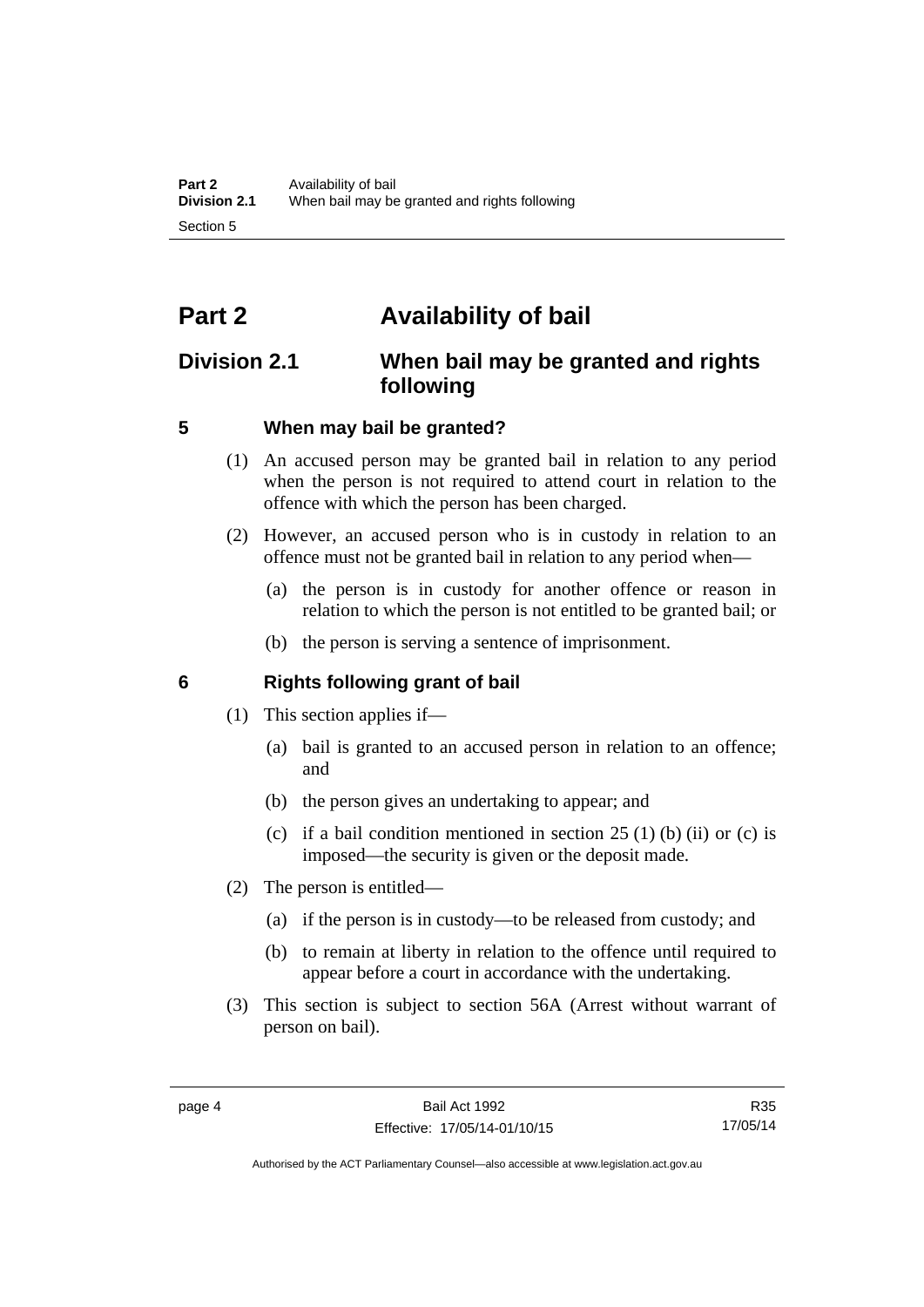# <span id="page-11-0"></span>**Part 2 Availability of bail**

### <span id="page-11-1"></span>**Division 2.1 When bail may be granted and rights following**

#### <span id="page-11-2"></span>**5 When may bail be granted?**

- (1) An accused person may be granted bail in relation to any period when the person is not required to attend court in relation to the offence with which the person has been charged.
- (2) However, an accused person who is in custody in relation to an offence must not be granted bail in relation to any period when—
	- (a) the person is in custody for another offence or reason in relation to which the person is not entitled to be granted bail; or
	- (b) the person is serving a sentence of imprisonment.

#### <span id="page-11-3"></span>**6 Rights following grant of bail**

- (1) This section applies if—
	- (a) bail is granted to an accused person in relation to an offence; and
	- (b) the person gives an undertaking to appear; and
	- (c) if a bail condition mentioned in section  $25(1)$  (b) (ii) or (c) is imposed—the security is given or the deposit made.
- (2) The person is entitled—
	- (a) if the person is in custody—to be released from custody; and
	- (b) to remain at liberty in relation to the offence until required to appear before a court in accordance with the undertaking.
- (3) This section is subject to section 56A (Arrest without warrant of person on bail).

Authorised by the ACT Parliamentary Counsel—also accessible at www.legislation.act.gov.au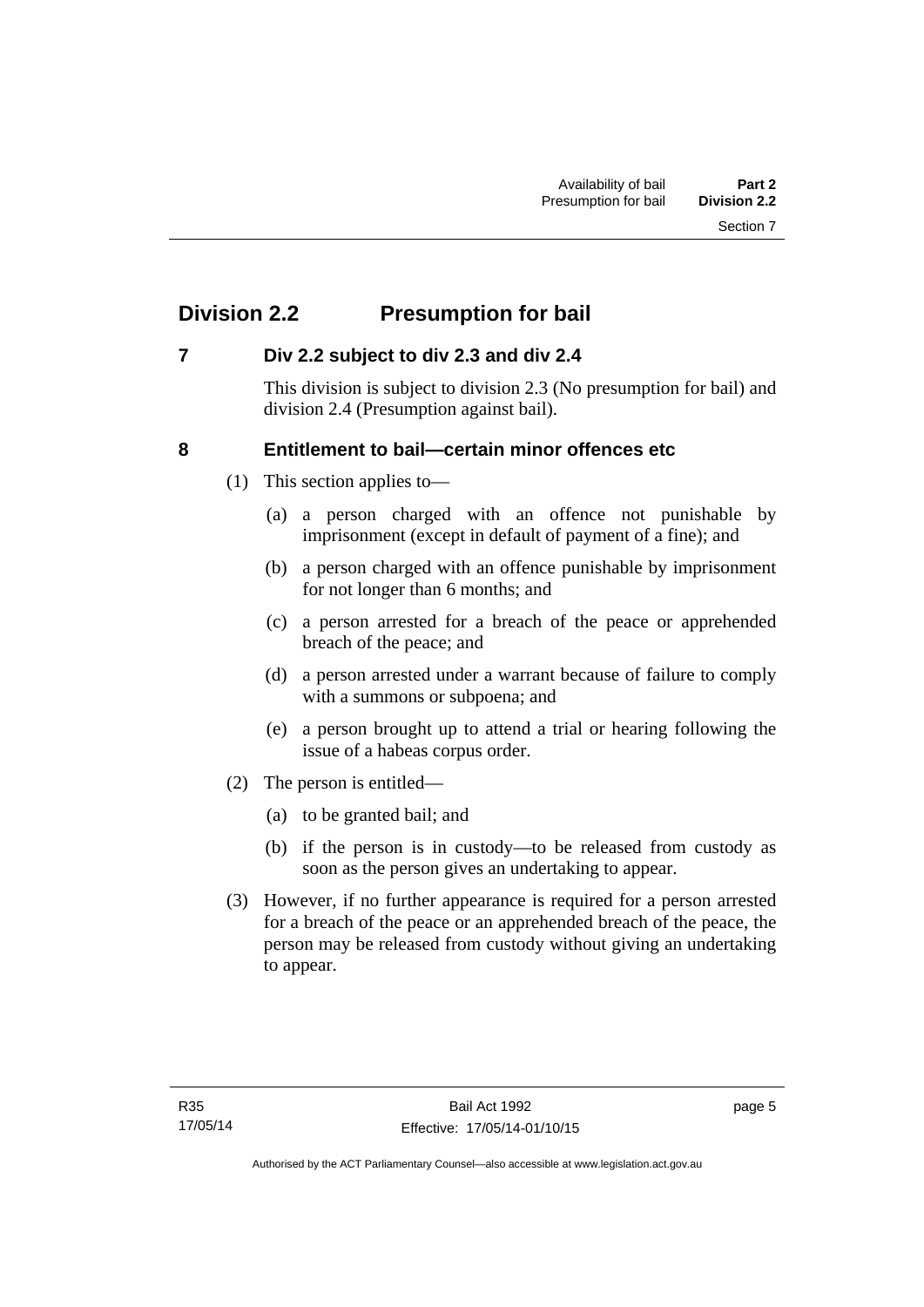# <span id="page-12-0"></span>**Division 2.2 Presumption for bail**

#### <span id="page-12-1"></span>**7 Div 2.2 subject to div 2.3 and div 2.4**

This division is subject to division 2.3 (No presumption for bail) and division 2.4 (Presumption against bail).

#### <span id="page-12-2"></span>**8 Entitlement to bail—certain minor offences etc**

- (1) This section applies to—
	- (a) a person charged with an offence not punishable by imprisonment (except in default of payment of a fine); and
	- (b) a person charged with an offence punishable by imprisonment for not longer than 6 months; and
	- (c) a person arrested for a breach of the peace or apprehended breach of the peace; and
	- (d) a person arrested under a warrant because of failure to comply with a summons or subpoena; and
	- (e) a person brought up to attend a trial or hearing following the issue of a habeas corpus order.
- (2) The person is entitled—
	- (a) to be granted bail; and
	- (b) if the person is in custody—to be released from custody as soon as the person gives an undertaking to appear.
- (3) However, if no further appearance is required for a person arrested for a breach of the peace or an apprehended breach of the peace, the person may be released from custody without giving an undertaking to appear.

page 5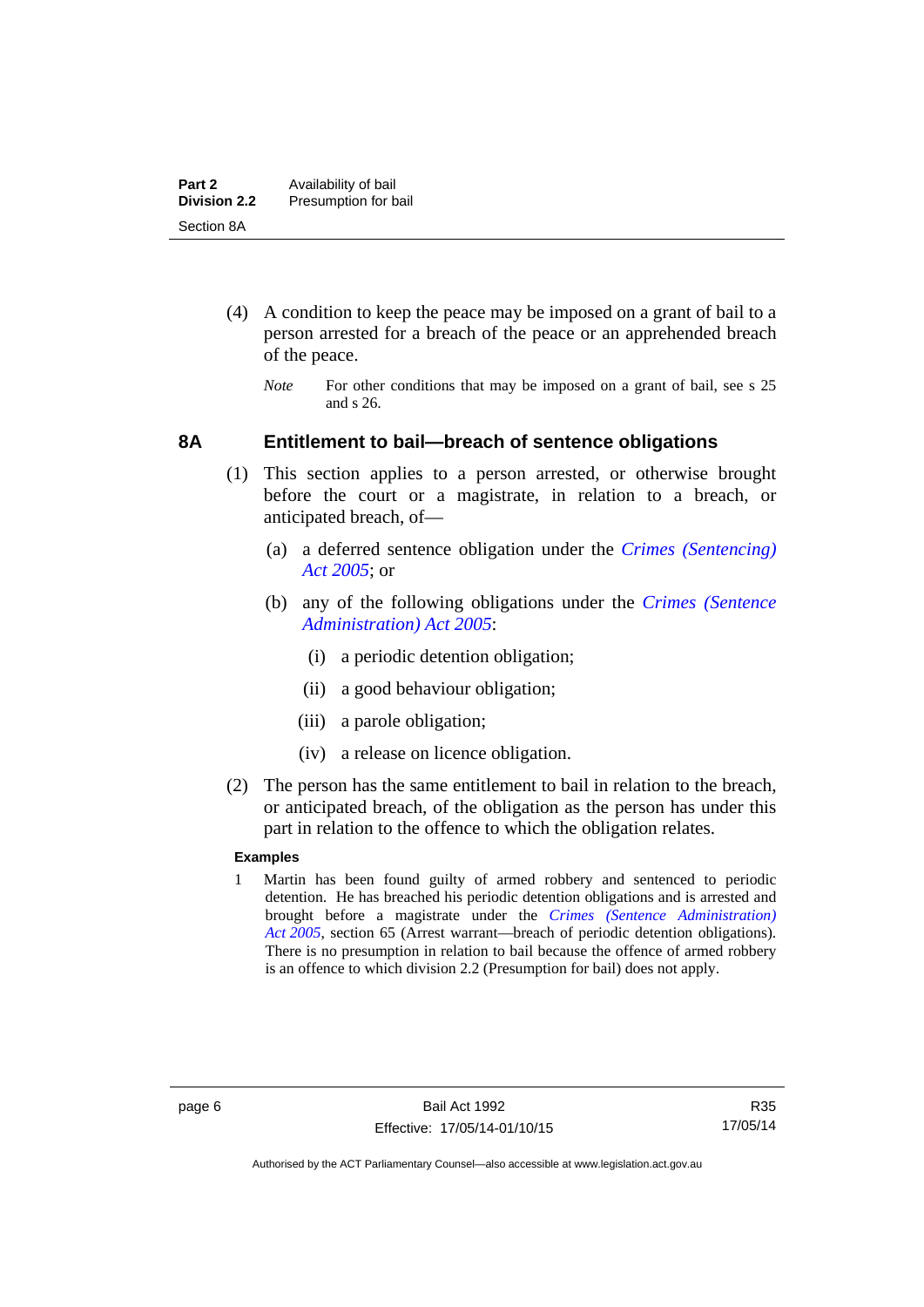- (4) A condition to keep the peace may be imposed on a grant of bail to a person arrested for a breach of the peace or an apprehended breach of the peace.
	- *Note* For other conditions that may be imposed on a grant of bail, see s 25 and s 26.

#### <span id="page-13-0"></span>**8A Entitlement to bail—breach of sentence obligations**

- (1) This section applies to a person arrested, or otherwise brought before the court or a magistrate, in relation to a breach, or anticipated breach, of—
	- (a) a deferred sentence obligation under the *[Crimes \(Sentencing\)](http://www.legislation.act.gov.au/a/2005-58)  [Act 2005](http://www.legislation.act.gov.au/a/2005-58)*; or
	- (b) any of the following obligations under the *[Crimes \(Sentence](http://www.legislation.act.gov.au/a/2005-59)  [Administration\) Act 2005](http://www.legislation.act.gov.au/a/2005-59)*:
		- (i) a periodic detention obligation;
		- (ii) a good behaviour obligation;
		- (iii) a parole obligation;
		- (iv) a release on licence obligation.
- (2) The person has the same entitlement to bail in relation to the breach, or anticipated breach, of the obligation as the person has under this part in relation to the offence to which the obligation relates.

#### **Examples**

1 Martin has been found guilty of armed robbery and sentenced to periodic detention. He has breached his periodic detention obligations and is arrested and brought before a magistrate under the *[Crimes \(Sentence Administration\)](http://www.legislation.act.gov.au/a/2005-59)  [Act 2005](http://www.legislation.act.gov.au/a/2005-59)*, section 65 (Arrest warrant—breach of periodic detention obligations). There is no presumption in relation to bail because the offence of armed robbery is an offence to which division 2.2 (Presumption for bail) does not apply.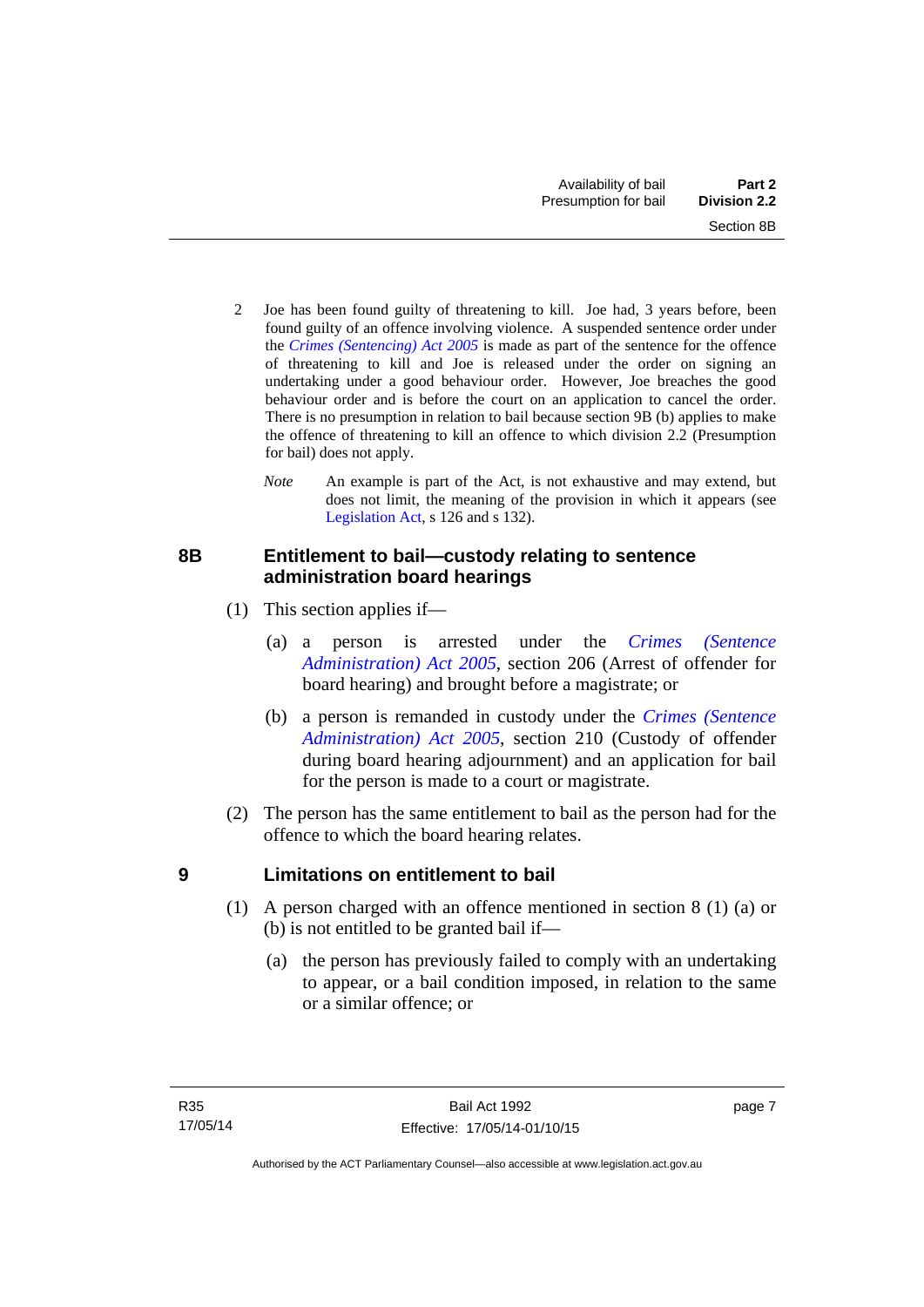- 2 Joe has been found guilty of threatening to kill. Joe had, 3 years before, been found guilty of an offence involving violence. A suspended sentence order under the *[Crimes \(Sentencing\) Act 2005](http://www.legislation.act.gov.au/a/2005-58)* is made as part of the sentence for the offence of threatening to kill and Joe is released under the order on signing an undertaking under a good behaviour order. However, Joe breaches the good behaviour order and is before the court on an application to cancel the order. There is no presumption in relation to bail because section 9B (b) applies to make the offence of threatening to kill an offence to which division 2.2 (Presumption for bail) does not apply.
	- *Note* An example is part of the Act, is not exhaustive and may extend, but does not limit, the meaning of the provision in which it appears (see [Legislation Act,](http://www.legislation.act.gov.au/a/2001-14) s 126 and s 132).

#### <span id="page-14-0"></span>**8B Entitlement to bail—custody relating to sentence administration board hearings**

- (1) This section applies if—
	- (a) a person is arrested under the *[Crimes \(Sentence](http://www.legislation.act.gov.au/a/2005-59)  [Administration\) Act 2005](http://www.legislation.act.gov.au/a/2005-59)*, section 206 (Arrest of offender for board hearing) and brought before a magistrate; or
	- (b) a person is remanded in custody under the *[Crimes \(Sentence](http://www.legislation.act.gov.au/a/2005-59)  [Administration\) Act 2005](http://www.legislation.act.gov.au/a/2005-59)*, section 210 (Custody of offender during board hearing adjournment) and an application for bail for the person is made to a court or magistrate.
- (2) The person has the same entitlement to bail as the person had for the offence to which the board hearing relates.

#### <span id="page-14-1"></span>**9 Limitations on entitlement to bail**

- (1) A person charged with an offence mentioned in section 8 (1) (a) or (b) is not entitled to be granted bail if—
	- (a) the person has previously failed to comply with an undertaking to appear, or a bail condition imposed, in relation to the same or a similar offence; or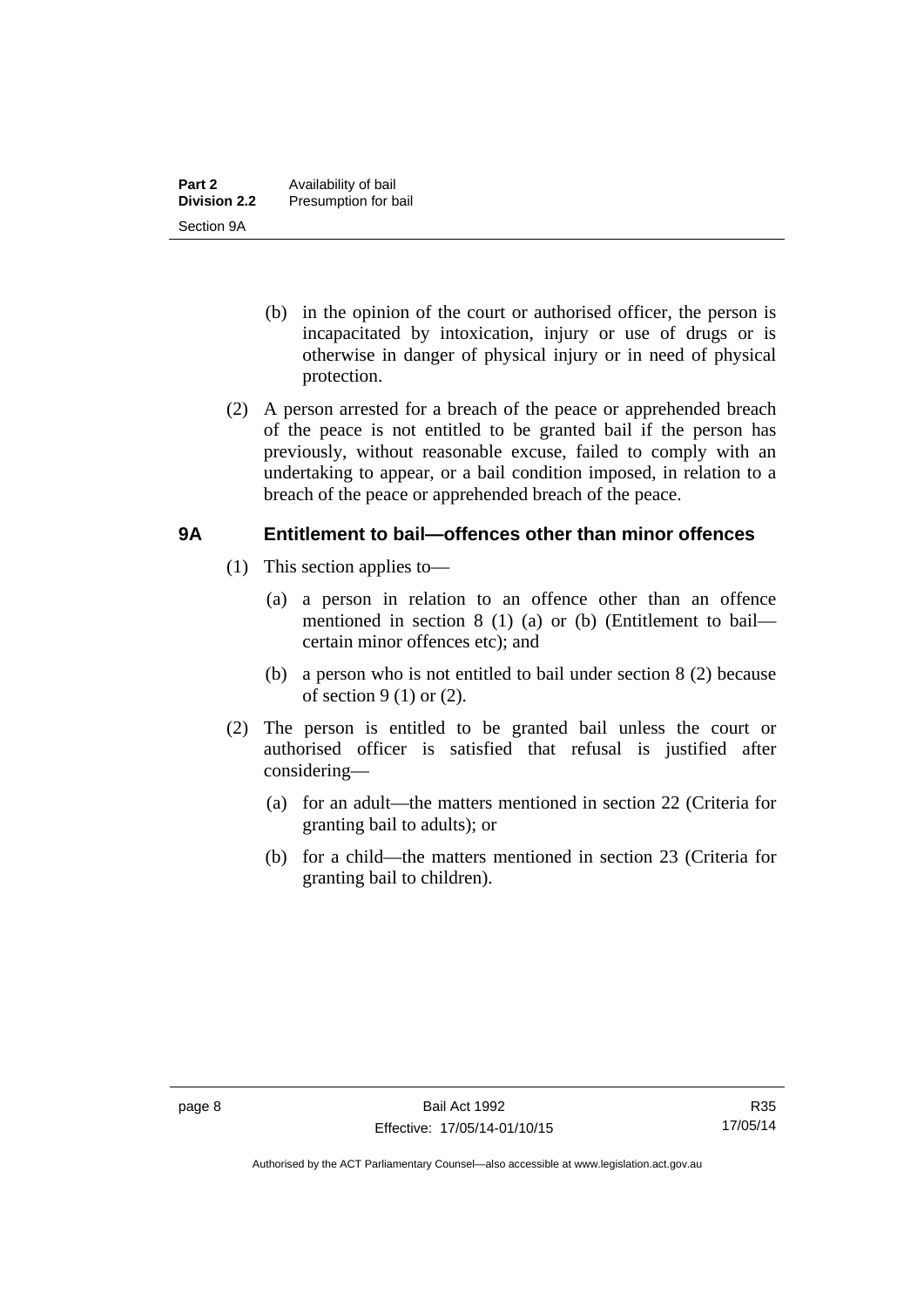- (b) in the opinion of the court or authorised officer, the person is incapacitated by intoxication, injury or use of drugs or is otherwise in danger of physical injury or in need of physical protection.
- (2) A person arrested for a breach of the peace or apprehended breach of the peace is not entitled to be granted bail if the person has previously, without reasonable excuse, failed to comply with an undertaking to appear, or a bail condition imposed, in relation to a breach of the peace or apprehended breach of the peace.

#### <span id="page-15-0"></span>**9A Entitlement to bail—offences other than minor offences**

- (1) This section applies to—
	- (a) a person in relation to an offence other than an offence mentioned in section 8 (1) (a) or (b) (Entitlement to bail certain minor offences etc); and
	- (b) a person who is not entitled to bail under section 8 (2) because of section  $9(1)$  or  $(2)$ .
- (2) The person is entitled to be granted bail unless the court or authorised officer is satisfied that refusal is justified after considering—
	- (a) for an adult—the matters mentioned in section 22 (Criteria for granting bail to adults); or
	- (b) for a child—the matters mentioned in section 23 (Criteria for granting bail to children).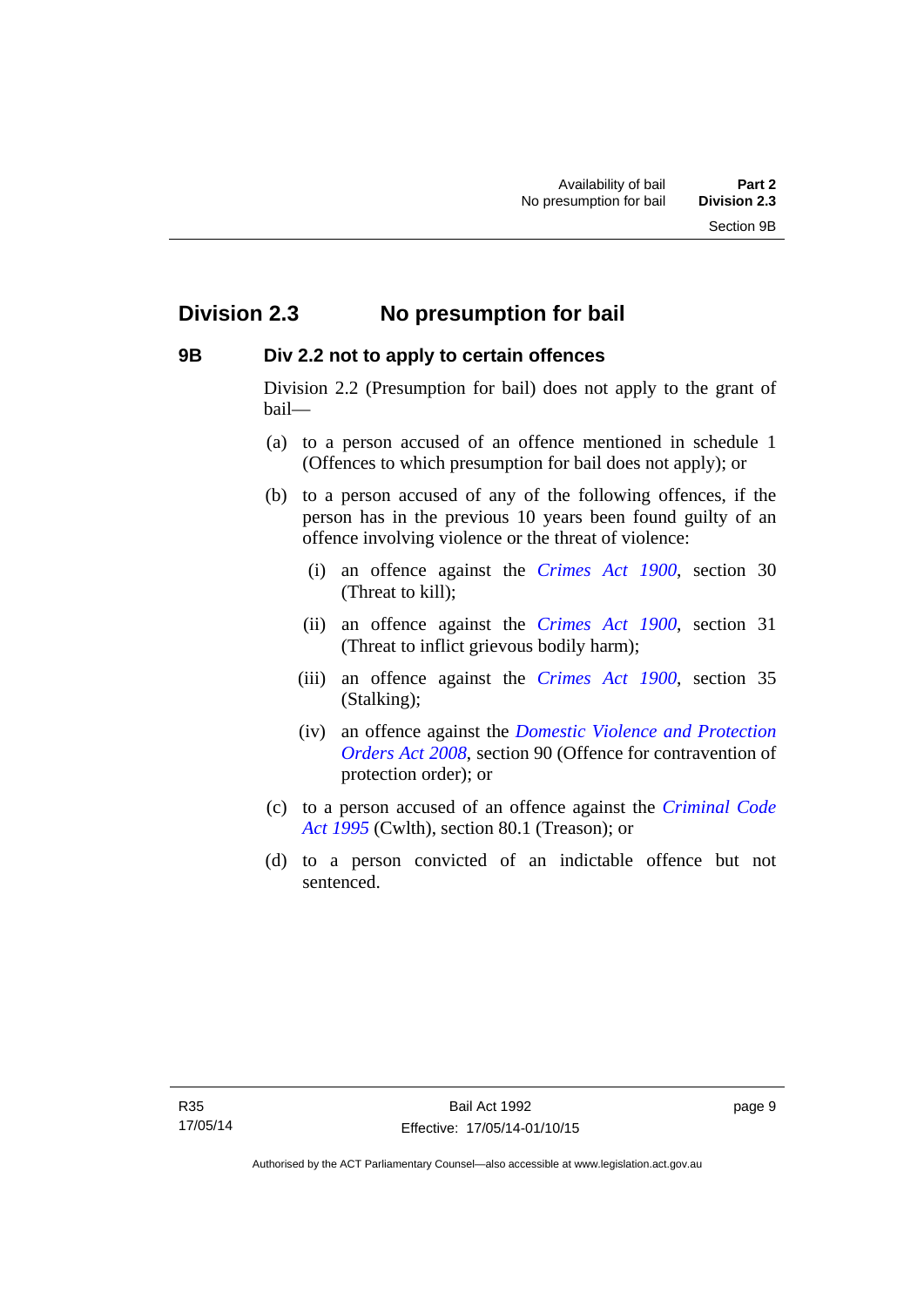### <span id="page-16-0"></span>**Division 2.3 No presumption for bail**

#### <span id="page-16-1"></span>**9B Div 2.2 not to apply to certain offences**

Division 2.2 (Presumption for bail) does not apply to the grant of bail—

- (a) to a person accused of an offence mentioned in schedule 1 (Offences to which presumption for bail does not apply); or
- (b) to a person accused of any of the following offences, if the person has in the previous 10 years been found guilty of an offence involving violence or the threat of violence:
	- (i) an offence against the *[Crimes Act 1900](http://www.legislation.act.gov.au/a/1900-40)*, section 30 (Threat to kill);
	- (ii) an offence against the *[Crimes Act 1900](http://www.legislation.act.gov.au/a/1900-40)*, section 31 (Threat to inflict grievous bodily harm);
	- (iii) an offence against the *[Crimes Act 1900](http://www.legislation.act.gov.au/a/1900-40)*, section 35 (Stalking);
	- (iv) an offence against the *[Domestic Violence and Protection](http://www.legislation.act.gov.au/a/2008-46)  [Orders Act 2008](http://www.legislation.act.gov.au/a/2008-46)*, section 90 (Offence for contravention of protection order); or
- (c) to a person accused of an offence against the *[Criminal Code](http://www.comlaw.gov.au/Details/C2013C00138)  [Act 1995](http://www.comlaw.gov.au/Details/C2013C00138)* (Cwlth), section 80.1 (Treason); or
- (d) to a person convicted of an indictable offence but not sentenced.

page 9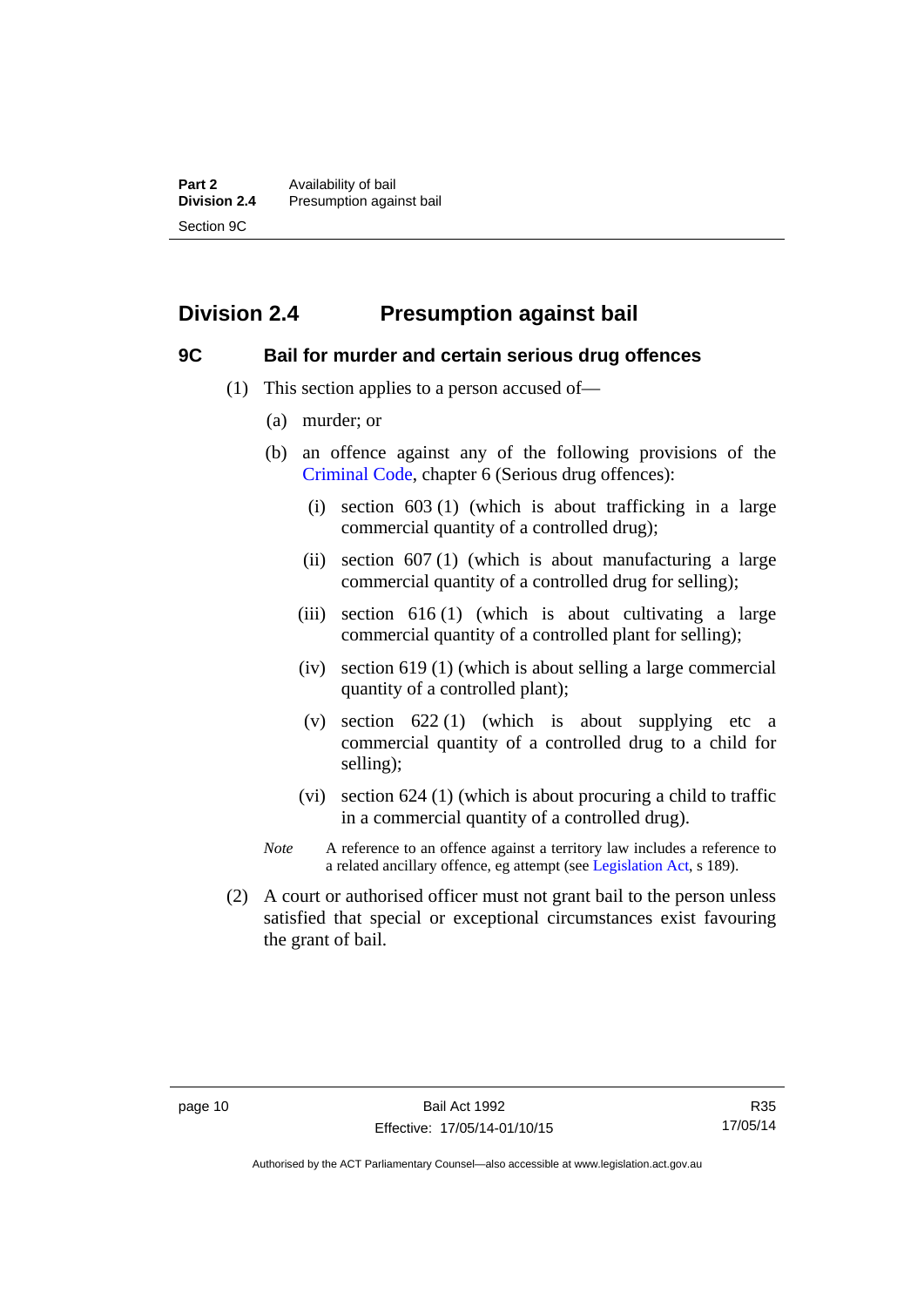## <span id="page-17-0"></span>**Division 2.4 Presumption against bail**

#### <span id="page-17-1"></span>**9C Bail for murder and certain serious drug offences**

- (1) This section applies to a person accused of—
	- (a) murder; or
	- (b) an offence against any of the following provisions of the [Criminal Code,](http://www.legislation.act.gov.au/a/2002-51) chapter 6 (Serious drug offences):
		- (i) section 603 (1) (which is about trafficking in a large commercial quantity of a controlled drug);
		- (ii) section  $607(1)$  (which is about manufacturing a large commercial quantity of a controlled drug for selling);
		- (iii) section 616 (1) (which is about cultivating a large commercial quantity of a controlled plant for selling);
		- (iv) section 619 (1) (which is about selling a large commercial quantity of a controlled plant);
		- (v) section  $622(1)$  (which is about supplying etc a commercial quantity of a controlled drug to a child for selling);
		- (vi) section 624 (1) (which is about procuring a child to traffic in a commercial quantity of a controlled drug).
	- *Note* A reference to an offence against a territory law includes a reference to a related ancillary offence, eg attempt (see [Legislation Act](http://www.legislation.act.gov.au/a/2001-14), s 189).
- (2) A court or authorised officer must not grant bail to the person unless satisfied that special or exceptional circumstances exist favouring the grant of bail.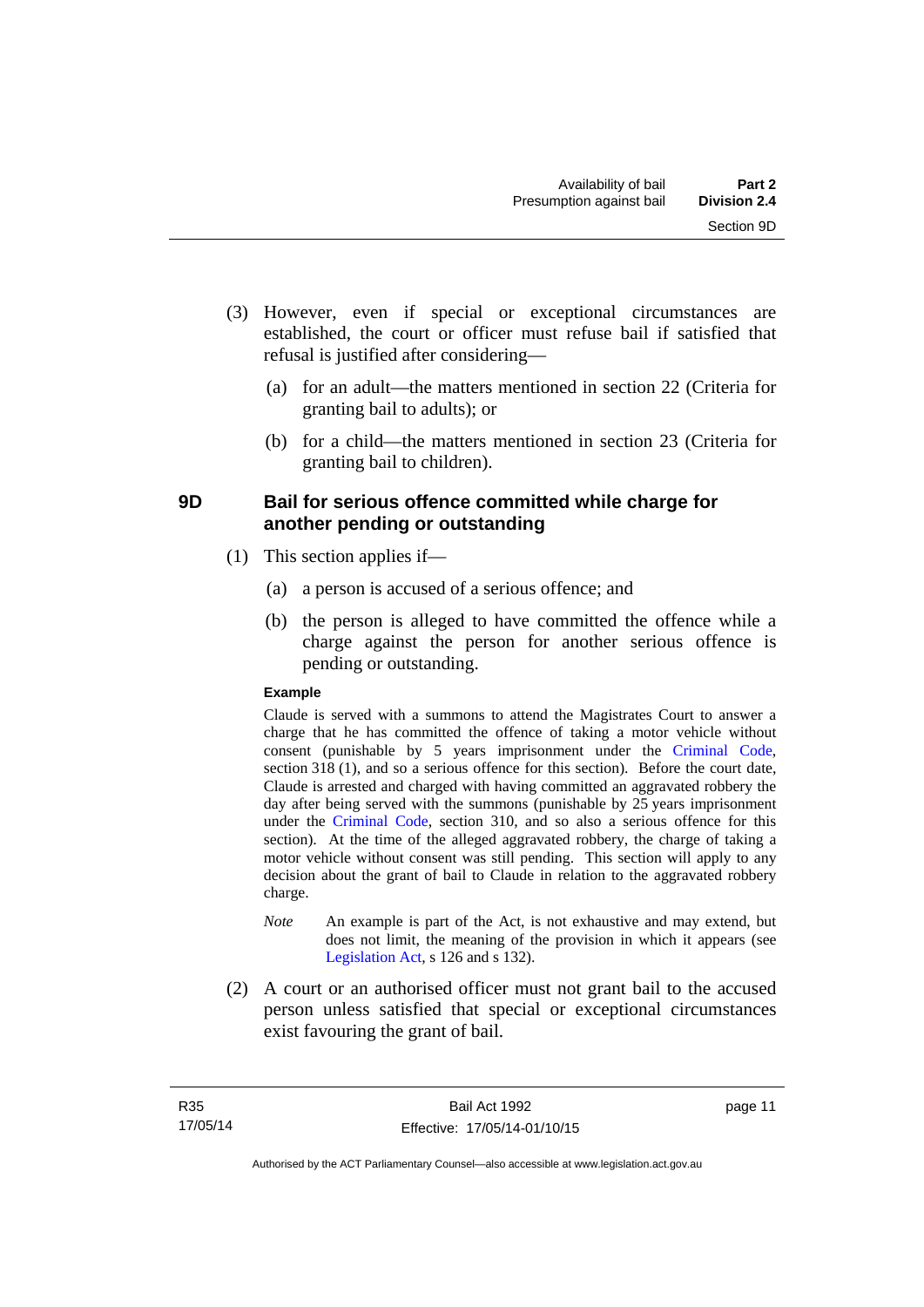- (3) However, even if special or exceptional circumstances are established, the court or officer must refuse bail if satisfied that refusal is justified after considering—
	- (a) for an adult—the matters mentioned in section 22 (Criteria for granting bail to adults); or
	- (b) for a child—the matters mentioned in section 23 (Criteria for granting bail to children).

#### <span id="page-18-0"></span>**9D Bail for serious offence committed while charge for another pending or outstanding**

- (1) This section applies if—
	- (a) a person is accused of a serious offence; and
	- (b) the person is alleged to have committed the offence while a charge against the person for another serious offence is pending or outstanding.

#### **Example**

Claude is served with a summons to attend the Magistrates Court to answer a charge that he has committed the offence of taking a motor vehicle without consent (punishable by 5 years imprisonment under the [Criminal Code,](http://www.legislation.act.gov.au/a/2002-51) section 318 (1), and so a serious offence for this section). Before the court date, Claude is arrested and charged with having committed an aggravated robbery the day after being served with the summons (punishable by 25 years imprisonment under the [Criminal Code](http://www.legislation.act.gov.au/a/2002-51), section 310, and so also a serious offence for this section). At the time of the alleged aggravated robbery, the charge of taking a motor vehicle without consent was still pending. This section will apply to any decision about the grant of bail to Claude in relation to the aggravated robbery charge.

- *Note* An example is part of the Act, is not exhaustive and may extend, but does not limit, the meaning of the provision in which it appears (see [Legislation Act,](http://www.legislation.act.gov.au/a/2001-14) s 126 and s 132).
- (2) A court or an authorised officer must not grant bail to the accused person unless satisfied that special or exceptional circumstances exist favouring the grant of bail.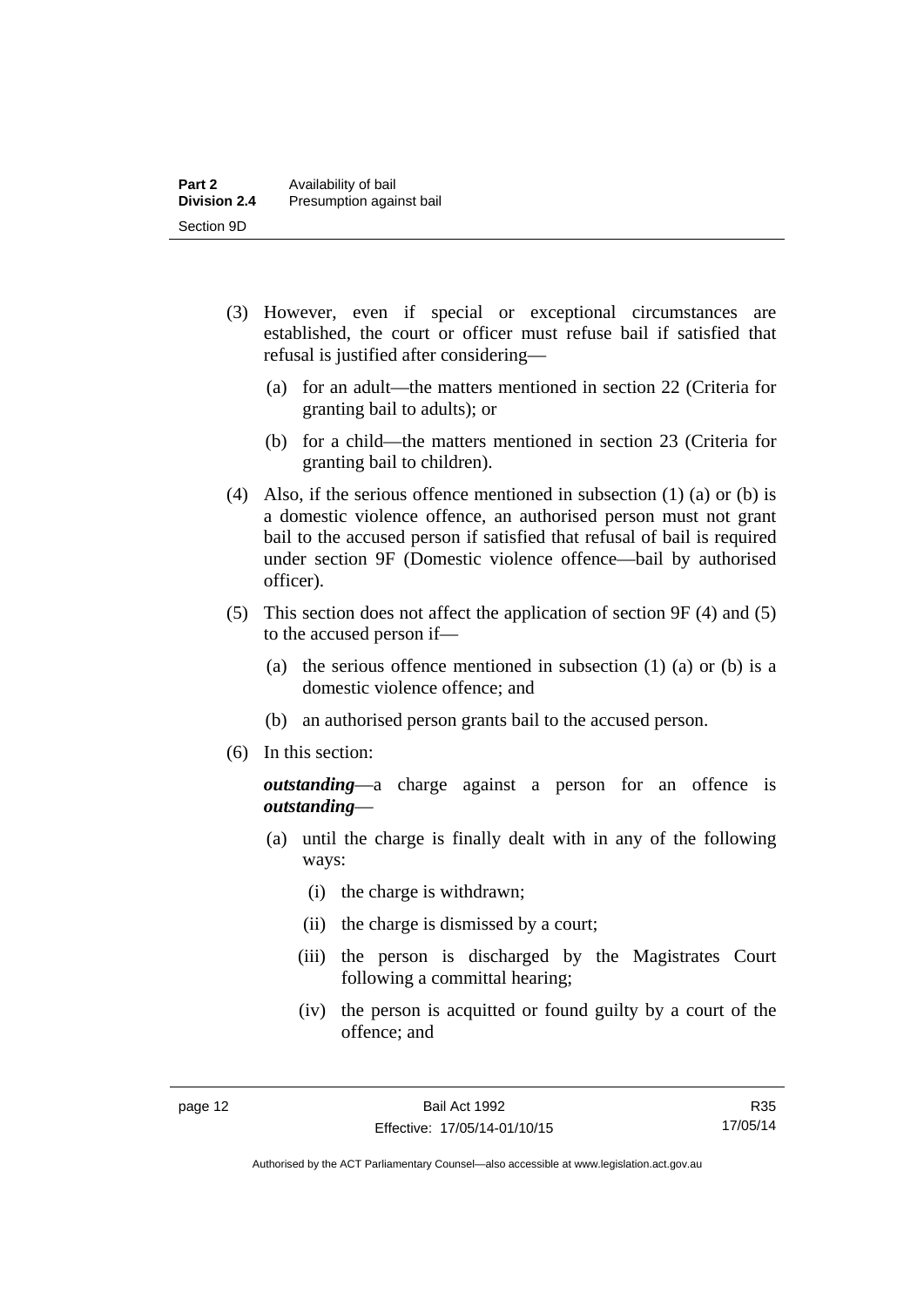- (3) However, even if special or exceptional circumstances are established, the court or officer must refuse bail if satisfied that refusal is justified after considering—
	- (a) for an adult—the matters mentioned in section 22 (Criteria for granting bail to adults); or
	- (b) for a child—the matters mentioned in section 23 (Criteria for granting bail to children).
- (4) Also, if the serious offence mentioned in subsection (1) (a) or (b) is a domestic violence offence, an authorised person must not grant bail to the accused person if satisfied that refusal of bail is required under section 9F (Domestic violence offence—bail by authorised officer).
- (5) This section does not affect the application of section 9F (4) and (5) to the accused person if—
	- (a) the serious offence mentioned in subsection (1) (a) or (b) is a domestic violence offence; and
	- (b) an authorised person grants bail to the accused person.
- (6) In this section:

*outstanding*—a charge against a person for an offence is *outstanding*—

- (a) until the charge is finally dealt with in any of the following ways:
	- (i) the charge is withdrawn;
	- (ii) the charge is dismissed by a court;
	- (iii) the person is discharged by the Magistrates Court following a committal hearing;
	- (iv) the person is acquitted or found guilty by a court of the offence; and

R35 17/05/14

Authorised by the ACT Parliamentary Counsel—also accessible at www.legislation.act.gov.au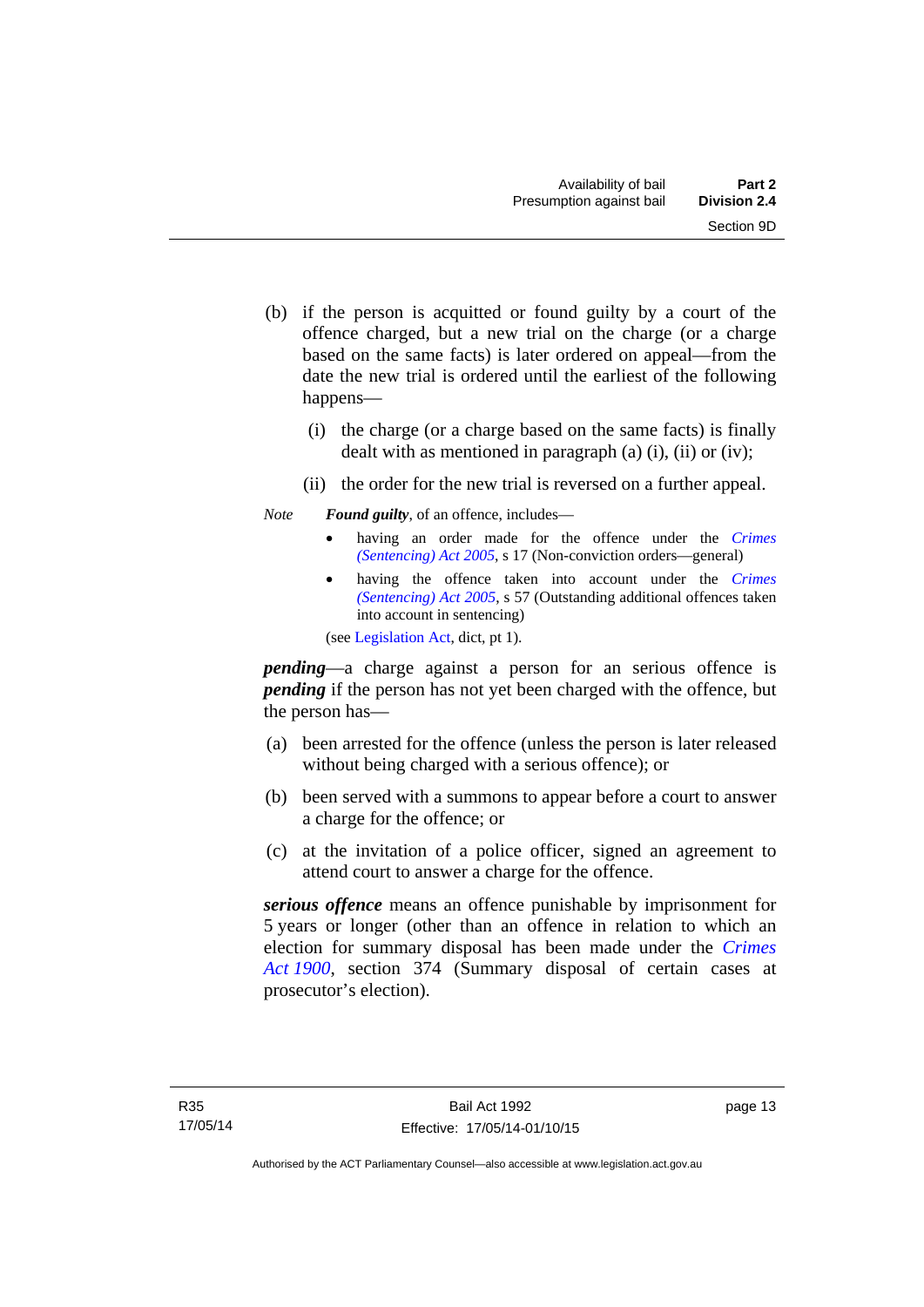- (b) if the person is acquitted or found guilty by a court of the offence charged, but a new trial on the charge (or a charge based on the same facts) is later ordered on appeal—from the date the new trial is ordered until the earliest of the following happens—
	- (i) the charge (or a charge based on the same facts) is finally dealt with as mentioned in paragraph (a)  $(i)$ ,  $(ii)$  or  $(iv)$ ;
	- (ii) the order for the new trial is reversed on a further appeal.

#### *Note Found guilty*, of an offence, includes—

- having an order made for the offence under the *[Crimes](http://www.legislation.act.gov.au/a/2005-58)  [\(Sentencing\) Act 2005](http://www.legislation.act.gov.au/a/2005-58)*, s 17 (Non-conviction orders—general)
- having the offence taken into account under the *[Crimes](http://www.legislation.act.gov.au/a/2005-58)  [\(Sentencing\) Act 2005](http://www.legislation.act.gov.au/a/2005-58)*, s 57 (Outstanding additional offences taken into account in sentencing)

(see [Legislation Act,](http://www.legislation.act.gov.au/a/2001-14) dict, pt 1).

*pending*—a charge against a person for an serious offence is *pending* if the person has not yet been charged with the offence, but the person has—

- (a) been arrested for the offence (unless the person is later released without being charged with a serious offence); or
- (b) been served with a summons to appear before a court to answer a charge for the offence; or
- (c) at the invitation of a police officer, signed an agreement to attend court to answer a charge for the offence.

*serious offence* means an offence punishable by imprisonment for 5 years or longer (other than an offence in relation to which an election for summary disposal has been made under the *[Crimes](http://www.legislation.act.gov.au/a/1900-40)  [Act 1900](http://www.legislation.act.gov.au/a/1900-40)*, section 374 (Summary disposal of certain cases at prosecutor's election).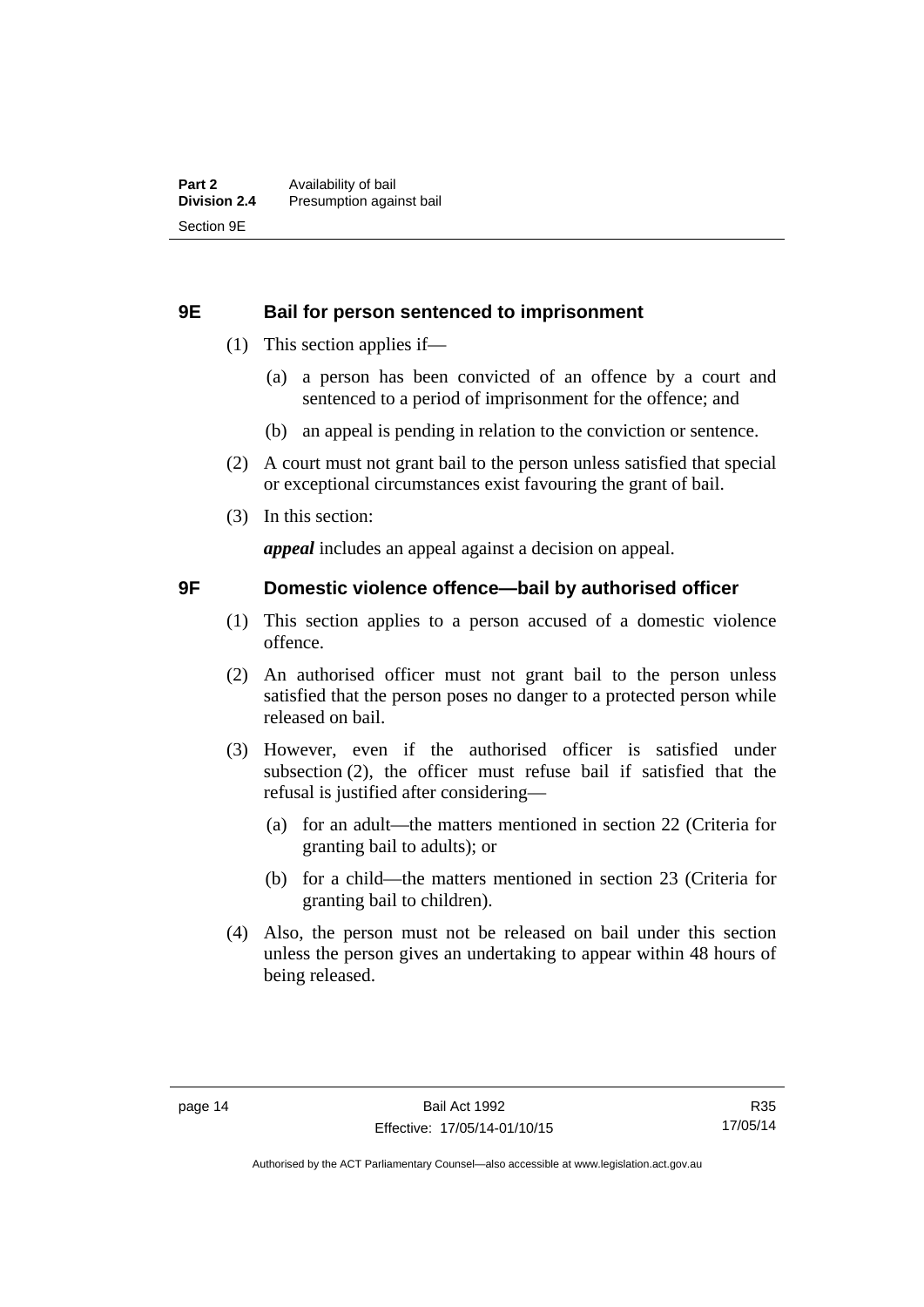#### <span id="page-21-0"></span>**9E Bail for person sentenced to imprisonment**

- (1) This section applies if—
	- (a) a person has been convicted of an offence by a court and sentenced to a period of imprisonment for the offence; and
	- (b) an appeal is pending in relation to the conviction or sentence.
- (2) A court must not grant bail to the person unless satisfied that special or exceptional circumstances exist favouring the grant of bail.
- (3) In this section:

*appeal* includes an appeal against a decision on appeal.

#### <span id="page-21-1"></span>**9F Domestic violence offence—bail by authorised officer**

- (1) This section applies to a person accused of a domestic violence offence.
- (2) An authorised officer must not grant bail to the person unless satisfied that the person poses no danger to a protected person while released on bail.
- (3) However, even if the authorised officer is satisfied under subsection (2), the officer must refuse bail if satisfied that the refusal is justified after considering—
	- (a) for an adult—the matters mentioned in section 22 (Criteria for granting bail to adults); or
	- (b) for a child—the matters mentioned in section 23 (Criteria for granting bail to children).
- (4) Also, the person must not be released on bail under this section unless the person gives an undertaking to appear within 48 hours of being released.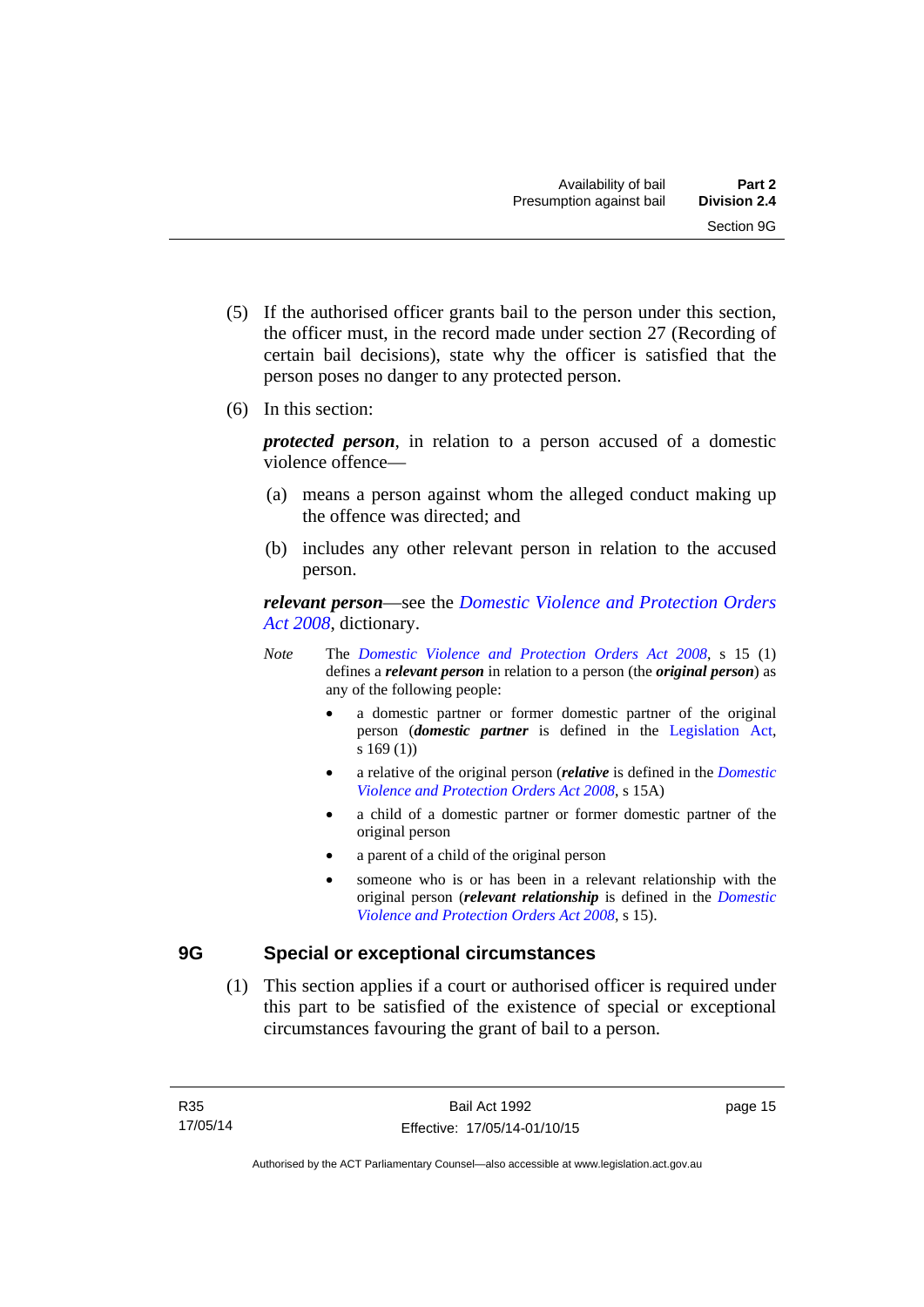- (5) If the authorised officer grants bail to the person under this section, the officer must, in the record made under section 27 (Recording of certain bail decisions), state why the officer is satisfied that the person poses no danger to any protected person.
- (6) In this section:

*protected person*, in relation to a person accused of a domestic violence offence—

- (a) means a person against whom the alleged conduct making up the offence was directed; and
- (b) includes any other relevant person in relation to the accused person.

*relevant person*—see the *[Domestic Violence and Protection Orders](http://www.legislation.act.gov.au/a/2008-46)  [Act 2008](http://www.legislation.act.gov.au/a/2008-46)*, dictionary.

- *Note* The *[Domestic Violence and Protection Orders Act 2008](http://www.legislation.act.gov.au/a/2008-46)*, s 15 (1) defines a *relevant person* in relation to a person (the *original person*) as any of the following people:
	- a domestic partner or former domestic partner of the original person (*domestic partner* is defined in the [Legislation Act,](http://www.legislation.act.gov.au/a/2001-14) s 169 (1))
	- a relative of the original person (*relative* is defined in the *[Domestic](http://www.legislation.act.gov.au/a/2008-46)  [Violence and Protection Orders Act 2008](http://www.legislation.act.gov.au/a/2008-46)*, s 15A)
	- a child of a domestic partner or former domestic partner of the original person
	- a parent of a child of the original person
	- someone who is or has been in a relevant relationship with the original person (*relevant relationship* is defined in the *[Domestic](http://www.legislation.act.gov.au/a/2008-46)  [Violence and Protection Orders Act 2008](http://www.legislation.act.gov.au/a/2008-46)*, s 15).

#### <span id="page-22-0"></span>**9G Special or exceptional circumstances**

 (1) This section applies if a court or authorised officer is required under this part to be satisfied of the existence of special or exceptional circumstances favouring the grant of bail to a person.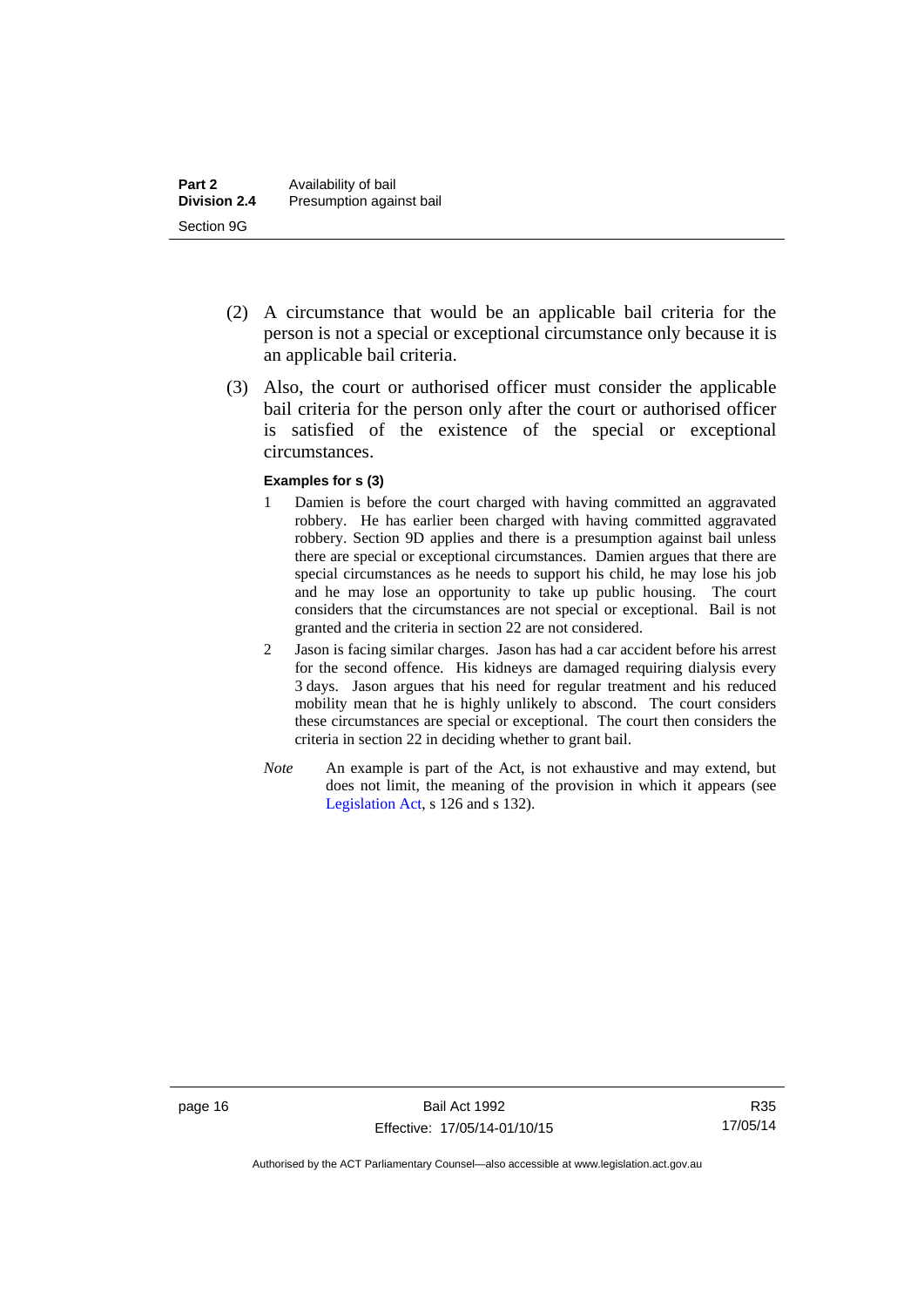- (2) A circumstance that would be an applicable bail criteria for the person is not a special or exceptional circumstance only because it is an applicable bail criteria.
- (3) Also, the court or authorised officer must consider the applicable bail criteria for the person only after the court or authorised officer is satisfied of the existence of the special or exceptional circumstances.

#### **Examples for s (3)**

- 1 Damien is before the court charged with having committed an aggravated robbery. He has earlier been charged with having committed aggravated robbery. Section 9D applies and there is a presumption against bail unless there are special or exceptional circumstances. Damien argues that there are special circumstances as he needs to support his child, he may lose his job and he may lose an opportunity to take up public housing. The court considers that the circumstances are not special or exceptional. Bail is not granted and the criteria in section 22 are not considered.
- 2 Jason is facing similar charges. Jason has had a car accident before his arrest for the second offence. His kidneys are damaged requiring dialysis every 3 days. Jason argues that his need for regular treatment and his reduced mobility mean that he is highly unlikely to abscond. The court considers these circumstances are special or exceptional. The court then considers the criteria in section 22 in deciding whether to grant bail.
- *Note* An example is part of the Act, is not exhaustive and may extend, but does not limit, the meaning of the provision in which it appears (see [Legislation Act,](http://www.legislation.act.gov.au/a/2001-14) s 126 and s 132).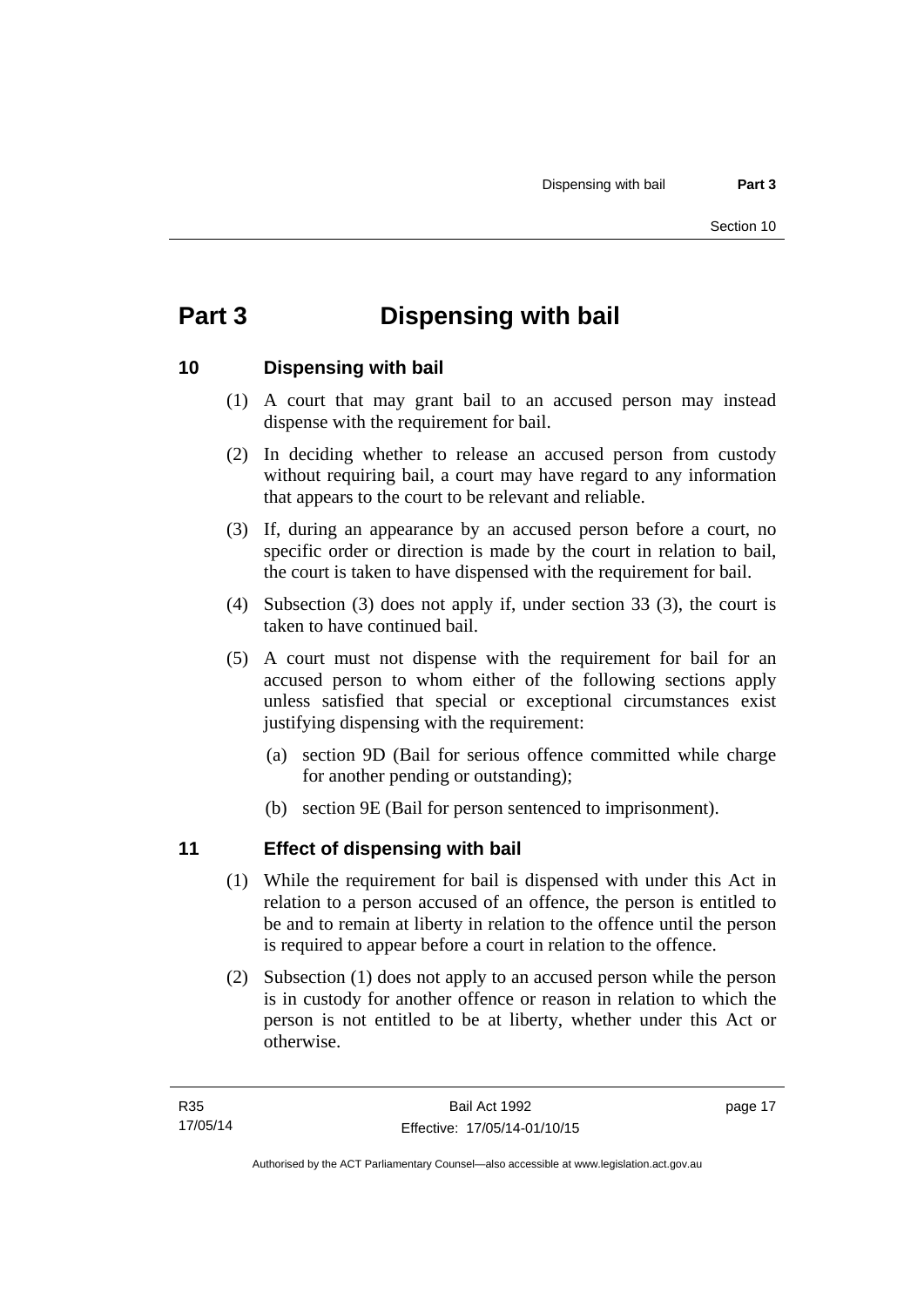# <span id="page-24-0"></span>**Part 3 Dispensing with bail**

#### <span id="page-24-1"></span>**10 Dispensing with bail**

- (1) A court that may grant bail to an accused person may instead dispense with the requirement for bail.
- (2) In deciding whether to release an accused person from custody without requiring bail, a court may have regard to any information that appears to the court to be relevant and reliable.
- (3) If, during an appearance by an accused person before a court, no specific order or direction is made by the court in relation to bail, the court is taken to have dispensed with the requirement for bail.
- (4) Subsection (3) does not apply if, under section 33 (3), the court is taken to have continued bail.
- (5) A court must not dispense with the requirement for bail for an accused person to whom either of the following sections apply unless satisfied that special or exceptional circumstances exist justifying dispensing with the requirement:
	- (a) section 9D (Bail for serious offence committed while charge for another pending or outstanding);
	- (b) section 9E (Bail for person sentenced to imprisonment).

#### <span id="page-24-2"></span>**11 Effect of dispensing with bail**

- (1) While the requirement for bail is dispensed with under this Act in relation to a person accused of an offence, the person is entitled to be and to remain at liberty in relation to the offence until the person is required to appear before a court in relation to the offence.
- (2) Subsection (1) does not apply to an accused person while the person is in custody for another offence or reason in relation to which the person is not entitled to be at liberty, whether under this Act or otherwise.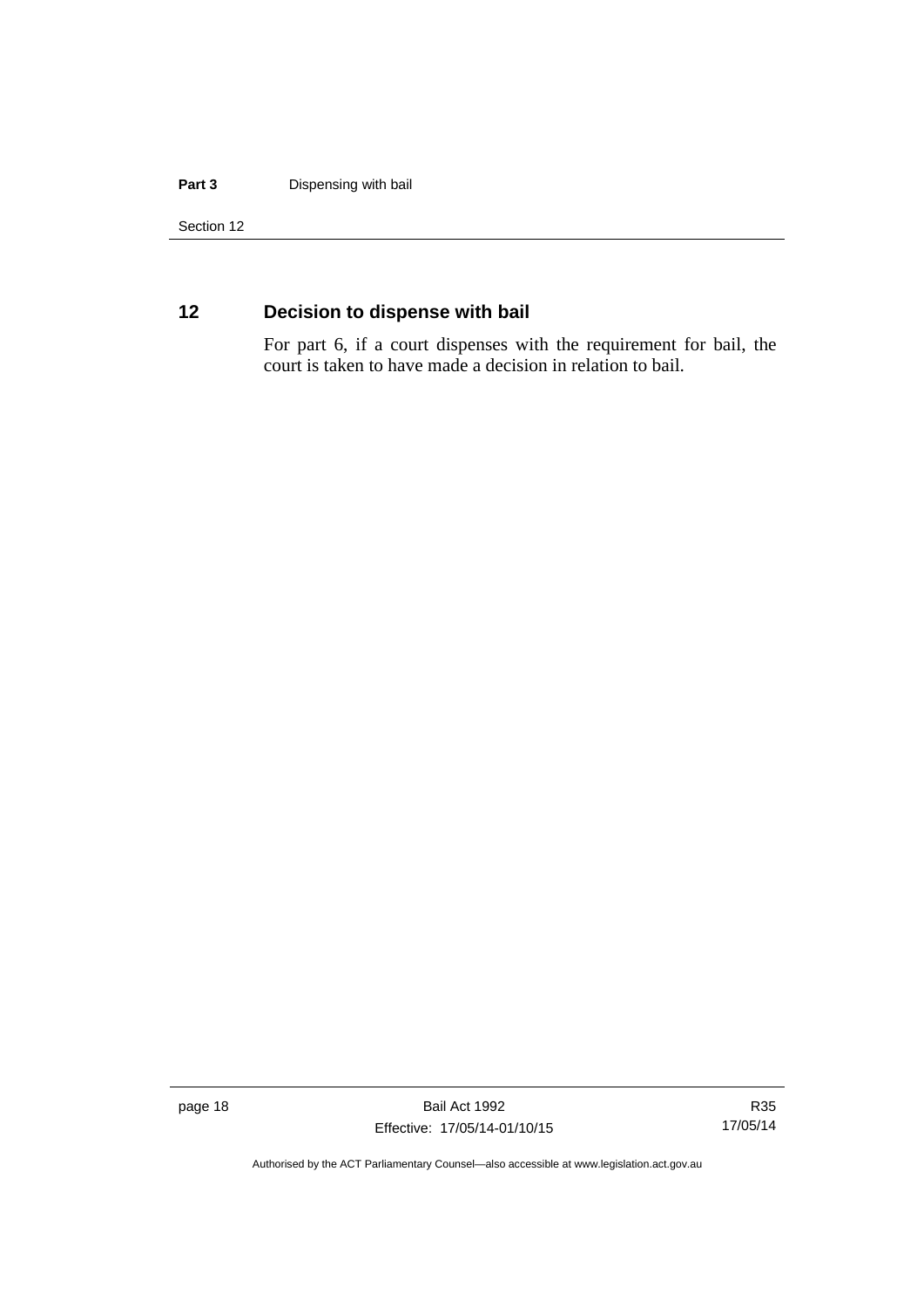#### **Part 3** Dispensing with bail

Section 12

### <span id="page-25-0"></span>**12 Decision to dispense with bail**

For part 6, if a court dispenses with the requirement for bail, the court is taken to have made a decision in relation to bail.

page 18 Bail Act 1992 Effective: 17/05/14-01/10/15

R35 17/05/14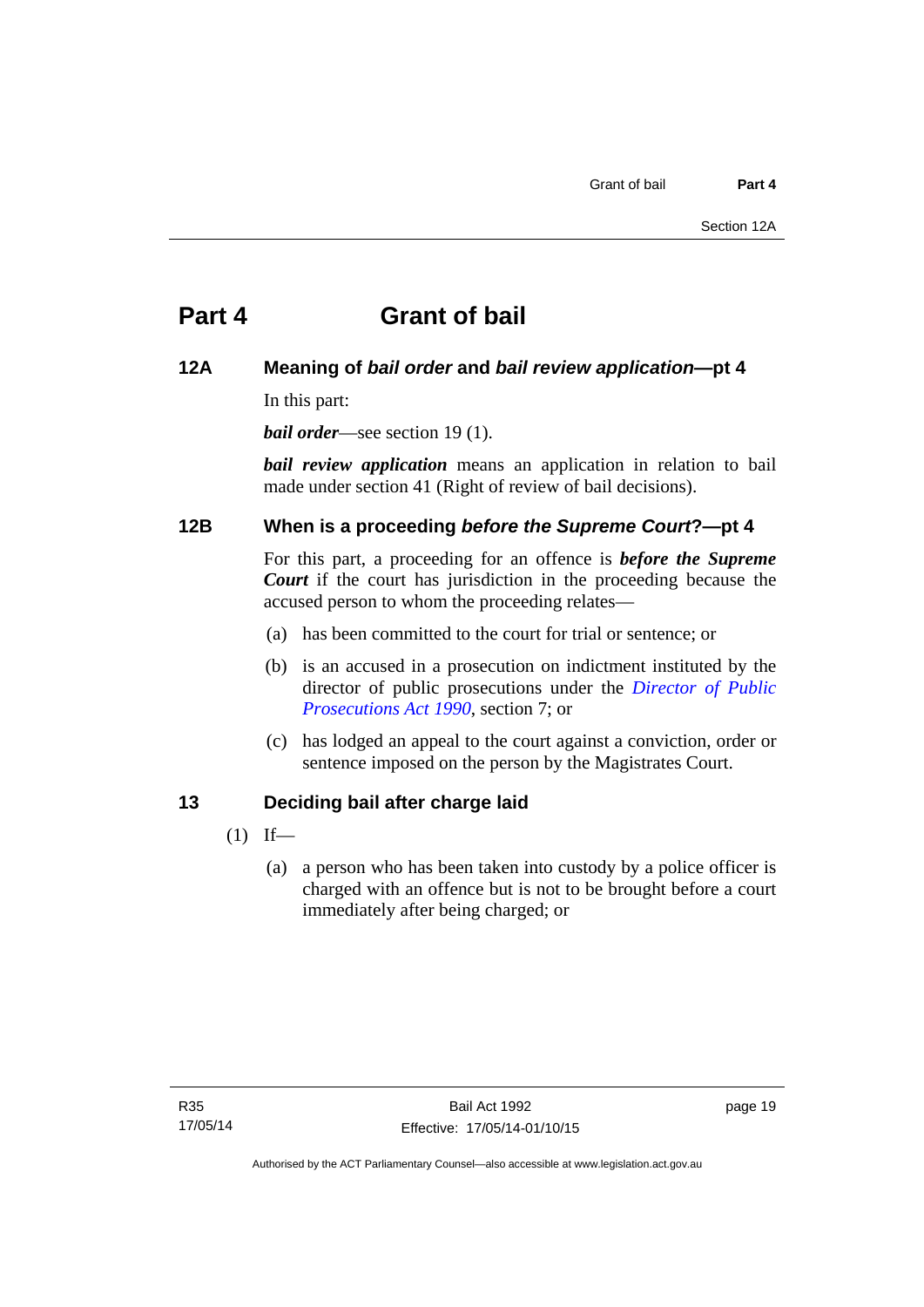# <span id="page-26-0"></span>**Part 4 Grant of bail**

#### <span id="page-26-1"></span>**12A Meaning of** *bail order* **and** *bail review application***—pt 4**

In this part:

*bail order*—see section 19(1).

*bail review application* means an application in relation to bail made under section 41 (Right of review of bail decisions).

#### <span id="page-26-2"></span>**12B When is a proceeding** *before the Supreme Court***?—pt 4**

For this part, a proceeding for an offence is *before the Supreme Court* if the court has jurisdiction in the proceeding because the accused person to whom the proceeding relates—

- (a) has been committed to the court for trial or sentence; or
- (b) is an accused in a prosecution on indictment instituted by the director of public prosecutions under the *[Director of Public](http://www.legislation.act.gov.au/a/1990-22)  [Prosecutions Act 1990](http://www.legislation.act.gov.au/a/1990-22)*, section 7; or
- (c) has lodged an appeal to the court against a conviction, order or sentence imposed on the person by the Magistrates Court.

#### <span id="page-26-3"></span>**13 Deciding bail after charge laid**

- $(1)$  If—
	- (a) a person who has been taken into custody by a police officer is charged with an offence but is not to be brought before a court immediately after being charged; or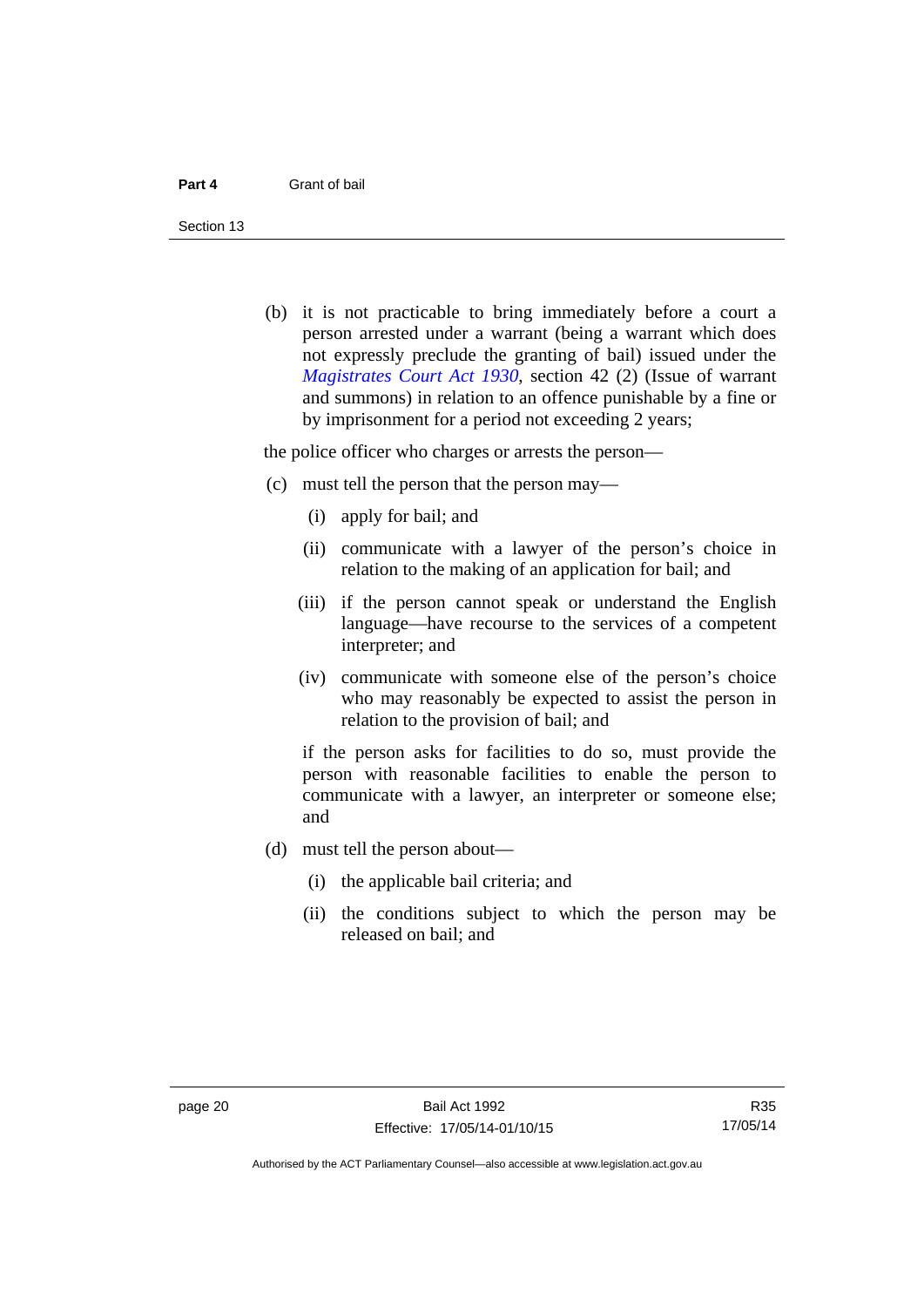Section 13

 (b) it is not practicable to bring immediately before a court a person arrested under a warrant (being a warrant which does not expressly preclude the granting of bail) issued under the *[Magistrates Court Act 1930](http://www.legislation.act.gov.au/a/1930-21)*, section 42 (2) (Issue of warrant and summons) in relation to an offence punishable by a fine or by imprisonment for a period not exceeding 2 years;

the police officer who charges or arrests the person—

- (c) must tell the person that the person may—
	- (i) apply for bail; and
	- (ii) communicate with a lawyer of the person's choice in relation to the making of an application for bail; and
	- (iii) if the person cannot speak or understand the English language—have recourse to the services of a competent interpreter; and
	- (iv) communicate with someone else of the person's choice who may reasonably be expected to assist the person in relation to the provision of bail; and

if the person asks for facilities to do so, must provide the person with reasonable facilities to enable the person to communicate with a lawyer, an interpreter or someone else; and

- (d) must tell the person about—
	- (i) the applicable bail criteria; and
	- (ii) the conditions subject to which the person may be released on bail; and

R35 17/05/14

Authorised by the ACT Parliamentary Counsel—also accessible at www.legislation.act.gov.au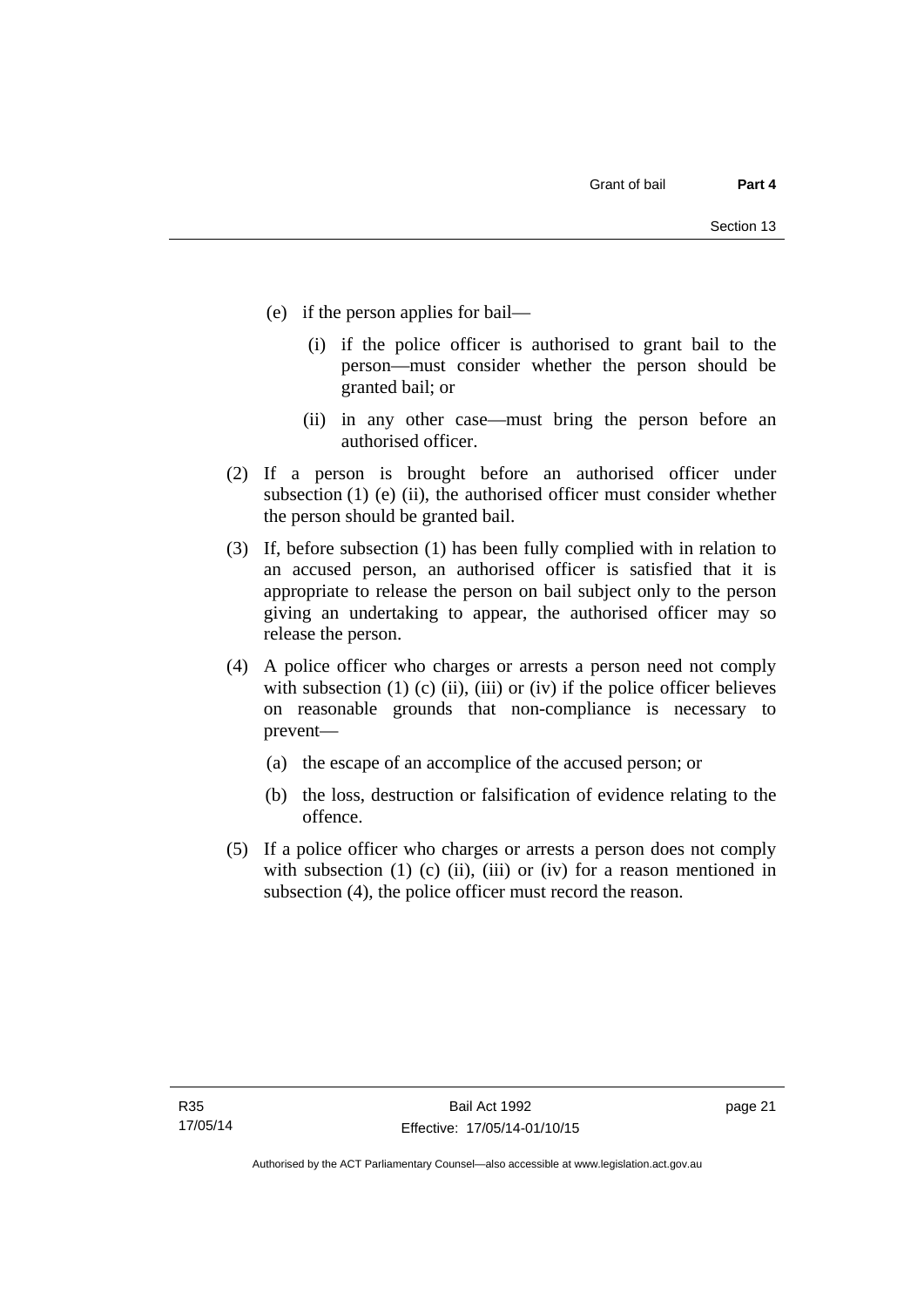- (e) if the person applies for bail—
	- (i) if the police officer is authorised to grant bail to the person—must consider whether the person should be granted bail; or
	- (ii) in any other case—must bring the person before an authorised officer.
- (2) If a person is brought before an authorised officer under subsection (1) (e) (ii), the authorised officer must consider whether the person should be granted bail.
- (3) If, before subsection (1) has been fully complied with in relation to an accused person, an authorised officer is satisfied that it is appropriate to release the person on bail subject only to the person giving an undertaking to appear, the authorised officer may so release the person.
- (4) A police officer who charges or arrests a person need not comply with subsection  $(1)$   $(c)$   $(ii)$ ,  $(iii)$  or  $(iv)$  if the police officer believes on reasonable grounds that non-compliance is necessary to prevent—
	- (a) the escape of an accomplice of the accused person; or
	- (b) the loss, destruction or falsification of evidence relating to the offence.
- (5) If a police officer who charges or arrests a person does not comply with subsection  $(1)$   $(c)$   $(ii)$ ,  $(iii)$  or  $(iv)$  for a reason mentioned in subsection (4), the police officer must record the reason.

page 21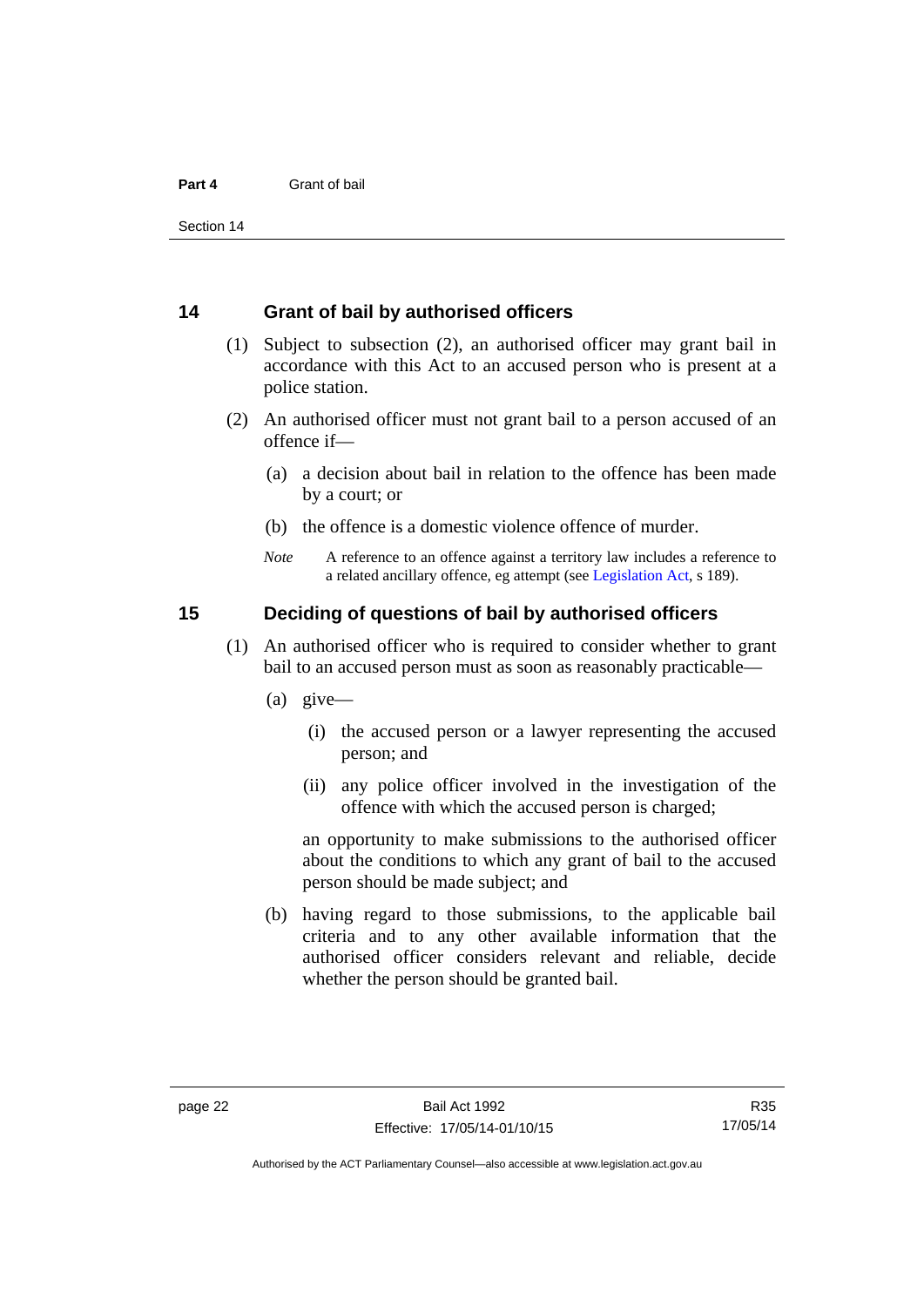#### <span id="page-29-0"></span>**14 Grant of bail by authorised officers**

- (1) Subject to subsection (2), an authorised officer may grant bail in accordance with this Act to an accused person who is present at a police station.
- (2) An authorised officer must not grant bail to a person accused of an offence if—
	- (a) a decision about bail in relation to the offence has been made by a court; or
	- (b) the offence is a domestic violence offence of murder.
	- *Note* A reference to an offence against a territory law includes a reference to a related ancillary offence, eg attempt (see [Legislation Act](http://www.legislation.act.gov.au/a/2001-14), s 189).

#### <span id="page-29-1"></span>**15 Deciding of questions of bail by authorised officers**

- (1) An authorised officer who is required to consider whether to grant bail to an accused person must as soon as reasonably practicable—
	- (a) give—
		- (i) the accused person or a lawyer representing the accused person; and
		- (ii) any police officer involved in the investigation of the offence with which the accused person is charged;

an opportunity to make submissions to the authorised officer about the conditions to which any grant of bail to the accused person should be made subject; and

 (b) having regard to those submissions, to the applicable bail criteria and to any other available information that the authorised officer considers relevant and reliable, decide whether the person should be granted bail.

Authorised by the ACT Parliamentary Counsel—also accessible at www.legislation.act.gov.au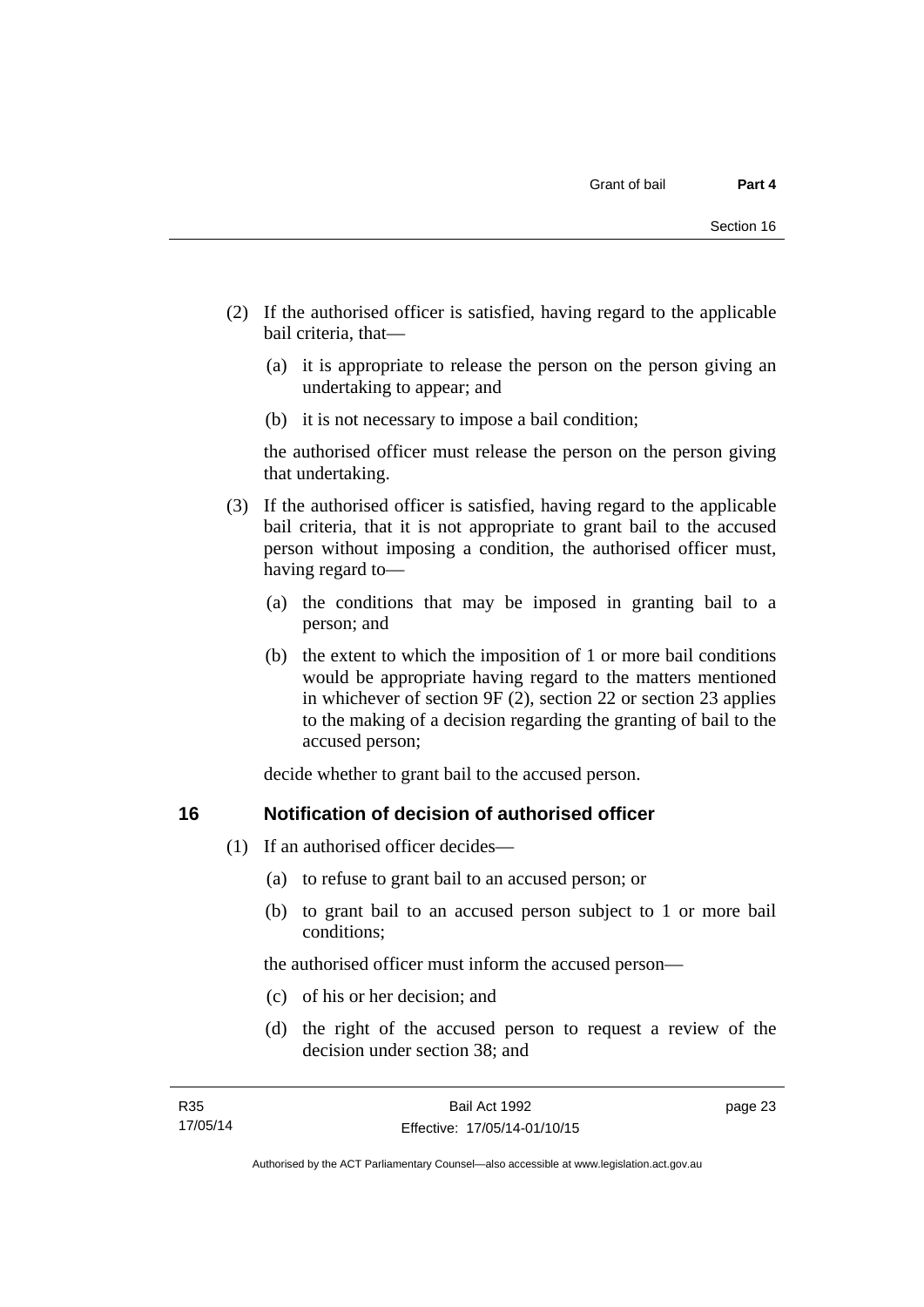- (2) If the authorised officer is satisfied, having regard to the applicable bail criteria, that—
	- (a) it is appropriate to release the person on the person giving an undertaking to appear; and
	- (b) it is not necessary to impose a bail condition;

the authorised officer must release the person on the person giving that undertaking.

- (3) If the authorised officer is satisfied, having regard to the applicable bail criteria, that it is not appropriate to grant bail to the accused person without imposing a condition, the authorised officer must, having regard to—
	- (a) the conditions that may be imposed in granting bail to a person; and
	- (b) the extent to which the imposition of 1 or more bail conditions would be appropriate having regard to the matters mentioned in whichever of section 9F (2), section 22 or section 23 applies to the making of a decision regarding the granting of bail to the accused person;

decide whether to grant bail to the accused person.

#### <span id="page-30-0"></span>**16 Notification of decision of authorised officer**

- (1) If an authorised officer decides—
	- (a) to refuse to grant bail to an accused person; or
	- (b) to grant bail to an accused person subject to 1 or more bail conditions;

the authorised officer must inform the accused person—

- (c) of his or her decision; and
- (d) the right of the accused person to request a review of the decision under section 38; and

page 23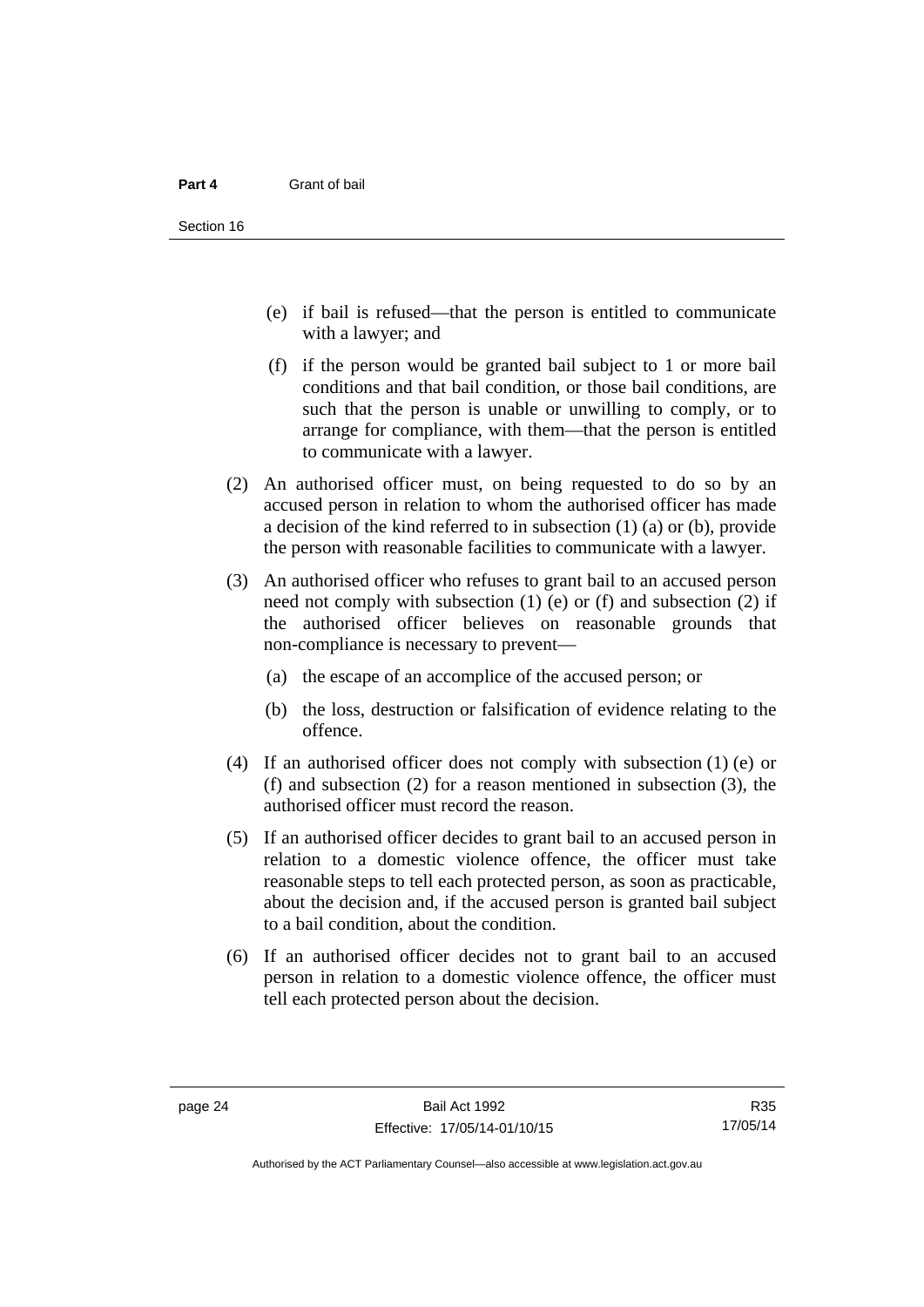- (e) if bail is refused—that the person is entitled to communicate with a lawyer; and
- (f) if the person would be granted bail subject to 1 or more bail conditions and that bail condition, or those bail conditions, are such that the person is unable or unwilling to comply, or to arrange for compliance, with them—that the person is entitled to communicate with a lawyer.
- (2) An authorised officer must, on being requested to do so by an accused person in relation to whom the authorised officer has made a decision of the kind referred to in subsection (1) (a) or (b), provide the person with reasonable facilities to communicate with a lawyer.
- (3) An authorised officer who refuses to grant bail to an accused person need not comply with subsection  $(1)$  (e) or  $(f)$  and subsection  $(2)$  if the authorised officer believes on reasonable grounds that non-compliance is necessary to prevent—
	- (a) the escape of an accomplice of the accused person; or
	- (b) the loss, destruction or falsification of evidence relating to the offence.
- (4) If an authorised officer does not comply with subsection (1) (e) or (f) and subsection (2) for a reason mentioned in subsection (3), the authorised officer must record the reason.
- (5) If an authorised officer decides to grant bail to an accused person in relation to a domestic violence offence, the officer must take reasonable steps to tell each protected person, as soon as practicable, about the decision and, if the accused person is granted bail subject to a bail condition, about the condition.
- (6) If an authorised officer decides not to grant bail to an accused person in relation to a domestic violence offence, the officer must tell each protected person about the decision.

R35 17/05/14

Authorised by the ACT Parliamentary Counsel—also accessible at www.legislation.act.gov.au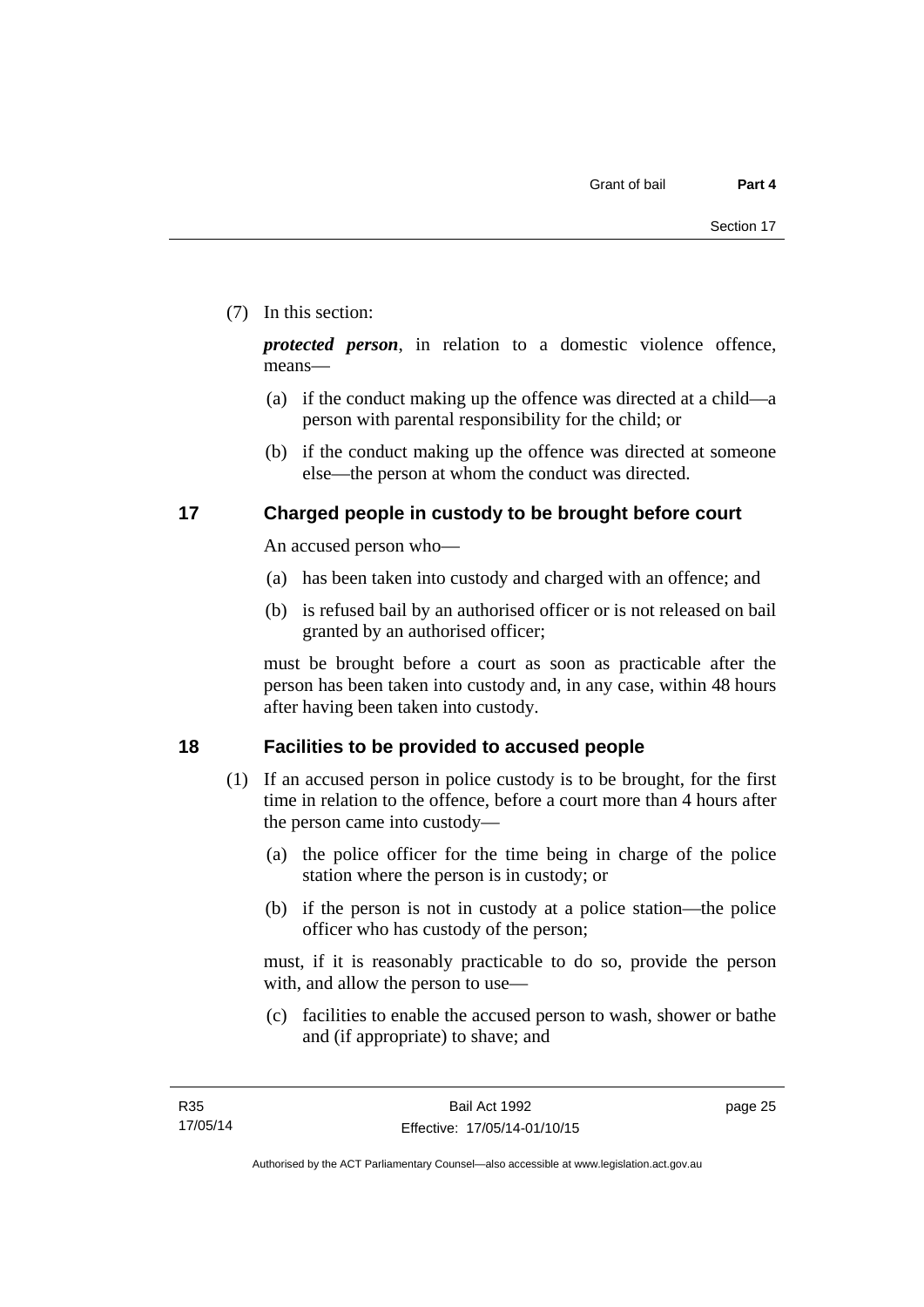#### (7) In this section:

*protected person*, in relation to a domestic violence offence, means—

- (a) if the conduct making up the offence was directed at a child—a person with parental responsibility for the child; or
- (b) if the conduct making up the offence was directed at someone else—the person at whom the conduct was directed.

#### <span id="page-32-0"></span>**17 Charged people in custody to be brought before court**

An accused person who—

- (a) has been taken into custody and charged with an offence; and
- (b) is refused bail by an authorised officer or is not released on bail granted by an authorised officer;

must be brought before a court as soon as practicable after the person has been taken into custody and, in any case, within 48 hours after having been taken into custody.

#### <span id="page-32-1"></span>**18 Facilities to be provided to accused people**

- (1) If an accused person in police custody is to be brought, for the first time in relation to the offence, before a court more than 4 hours after the person came into custody—
	- (a) the police officer for the time being in charge of the police station where the person is in custody; or
	- (b) if the person is not in custody at a police station—the police officer who has custody of the person;

must, if it is reasonably practicable to do so, provide the person with, and allow the person to use—

 (c) facilities to enable the accused person to wash, shower or bathe and (if appropriate) to shave; and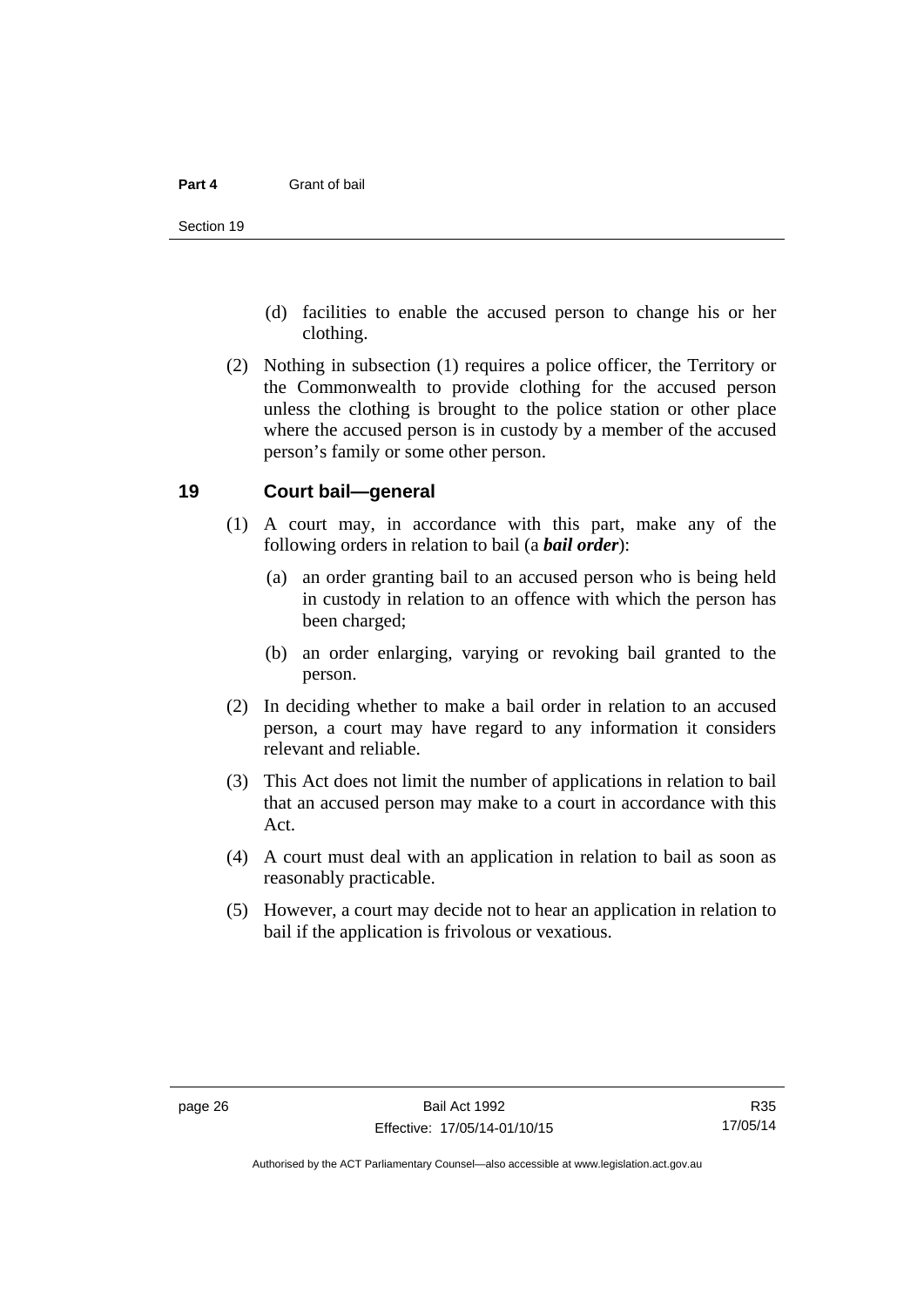- (d) facilities to enable the accused person to change his or her clothing.
- (2) Nothing in subsection (1) requires a police officer, the Territory or the Commonwealth to provide clothing for the accused person unless the clothing is brought to the police station or other place where the accused person is in custody by a member of the accused person's family or some other person.

#### <span id="page-33-0"></span>**19 Court bail—general**

- (1) A court may, in accordance with this part, make any of the following orders in relation to bail (a *bail order*):
	- (a) an order granting bail to an accused person who is being held in custody in relation to an offence with which the person has been charged;
	- (b) an order enlarging, varying or revoking bail granted to the person.
- (2) In deciding whether to make a bail order in relation to an accused person, a court may have regard to any information it considers relevant and reliable.
- (3) This Act does not limit the number of applications in relation to bail that an accused person may make to a court in accordance with this Act.
- (4) A court must deal with an application in relation to bail as soon as reasonably practicable.
- (5) However, a court may decide not to hear an application in relation to bail if the application is frivolous or vexatious.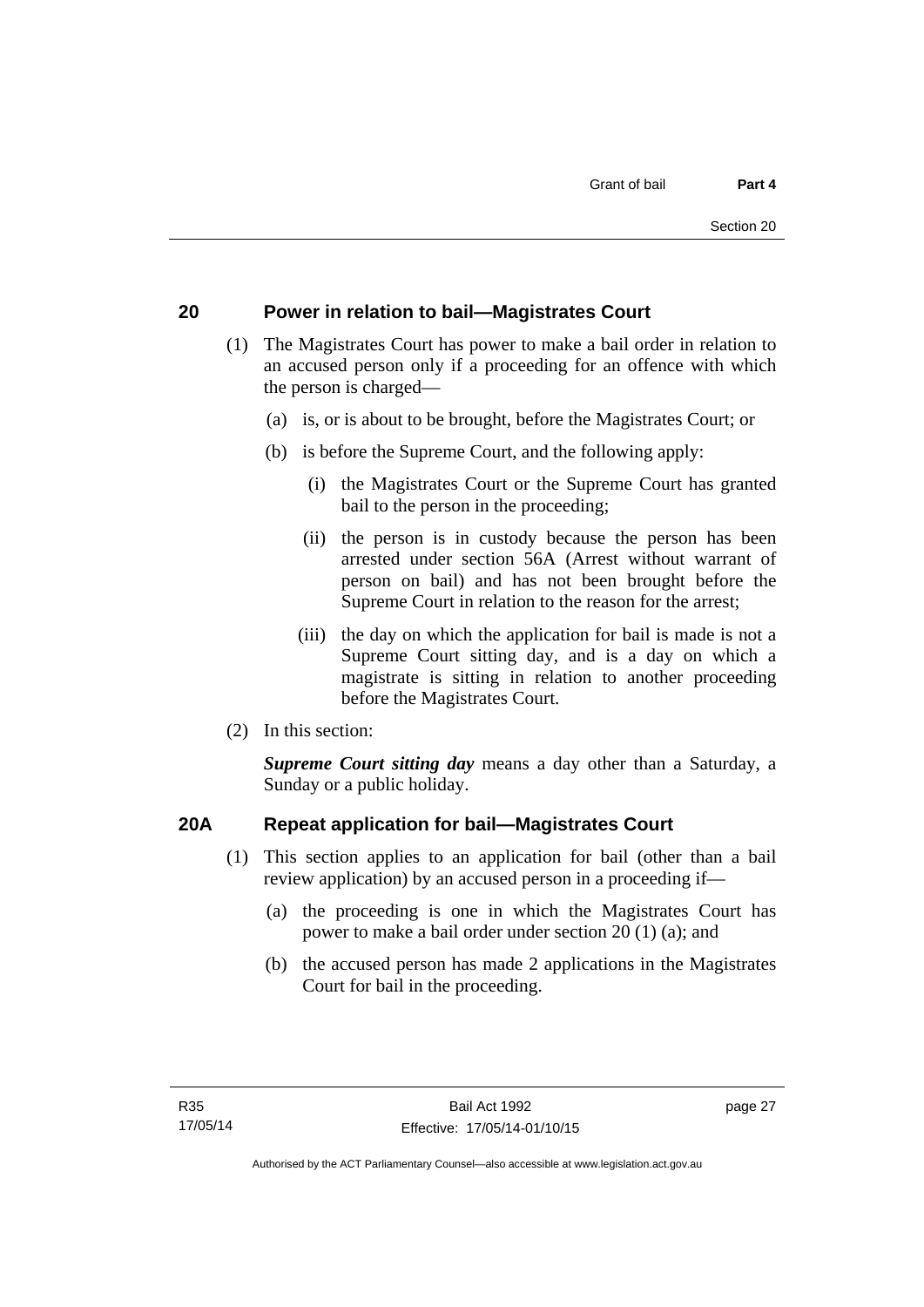#### <span id="page-34-0"></span>**20 Power in relation to bail—Magistrates Court**

- (1) The Magistrates Court has power to make a bail order in relation to an accused person only if a proceeding for an offence with which the person is charged—
	- (a) is, or is about to be brought, before the Magistrates Court; or
	- (b) is before the Supreme Court, and the following apply:
		- (i) the Magistrates Court or the Supreme Court has granted bail to the person in the proceeding;
		- (ii) the person is in custody because the person has been arrested under section 56A (Arrest without warrant of person on bail) and has not been brought before the Supreme Court in relation to the reason for the arrest;
		- (iii) the day on which the application for bail is made is not a Supreme Court sitting day, and is a day on which a magistrate is sitting in relation to another proceeding before the Magistrates Court.
- (2) In this section:

*Supreme Court sitting day* means a day other than a Saturday, a Sunday or a public holiday.

#### <span id="page-34-1"></span>**20A Repeat application for bail—Magistrates Court**

- (1) This section applies to an application for bail (other than a bail review application) by an accused person in a proceeding if—
	- (a) the proceeding is one in which the Magistrates Court has power to make a bail order under section 20 (1) (a); and
	- (b) the accused person has made 2 applications in the Magistrates Court for bail in the proceeding.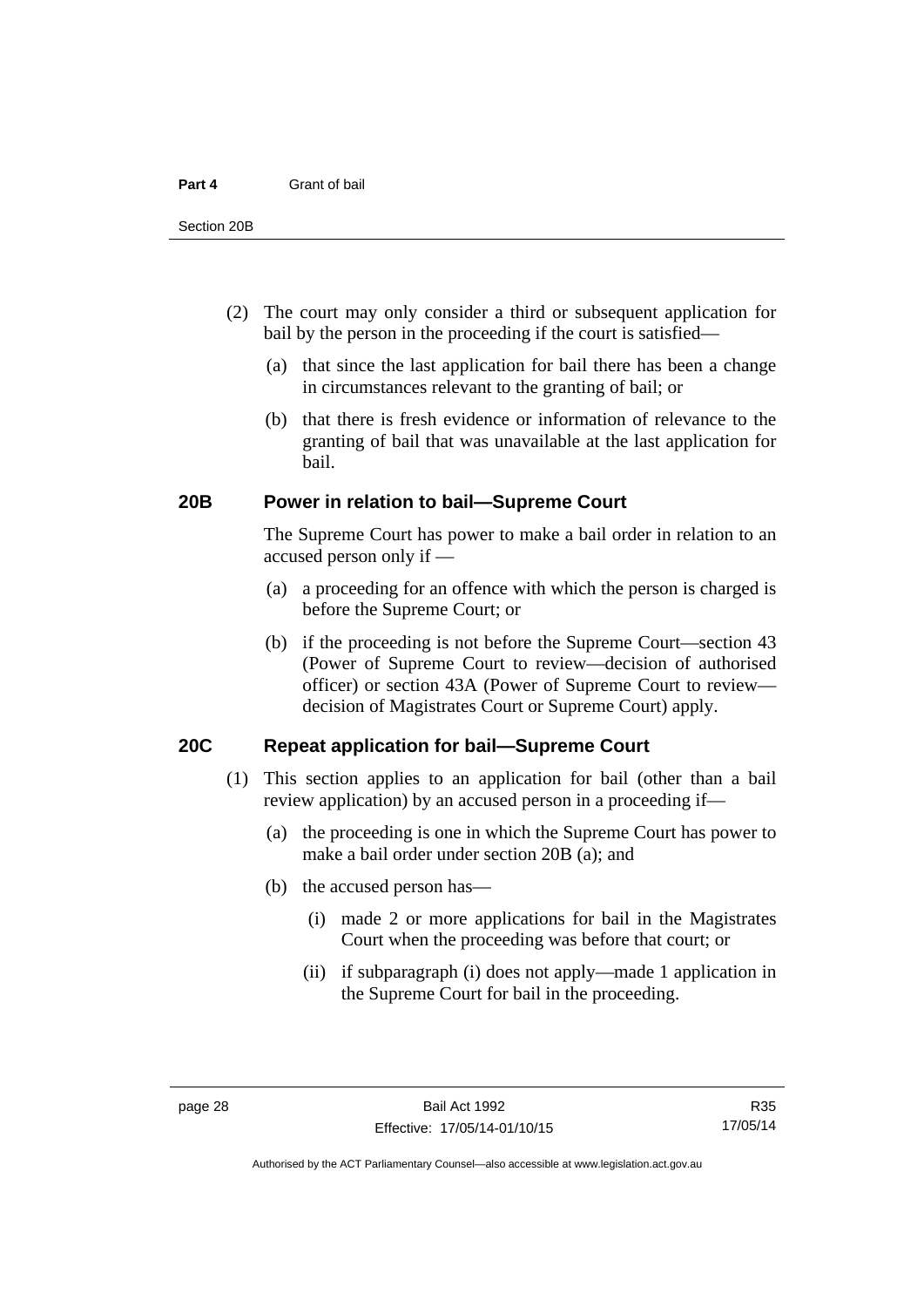- (2) The court may only consider a third or subsequent application for bail by the person in the proceeding if the court is satisfied—
	- (a) that since the last application for bail there has been a change in circumstances relevant to the granting of bail; or
	- (b) that there is fresh evidence or information of relevance to the granting of bail that was unavailable at the last application for bail.

#### <span id="page-35-0"></span>**20B Power in relation to bail—Supreme Court**

 The Supreme Court has power to make a bail order in relation to an accused person only if —

- (a) a proceeding for an offence with which the person is charged is before the Supreme Court; or
- (b) if the proceeding is not before the Supreme Court—section 43 (Power of Supreme Court to review—decision of authorised officer) or section 43A (Power of Supreme Court to review decision of Magistrates Court or Supreme Court) apply.

#### <span id="page-35-1"></span>**20C Repeat application for bail—Supreme Court**

- (1) This section applies to an application for bail (other than a bail review application) by an accused person in a proceeding if—
	- (a) the proceeding is one in which the Supreme Court has power to make a bail order under section 20B (a); and
	- (b) the accused person has—
		- (i) made 2 or more applications for bail in the Magistrates Court when the proceeding was before that court; or
		- (ii) if subparagraph (i) does not apply—made 1 application in the Supreme Court for bail in the proceeding.

Authorised by the ACT Parliamentary Counsel—also accessible at www.legislation.act.gov.au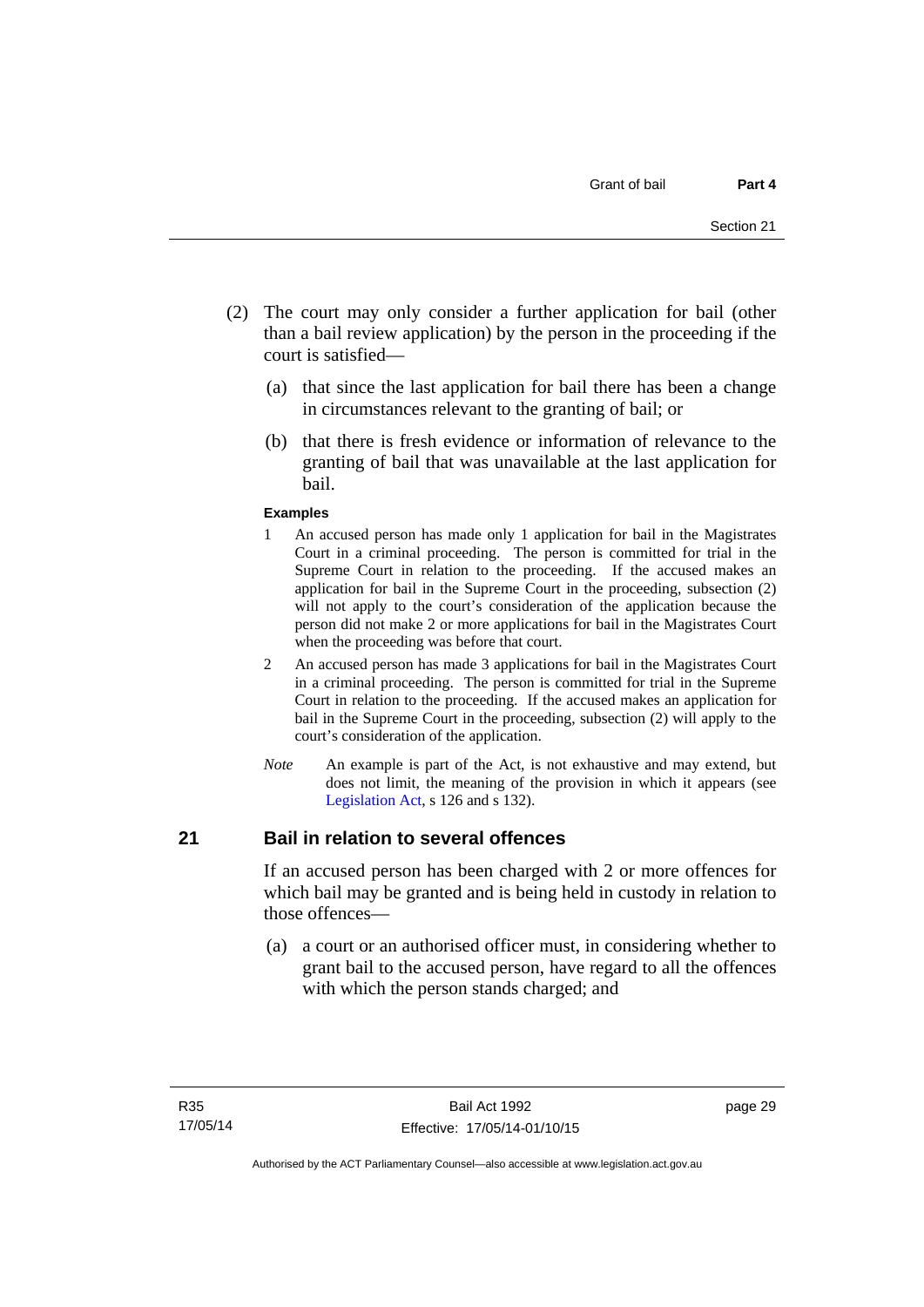- (2) The court may only consider a further application for bail (other than a bail review application) by the person in the proceeding if the court is satisfied—
	- (a) that since the last application for bail there has been a change in circumstances relevant to the granting of bail; or
	- (b) that there is fresh evidence or information of relevance to the granting of bail that was unavailable at the last application for bail.

#### **Examples**

- 1 An accused person has made only 1 application for bail in the Magistrates Court in a criminal proceeding. The person is committed for trial in the Supreme Court in relation to the proceeding. If the accused makes an application for bail in the Supreme Court in the proceeding, subsection (2) will not apply to the court's consideration of the application because the person did not make 2 or more applications for bail in the Magistrates Court when the proceeding was before that court.
- 2 An accused person has made 3 applications for bail in the Magistrates Court in a criminal proceeding. The person is committed for trial in the Supreme Court in relation to the proceeding. If the accused makes an application for bail in the Supreme Court in the proceeding, subsection (2) will apply to the court's consideration of the application.
- *Note* An example is part of the Act, is not exhaustive and may extend, but does not limit, the meaning of the provision in which it appears (see [Legislation Act,](http://www.legislation.act.gov.au/a/2001-14) s 126 and s 132).

## **21 Bail in relation to several offences**

If an accused person has been charged with 2 or more offences for which bail may be granted and is being held in custody in relation to those offences—

 (a) a court or an authorised officer must, in considering whether to grant bail to the accused person, have regard to all the offences with which the person stands charged; and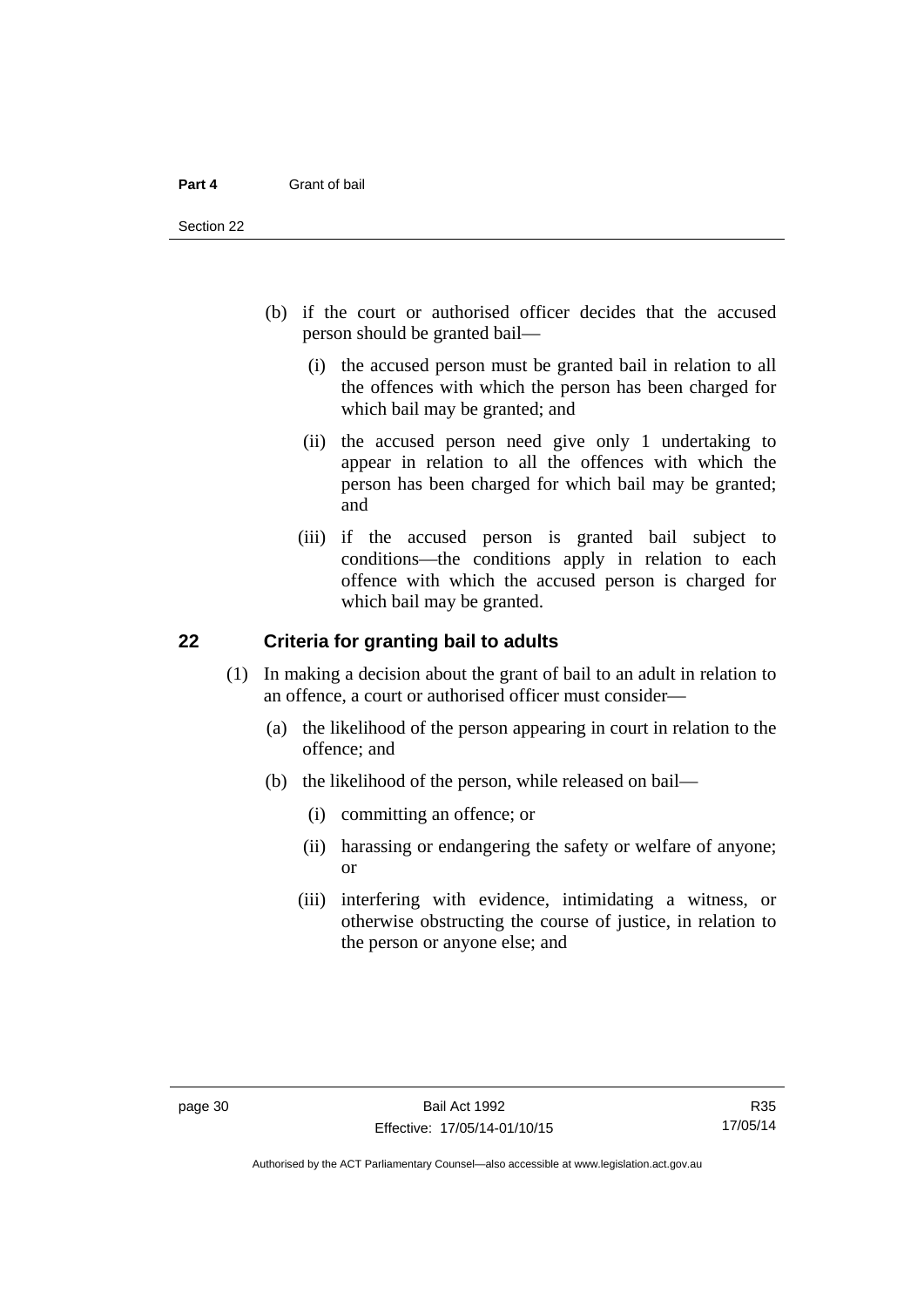- (b) if the court or authorised officer decides that the accused person should be granted bail—
	- (i) the accused person must be granted bail in relation to all the offences with which the person has been charged for which bail may be granted; and
	- (ii) the accused person need give only 1 undertaking to appear in relation to all the offences with which the person has been charged for which bail may be granted; and
	- (iii) if the accused person is granted bail subject to conditions—the conditions apply in relation to each offence with which the accused person is charged for which bail may be granted.

## **22 Criteria for granting bail to adults**

- (1) In making a decision about the grant of bail to an adult in relation to an offence, a court or authorised officer must consider—
	- (a) the likelihood of the person appearing in court in relation to the offence; and
	- (b) the likelihood of the person, while released on bail—
		- (i) committing an offence; or
		- (ii) harassing or endangering the safety or welfare of anyone; or
		- (iii) interfering with evidence, intimidating a witness, or otherwise obstructing the course of justice, in relation to the person or anyone else; and

Authorised by the ACT Parliamentary Counsel—also accessible at www.legislation.act.gov.au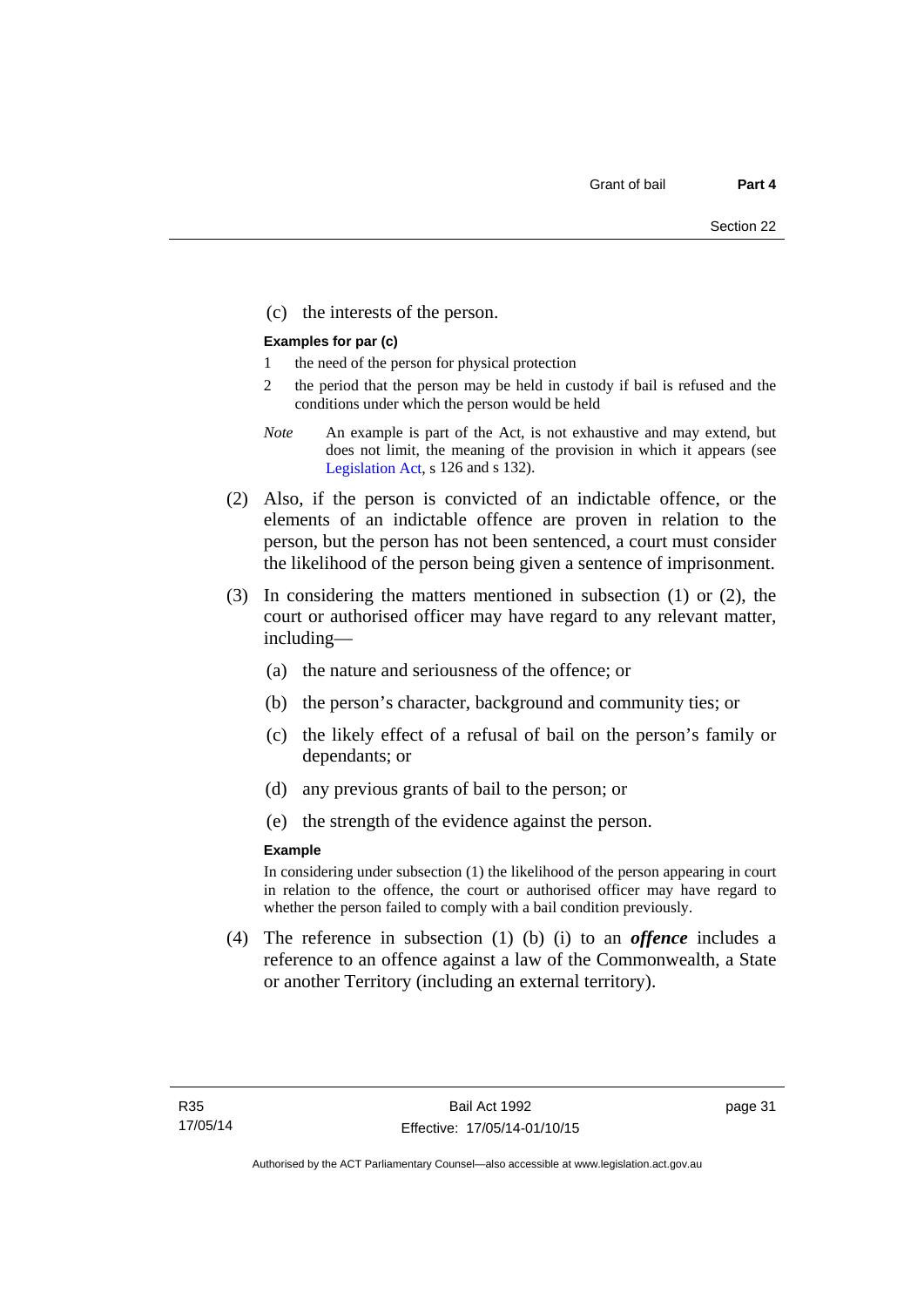(c) the interests of the person.

#### **Examples for par (c)**

- 1 the need of the person for physical protection
- 2 the period that the person may be held in custody if bail is refused and the conditions under which the person would be held
- *Note* An example is part of the Act, is not exhaustive and may extend, but does not limit, the meaning of the provision in which it appears (see [Legislation Act,](http://www.legislation.act.gov.au/a/2001-14) s 126 and s 132).
- (2) Also, if the person is convicted of an indictable offence, or the elements of an indictable offence are proven in relation to the person, but the person has not been sentenced, a court must consider the likelihood of the person being given a sentence of imprisonment.
- (3) In considering the matters mentioned in subsection (1) or (2), the court or authorised officer may have regard to any relevant matter, including—
	- (a) the nature and seriousness of the offence; or
	- (b) the person's character, background and community ties; or
	- (c) the likely effect of a refusal of bail on the person's family or dependants; or
	- (d) any previous grants of bail to the person; or
	- (e) the strength of the evidence against the person.

#### **Example**

In considering under subsection (1) the likelihood of the person appearing in court in relation to the offence, the court or authorised officer may have regard to whether the person failed to comply with a bail condition previously.

 (4) The reference in subsection (1) (b) (i) to an *offence* includes a reference to an offence against a law of the Commonwealth, a State or another Territory (including an external territory).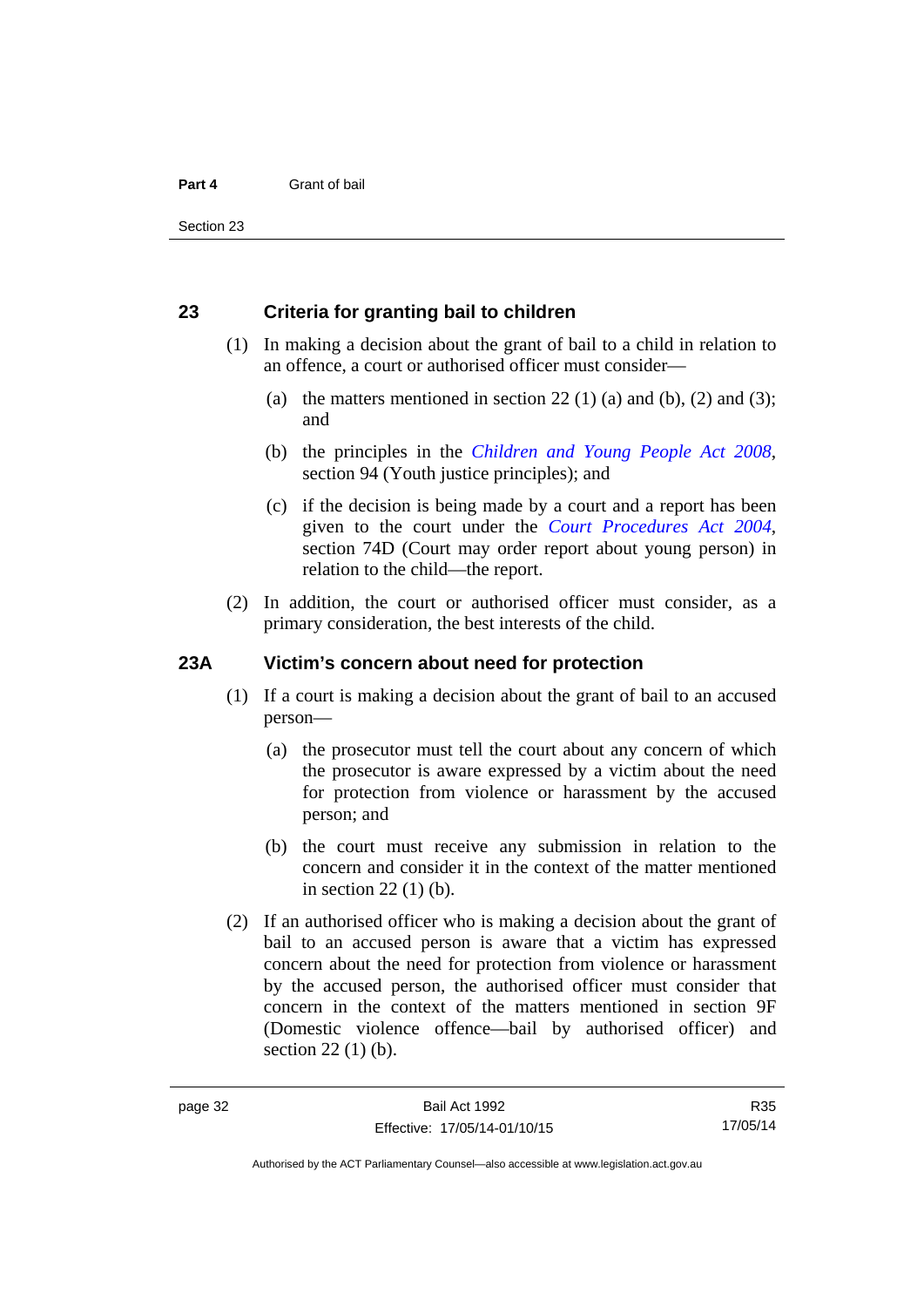## **23 Criteria for granting bail to children**

- (1) In making a decision about the grant of bail to a child in relation to an offence, a court or authorised officer must consider—
	- (a) the matters mentioned in section 22 (1) (a) and (b), (2) and (3); and
	- (b) the principles in the *[Children and Young People Act 2008](http://www.legislation.act.gov.au/a/2008-19)*, section 94 (Youth justice principles); and
	- (c) if the decision is being made by a court and a report has been given to the court under the *[Court Procedures Act 2004](http://www.legislation.act.gov.au/a/2004-59)*, section 74D (Court may order report about young person) in relation to the child—the report.
- (2) In addition, the court or authorised officer must consider, as a primary consideration, the best interests of the child.

#### **23A Victim's concern about need for protection**

- (1) If a court is making a decision about the grant of bail to an accused person—
	- (a) the prosecutor must tell the court about any concern of which the prosecutor is aware expressed by a victim about the need for protection from violence or harassment by the accused person; and
	- (b) the court must receive any submission in relation to the concern and consider it in the context of the matter mentioned in section 22 (1) (b).
- (2) If an authorised officer who is making a decision about the grant of bail to an accused person is aware that a victim has expressed concern about the need for protection from violence or harassment by the accused person, the authorised officer must consider that concern in the context of the matters mentioned in section 9F (Domestic violence offence—bail by authorised officer) and section 22 (1) (b).

R35 17/05/14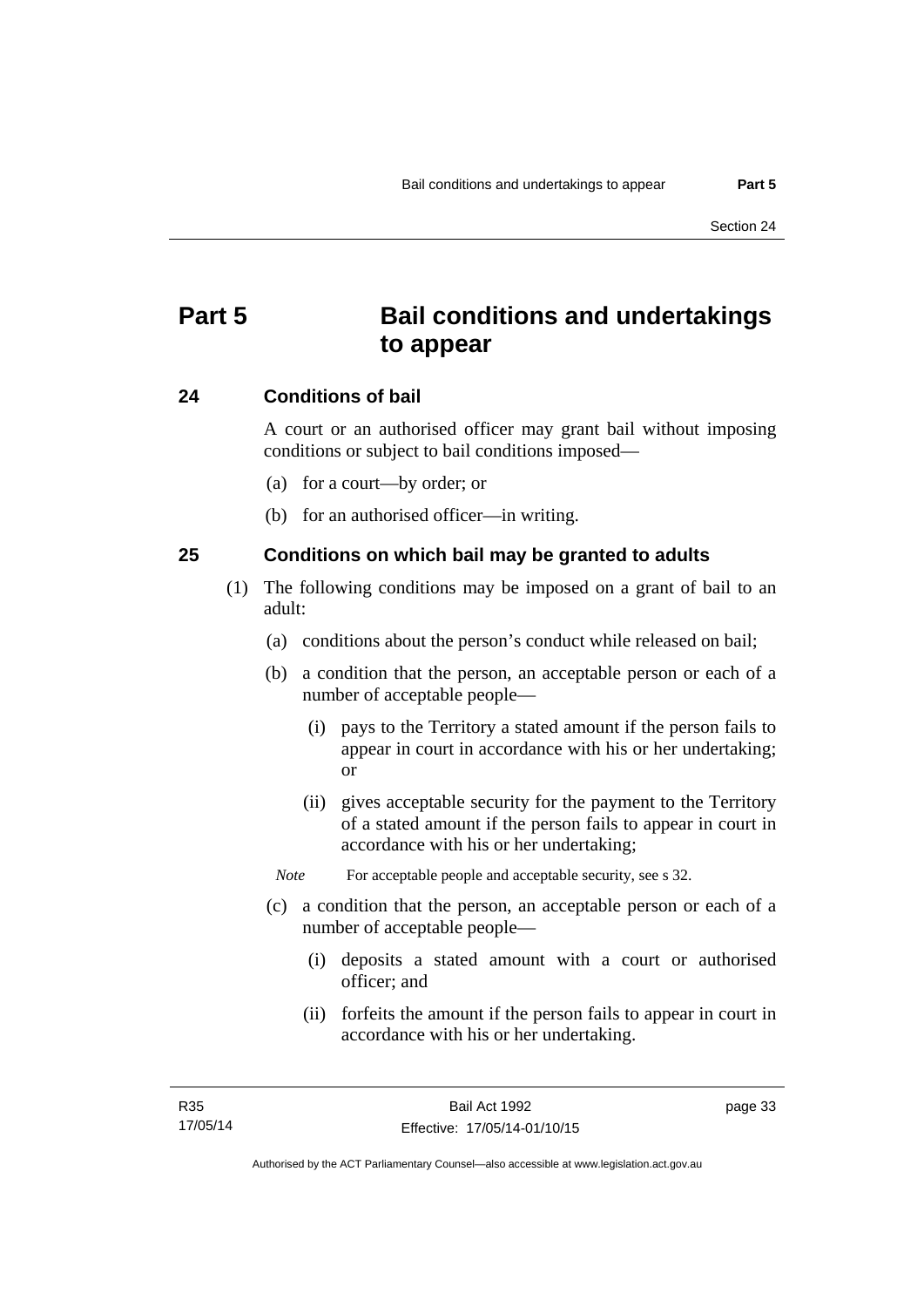# **Part 5 Bail conditions and undertakings to appear**

#### **24 Conditions of bail**

A court or an authorised officer may grant bail without imposing conditions or subject to bail conditions imposed—

- (a) for a court—by order; or
- (b) for an authorised officer—in writing.

#### **25 Conditions on which bail may be granted to adults**

- (1) The following conditions may be imposed on a grant of bail to an adult:
	- (a) conditions about the person's conduct while released on bail;
	- (b) a condition that the person, an acceptable person or each of a number of acceptable people—
		- (i) pays to the Territory a stated amount if the person fails to appear in court in accordance with his or her undertaking; or
		- (ii) gives acceptable security for the payment to the Territory of a stated amount if the person fails to appear in court in accordance with his or her undertaking;

*Note* For acceptable people and acceptable security, see s 32.

- (c) a condition that the person, an acceptable person or each of a number of acceptable people—
	- (i) deposits a stated amount with a court or authorised officer; and
	- (ii) forfeits the amount if the person fails to appear in court in accordance with his or her undertaking.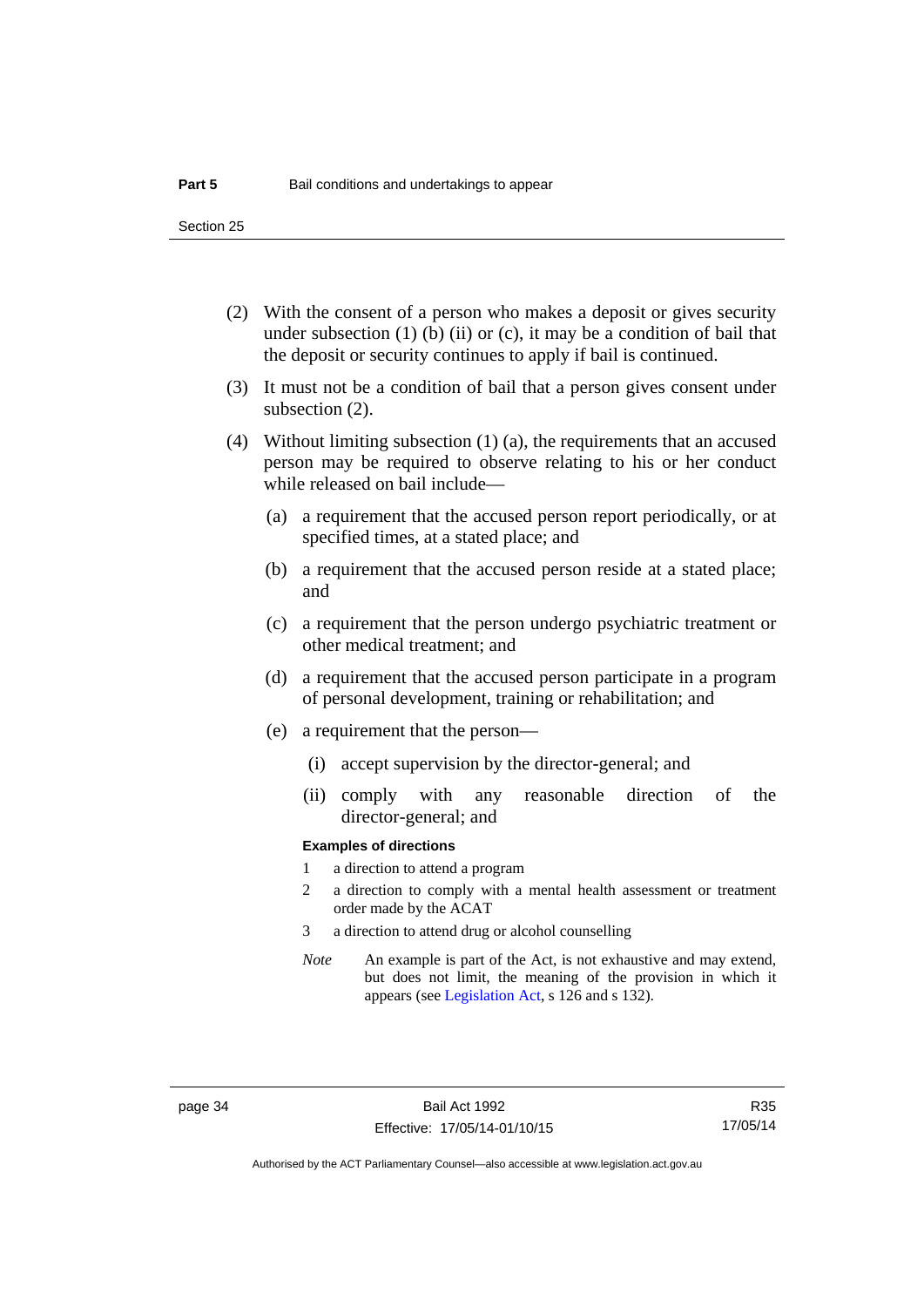Section 25

- (2) With the consent of a person who makes a deposit or gives security under subsection  $(1)$  (b)  $(ii)$  or  $(c)$ , it may be a condition of bail that the deposit or security continues to apply if bail is continued.
- (3) It must not be a condition of bail that a person gives consent under subsection (2).
- (4) Without limiting subsection (1) (a), the requirements that an accused person may be required to observe relating to his or her conduct while released on bail include—
	- (a) a requirement that the accused person report periodically, or at specified times, at a stated place; and
	- (b) a requirement that the accused person reside at a stated place; and
	- (c) a requirement that the person undergo psychiatric treatment or other medical treatment; and
	- (d) a requirement that the accused person participate in a program of personal development, training or rehabilitation; and
	- (e) a requirement that the person—
		- (i) accept supervision by the director-general; and
		- (ii) comply with any reasonable direction of the director-general; and

#### **Examples of directions**

- 1 a direction to attend a program
- 2 a direction to comply with a mental health assessment or treatment order made by the ACAT
- 3 a direction to attend drug or alcohol counselling
- *Note* An example is part of the Act, is not exhaustive and may extend, but does not limit, the meaning of the provision in which it appears (see [Legislation Act,](http://www.legislation.act.gov.au/a/2001-14) s 126 and s 132).

R35 17/05/14

Authorised by the ACT Parliamentary Counsel—also accessible at www.legislation.act.gov.au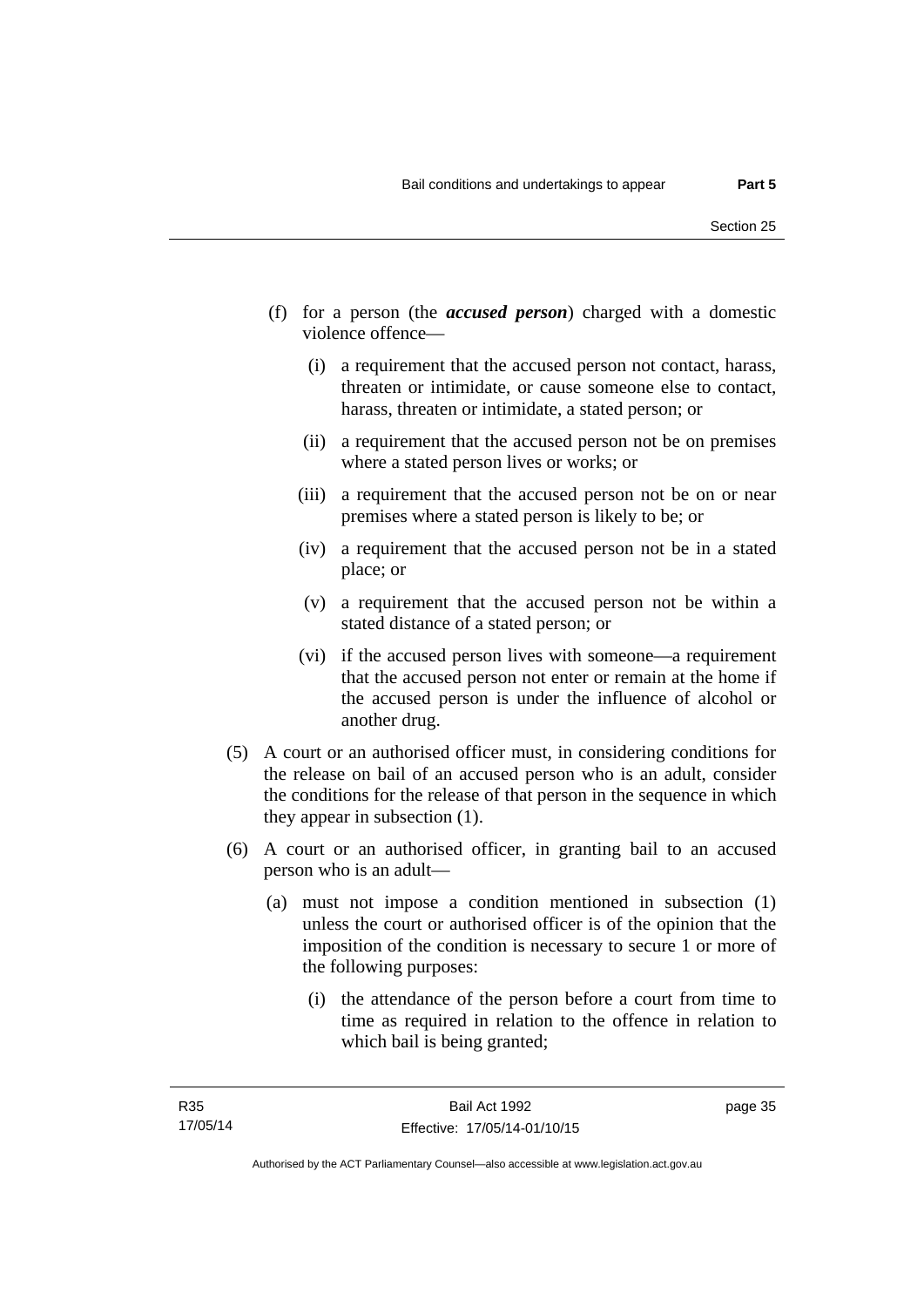- (f) for a person (the *accused person*) charged with a domestic violence offence—
	- (i) a requirement that the accused person not contact, harass, threaten or intimidate, or cause someone else to contact, harass, threaten or intimidate, a stated person; or
	- (ii) a requirement that the accused person not be on premises where a stated person lives or works; or
	- (iii) a requirement that the accused person not be on or near premises where a stated person is likely to be; or
	- (iv) a requirement that the accused person not be in a stated place; or
	- (v) a requirement that the accused person not be within a stated distance of a stated person; or
	- (vi) if the accused person lives with someone—a requirement that the accused person not enter or remain at the home if the accused person is under the influence of alcohol or another drug.
- (5) A court or an authorised officer must, in considering conditions for the release on bail of an accused person who is an adult, consider the conditions for the release of that person in the sequence in which they appear in subsection (1).
- (6) A court or an authorised officer, in granting bail to an accused person who is an adult—
	- (a) must not impose a condition mentioned in subsection (1) unless the court or authorised officer is of the opinion that the imposition of the condition is necessary to secure 1 or more of the following purposes:
		- (i) the attendance of the person before a court from time to time as required in relation to the offence in relation to which bail is being granted;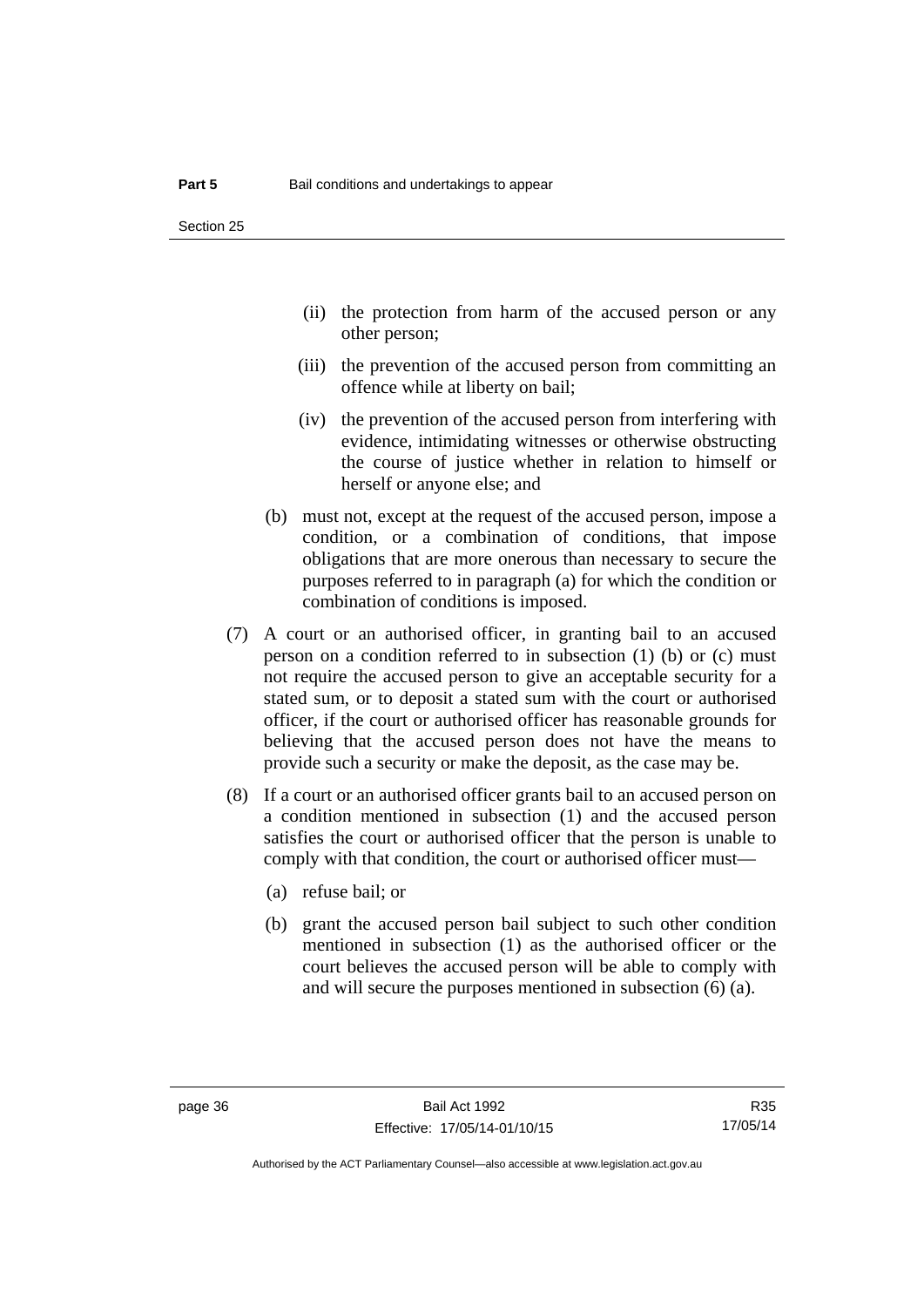- (ii) the protection from harm of the accused person or any other person;
- (iii) the prevention of the accused person from committing an offence while at liberty on bail;
- (iv) the prevention of the accused person from interfering with evidence, intimidating witnesses or otherwise obstructing the course of justice whether in relation to himself or herself or anyone else; and
- (b) must not, except at the request of the accused person, impose a condition, or a combination of conditions, that impose obligations that are more onerous than necessary to secure the purposes referred to in paragraph (a) for which the condition or combination of conditions is imposed.
- (7) A court or an authorised officer, in granting bail to an accused person on a condition referred to in subsection (1) (b) or (c) must not require the accused person to give an acceptable security for a stated sum, or to deposit a stated sum with the court or authorised officer, if the court or authorised officer has reasonable grounds for believing that the accused person does not have the means to provide such a security or make the deposit, as the case may be.
- (8) If a court or an authorised officer grants bail to an accused person on a condition mentioned in subsection (1) and the accused person satisfies the court or authorised officer that the person is unable to comply with that condition, the court or authorised officer must—
	- (a) refuse bail; or
	- (b) grant the accused person bail subject to such other condition mentioned in subsection (1) as the authorised officer or the court believes the accused person will be able to comply with and will secure the purposes mentioned in subsection (6) (a).

Authorised by the ACT Parliamentary Counsel—also accessible at www.legislation.act.gov.au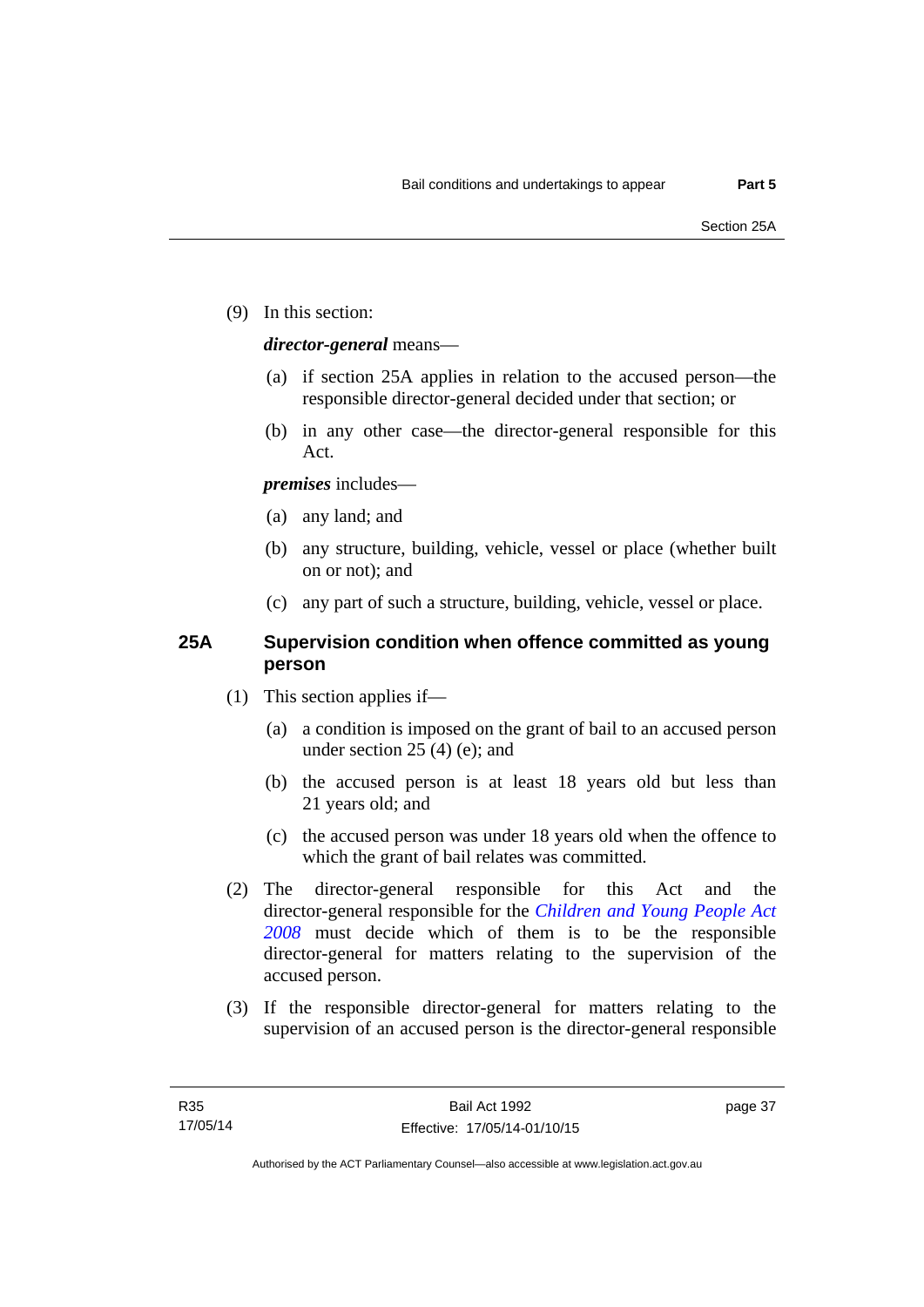(9) In this section:

## *director-general* means—

- (a) if section 25A applies in relation to the accused person—the responsible director-general decided under that section; or
- (b) in any other case—the director-general responsible for this Act.

## *premises* includes—

- (a) any land; and
- (b) any structure, building, vehicle, vessel or place (whether built on or not); and
- (c) any part of such a structure, building, vehicle, vessel or place.

## **25A Supervision condition when offence committed as young person**

- (1) This section applies if—
	- (a) a condition is imposed on the grant of bail to an accused person under section 25 (4) (e); and
	- (b) the accused person is at least 18 years old but less than 21 years old; and
	- (c) the accused person was under 18 years old when the offence to which the grant of bail relates was committed.
- (2) The director-general responsible for this Act and the director-general responsible for the *[Children and Young People Act](http://www.legislation.act.gov.au/a/2008-19)  [2008](http://www.legislation.act.gov.au/a/2008-19)* must decide which of them is to be the responsible director-general for matters relating to the supervision of the accused person.
- (3) If the responsible director-general for matters relating to the supervision of an accused person is the director-general responsible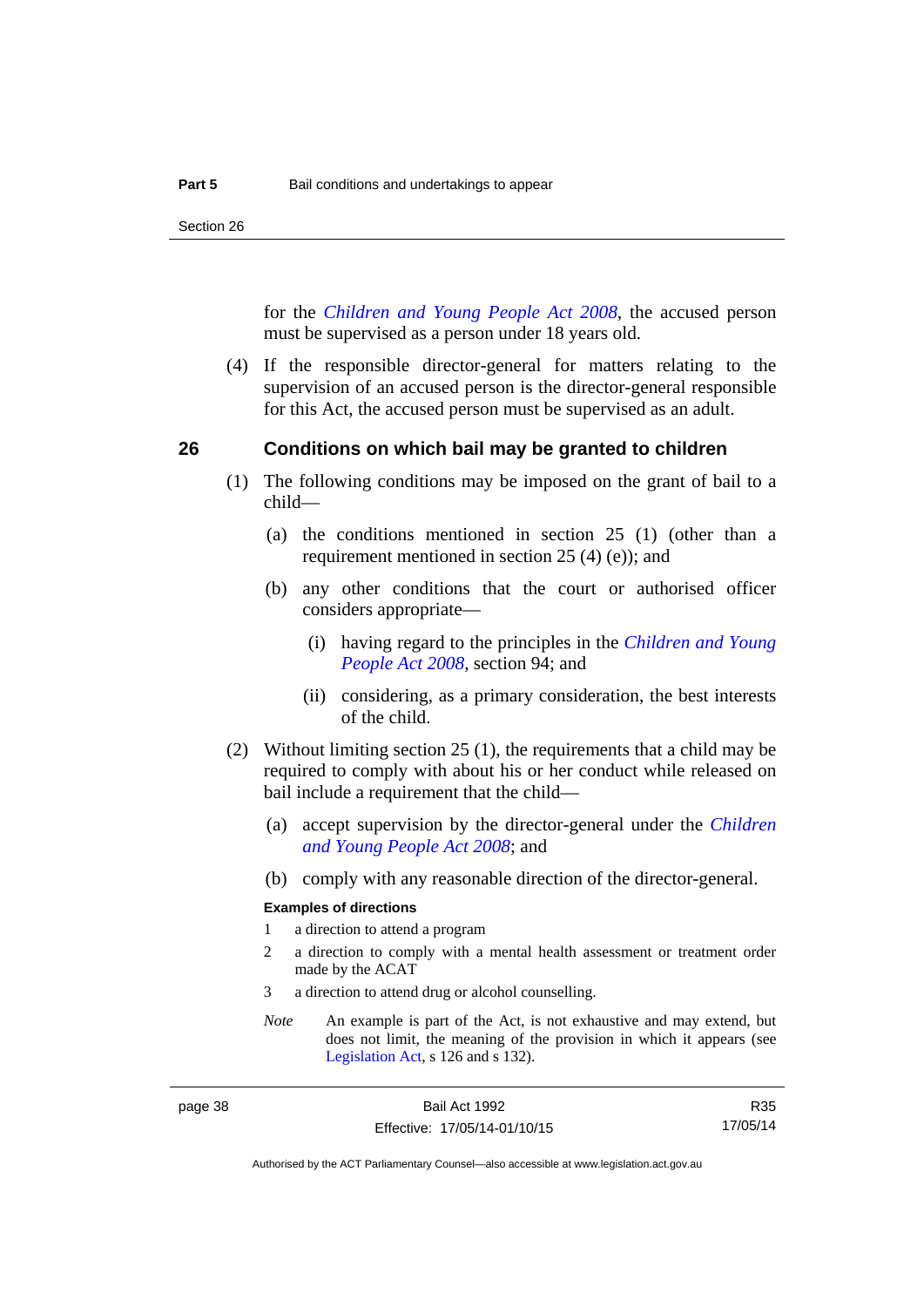Section 26

for the *[Children and Young People Act 2008](http://www.legislation.act.gov.au/a/2008-19)*, the accused person must be supervised as a person under 18 years old.

 (4) If the responsible director-general for matters relating to the supervision of an accused person is the director-general responsible for this Act, the accused person must be supervised as an adult.

#### **26 Conditions on which bail may be granted to children**

- (1) The following conditions may be imposed on the grant of bail to a child—
	- (a) the conditions mentioned in section 25 (1) (other than a requirement mentioned in section 25 (4) (e)); and
	- (b) any other conditions that the court or authorised officer considers appropriate—
		- (i) having regard to the principles in the *[Children and Young](http://www.legislation.act.gov.au/a/2008-19)  [People Act 2008](http://www.legislation.act.gov.au/a/2008-19)*, section 94; and
		- (ii) considering, as a primary consideration, the best interests of the child.
- (2) Without limiting section 25 (1), the requirements that a child may be required to comply with about his or her conduct while released on bail include a requirement that the child—
	- (a) accept supervision by the director-general under the *[Children](http://www.legislation.act.gov.au/a/2008-19)  [and Young People Act 2008](http://www.legislation.act.gov.au/a/2008-19)*; and
	- (b) comply with any reasonable direction of the director-general.

#### **Examples of directions**

- 1 a direction to attend a program
- 2 a direction to comply with a mental health assessment or treatment order made by the ACAT
- 3 a direction to attend drug or alcohol counselling.
- *Note* An example is part of the Act, is not exhaustive and may extend, but does not limit, the meaning of the provision in which it appears (see [Legislation Act,](http://www.legislation.act.gov.au/a/2001-14) s 126 and s 132).

R35 17/05/14

Authorised by the ACT Parliamentary Counsel—also accessible at www.legislation.act.gov.au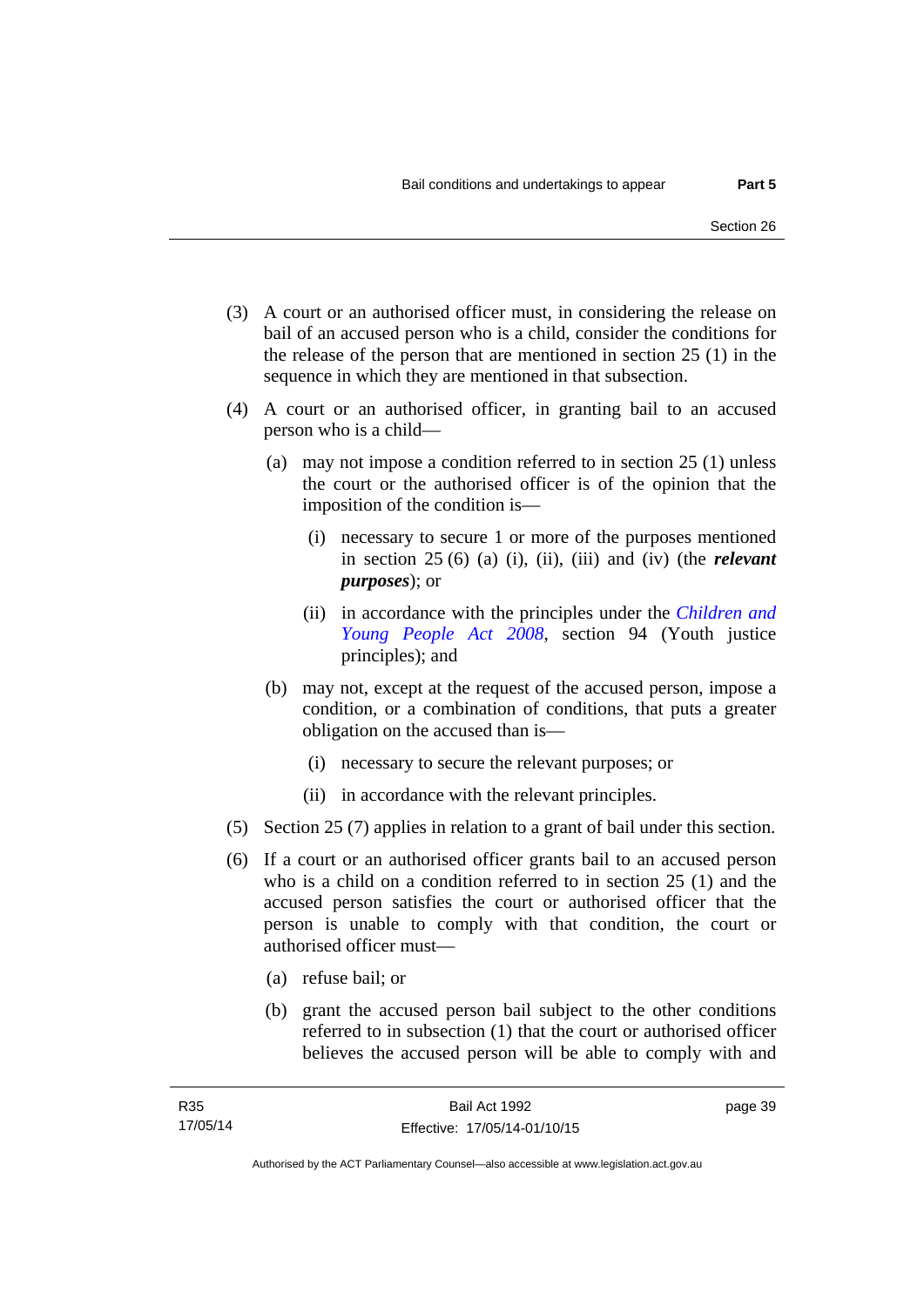- (3) A court or an authorised officer must, in considering the release on bail of an accused person who is a child, consider the conditions for the release of the person that are mentioned in section 25 (1) in the sequence in which they are mentioned in that subsection.
- (4) A court or an authorised officer, in granting bail to an accused person who is a child—
	- (a) may not impose a condition referred to in section 25 (1) unless the court or the authorised officer is of the opinion that the imposition of the condition is—
		- (i) necessary to secure 1 or more of the purposes mentioned in section 25 (6) (a) (i), (ii), (iii) and (iv) (the *relevant purposes*); or
		- (ii) in accordance with the principles under the *[Children and](http://www.legislation.act.gov.au/a/2008-19)  [Young People Act 2008](http://www.legislation.act.gov.au/a/2008-19)*, section 94 (Youth justice principles); and
	- (b) may not, except at the request of the accused person, impose a condition, or a combination of conditions, that puts a greater obligation on the accused than is—
		- (i) necessary to secure the relevant purposes; or
		- (ii) in accordance with the relevant principles.
- (5) Section 25 (7) applies in relation to a grant of bail under this section.
- (6) If a court or an authorised officer grants bail to an accused person who is a child on a condition referred to in section 25 (1) and the accused person satisfies the court or authorised officer that the person is unable to comply with that condition, the court or authorised officer must—
	- (a) refuse bail; or
	- (b) grant the accused person bail subject to the other conditions referred to in subsection (1) that the court or authorised officer believes the accused person will be able to comply with and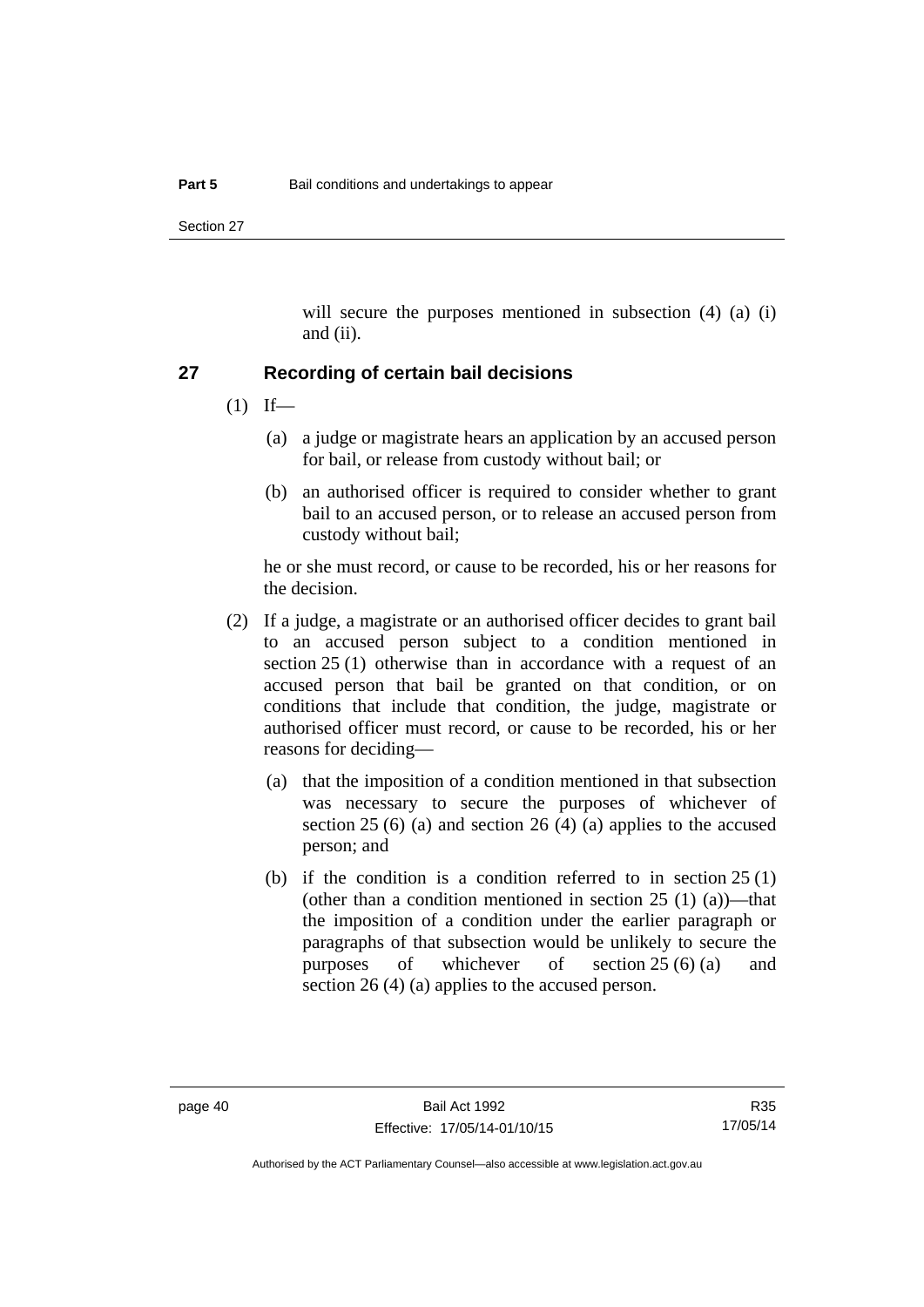Section 27

will secure the purposes mentioned in subsection (4) (a) (i) and (ii).

#### **27 Recording of certain bail decisions**

- $(1)$  If—
	- (a) a judge or magistrate hears an application by an accused person for bail, or release from custody without bail; or
	- (b) an authorised officer is required to consider whether to grant bail to an accused person, or to release an accused person from custody without bail;

he or she must record, or cause to be recorded, his or her reasons for the decision.

- (2) If a judge, a magistrate or an authorised officer decides to grant bail to an accused person subject to a condition mentioned in section 25 (1) otherwise than in accordance with a request of an accused person that bail be granted on that condition, or on conditions that include that condition, the judge, magistrate or authorised officer must record, or cause to be recorded, his or her reasons for deciding—
	- (a) that the imposition of a condition mentioned in that subsection was necessary to secure the purposes of whichever of section 25 (6) (a) and section 26 (4) (a) applies to the accused person; and
	- (b) if the condition is a condition referred to in section  $25(1)$ (other than a condition mentioned in section  $25(1)(a)$ )—that the imposition of a condition under the earlier paragraph or paragraphs of that subsection would be unlikely to secure the purposes of whichever of section 25 (6) (a) and section 26 (4) (a) applies to the accused person.

Authorised by the ACT Parliamentary Counsel—also accessible at www.legislation.act.gov.au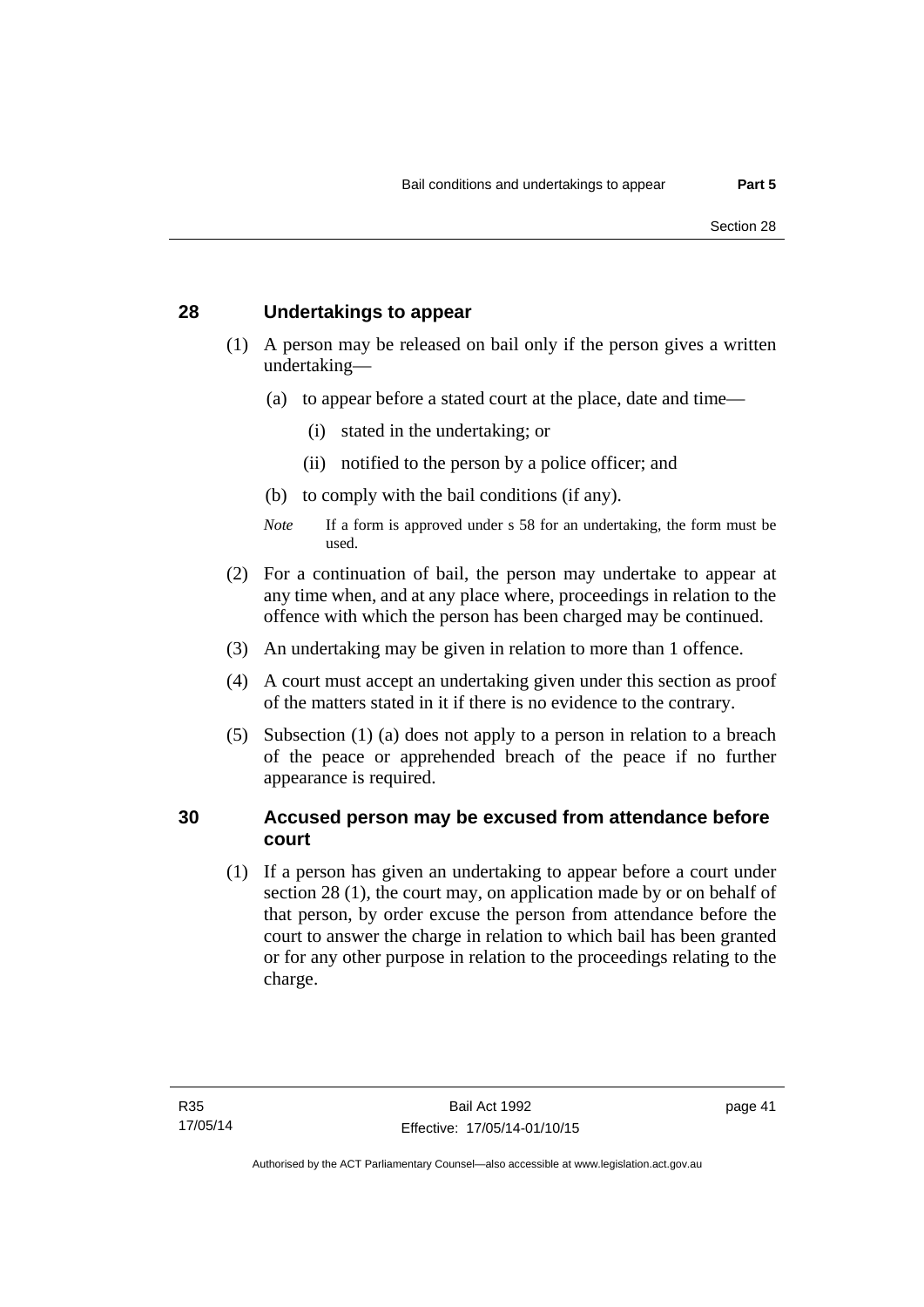## **28 Undertakings to appear**

- (1) A person may be released on bail only if the person gives a written undertaking—
	- (a) to appear before a stated court at the place, date and time—
		- (i) stated in the undertaking; or
		- (ii) notified to the person by a police officer; and
	- (b) to comply with the bail conditions (if any).
	- *Note* If a form is approved under s 58 for an undertaking, the form must be used.
- (2) For a continuation of bail, the person may undertake to appear at any time when, and at any place where, proceedings in relation to the offence with which the person has been charged may be continued.
- (3) An undertaking may be given in relation to more than 1 offence.
- (4) A court must accept an undertaking given under this section as proof of the matters stated in it if there is no evidence to the contrary.
- (5) Subsection (1) (a) does not apply to a person in relation to a breach of the peace or apprehended breach of the peace if no further appearance is required.

#### **30 Accused person may be excused from attendance before court**

(1) If a person has given an undertaking to appear before a court under section 28 (1), the court may, on application made by or on behalf of that person, by order excuse the person from attendance before the court to answer the charge in relation to which bail has been granted or for any other purpose in relation to the proceedings relating to the charge.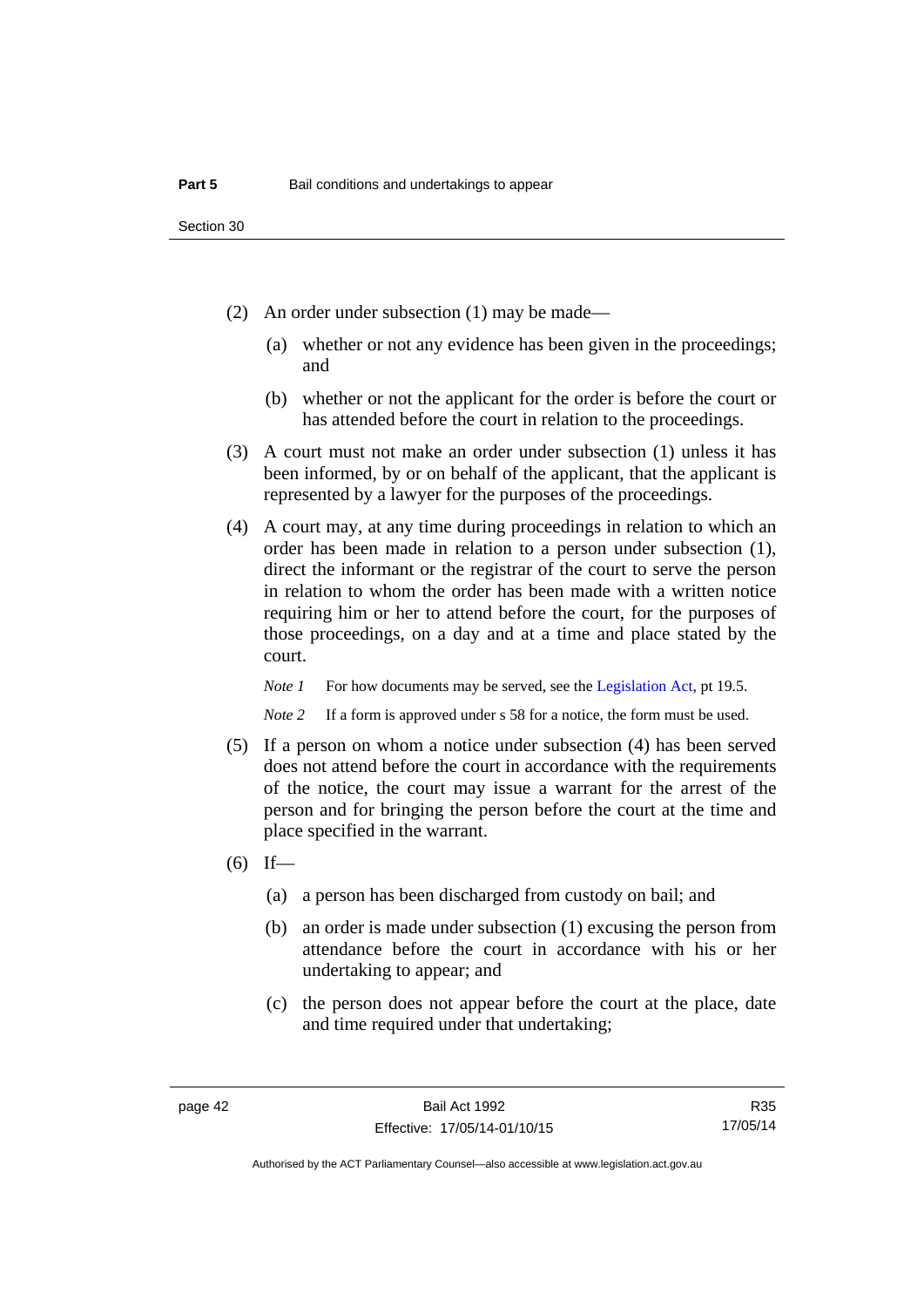- (2) An order under subsection (1) may be made—
	- (a) whether or not any evidence has been given in the proceedings; and
	- (b) whether or not the applicant for the order is before the court or has attended before the court in relation to the proceedings.
- (3) A court must not make an order under subsection (1) unless it has been informed, by or on behalf of the applicant, that the applicant is represented by a lawyer for the purposes of the proceedings.
- (4) A court may, at any time during proceedings in relation to which an order has been made in relation to a person under subsection (1), direct the informant or the registrar of the court to serve the person in relation to whom the order has been made with a written notice requiring him or her to attend before the court, for the purposes of those proceedings, on a day and at a time and place stated by the court.

*Note 1* For how documents may be served, see the [Legislation Act,](http://www.legislation.act.gov.au/a/2001-14) pt 19.5.

*Note* 2 If a form is approved under s 58 for a notice, the form must be used.

- (5) If a person on whom a notice under subsection (4) has been served does not attend before the court in accordance with the requirements of the notice, the court may issue a warrant for the arrest of the person and for bringing the person before the court at the time and place specified in the warrant.
- $(6)$  If—
	- (a) a person has been discharged from custody on bail; and
	- (b) an order is made under subsection (1) excusing the person from attendance before the court in accordance with his or her undertaking to appear; and
	- (c) the person does not appear before the court at the place, date and time required under that undertaking;

R35 17/05/14

Authorised by the ACT Parliamentary Counsel—also accessible at www.legislation.act.gov.au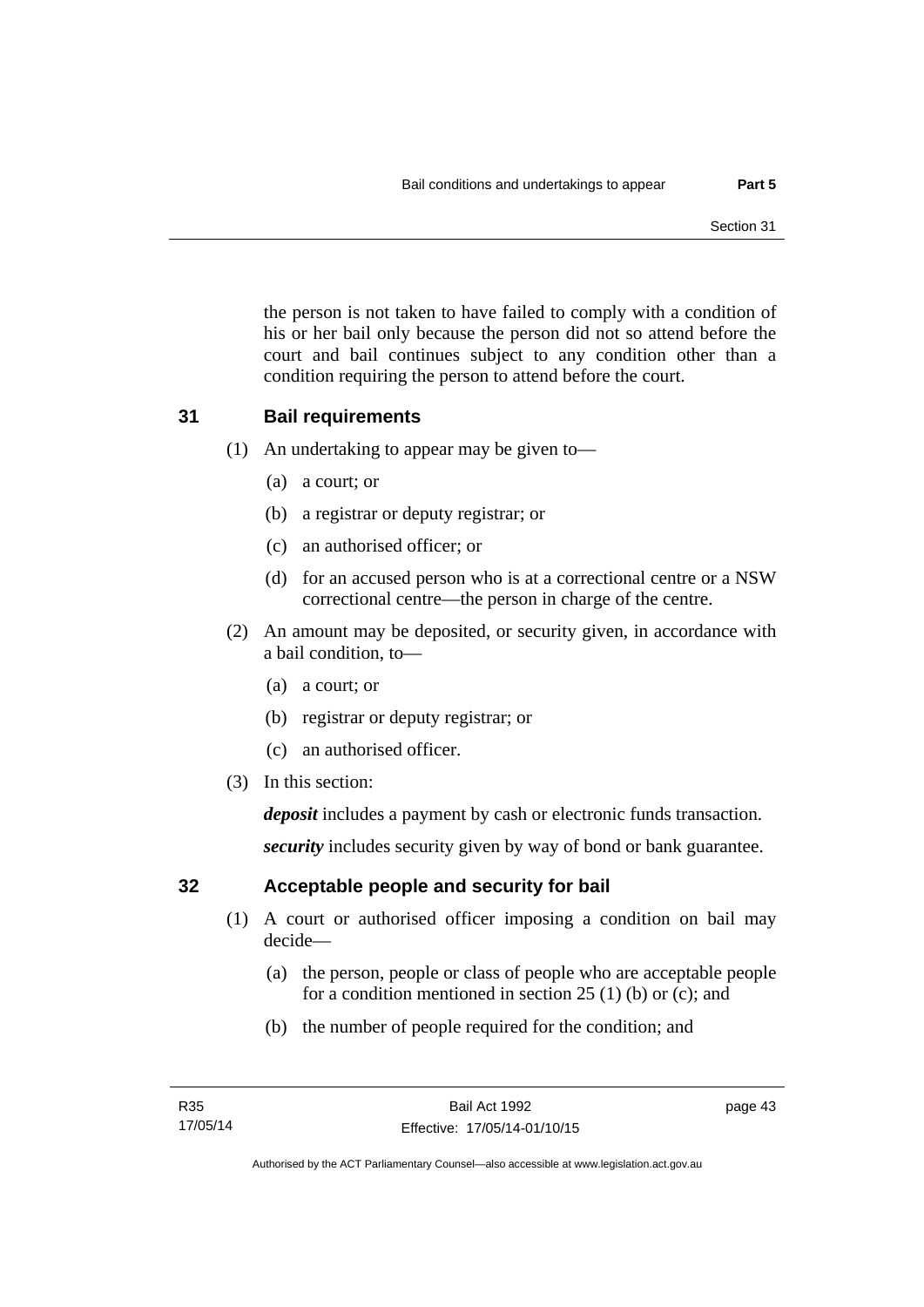the person is not taken to have failed to comply with a condition of his or her bail only because the person did not so attend before the court and bail continues subject to any condition other than a condition requiring the person to attend before the court.

## **31 Bail requirements**

- (1) An undertaking to appear may be given to—
	- (a) a court; or
	- (b) a registrar or deputy registrar; or
	- (c) an authorised officer; or
	- (d) for an accused person who is at a correctional centre or a NSW correctional centre—the person in charge of the centre.
- (2) An amount may be deposited, or security given, in accordance with a bail condition, to—
	- (a) a court; or
	- (b) registrar or deputy registrar; or
	- (c) an authorised officer.
- (3) In this section:

*deposit* includes a payment by cash or electronic funds transaction.

*security* includes security given by way of bond or bank guarantee.

## **32 Acceptable people and security for bail**

- (1) A court or authorised officer imposing a condition on bail may decide—
	- (a) the person, people or class of people who are acceptable people for a condition mentioned in section 25 (1) (b) or (c); and
	- (b) the number of people required for the condition; and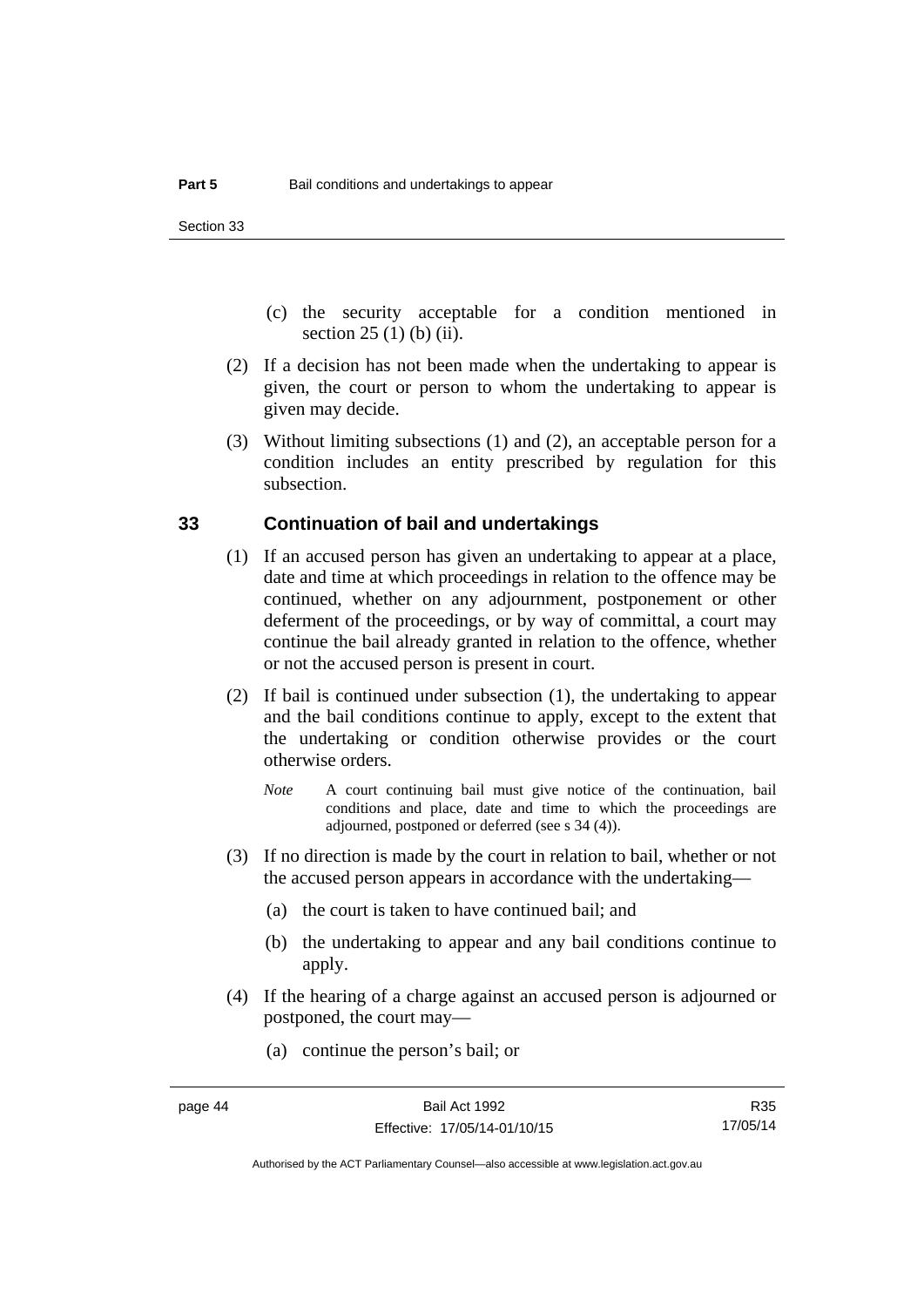- (c) the security acceptable for a condition mentioned in section 25 (1) (b) (ii).
- (2) If a decision has not been made when the undertaking to appear is given, the court or person to whom the undertaking to appear is given may decide.
- (3) Without limiting subsections (1) and (2), an acceptable person for a condition includes an entity prescribed by regulation for this subsection.

## **33 Continuation of bail and undertakings**

- (1) If an accused person has given an undertaking to appear at a place, date and time at which proceedings in relation to the offence may be continued, whether on any adjournment, postponement or other deferment of the proceedings, or by way of committal, a court may continue the bail already granted in relation to the offence, whether or not the accused person is present in court.
- (2) If bail is continued under subsection (1), the undertaking to appear and the bail conditions continue to apply, except to the extent that the undertaking or condition otherwise provides or the court otherwise orders.
	- *Note* A court continuing bail must give notice of the continuation, bail conditions and place, date and time to which the proceedings are adjourned, postponed or deferred (see s 34 (4)).
- (3) If no direction is made by the court in relation to bail, whether or not the accused person appears in accordance with the undertaking—
	- (a) the court is taken to have continued bail; and
	- (b) the undertaking to appear and any bail conditions continue to apply.
- (4) If the hearing of a charge against an accused person is adjourned or postponed, the court may—
	- (a) continue the person's bail; or

R35 17/05/14

Authorised by the ACT Parliamentary Counsel—also accessible at www.legislation.act.gov.au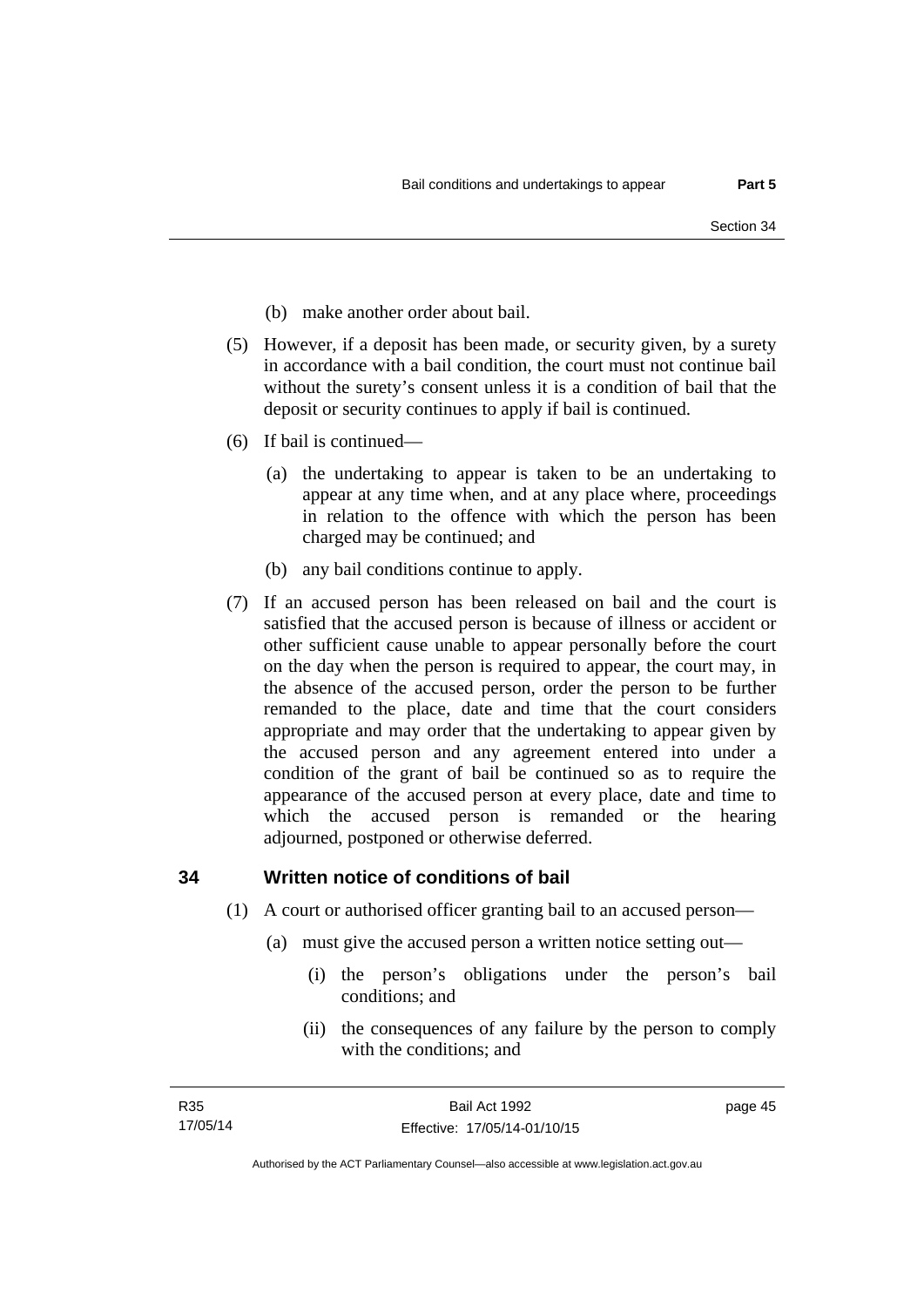- (b) make another order about bail.
- (5) However, if a deposit has been made, or security given, by a surety in accordance with a bail condition, the court must not continue bail without the surety's consent unless it is a condition of bail that the deposit or security continues to apply if bail is continued.
- (6) If bail is continued—
	- (a) the undertaking to appear is taken to be an undertaking to appear at any time when, and at any place where, proceedings in relation to the offence with which the person has been charged may be continued; and
	- (b) any bail conditions continue to apply.
- (7) If an accused person has been released on bail and the court is satisfied that the accused person is because of illness or accident or other sufficient cause unable to appear personally before the court on the day when the person is required to appear, the court may, in the absence of the accused person, order the person to be further remanded to the place, date and time that the court considers appropriate and may order that the undertaking to appear given by the accused person and any agreement entered into under a condition of the grant of bail be continued so as to require the appearance of the accused person at every place, date and time to which the accused person is remanded or the hearing adjourned, postponed or otherwise deferred.

## **34 Written notice of conditions of bail**

- (1) A court or authorised officer granting bail to an accused person—
	- (a) must give the accused person a written notice setting out—
		- (i) the person's obligations under the person's bail conditions; and
		- (ii) the consequences of any failure by the person to comply with the conditions; and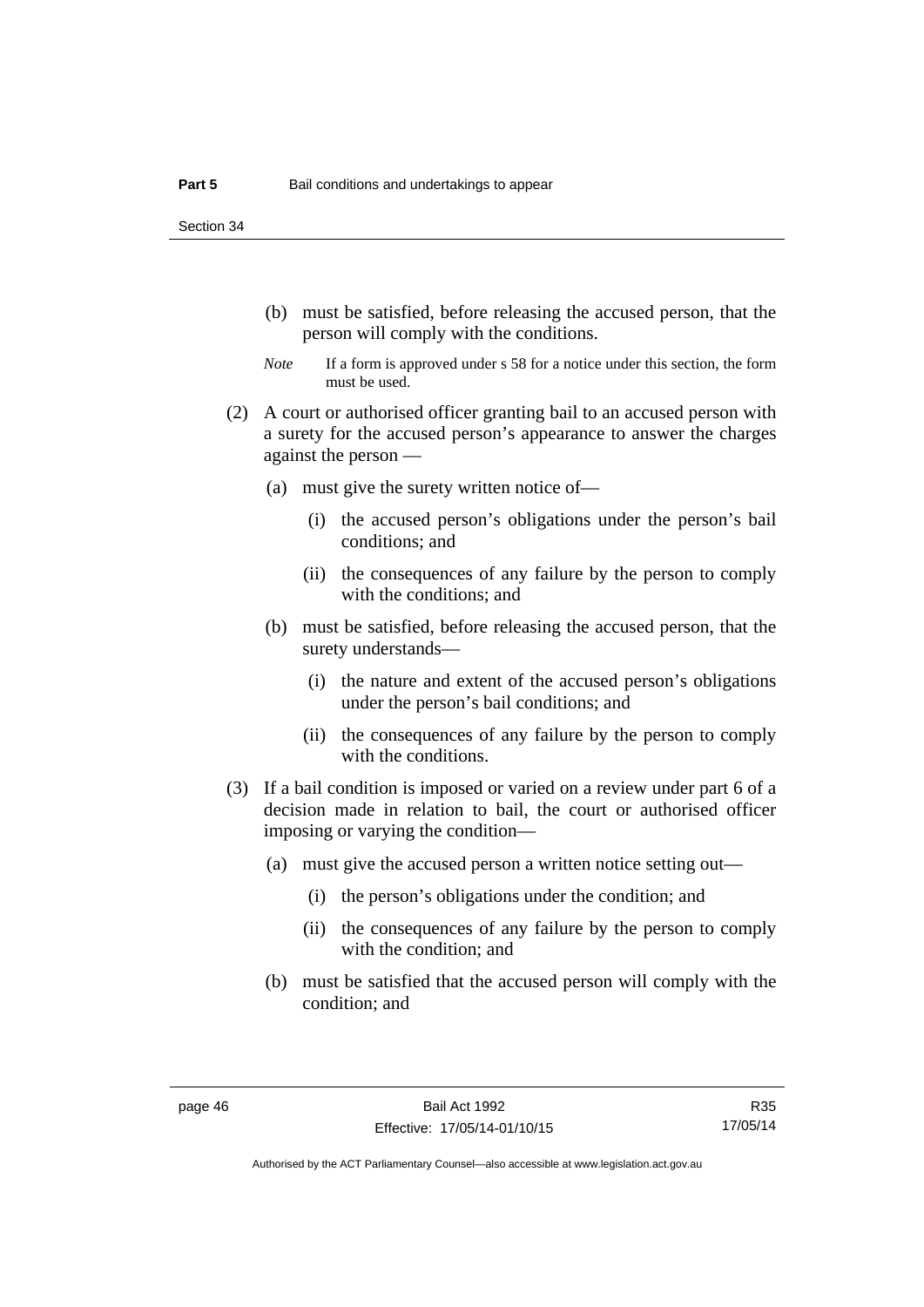Section 34

- (b) must be satisfied, before releasing the accused person, that the person will comply with the conditions.
- *Note* If a form is approved under s 58 for a notice under this section, the form must be used.
- (2) A court or authorised officer granting bail to an accused person with a surety for the accused person's appearance to answer the charges against the person —
	- (a) must give the surety written notice of—
		- (i) the accused person's obligations under the person's bail conditions; and
		- (ii) the consequences of any failure by the person to comply with the conditions; and
	- (b) must be satisfied, before releasing the accused person, that the surety understands—
		- (i) the nature and extent of the accused person's obligations under the person's bail conditions; and
		- (ii) the consequences of any failure by the person to comply with the conditions.
- (3) If a bail condition is imposed or varied on a review under part 6 of a decision made in relation to bail, the court or authorised officer imposing or varying the condition—
	- (a) must give the accused person a written notice setting out—
		- (i) the person's obligations under the condition; and
		- (ii) the consequences of any failure by the person to comply with the condition; and
	- (b) must be satisfied that the accused person will comply with the condition; and

R35 17/05/14

Authorised by the ACT Parliamentary Counsel—also accessible at www.legislation.act.gov.au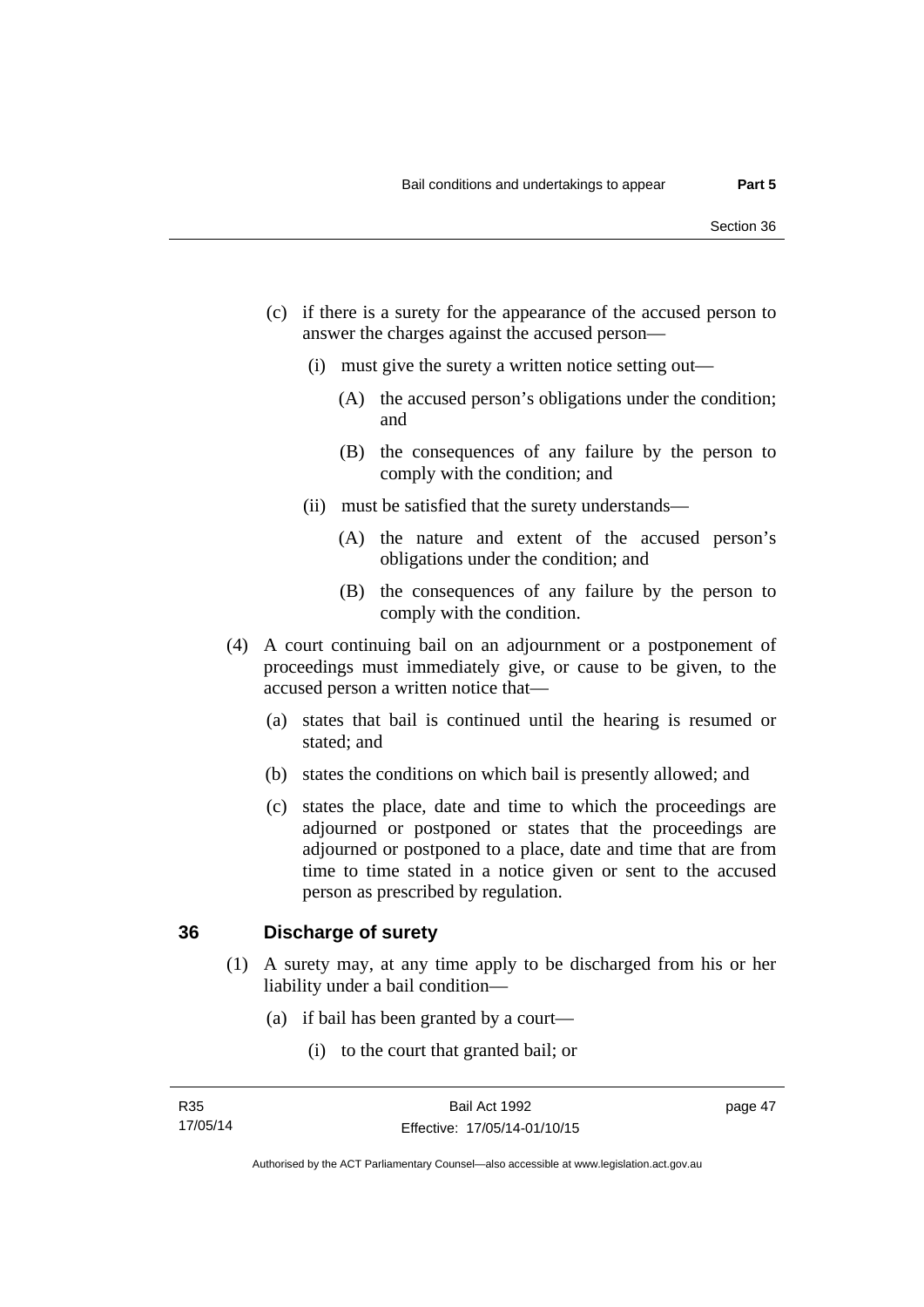- (c) if there is a surety for the appearance of the accused person to answer the charges against the accused person—
	- (i) must give the surety a written notice setting out—
		- (A) the accused person's obligations under the condition; and
		- (B) the consequences of any failure by the person to comply with the condition; and
	- (ii) must be satisfied that the surety understands—
		- (A) the nature and extent of the accused person's obligations under the condition; and
		- (B) the consequences of any failure by the person to comply with the condition.
- (4) A court continuing bail on an adjournment or a postponement of proceedings must immediately give, or cause to be given, to the accused person a written notice that—
	- (a) states that bail is continued until the hearing is resumed or stated; and
	- (b) states the conditions on which bail is presently allowed; and
	- (c) states the place, date and time to which the proceedings are adjourned or postponed or states that the proceedings are adjourned or postponed to a place, date and time that are from time to time stated in a notice given or sent to the accused person as prescribed by regulation.

## **36 Discharge of surety**

- (1) A surety may, at any time apply to be discharged from his or her liability under a bail condition—
	- (a) if bail has been granted by a court—
		- (i) to the court that granted bail; or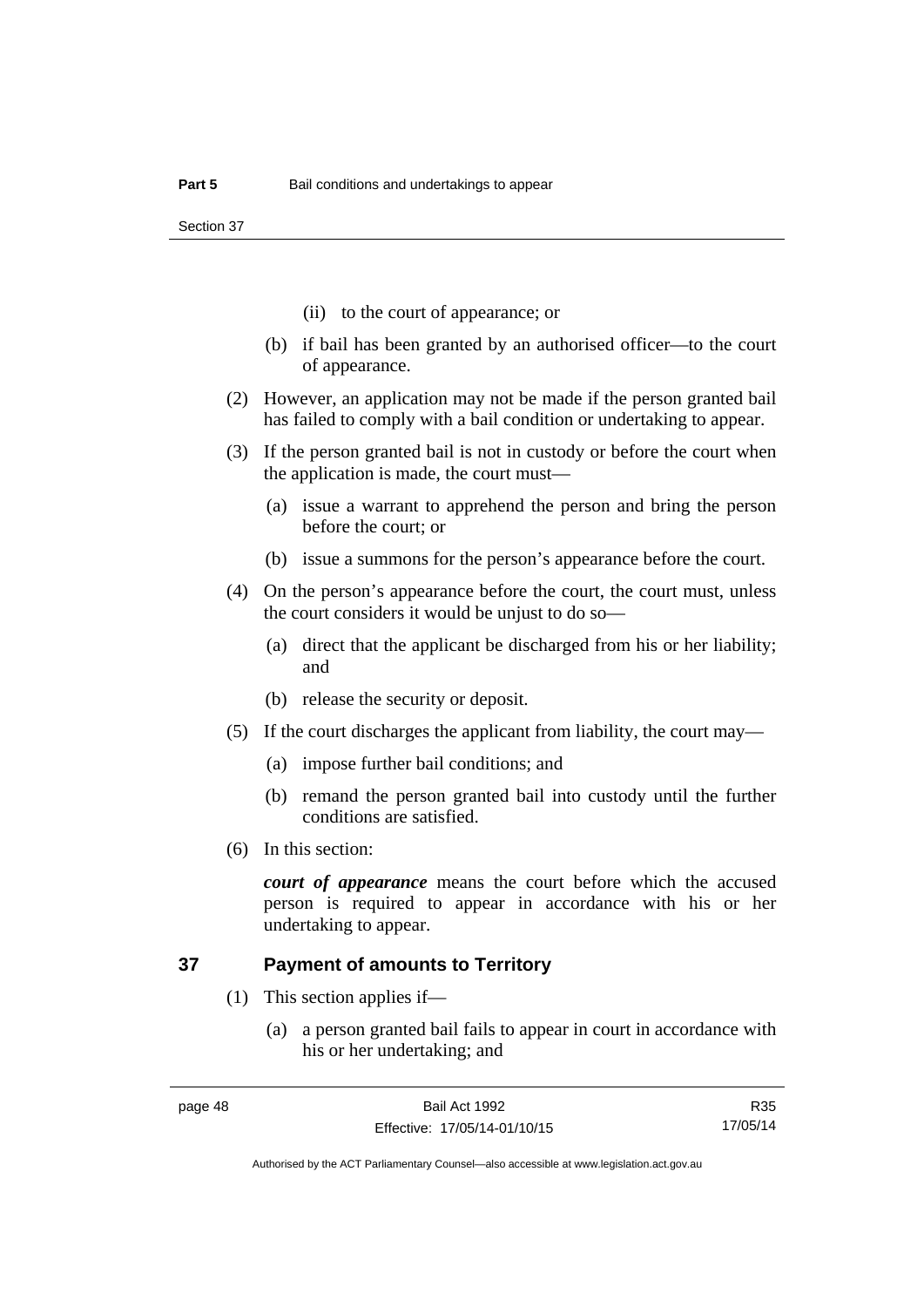Section 37

- (ii) to the court of appearance; or
- (b) if bail has been granted by an authorised officer—to the court of appearance.
- (2) However, an application may not be made if the person granted bail has failed to comply with a bail condition or undertaking to appear.
- (3) If the person granted bail is not in custody or before the court when the application is made, the court must—
	- (a) issue a warrant to apprehend the person and bring the person before the court; or
	- (b) issue a summons for the person's appearance before the court.
- (4) On the person's appearance before the court, the court must, unless the court considers it would be unjust to do so—
	- (a) direct that the applicant be discharged from his or her liability; and
	- (b) release the security or deposit.
- (5) If the court discharges the applicant from liability, the court may—
	- (a) impose further bail conditions; and
	- (b) remand the person granted bail into custody until the further conditions are satisfied.
- (6) In this section:

*court of appearance* means the court before which the accused person is required to appear in accordance with his or her undertaking to appear.

## **37 Payment of amounts to Territory**

- (1) This section applies if—
	- (a) a person granted bail fails to appear in court in accordance with his or her undertaking; and

R35 17/05/14

Authorised by the ACT Parliamentary Counsel—also accessible at www.legislation.act.gov.au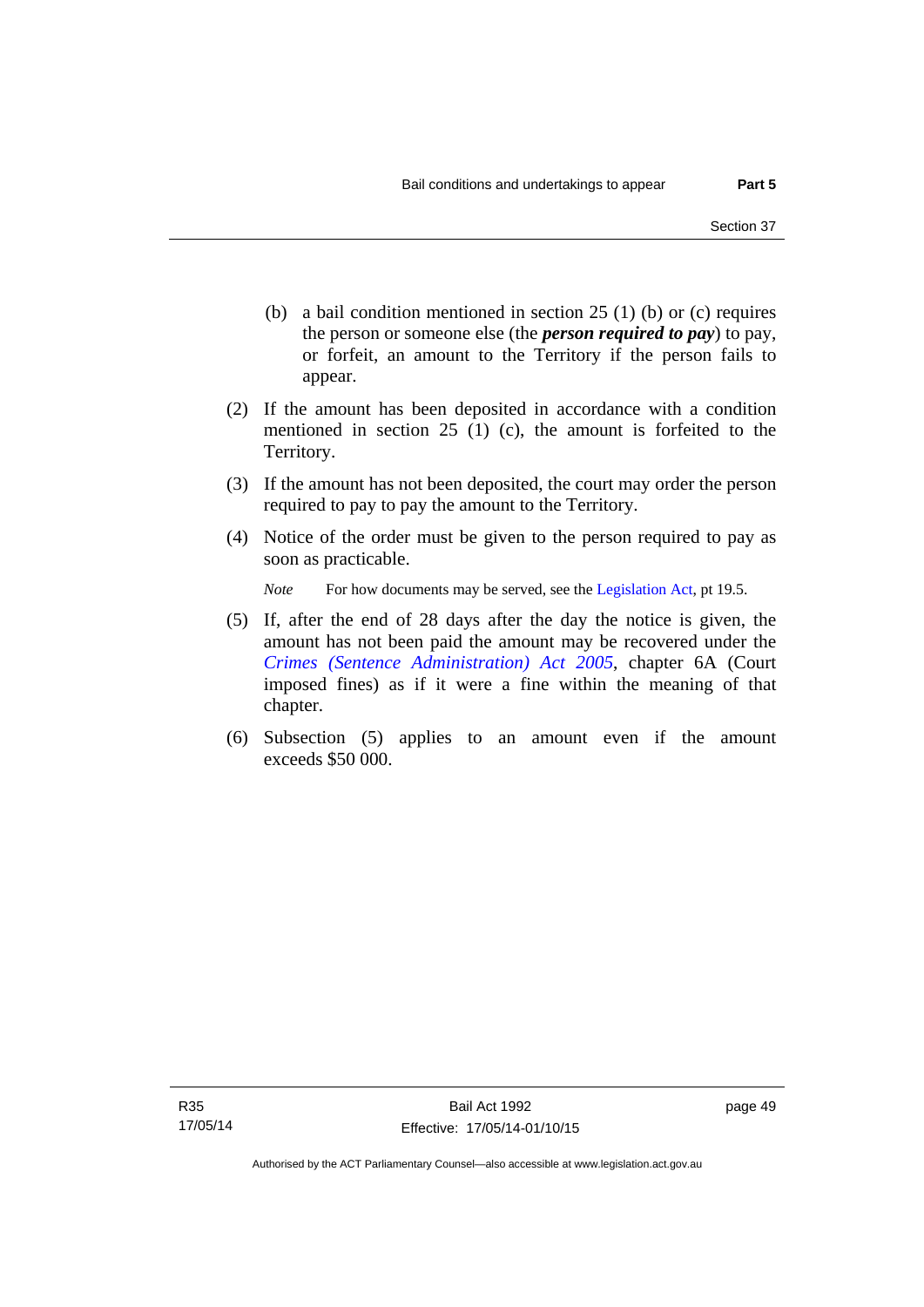- (b) a bail condition mentioned in section 25 (1) (b) or (c) requires the person or someone else (the *person required to pay*) to pay, or forfeit, an amount to the Territory if the person fails to appear.
- (2) If the amount has been deposited in accordance with a condition mentioned in section 25 (1) (c), the amount is forfeited to the Territory.
- (3) If the amount has not been deposited, the court may order the person required to pay to pay the amount to the Territory.
- (4) Notice of the order must be given to the person required to pay as soon as practicable.

*Note* For how documents may be served, see the [Legislation Act,](http://www.legislation.act.gov.au/a/2001-14) pt 19.5.

- (5) If, after the end of 28 days after the day the notice is given, the amount has not been paid the amount may be recovered under the *[Crimes \(Sentence Administration\) Act 2005](http://www.legislation.act.gov.au/a/2005-59)*, chapter 6A (Court imposed fines) as if it were a fine within the meaning of that chapter.
- (6) Subsection (5) applies to an amount even if the amount exceeds \$50 000.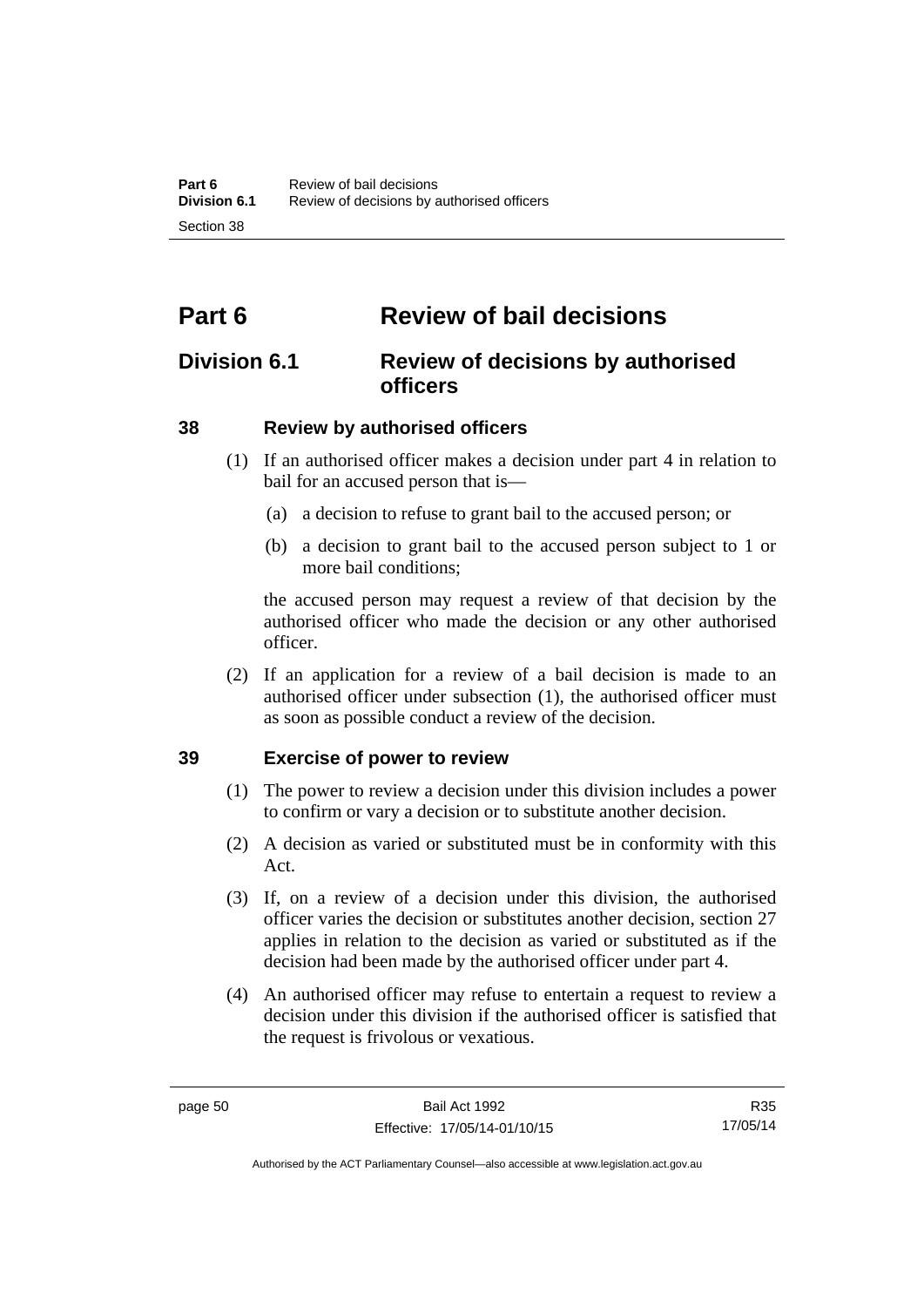# **Part 6 Review of bail decisions**

## **Division 6.1 Review of decisions by authorised officers**

## **38 Review by authorised officers**

- (1) If an authorised officer makes a decision under part 4 in relation to bail for an accused person that is—
	- (a) a decision to refuse to grant bail to the accused person; or
	- (b) a decision to grant bail to the accused person subject to 1 or more bail conditions;

the accused person may request a review of that decision by the authorised officer who made the decision or any other authorised officer.

 (2) If an application for a review of a bail decision is made to an authorised officer under subsection (1), the authorised officer must as soon as possible conduct a review of the decision.

## **39 Exercise of power to review**

- (1) The power to review a decision under this division includes a power to confirm or vary a decision or to substitute another decision.
- (2) A decision as varied or substituted must be in conformity with this Act.
- (3) If, on a review of a decision under this division, the authorised officer varies the decision or substitutes another decision, section 27 applies in relation to the decision as varied or substituted as if the decision had been made by the authorised officer under part 4.
- (4) An authorised officer may refuse to entertain a request to review a decision under this division if the authorised officer is satisfied that the request is frivolous or vexatious.

R35 17/05/14

Authorised by the ACT Parliamentary Counsel—also accessible at www.legislation.act.gov.au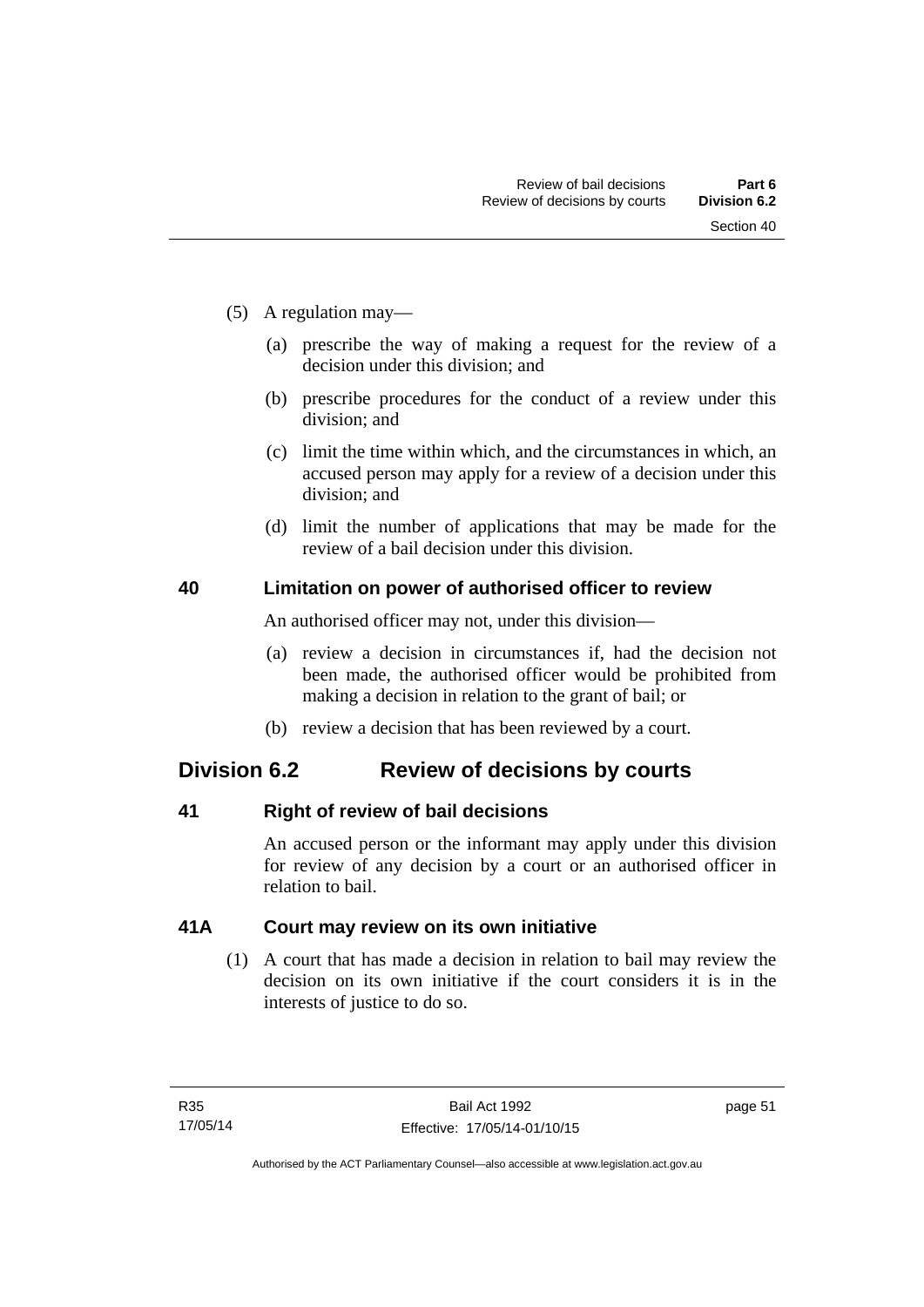- (5) A regulation may—
	- (a) prescribe the way of making a request for the review of a decision under this division; and
	- (b) prescribe procedures for the conduct of a review under this division; and
	- (c) limit the time within which, and the circumstances in which, an accused person may apply for a review of a decision under this division; and
	- (d) limit the number of applications that may be made for the review of a bail decision under this division.

## **40 Limitation on power of authorised officer to review**

An authorised officer may not, under this division—

- (a) review a decision in circumstances if, had the decision not been made, the authorised officer would be prohibited from making a decision in relation to the grant of bail; or
- (b) review a decision that has been reviewed by a court.

## **Division 6.2 Review of decisions by courts**

## **41 Right of review of bail decisions**

An accused person or the informant may apply under this division for review of any decision by a court or an authorised officer in relation to bail.

## **41A Court may review on its own initiative**

 (1) A court that has made a decision in relation to bail may review the decision on its own initiative if the court considers it is in the interests of justice to do so.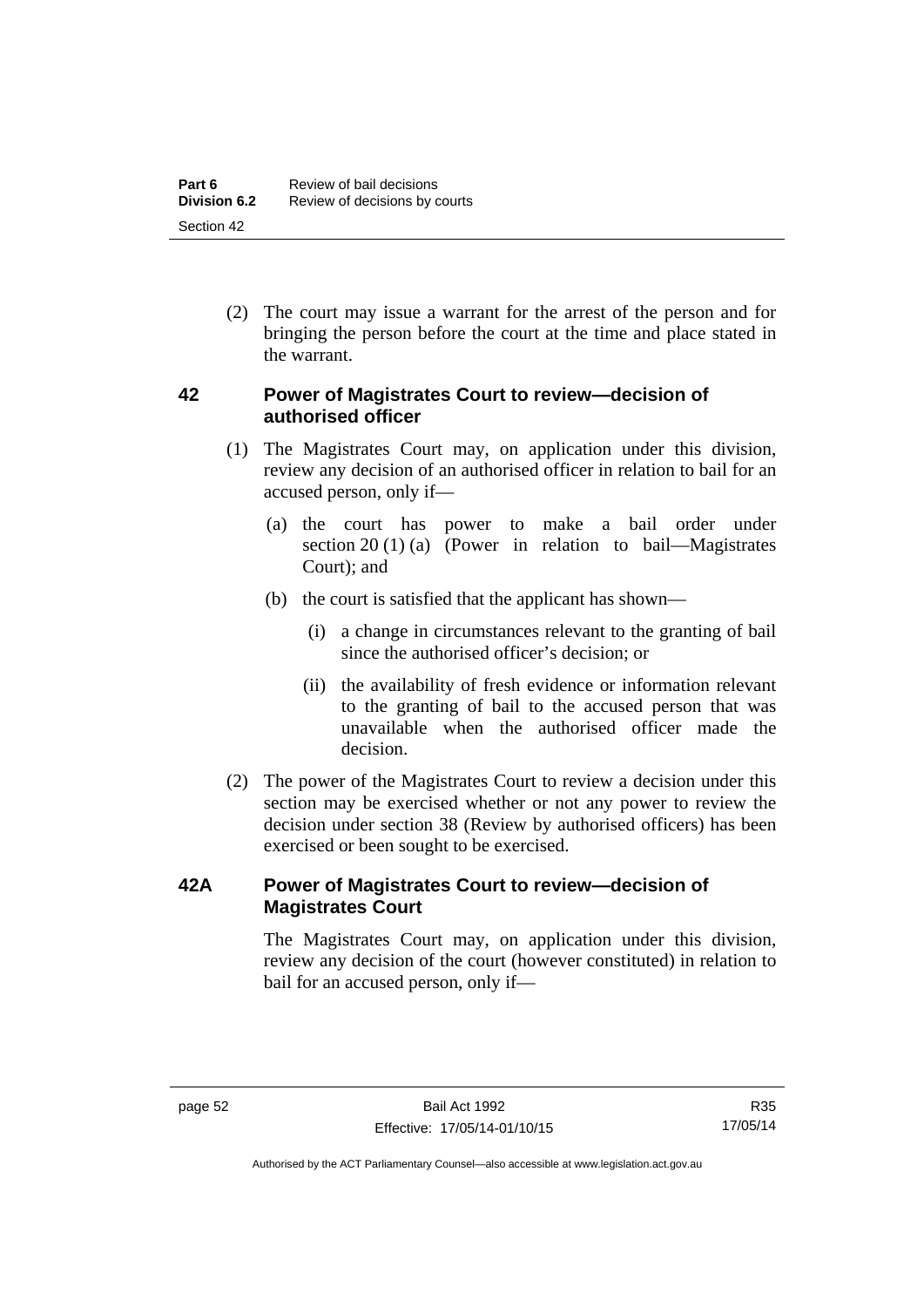(2) The court may issue a warrant for the arrest of the person and for bringing the person before the court at the time and place stated in the warrant.

## **42 Power of Magistrates Court to review—decision of authorised officer**

- (1) The Magistrates Court may, on application under this division, review any decision of an authorised officer in relation to bail for an accused person, only if—
	- (a) the court has power to make a bail order under section 20 (1) (a) (Power in relation to bail—Magistrates Court); and
	- (b) the court is satisfied that the applicant has shown—
		- (i) a change in circumstances relevant to the granting of bail since the authorised officer's decision; or
		- (ii) the availability of fresh evidence or information relevant to the granting of bail to the accused person that was unavailable when the authorised officer made the decision.
- (2) The power of the Magistrates Court to review a decision under this section may be exercised whether or not any power to review the decision under section 38 (Review by authorised officers) has been exercised or been sought to be exercised.

## **42A Power of Magistrates Court to review—decision of Magistrates Court**

 The Magistrates Court may, on application under this division, review any decision of the court (however constituted) in relation to bail for an accused person, only if—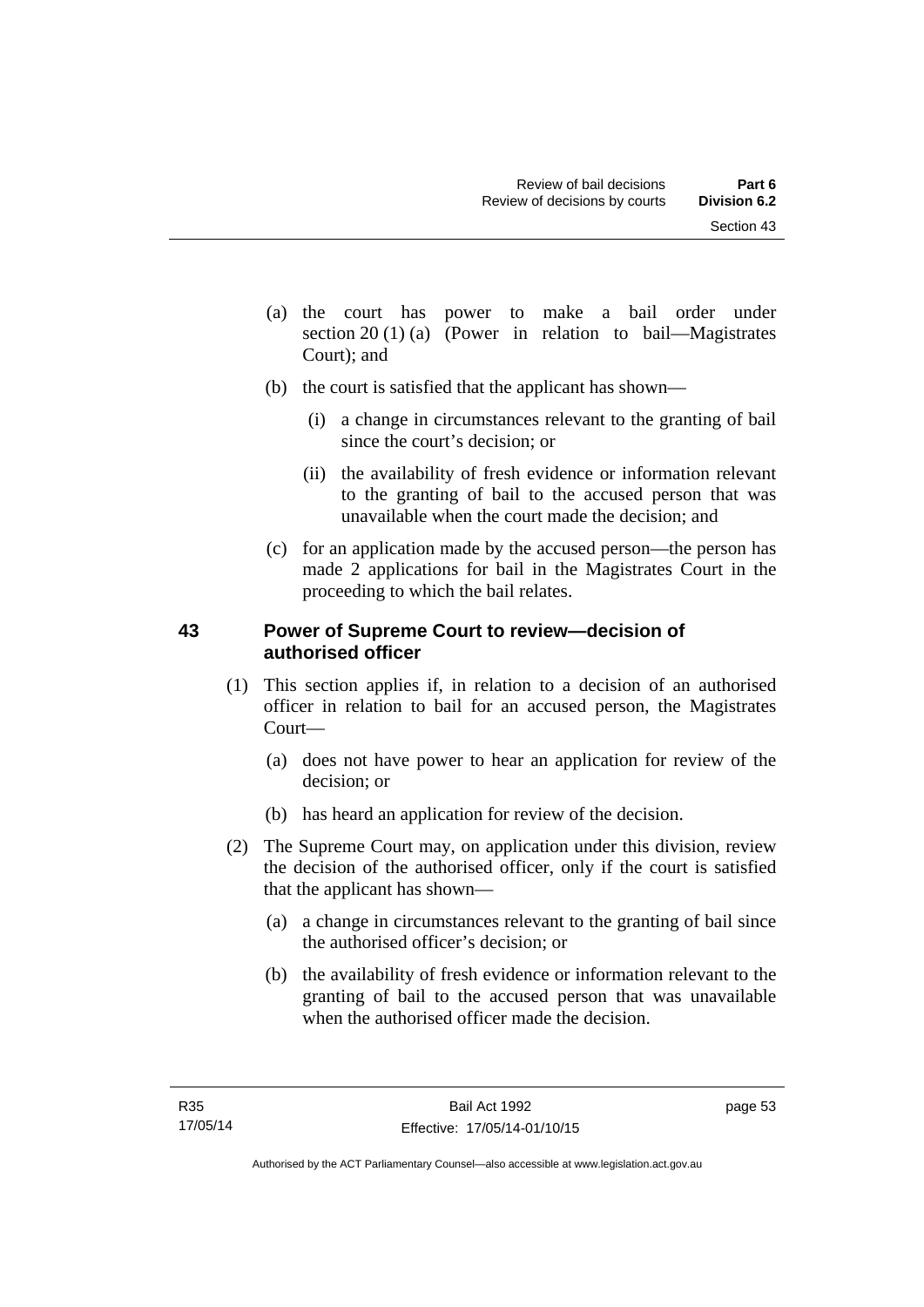- (a) the court has power to make a bail order under section 20 (1) (a) (Power in relation to bail—Magistrates Court); and
- (b) the court is satisfied that the applicant has shown—
	- (i) a change in circumstances relevant to the granting of bail since the court's decision; or
	- (ii) the availability of fresh evidence or information relevant to the granting of bail to the accused person that was unavailable when the court made the decision; and
- (c) for an application made by the accused person—the person has made 2 applications for bail in the Magistrates Court in the proceeding to which the bail relates.

## **43 Power of Supreme Court to review—decision of authorised officer**

- (1) This section applies if, in relation to a decision of an authorised officer in relation to bail for an accused person, the Magistrates Court—
	- (a) does not have power to hear an application for review of the decision; or
	- (b) has heard an application for review of the decision.
- (2) The Supreme Court may, on application under this division, review the decision of the authorised officer, only if the court is satisfied that the applicant has shown—
	- (a) a change in circumstances relevant to the granting of bail since the authorised officer's decision; or
	- (b) the availability of fresh evidence or information relevant to the granting of bail to the accused person that was unavailable when the authorised officer made the decision.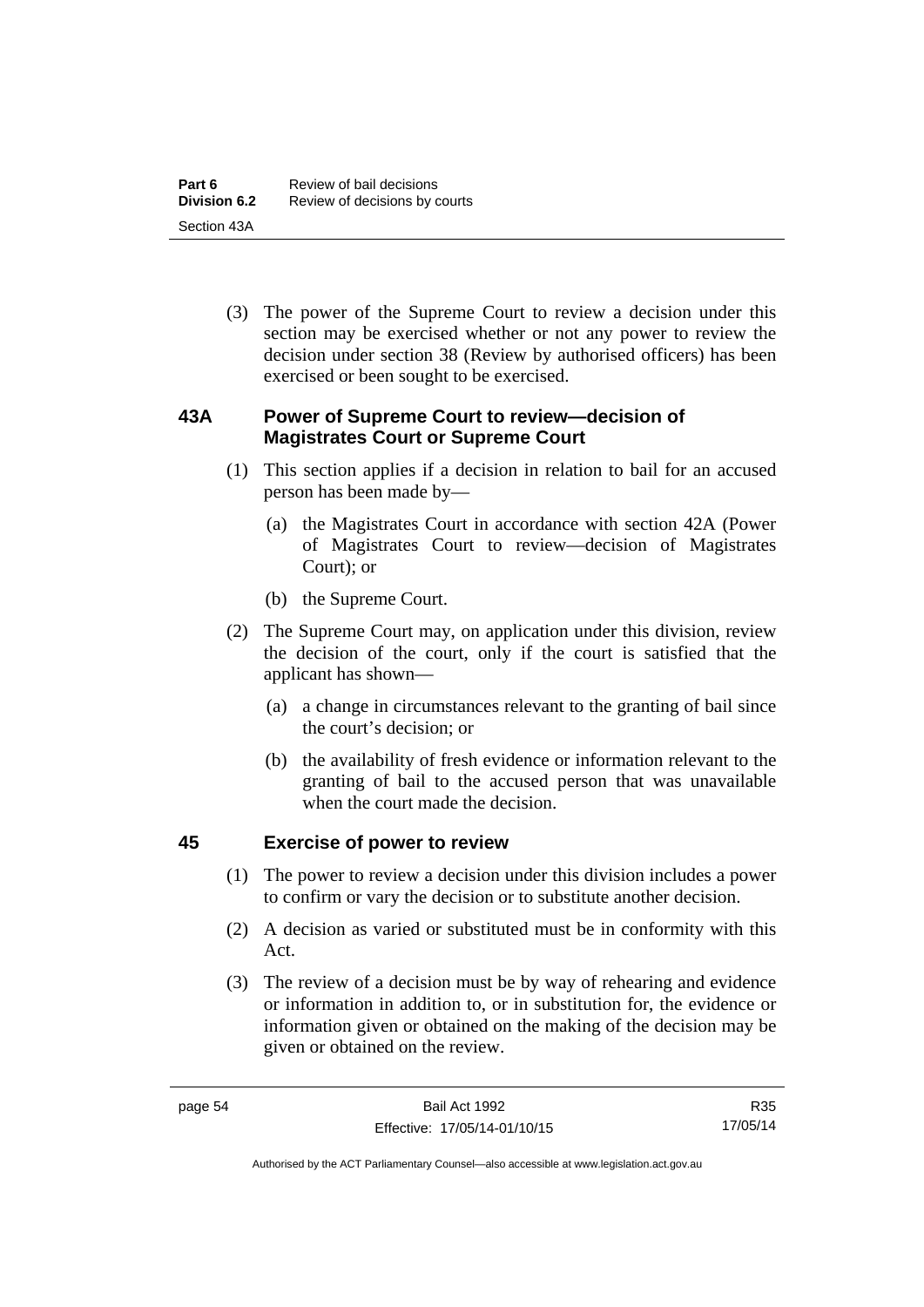(3) The power of the Supreme Court to review a decision under this section may be exercised whether or not any power to review the decision under section 38 (Review by authorised officers) has been exercised or been sought to be exercised.

## **43A Power of Supreme Court to review—decision of Magistrates Court or Supreme Court**

- (1) This section applies if a decision in relation to bail for an accused person has been made by—
	- (a) the Magistrates Court in accordance with section 42A (Power of Magistrates Court to review—decision of Magistrates Court); or
	- (b) the Supreme Court.
- (2) The Supreme Court may, on application under this division, review the decision of the court, only if the court is satisfied that the applicant has shown—
	- (a) a change in circumstances relevant to the granting of bail since the court's decision; or
	- (b) the availability of fresh evidence or information relevant to the granting of bail to the accused person that was unavailable when the court made the decision.

## **45 Exercise of power to review**

- (1) The power to review a decision under this division includes a power to confirm or vary the decision or to substitute another decision.
- (2) A decision as varied or substituted must be in conformity with this Act.
- (3) The review of a decision must be by way of rehearing and evidence or information in addition to, or in substitution for, the evidence or information given or obtained on the making of the decision may be given or obtained on the review.

R35 17/05/14

Authorised by the ACT Parliamentary Counsel—also accessible at www.legislation.act.gov.au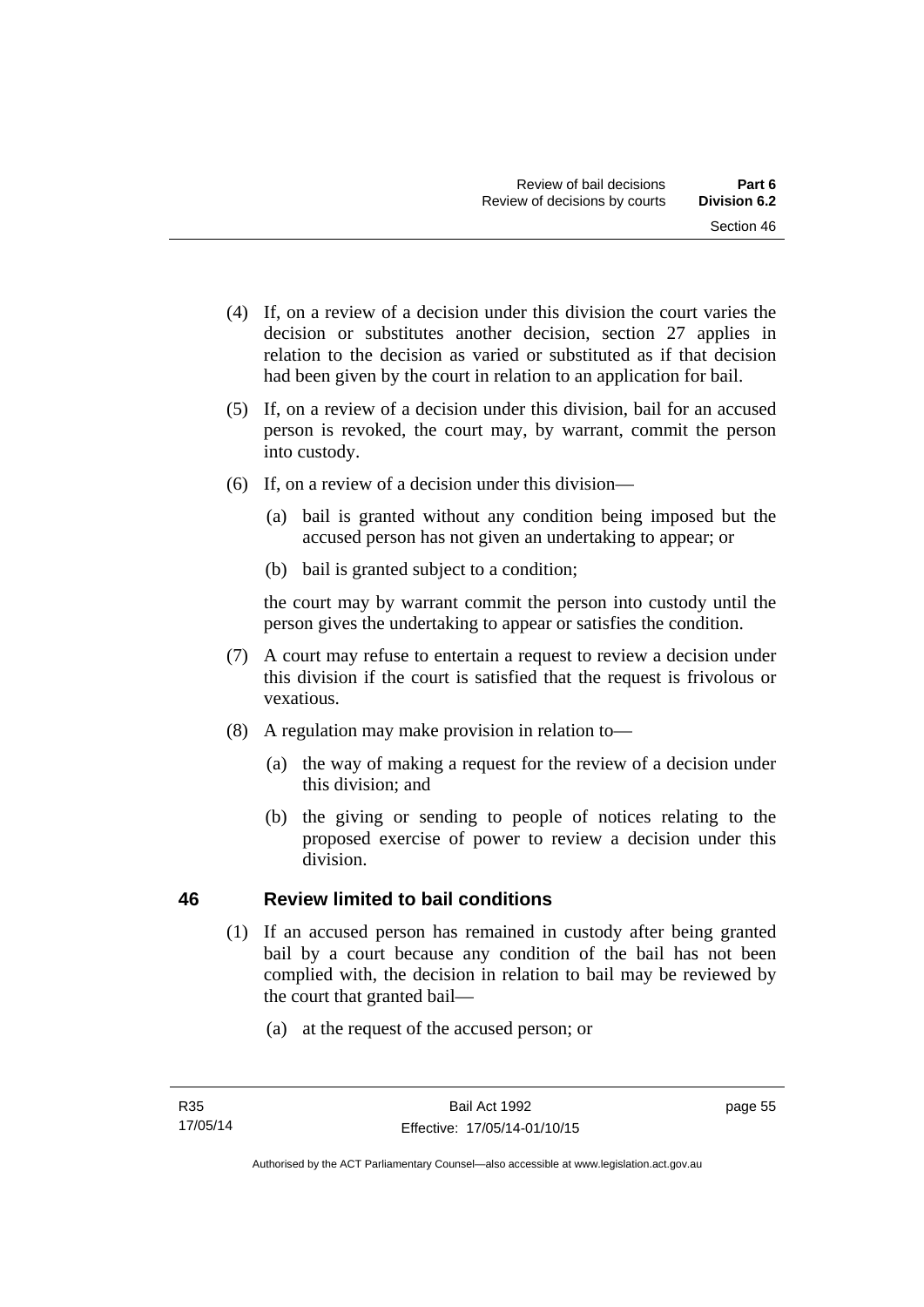- (4) If, on a review of a decision under this division the court varies the decision or substitutes another decision, section 27 applies in relation to the decision as varied or substituted as if that decision had been given by the court in relation to an application for bail.
- (5) If, on a review of a decision under this division, bail for an accused person is revoked, the court may, by warrant, commit the person into custody.
- (6) If, on a review of a decision under this division—
	- (a) bail is granted without any condition being imposed but the accused person has not given an undertaking to appear; or
	- (b) bail is granted subject to a condition;

the court may by warrant commit the person into custody until the person gives the undertaking to appear or satisfies the condition.

- (7) A court may refuse to entertain a request to review a decision under this division if the court is satisfied that the request is frivolous or vexatious.
- (8) A regulation may make provision in relation to—
	- (a) the way of making a request for the review of a decision under this division; and
	- (b) the giving or sending to people of notices relating to the proposed exercise of power to review a decision under this division.

## **46 Review limited to bail conditions**

- (1) If an accused person has remained in custody after being granted bail by a court because any condition of the bail has not been complied with, the decision in relation to bail may be reviewed by the court that granted bail—
	- (a) at the request of the accused person; or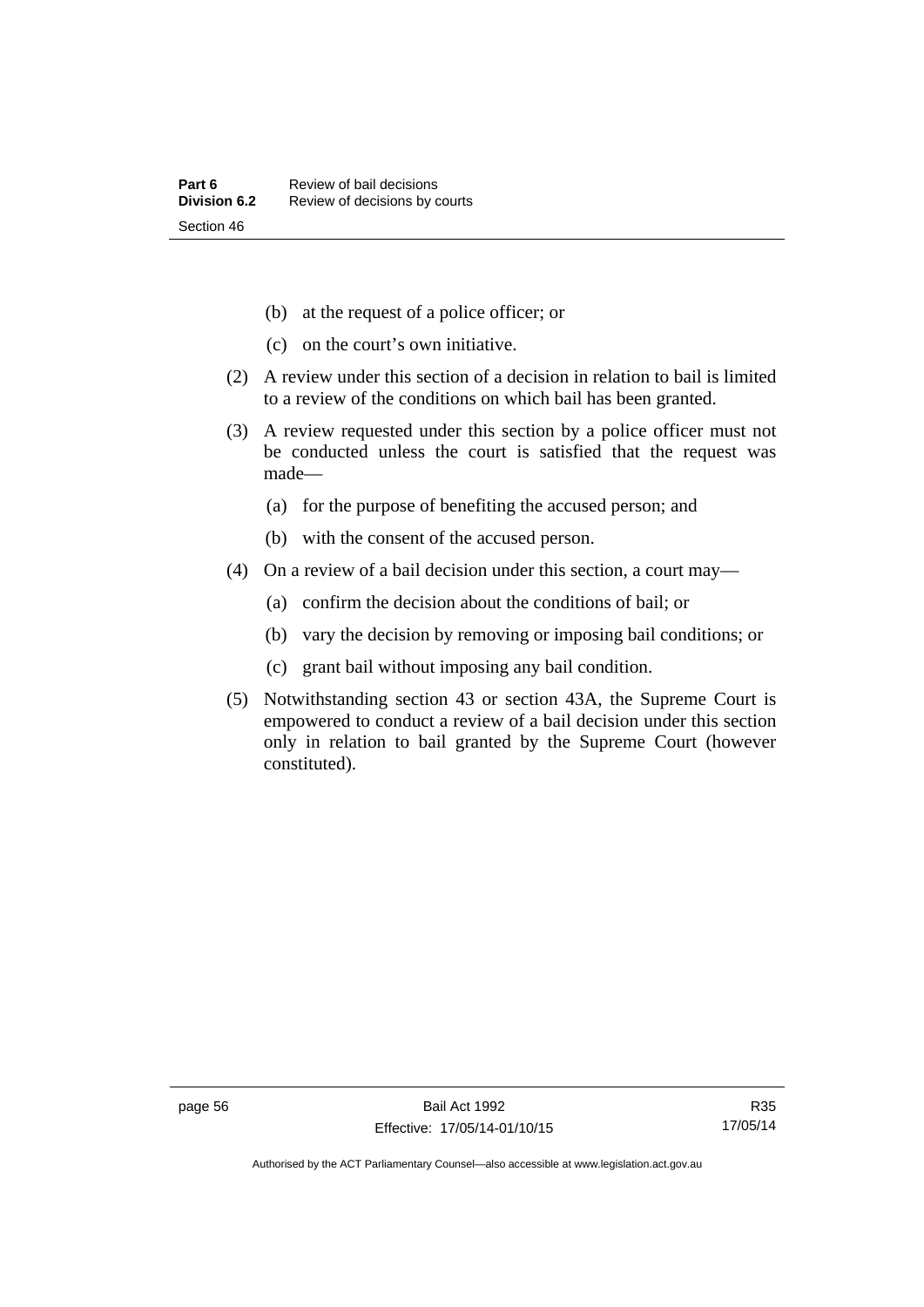- (b) at the request of a police officer; or
- (c) on the court's own initiative.
- (2) A review under this section of a decision in relation to bail is limited to a review of the conditions on which bail has been granted.
- (3) A review requested under this section by a police officer must not be conducted unless the court is satisfied that the request was made—
	- (a) for the purpose of benefiting the accused person; and
	- (b) with the consent of the accused person.
- (4) On a review of a bail decision under this section, a court may—
	- (a) confirm the decision about the conditions of bail; or
	- (b) vary the decision by removing or imposing bail conditions; or
	- (c) grant bail without imposing any bail condition.
- (5) Notwithstanding section 43 or section 43A, the Supreme Court is empowered to conduct a review of a bail decision under this section only in relation to bail granted by the Supreme Court (however constituted).

Authorised by the ACT Parliamentary Counsel—also accessible at www.legislation.act.gov.au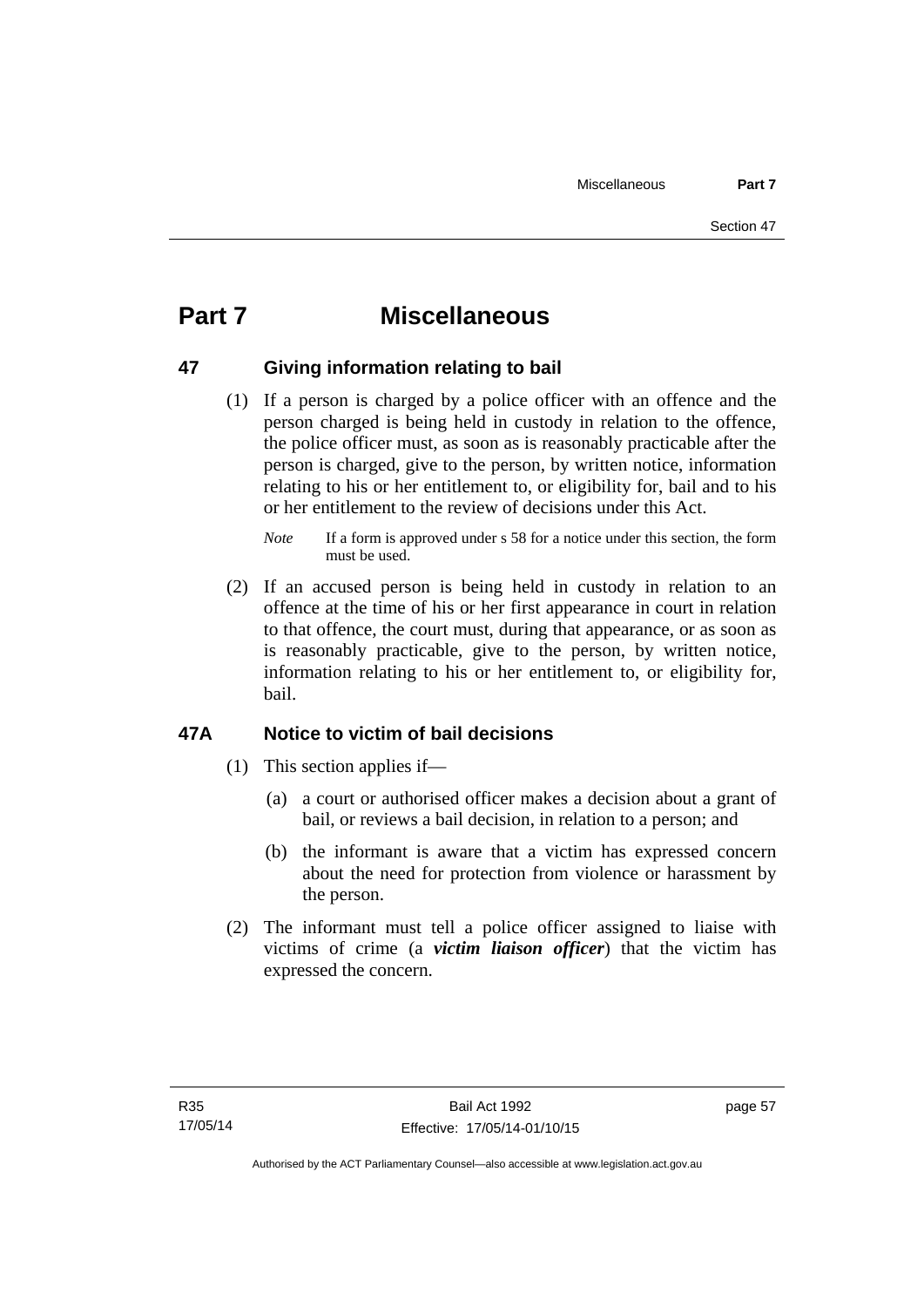# **Part 7 Miscellaneous**

## **47 Giving information relating to bail**

 (1) If a person is charged by a police officer with an offence and the person charged is being held in custody in relation to the offence, the police officer must, as soon as is reasonably practicable after the person is charged, give to the person, by written notice, information relating to his or her entitlement to, or eligibility for, bail and to his or her entitlement to the review of decisions under this Act.

 (2) If an accused person is being held in custody in relation to an offence at the time of his or her first appearance in court in relation to that offence, the court must, during that appearance, or as soon as is reasonably practicable, give to the person, by written notice, information relating to his or her entitlement to, or eligibility for, bail.

## **47A Notice to victim of bail decisions**

- (1) This section applies if—
	- (a) a court or authorised officer makes a decision about a grant of bail, or reviews a bail decision, in relation to a person; and
	- (b) the informant is aware that a victim has expressed concern about the need for protection from violence or harassment by the person.
- (2) The informant must tell a police officer assigned to liaise with victims of crime (a *victim liaison officer*) that the victim has expressed the concern.

*Note* If a form is approved under s 58 for a notice under this section, the form must be used.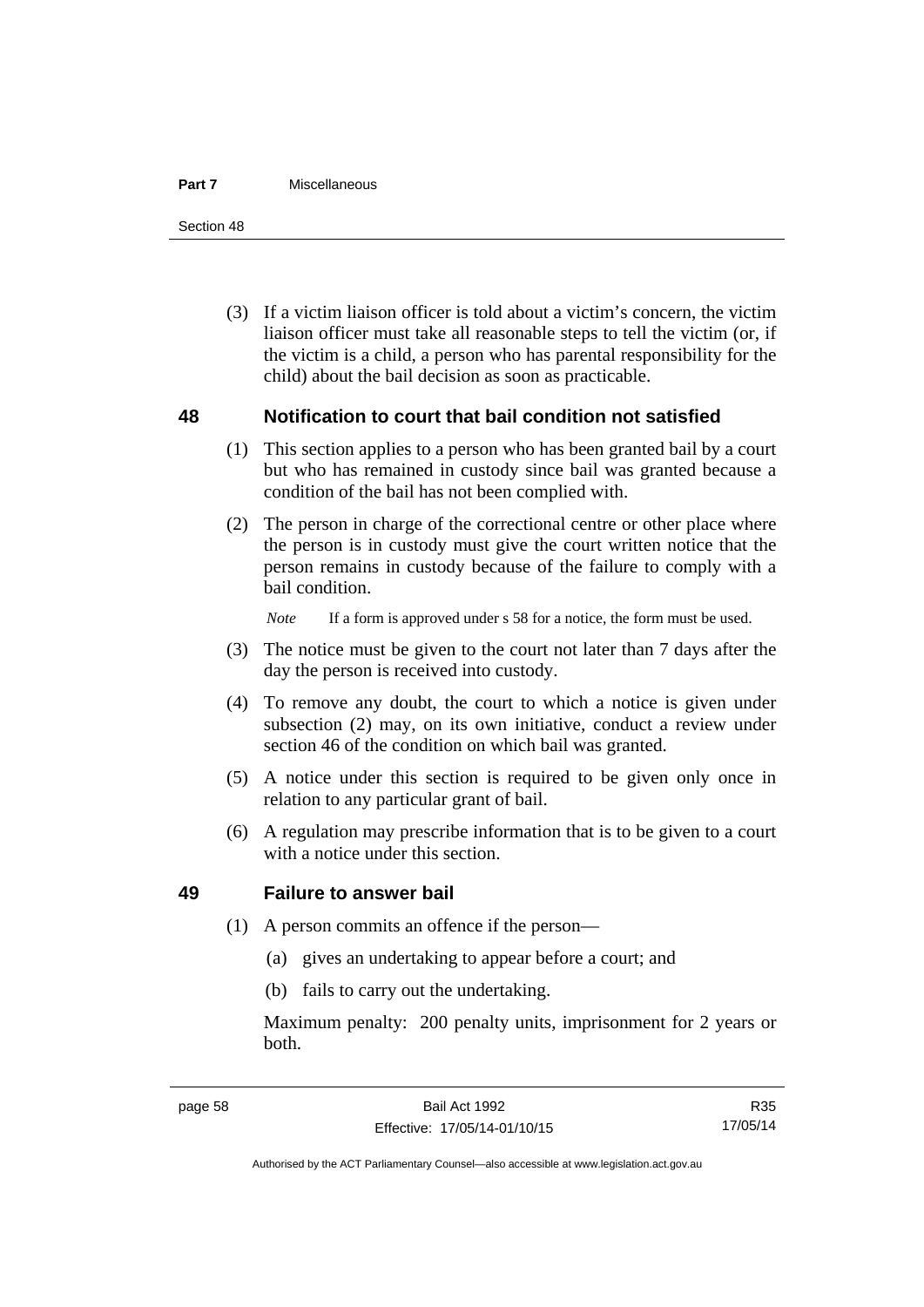#### **Part 7** Miscellaneous

Section 48

 (3) If a victim liaison officer is told about a victim's concern, the victim liaison officer must take all reasonable steps to tell the victim (or, if the victim is a child, a person who has parental responsibility for the child) about the bail decision as soon as practicable.

## **48 Notification to court that bail condition not satisfied**

- (1) This section applies to a person who has been granted bail by a court but who has remained in custody since bail was granted because a condition of the bail has not been complied with.
- (2) The person in charge of the correctional centre or other place where the person is in custody must give the court written notice that the person remains in custody because of the failure to comply with a bail condition.

*Note* If a form is approved under s 58 for a notice, the form must be used.

- (3) The notice must be given to the court not later than 7 days after the day the person is received into custody.
- (4) To remove any doubt, the court to which a notice is given under subsection (2) may, on its own initiative, conduct a review under section 46 of the condition on which bail was granted.
- (5) A notice under this section is required to be given only once in relation to any particular grant of bail.
- (6) A regulation may prescribe information that is to be given to a court with a notice under this section.

## **49 Failure to answer bail**

- (1) A person commits an offence if the person—
	- (a) gives an undertaking to appear before a court; and
	- (b) fails to carry out the undertaking.

Maximum penalty: 200 penalty units, imprisonment for 2 years or both.

R35 17/05/14

Authorised by the ACT Parliamentary Counsel—also accessible at www.legislation.act.gov.au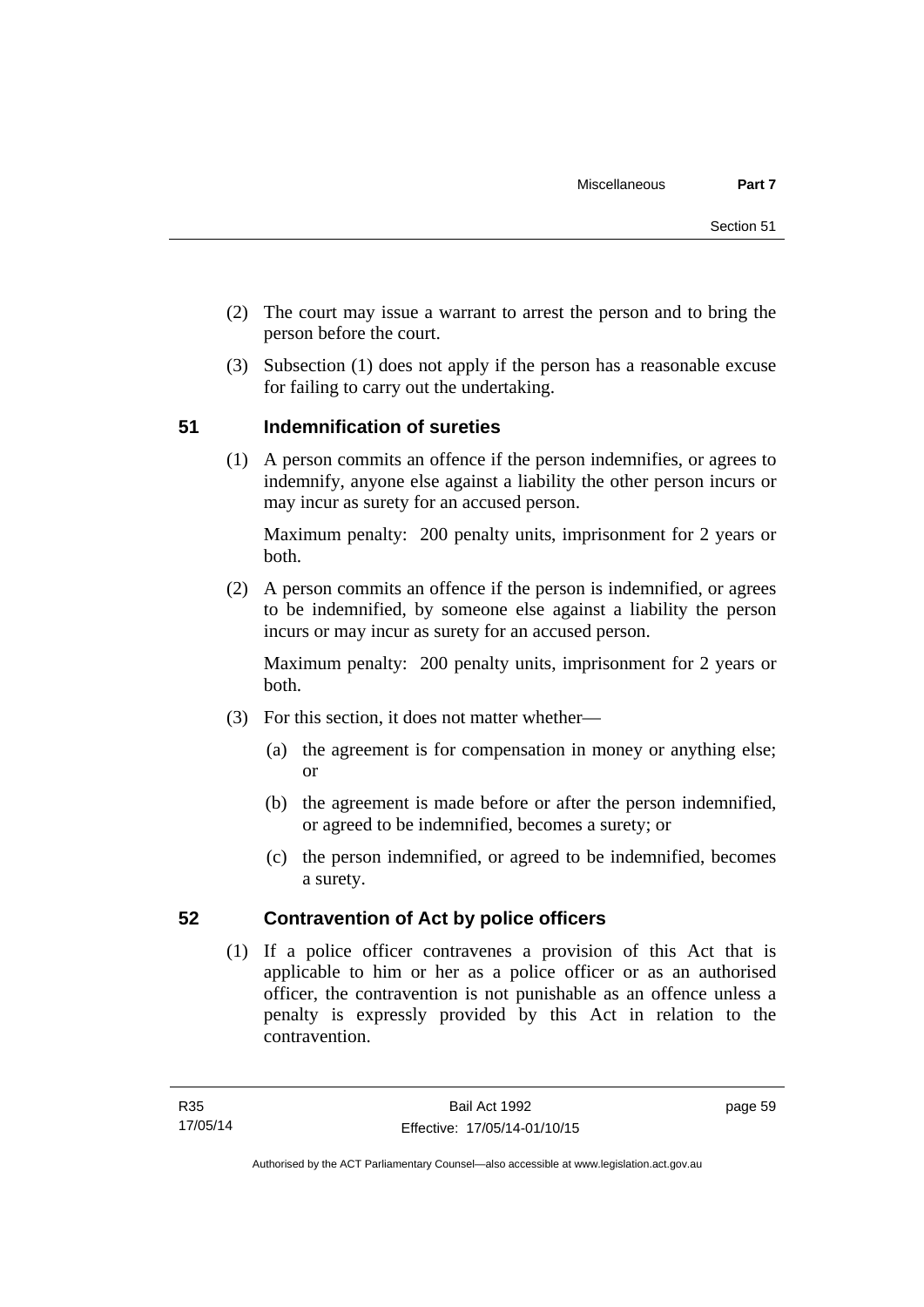- (2) The court may issue a warrant to arrest the person and to bring the person before the court.
- (3) Subsection (1) does not apply if the person has a reasonable excuse for failing to carry out the undertaking.

## **51 Indemnification of sureties**

(1) A person commits an offence if the person indemnifies, or agrees to indemnify, anyone else against a liability the other person incurs or may incur as surety for an accused person.

Maximum penalty: 200 penalty units, imprisonment for 2 years or both.

 (2) A person commits an offence if the person is indemnified, or agrees to be indemnified, by someone else against a liability the person incurs or may incur as surety for an accused person.

Maximum penalty: 200 penalty units, imprisonment for 2 years or both.

- (3) For this section, it does not matter whether—
	- (a) the agreement is for compensation in money or anything else; or
	- (b) the agreement is made before or after the person indemnified, or agreed to be indemnified, becomes a surety; or
	- (c) the person indemnified, or agreed to be indemnified, becomes a surety.

## **52 Contravention of Act by police officers**

(1) If a police officer contravenes a provision of this Act that is applicable to him or her as a police officer or as an authorised officer, the contravention is not punishable as an offence unless a penalty is expressly provided by this Act in relation to the contravention.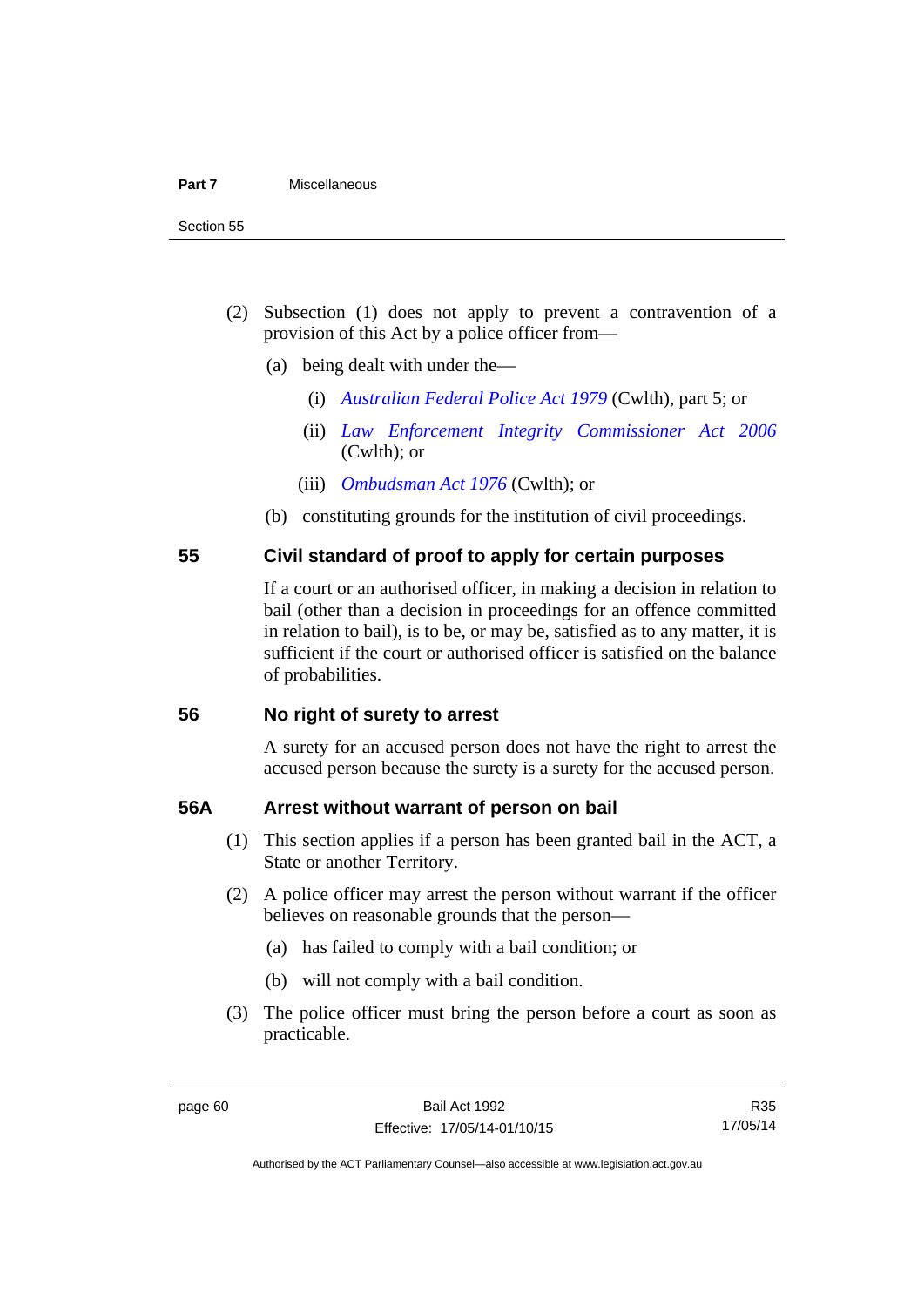- (2) Subsection (1) does not apply to prevent a contravention of a provision of this Act by a police officer from—
	- (a) being dealt with under the—
		- (i) *[Australian Federal Police Act 1979](http://www.comlaw.gov.au/Series/C2004A02068)* (Cwlth), part 5; or
		- (ii) *[Law Enforcement Integrity Commissioner Act 2006](http://www.comlaw.gov.au/Series/C2006A00085)* (Cwlth); or
		- (iii) *[Ombudsman Act 1976](http://www.comlaw.gov.au/Series/C2004A01611)* (Cwlth); or
	- (b) constituting grounds for the institution of civil proceedings.

## **55 Civil standard of proof to apply for certain purposes**

If a court or an authorised officer, in making a decision in relation to bail (other than a decision in proceedings for an offence committed in relation to bail), is to be, or may be, satisfied as to any matter, it is sufficient if the court or authorised officer is satisfied on the balance of probabilities.

#### **56 No right of surety to arrest**

A surety for an accused person does not have the right to arrest the accused person because the surety is a surety for the accused person.

## **56A Arrest without warrant of person on bail**

- (1) This section applies if a person has been granted bail in the ACT, a State or another Territory.
- (2) A police officer may arrest the person without warrant if the officer believes on reasonable grounds that the person—
	- (a) has failed to comply with a bail condition; or
	- (b) will not comply with a bail condition.
- (3) The police officer must bring the person before a court as soon as practicable.

R35 17/05/14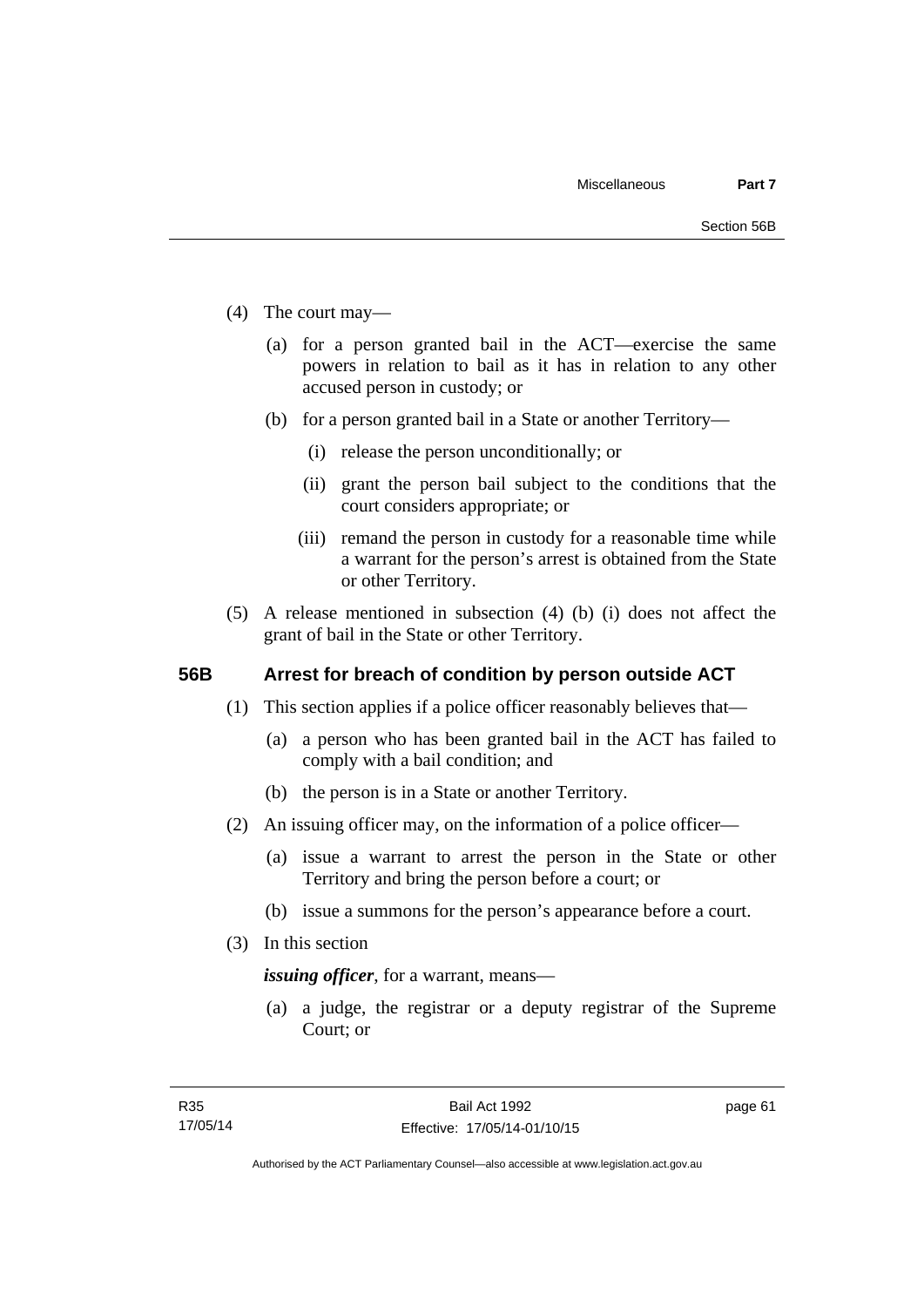- (4) The court may—
	- (a) for a person granted bail in the ACT—exercise the same powers in relation to bail as it has in relation to any other accused person in custody; or
	- (b) for a person granted bail in a State or another Territory—
		- (i) release the person unconditionally; or
		- (ii) grant the person bail subject to the conditions that the court considers appropriate; or
		- (iii) remand the person in custody for a reasonable time while a warrant for the person's arrest is obtained from the State or other Territory.
- (5) A release mentioned in subsection (4) (b) (i) does not affect the grant of bail in the State or other Territory.

## **56B Arrest for breach of condition by person outside ACT**

- (1) This section applies if a police officer reasonably believes that—
	- (a) a person who has been granted bail in the ACT has failed to comply with a bail condition; and
	- (b) the person is in a State or another Territory.
- (2) An issuing officer may, on the information of a police officer—
	- (a) issue a warrant to arrest the person in the State or other Territory and bring the person before a court; or
	- (b) issue a summons for the person's appearance before a court.
- (3) In this section

*issuing officer*, for a warrant, means—

 (a) a judge, the registrar or a deputy registrar of the Supreme Court; or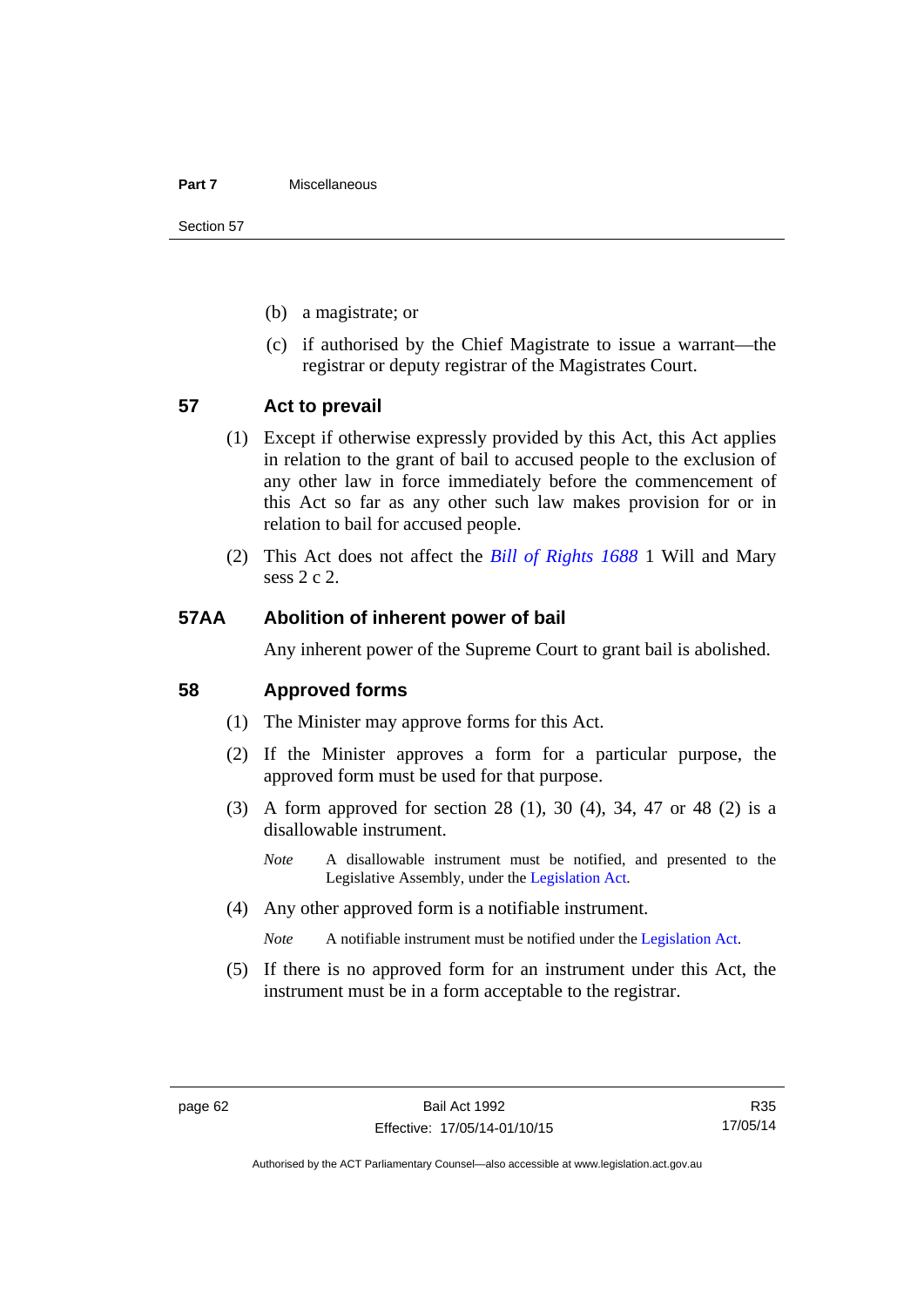#### **Part 7** Miscellaneous

Section 57

- (b) a magistrate; or
- (c) if authorised by the Chief Magistrate to issue a warrant—the registrar or deputy registrar of the Magistrates Court.

#### **57 Act to prevail**

- (1) Except if otherwise expressly provided by this Act, this Act applies in relation to the grant of bail to accused people to the exclusion of any other law in force immediately before the commencement of this Act so far as any other such law makes provision for or in relation to bail for accused people.
- (2) This Act does not affect the *[Bill of Rights 1688](http://www.legislation.act.gov.au/a/db_1792/default.asp)* 1 Will and Mary sess 2 c 2.

#### **57AA Abolition of inherent power of bail**

Any inherent power of the Supreme Court to grant bail is abolished.

#### **58 Approved forms**

- (1) The Minister may approve forms for this Act.
- (2) If the Minister approves a form for a particular purpose, the approved form must be used for that purpose.
- (3) A form approved for section 28 (1), 30 (4), 34, 47 or 48 (2) is a disallowable instrument.
	- *Note* A disallowable instrument must be notified, and presented to the Legislative Assembly, under the [Legislation Act.](http://www.legislation.act.gov.au/a/2001-14)
- (4) Any other approved form is a notifiable instrument.

*Note* A notifiable instrument must be notified under the [Legislation Act](http://www.legislation.act.gov.au/a/2001-14).

 (5) If there is no approved form for an instrument under this Act, the instrument must be in a form acceptable to the registrar.

R35 17/05/14

Authorised by the ACT Parliamentary Counsel—also accessible at www.legislation.act.gov.au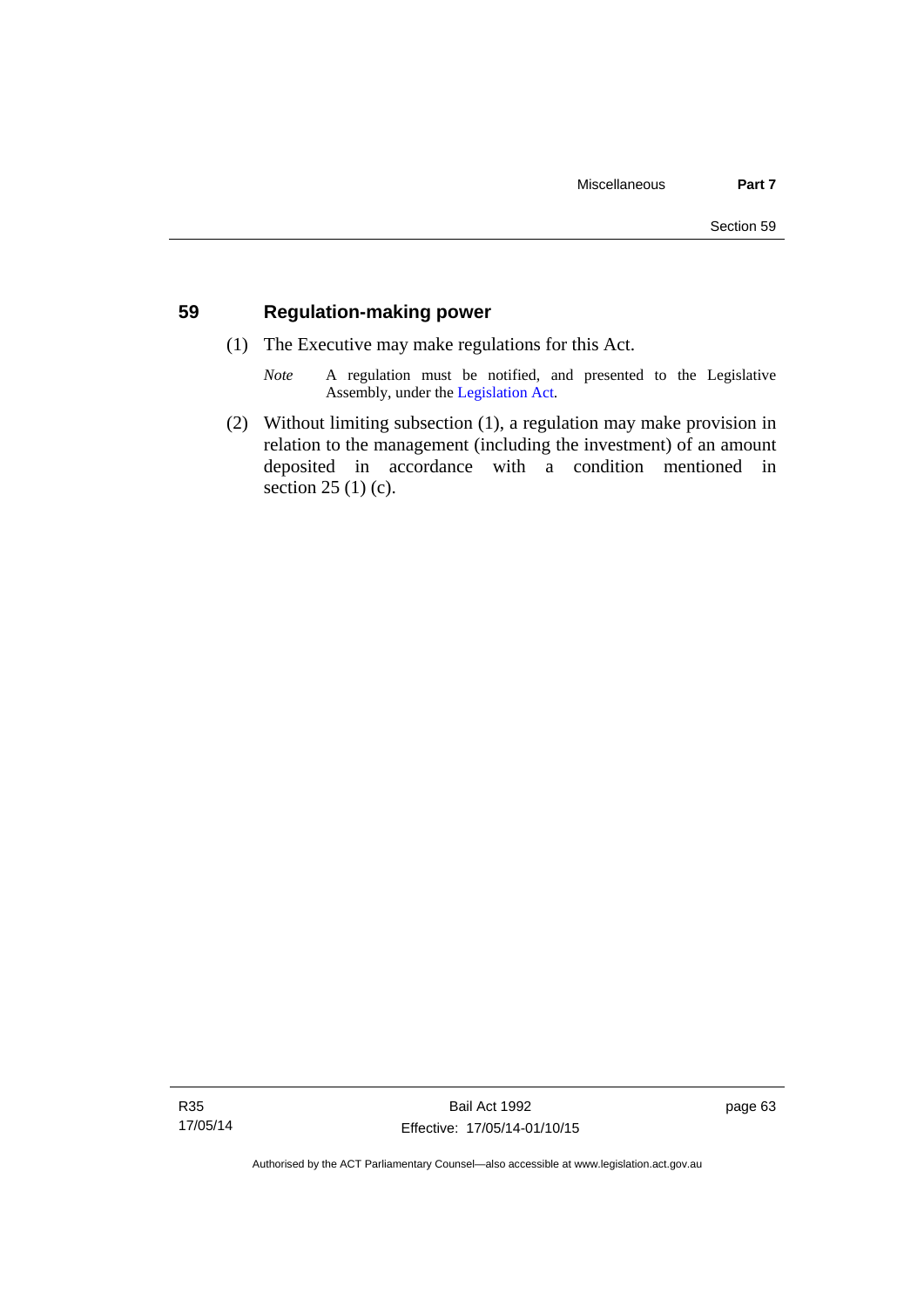## **59 Regulation-making power**

- (1) The Executive may make regulations for this Act.
	- *Note* A regulation must be notified, and presented to the Legislative Assembly, under the [Legislation Act](http://www.legislation.act.gov.au/a/2001-14).
- (2) Without limiting subsection (1), a regulation may make provision in relation to the management (including the investment) of an amount deposited in accordance with a condition mentioned in section 25 (1) (c).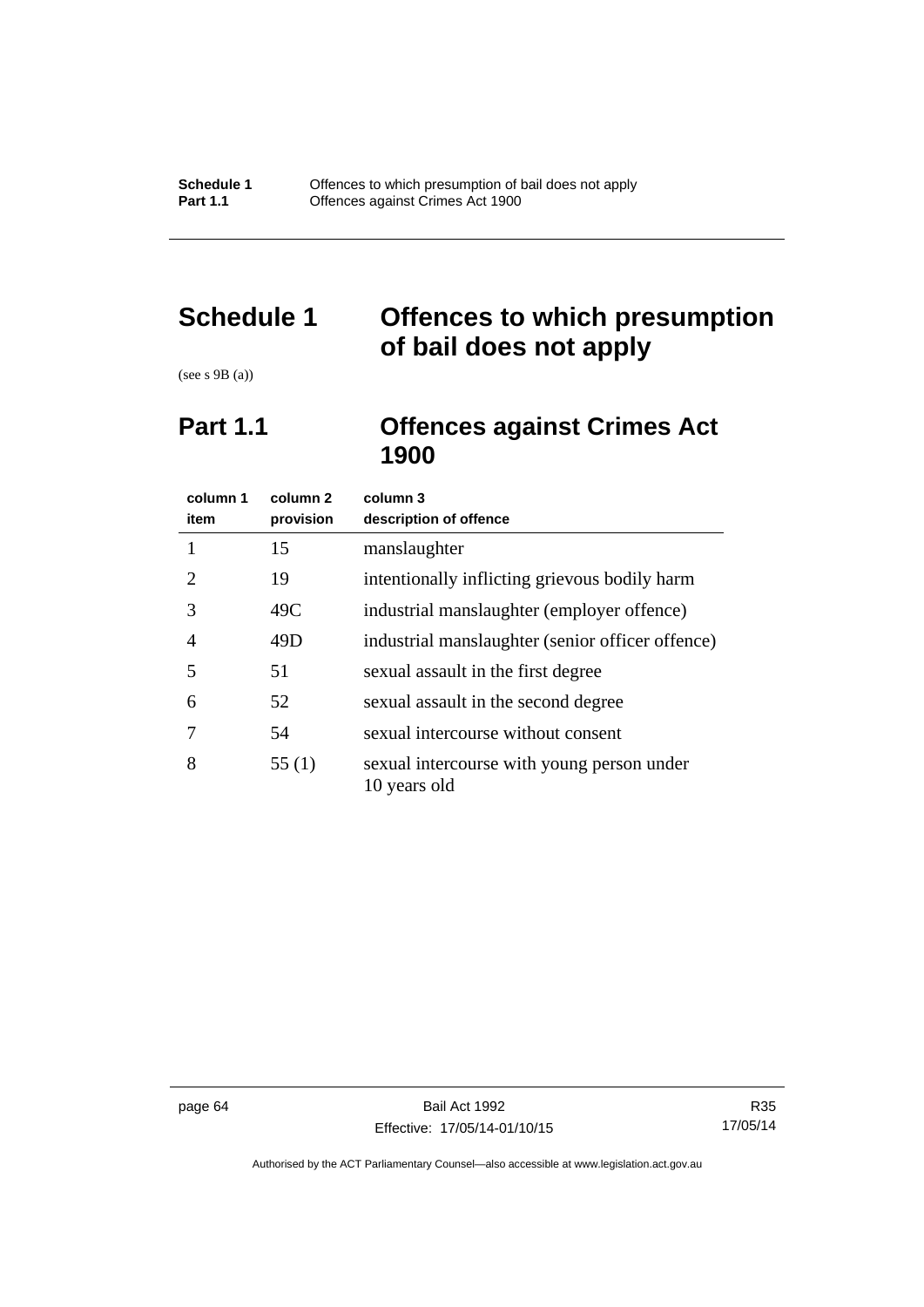# **Schedule 1 Offences to which presumption of bail does not apply**

(see s 9B (a))

# **Part 1.1 Offences against Crimes Act 1900**

| column 1<br>item      | column <sub>2</sub><br>provision | column 3<br>description of offence                         |
|-----------------------|----------------------------------|------------------------------------------------------------|
|                       | 15                               | manslaughter                                               |
| $\mathcal{D}_{\cdot}$ | 19                               | intentionally inflicting grievous bodily harm              |
| 3                     | 49C                              | industrial manslaughter (employer offence)                 |
| 4                     | 49D                              | industrial manslaughter (senior officer offence)           |
| 5                     | 51                               | sexual assault in the first degree                         |
| 6                     | 52                               | sexual assault in the second degree                        |
|                       | 54                               | sexual intercourse without consent                         |
| 8                     | 55(1)                            | sexual intercourse with young person under<br>10 years old |

Authorised by the ACT Parliamentary Counsel—also accessible at www.legislation.act.gov.au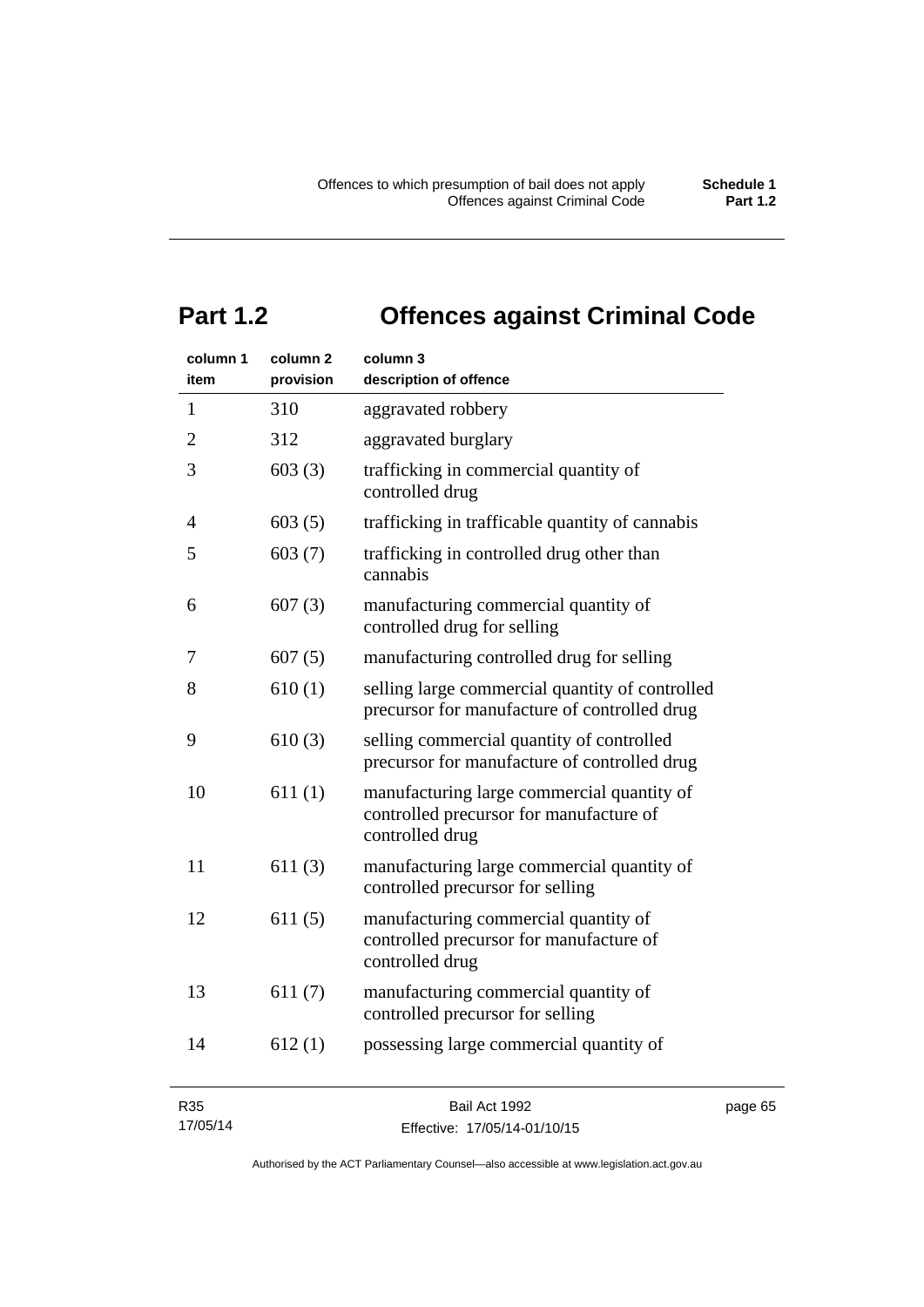# **Part 1.2 Offences against Criminal Code**

| column 1<br>item | column <sub>2</sub><br>provision | column 3<br>description of offence                                                                       |         |
|------------------|----------------------------------|----------------------------------------------------------------------------------------------------------|---------|
| 1                | 310                              | aggravated robbery                                                                                       |         |
| $\overline{2}$   | 312                              | aggravated burglary                                                                                      |         |
| 3                | 603(3)                           | trafficking in commercial quantity of<br>controlled drug                                                 |         |
| $\overline{4}$   | 603(5)                           | trafficking in trafficable quantity of cannabis                                                          |         |
| 5                | 603(7)                           | trafficking in controlled drug other than<br>cannabis                                                    |         |
| 6                | 607(3)                           | manufacturing commercial quantity of<br>controlled drug for selling                                      |         |
| 7                | 607(5)                           | manufacturing controlled drug for selling                                                                |         |
| 8                | 610(1)                           | selling large commercial quantity of controlled<br>precursor for manufacture of controlled drug          |         |
| 9                | 610(3)                           | selling commercial quantity of controlled<br>precursor for manufacture of controlled drug                |         |
| 10               | 611(1)                           | manufacturing large commercial quantity of<br>controlled precursor for manufacture of<br>controlled drug |         |
| 11               | 611(3)                           | manufacturing large commercial quantity of<br>controlled precursor for selling                           |         |
| 12               | 611(5)                           | manufacturing commercial quantity of<br>controlled precursor for manufacture of<br>controlled drug       |         |
| 13               | 611(7)                           | manufacturing commercial quantity of<br>controlled precursor for selling                                 |         |
| 14               | 612(1)                           | possessing large commercial quantity of                                                                  |         |
| R35              |                                  | Bail Act 1992                                                                                            | page 65 |

| <b>R35</b> | Bail Act 1992                |
|------------|------------------------------|
| 17/05/14   | Effective: 17/05/14-01/10/15 |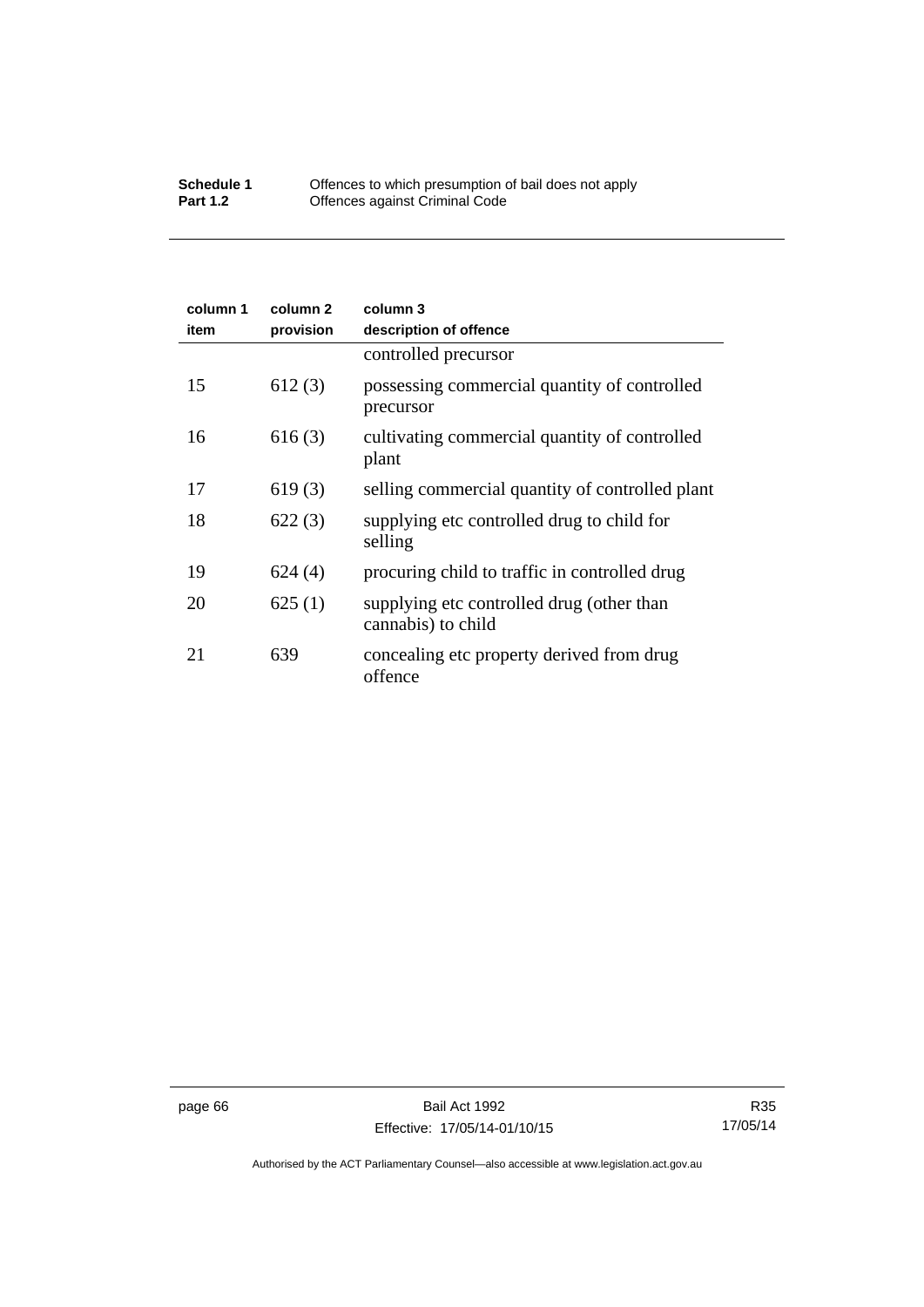## **Schedule 1** Offences to which presumption of bail does not apply **Part 1.2 C** Offences against Criminal Code

| column 1<br>item | column 2<br>provision | column 3<br>description of offence                              |
|------------------|-----------------------|-----------------------------------------------------------------|
|                  |                       | controlled precursor                                            |
| 15               | 612(3)                | possessing commercial quantity of controlled<br>precursor       |
| 16               | 616(3)                | cultivating commercial quantity of controlled<br>plant          |
| 17               | 619(3)                | selling commercial quantity of controlled plant                 |
| 18               | 622(3)                | supplying etc controlled drug to child for<br>selling           |
| 19               | 624(4)                | procuring child to traffic in controlled drug                   |
| 20               | 625(1)                | supplying etc controlled drug (other than<br>cannabis) to child |
| 21               | 639                   | concealing etc property derived from drug<br>offence            |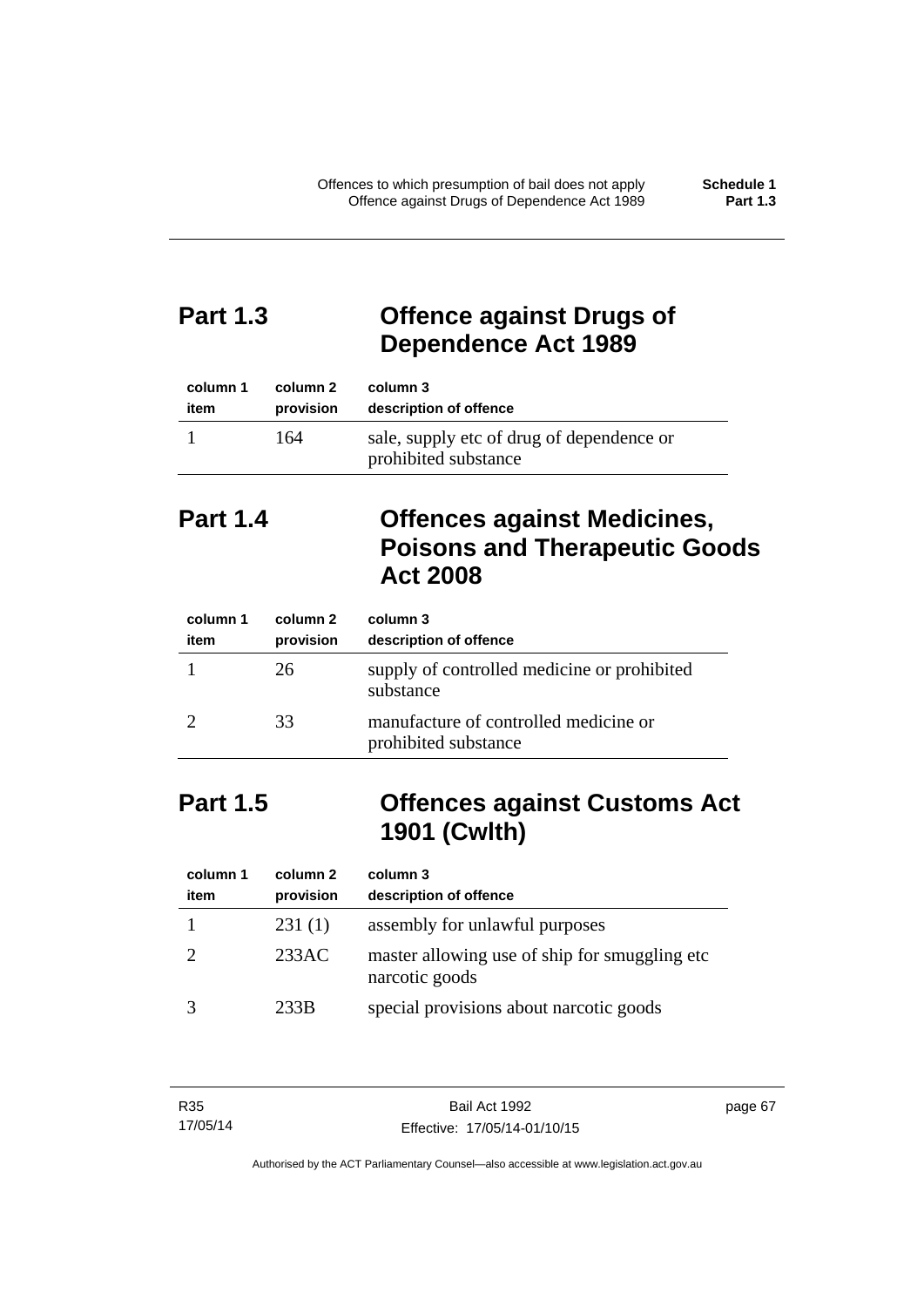# **Part 1.3 Offence against Drugs of Dependence Act 1989**

| column 1 | column 2  | column 3                                                          |
|----------|-----------|-------------------------------------------------------------------|
| item     | provision | description of offence                                            |
|          | 164       | sale, supply etc of drug of dependence or<br>prohibited substance |

# **Part 1.4 Offences against Medicines, Poisons and Therapeutic Goods Act 2008**

| column 1<br>item | column 2<br>provision | column 3<br>description of offence                            |
|------------------|-----------------------|---------------------------------------------------------------|
|                  | 26                    | supply of controlled medicine or prohibited<br>substance      |
|                  | 33                    | manufacture of controlled medicine or<br>prohibited substance |

# **Part 1.5 Offences against Customs Act 1901 (Cwlth)**

| column 1<br>item | column 2<br>provision | column 3<br>description of offence                               |
|------------------|-----------------------|------------------------------------------------------------------|
|                  | 231(1)                | assembly for unlawful purposes                                   |
|                  | 233AC                 | master allowing use of ship for smuggling etc.<br>narcotic goods |
|                  | 233B                  | special provisions about narcotic goods                          |

| R35      | Bail Act 1992                | page 67 |
|----------|------------------------------|---------|
| 17/05/14 | Effective: 17/05/14-01/10/15 |         |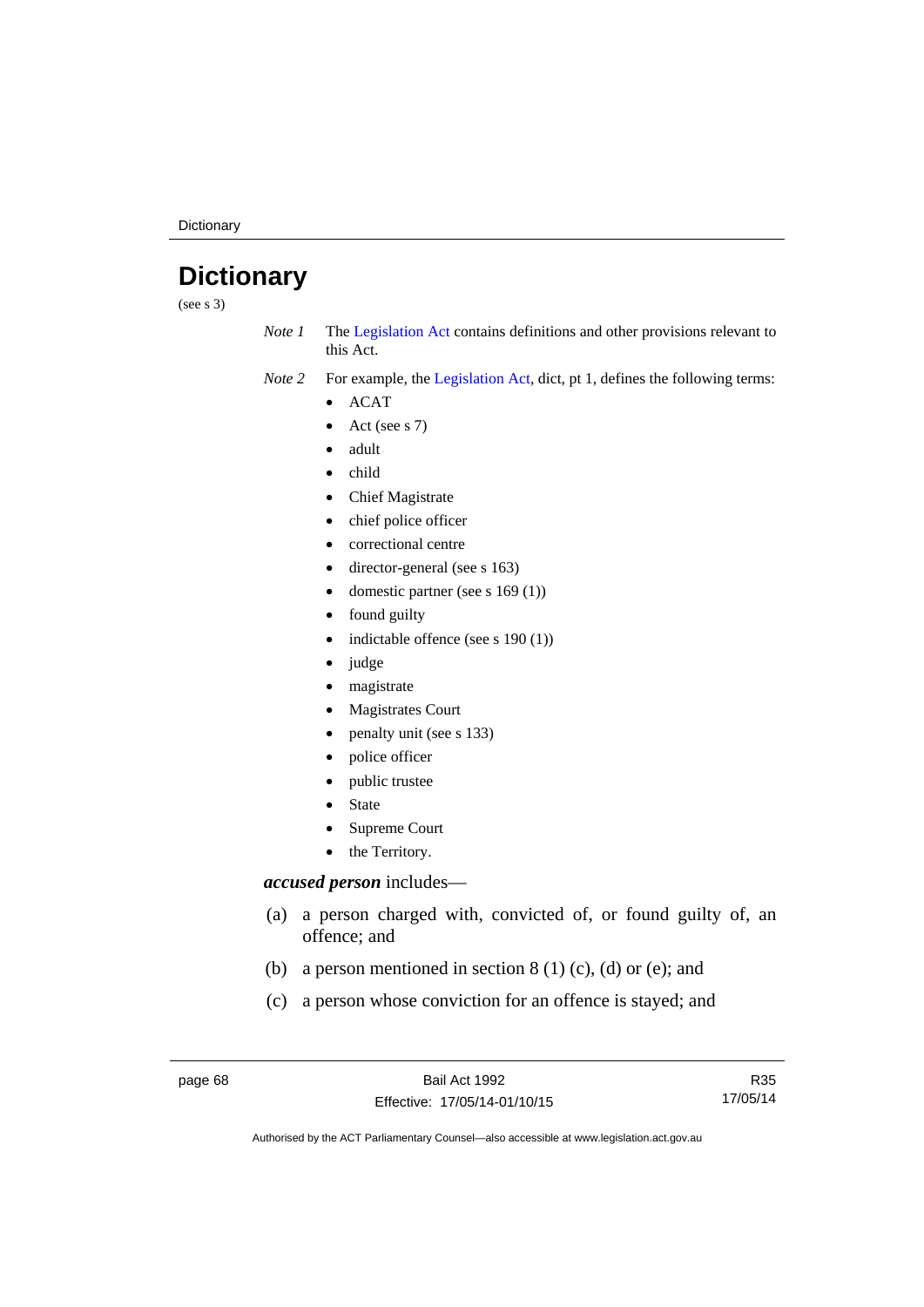**Dictionary** 

# **Dictionary**

(see s 3)

*Note 1* The [Legislation Act](http://www.legislation.act.gov.au/a/2001-14) contains definitions and other provisions relevant to this Act.

*Note 2* For example, the [Legislation Act,](http://www.legislation.act.gov.au/a/2001-14) dict, pt 1, defines the following terms:

- $\bullet$  ACAT
- Act (see s 7)
- adult
- child
- Chief Magistrate
- chief police officer
- correctional centre
- director-general (see s 163)
- domestic partner (see s 169 (1))
- found guilty
- indictable offence (see s 190 (1))
- judge
- magistrate
- Magistrates Court
- penalty unit (see s 133)
- police officer
- public trustee
- State
- Supreme Court
- the Territory.

## *accused person* includes—

- (a) a person charged with, convicted of, or found guilty of, an offence; and
- (b) a person mentioned in section  $8(1)$  (c), (d) or (e); and
- (c) a person whose conviction for an offence is stayed; and

R35 17/05/14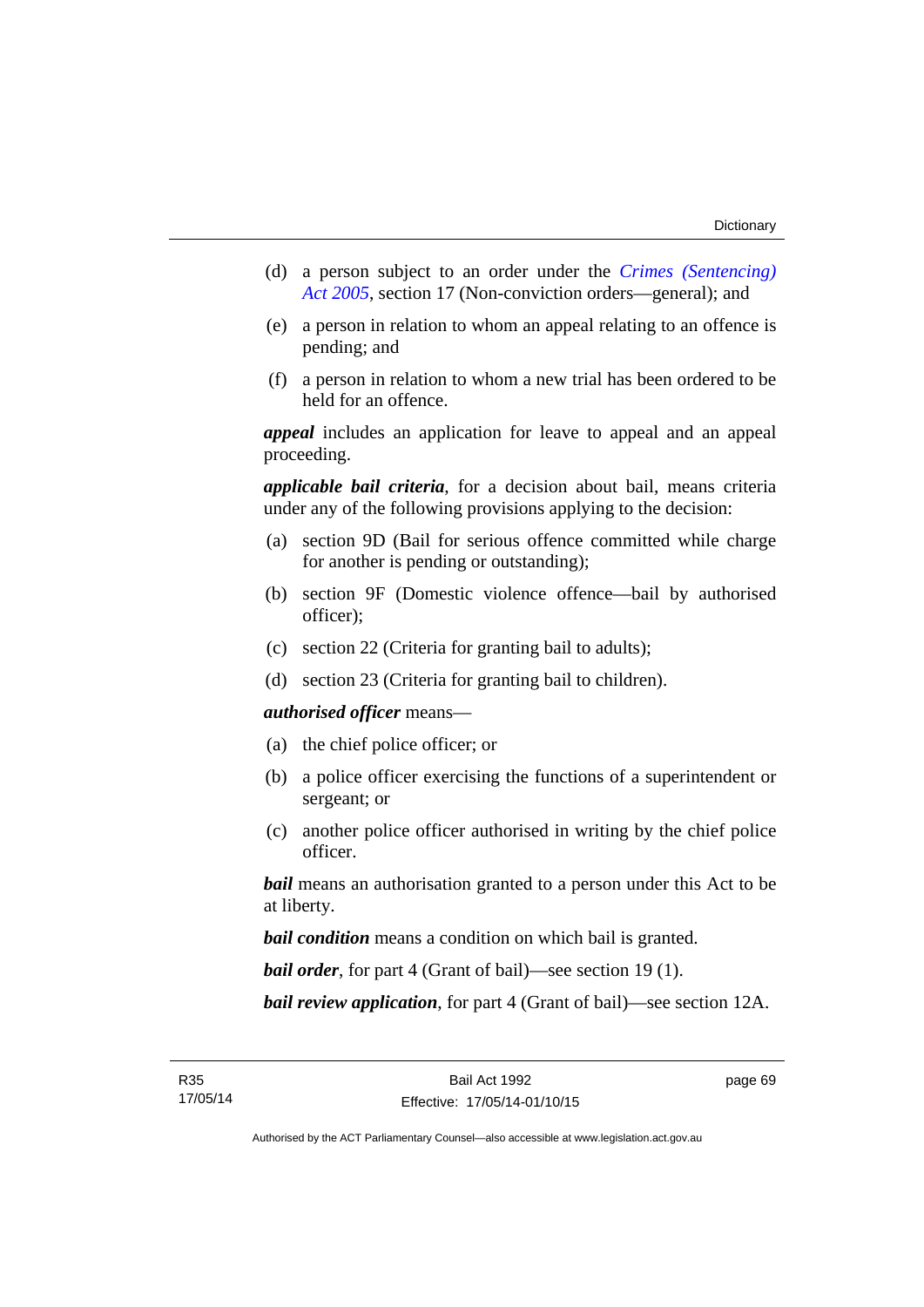- (d) a person subject to an order under the *[Crimes \(Sentencing\)](http://www.legislation.act.gov.au/a/2005-58)  [Act 2005](http://www.legislation.act.gov.au/a/2005-58)*, section 17 (Non-conviction orders—general); and
- (e) a person in relation to whom an appeal relating to an offence is pending; and
- (f) a person in relation to whom a new trial has been ordered to be held for an offence.

*appeal* includes an application for leave to appeal and an appeal proceeding.

*applicable bail criteria*, for a decision about bail, means criteria under any of the following provisions applying to the decision:

- (a) section 9D (Bail for serious offence committed while charge for another is pending or outstanding);
- (b) section 9F (Domestic violence offence—bail by authorised officer);
- (c) section 22 (Criteria for granting bail to adults);
- (d) section 23 (Criteria for granting bail to children).

## *authorised officer* means—

- (a) the chief police officer; or
- (b) a police officer exercising the functions of a superintendent or sergeant; or
- (c) another police officer authorised in writing by the chief police officer.

*bail* means an authorisation granted to a person under this Act to be at liberty.

*bail condition* means a condition on which bail is granted.

*bail order*, for part 4 (Grant of bail)—see section 19 (1).

*bail review application*, for part 4 (Grant of bail)—see section 12A.

page 69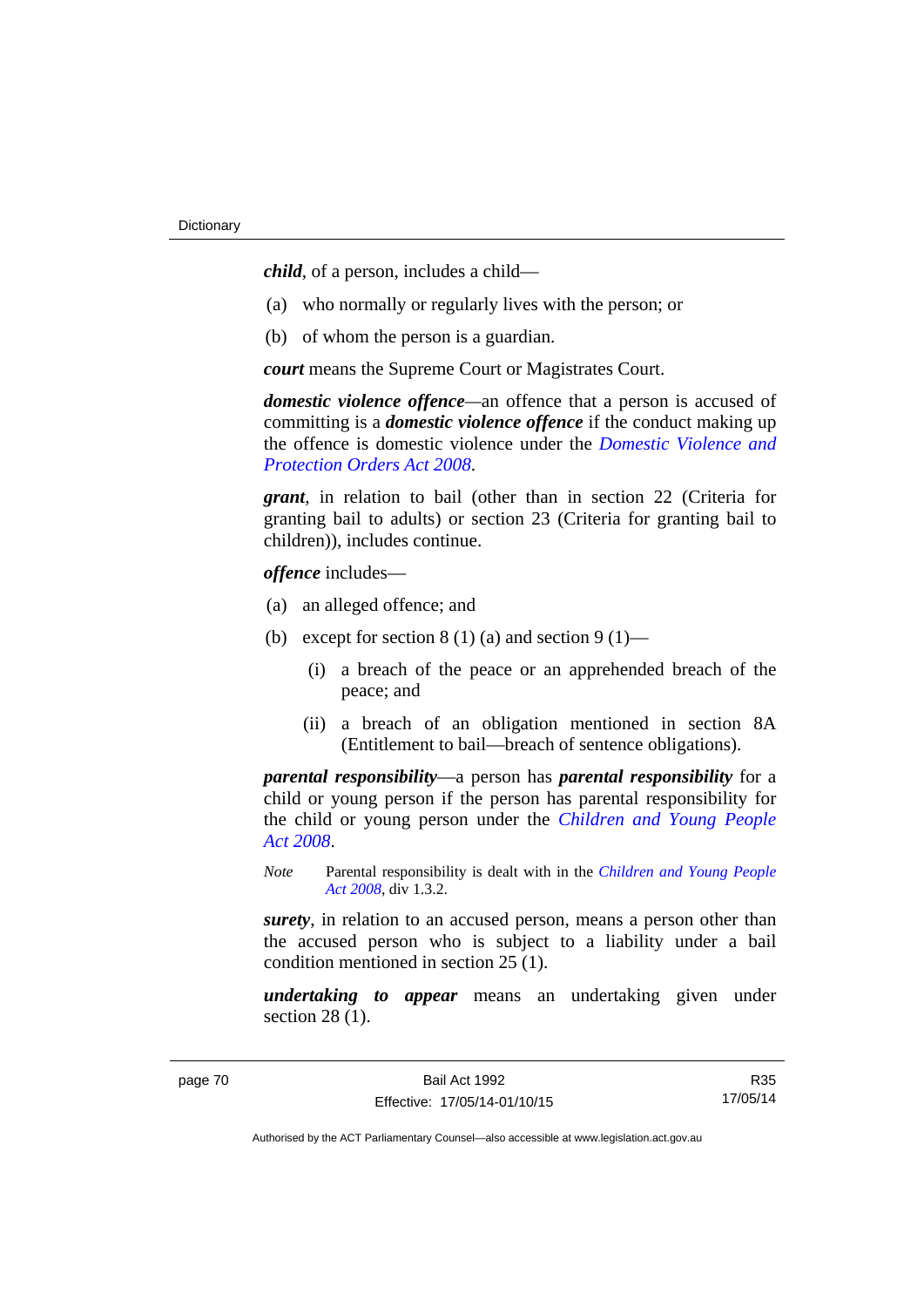*child*, of a person, includes a child—

- (a) who normally or regularly lives with the person; or
- (b) of whom the person is a guardian.

*court* means the Supreme Court or Magistrates Court.

*domestic violence offence—*an offence that a person is accused of committing is a *domestic violence offence* if the conduct making up the offence is domestic violence under the *[Domestic Violence and](http://www.legislation.act.gov.au/a/2008-46)  [Protection Orders Act 2008](http://www.legislation.act.gov.au/a/2008-46)*.

*grant*, in relation to bail (other than in section 22 (Criteria for granting bail to adults) or section 23 (Criteria for granting bail to children)), includes continue.

*offence* includes—

- (a) an alleged offence; and
- (b) except for section  $8(1)(a)$  and section  $9(1)$ 
	- (i) a breach of the peace or an apprehended breach of the peace; and
	- (ii) a breach of an obligation mentioned in section 8A (Entitlement to bail—breach of sentence obligations).

*parental responsibility*—a person has *parental responsibility* for a child or young person if the person has parental responsibility for the child or young person under the *[Children and Young People](http://www.legislation.act.gov.au/a/2008-19)  [Act 2008](http://www.legislation.act.gov.au/a/2008-19)*.

*Note* Parental responsibility is dealt with in the *[Children and Young People](http://www.legislation.act.gov.au/a/2008-19)  [Act 2008](http://www.legislation.act.gov.au/a/2008-19)*, div 1.3.2.

*surety*, in relation to an accused person, means a person other than the accused person who is subject to a liability under a bail condition mentioned in section 25 (1).

*undertaking to appear* means an undertaking given under section 28 (1).

R35 17/05/14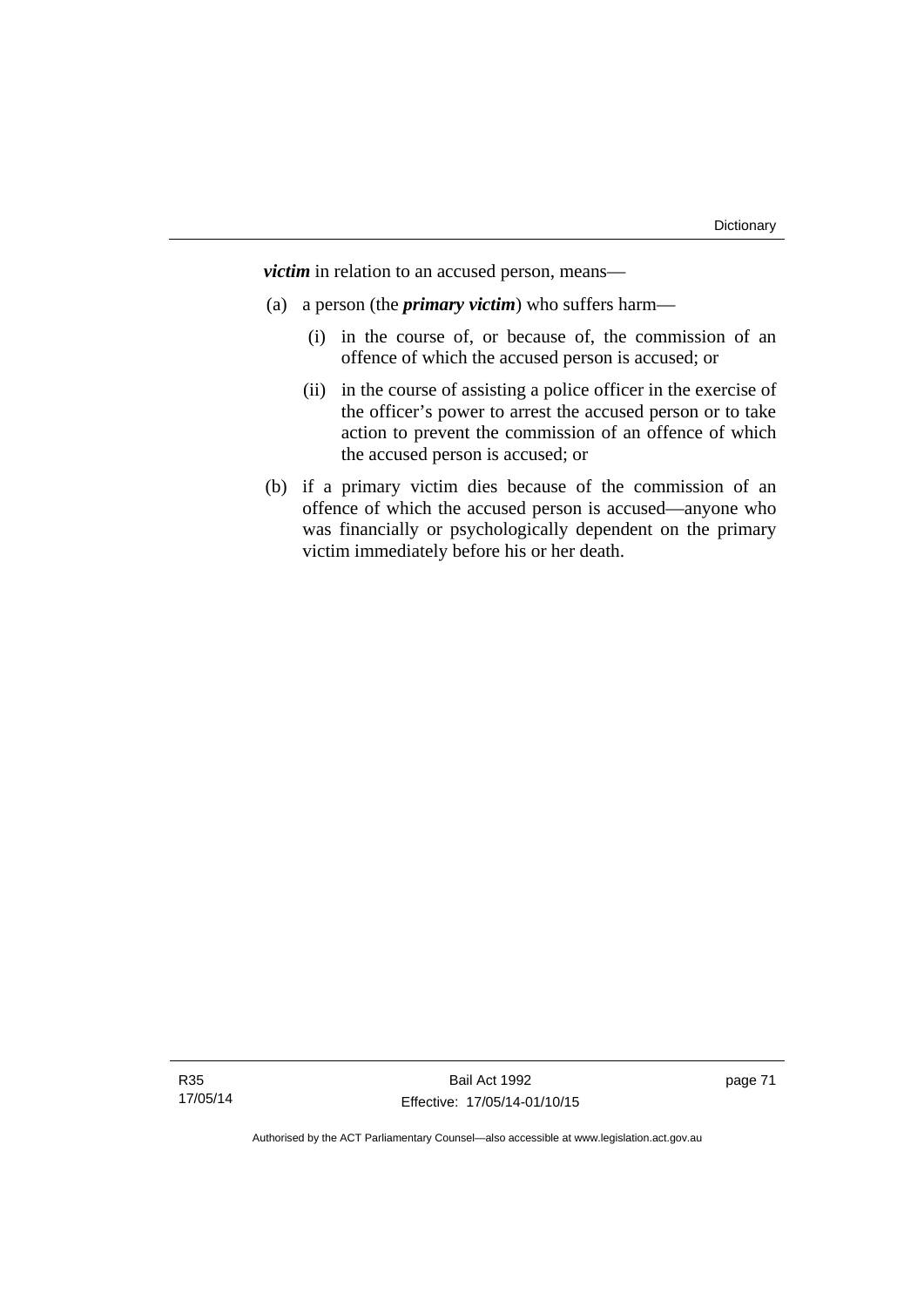*victim* in relation to an accused person, means—

- (a) a person (the *primary victim*) who suffers harm—
	- (i) in the course of, or because of, the commission of an offence of which the accused person is accused; or
	- (ii) in the course of assisting a police officer in the exercise of the officer's power to arrest the accused person or to take action to prevent the commission of an offence of which the accused person is accused; or
- (b) if a primary victim dies because of the commission of an offence of which the accused person is accused—anyone who was financially or psychologically dependent on the primary victim immediately before his or her death.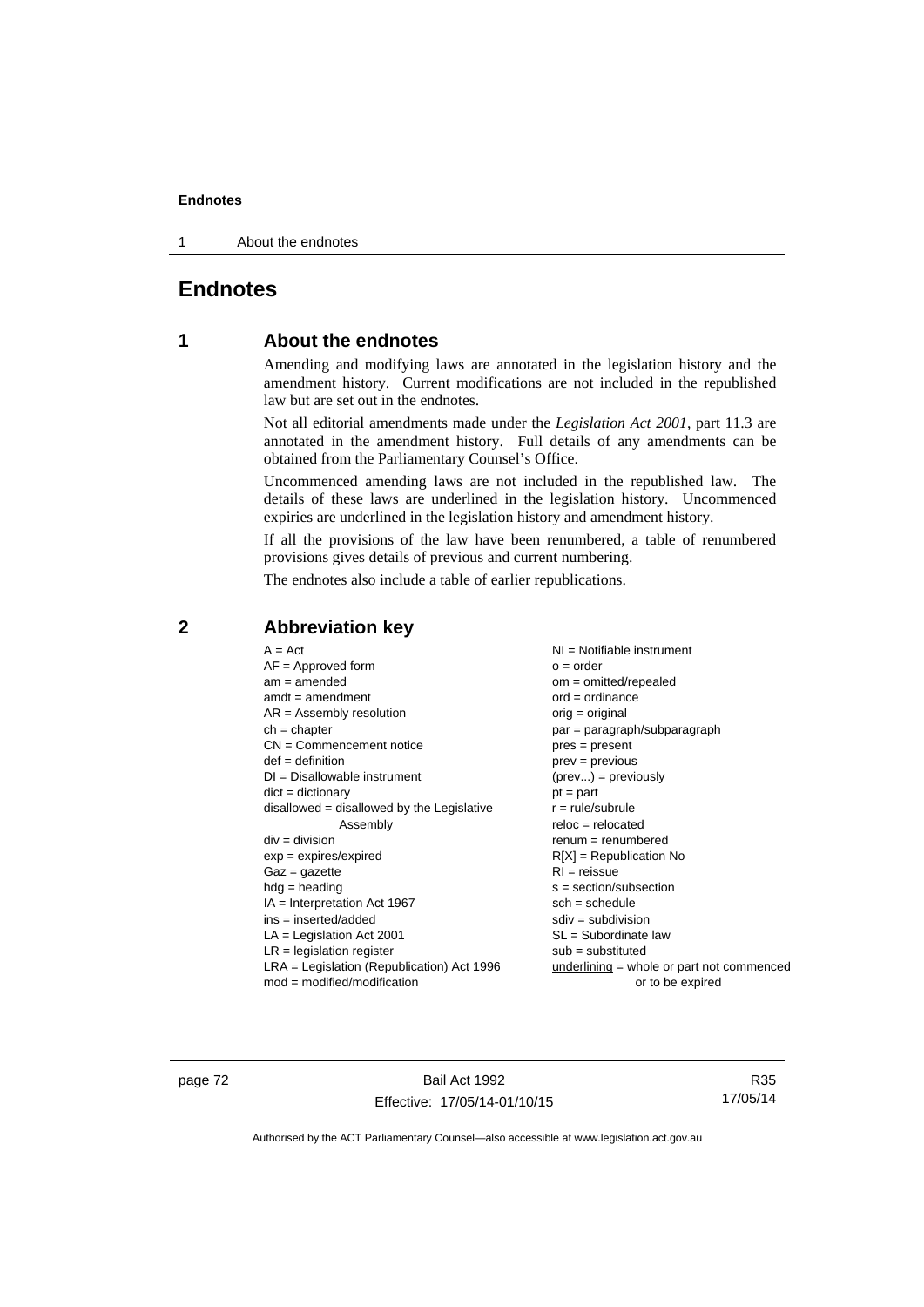1 About the endnotes

# **Endnotes**

# **1 About the endnotes**

Amending and modifying laws are annotated in the legislation history and the amendment history. Current modifications are not included in the republished law but are set out in the endnotes.

Not all editorial amendments made under the *Legislation Act 2001*, part 11.3 are annotated in the amendment history. Full details of any amendments can be obtained from the Parliamentary Counsel's Office.

Uncommenced amending laws are not included in the republished law. The details of these laws are underlined in the legislation history. Uncommenced expiries are underlined in the legislation history and amendment history.

If all the provisions of the law have been renumbered, a table of renumbered provisions gives details of previous and current numbering.

The endnotes also include a table of earlier republications.

| $A = Act$                                    | NI = Notifiable instrument                  |
|----------------------------------------------|---------------------------------------------|
| $AF =$ Approved form                         | $o = order$                                 |
| $am = amended$                               | $om = omitted/repealed$                     |
| $amdt = amendment$                           | $ord = ordinance$                           |
| $AR = Assembly resolution$                   | $orig = original$                           |
| $ch = chapter$                               | $par = paragraph/subparagraph$              |
| $CN =$ Commencement notice                   | $pres = present$                            |
| $def = definition$                           | $prev = previous$                           |
| $DI = Disallowable instrument$               | $(\text{prev}) = \text{previously}$         |
| $dict = dictionary$                          | $pt = part$                                 |
| $disallowed = disallowed by the Legislative$ | $r = rule/subrule$                          |
| Assembly                                     | $reloc = relocated$                         |
| $div = division$                             | $renum = renumbered$                        |
| $exp = expires/expired$                      | $R[X]$ = Republication No                   |
| $Gaz = gazette$                              | $RI = reissue$                              |
| $hdg = heading$                              | $s = section/subsection$                    |
| $IA = Interpretation Act 1967$               | $sch = schedule$                            |
| ins = inserted/added                         | $sdiv = subdivision$                        |
| $LA =$ Legislation Act 2001                  | $SL = Subordinate$ law                      |
| $LR =$ legislation register                  | $sub =$ substituted                         |
| LRA = Legislation (Republication) Act 1996   | underlining $=$ whole or part not commenced |
| $mod = modified/modification$                | or to be expired                            |

# **2 Abbreviation key**

page 72 Bail Act 1992 Effective: 17/05/14-01/10/15

R35 17/05/14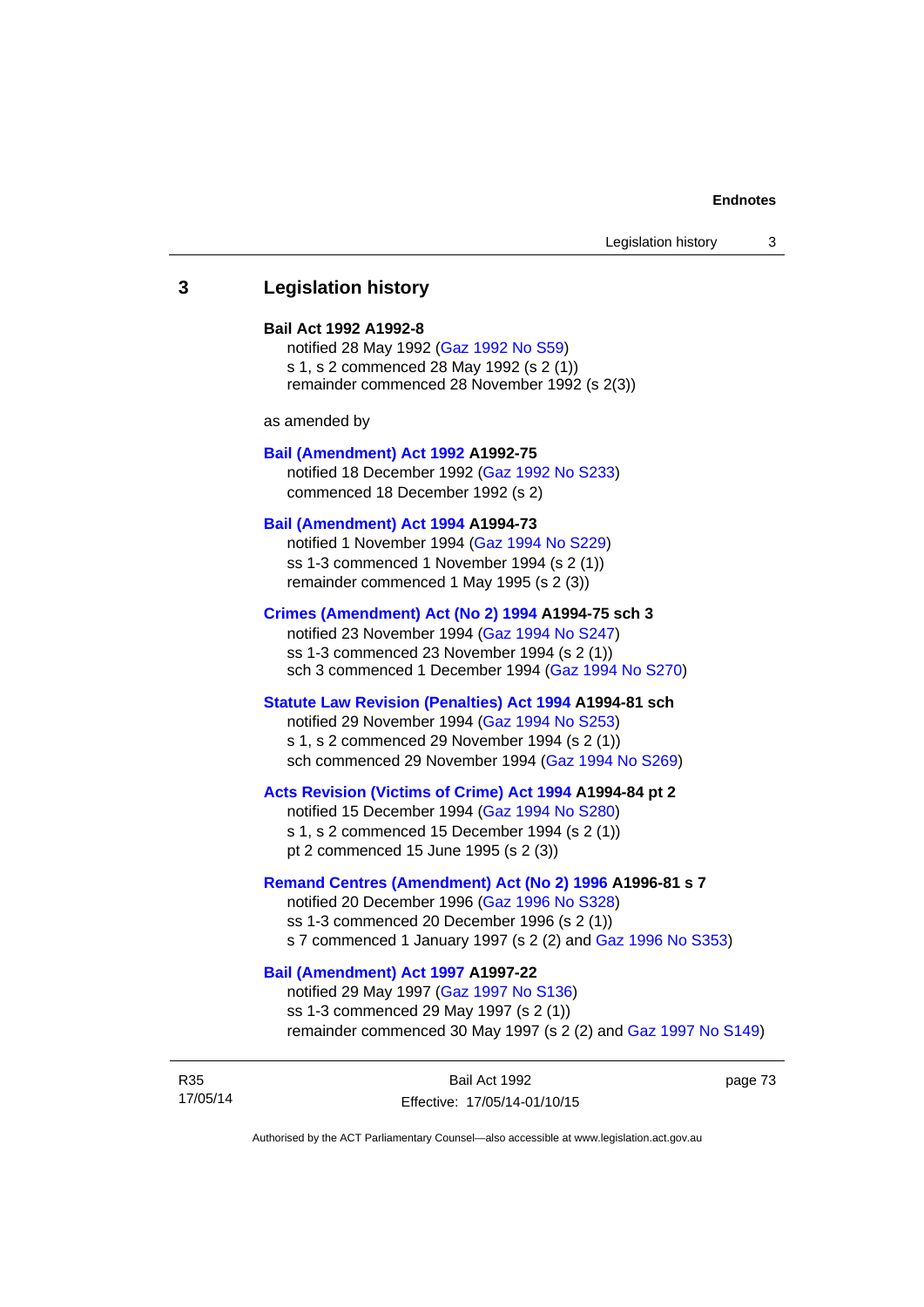## **3 Legislation history**

#### **Bail Act 1992 A1992-8**

notified 28 May 1992 ([Gaz 1992 No S59](http://www.legislation.act.gov.au/gaz/1992-S59/default.asp)) s 1, s 2 commenced 28 May 1992 (s 2 (1)) remainder commenced 28 November 1992 (s 2(3))

as amended by

#### **[Bail \(Amendment\) Act 1992](http://www.legislation.act.gov.au/a/1992-75) A1992-75**

notified 18 December 1992 [\(Gaz 1992 No S233](http://www.legislation.act.gov.au/gaz/1992-S233/default.asp)) commenced 18 December 1992 (s 2)

## **[Bail \(Amendment\) Act 1994](http://www.legislation.act.gov.au/a/1994-73) A1994-73**

notified 1 November 1994 ([Gaz 1994 No S229\)](http://www.legislation.act.gov.au/gaz/1994-S229/default.asp) ss 1-3 commenced 1 November 1994 (s 2 (1)) remainder commenced 1 May 1995 (s 2 (3))

#### **[Crimes \(Amendment\) Act \(No 2\) 1994](http://www.legislation.act.gov.au/a/1994-75) A1994-75 sch 3**

notified 23 November 1994 [\(Gaz 1994 No S247](http://www.legislation.act.gov.au/gaz/1994-S247/default.asp)) ss 1-3 commenced 23 November 1994 (s 2 (1)) sch 3 commenced 1 December 1994 ([Gaz 1994 No S270\)](http://www.legislation.act.gov.au/gaz/1994-S270/default.asp)

## **[Statute Law Revision \(Penalties\) Act 1994](http://www.legislation.act.gov.au/a/1994-81) A1994-81 sch**

notified 29 November 1994 [\(Gaz 1994 No S253](http://www.legislation.act.gov.au/gaz/1994-S253/default.asp)) s 1, s 2 commenced 29 November 1994 (s 2 (1)) sch commenced 29 November 1994 ([Gaz 1994 No S269\)](http://www.legislation.act.gov.au/gaz/1994-S269/default.asp)

## **[Acts Revision \(Victims of Crime\) Act 1994](http://www.legislation.act.gov.au/a/1994-84) A1994-84 pt 2**

notified 15 December 1994 [\(Gaz 1994 No S280](http://www.legislation.act.gov.au/gaz/1994-S280/default.asp)) s 1, s 2 commenced 15 December 1994 (s 2 (1)) pt 2 commenced 15 June 1995 (s 2 (3))

#### **[Remand Centres \(Amendment\) Act \(No 2\) 1996](http://www.legislation.act.gov.au/a/1996-81) A1996-81 s 7**

notified 20 December 1996 [\(Gaz 1996 No S328](http://www.legislation.act.gov.au/gaz/1996-S328/default.asp)) ss 1-3 commenced 20 December 1996 (s 2 (1)) s 7 commenced 1 January 1997 (s 2 (2) and [Gaz 1996 No S353](http://www.legislation.act.gov.au/gaz/1996-S353/default.asp))

# **[Bail \(Amendment\) Act 1997](http://www.legislation.act.gov.au/a/1997-22) A1997-22**

notified 29 May 1997 ([Gaz 1997 No S136](http://www.legislation.act.gov.au/gaz/1997-S136/default.asp)) ss 1-3 commenced 29 May 1997 (s 2 (1)) remainder commenced 30 May 1997 (s 2 (2) and [Gaz 1997 No S149\)](http://www.legislation.act.gov.au/gaz/1997-S149/default.asp)

R35 17/05/14 page 73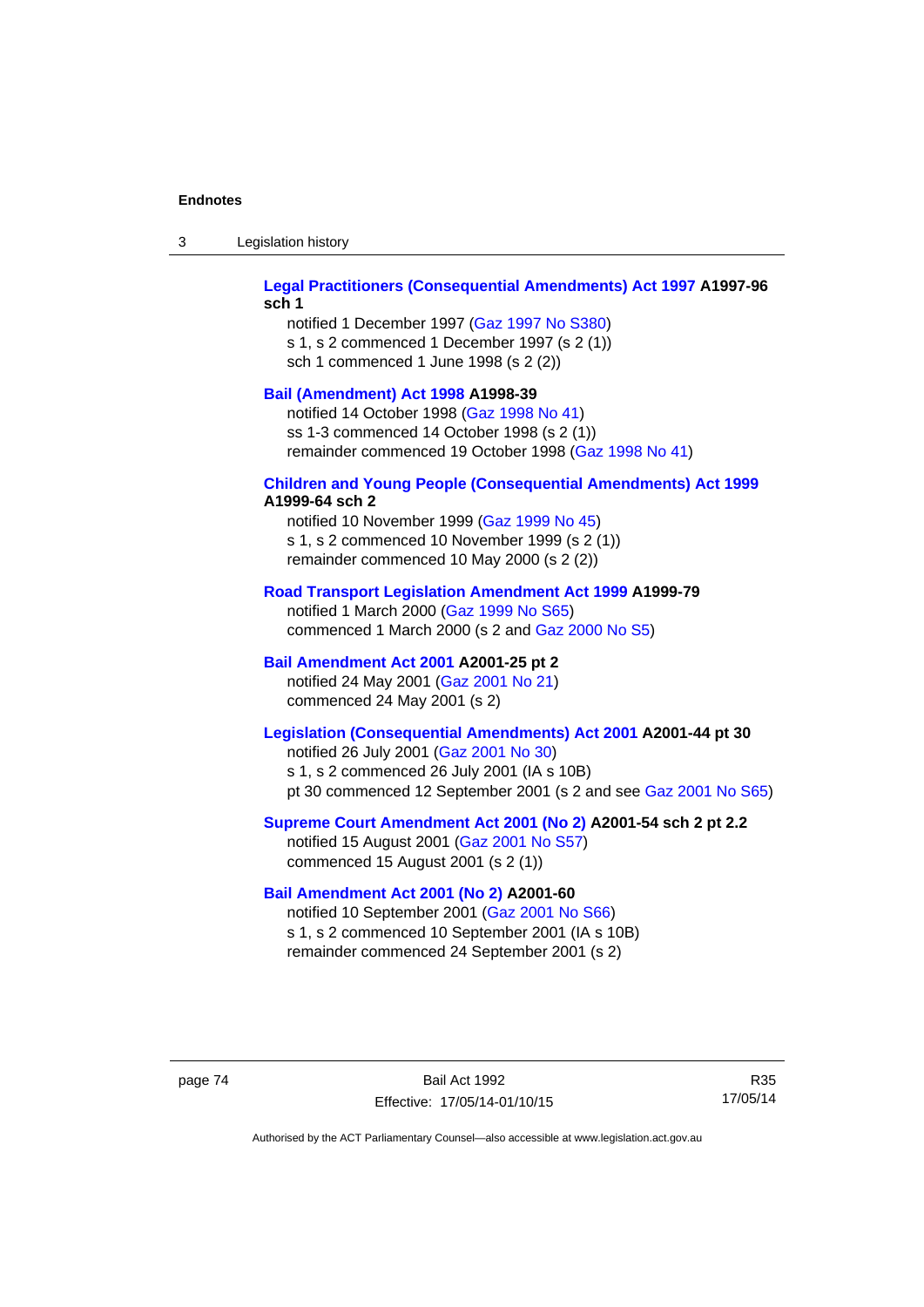| Legislation history<br>-3 |
|---------------------------|
|---------------------------|

## **[Legal Practitioners \(Consequential Amendments\) Act 1997](http://www.legislation.act.gov.au/a/1997-96) A1997-96 sch 1**

notified 1 December 1997 ([Gaz 1997 No S380\)](http://www.legislation.act.gov.au/gaz/1997-S380/default.asp) s 1, s 2 commenced 1 December 1997 (s 2 (1)) sch 1 commenced 1 June 1998 (s 2 (2))

### **[Bail \(Amendment\) Act 1998](http://www.legislation.act.gov.au/a/1998-39) A1998-39**

notified 14 October 1998 ([Gaz 1998 No 41](http://www.legislation.act.gov.au/gaz/1998-41/default.asp)) ss 1-3 commenced 14 October 1998 (s 2 (1)) remainder commenced 19 October 1998 ([Gaz 1998 No 41\)](http://www.legislation.act.gov.au/gaz/1998-41/default.asp)

## **[Children and Young People \(Consequential Amendments\) Act 1999](http://www.legislation.act.gov.au/a/1999-64) A1999-64 sch 2**

notified 10 November 1999 [\(Gaz 1999 No 45](http://www.legislation.act.gov.au/gaz/1999-45/default.asp)) s 1, s 2 commenced 10 November 1999 (s 2 (1)) remainder commenced 10 May 2000 (s 2 (2))

## **[Road Transport Legislation Amendment Act 1999](http://www.legislation.act.gov.au/a/1999-79) A1999-79**

notified 1 March 2000 [\(Gaz 1999 No S65\)](http://www.legislation.act.gov.au/gaz/1999-S65/default.asp) commenced 1 March 2000 (s 2 and [Gaz 2000 No S5](http://www.legislation.act.gov.au/gaz/2000-S5/default.asp))

## **[Bail Amendment Act 2001](http://www.legislation.act.gov.au/a/2001-25) A2001-25 pt 2**

notified 24 May 2001 ([Gaz 2001 No 21\)](http://www.legislation.act.gov.au/gaz/2001-21/default.asp) commenced 24 May 2001 (s 2)

# **[Legislation \(Consequential Amendments\) Act 2001](http://www.legislation.act.gov.au/a/2001-44) A2001-44 pt 30**

notified 26 July 2001 ([Gaz 2001 No 30\)](http://www.legislation.act.gov.au/gaz/2001-30/default.asp) s 1, s 2 commenced 26 July 2001 (IA s 10B) pt 30 commenced 12 September 2001 (s 2 and see [Gaz 2001 No S65](http://www.legislation.act.gov.au/gaz/2001-S65/default.asp))

## **[Supreme Court Amendment Act 2001 \(No 2\)](http://www.legislation.act.gov.au/a/2001-54) A2001-54 sch 2 pt 2.2**

notified 15 August 2001 [\(Gaz 2001 No S57\)](http://www.legislation.act.gov.au/gaz/2001-S57/default.asp) commenced 15 August 2001 (s 2 (1))

### **[Bail Amendment Act 2001 \(No 2\)](http://www.legislation.act.gov.au/a/2001-60) A2001-60**

notified 10 September 2001 [\(Gaz 2001 No S66\)](http://www.legislation.act.gov.au/gaz/2001-S66/default.asp) s 1, s 2 commenced 10 September 2001 (IA s 10B) remainder commenced 24 September 2001 (s 2)

page 74 Bail Act 1992 Effective: 17/05/14-01/10/15

R35 17/05/14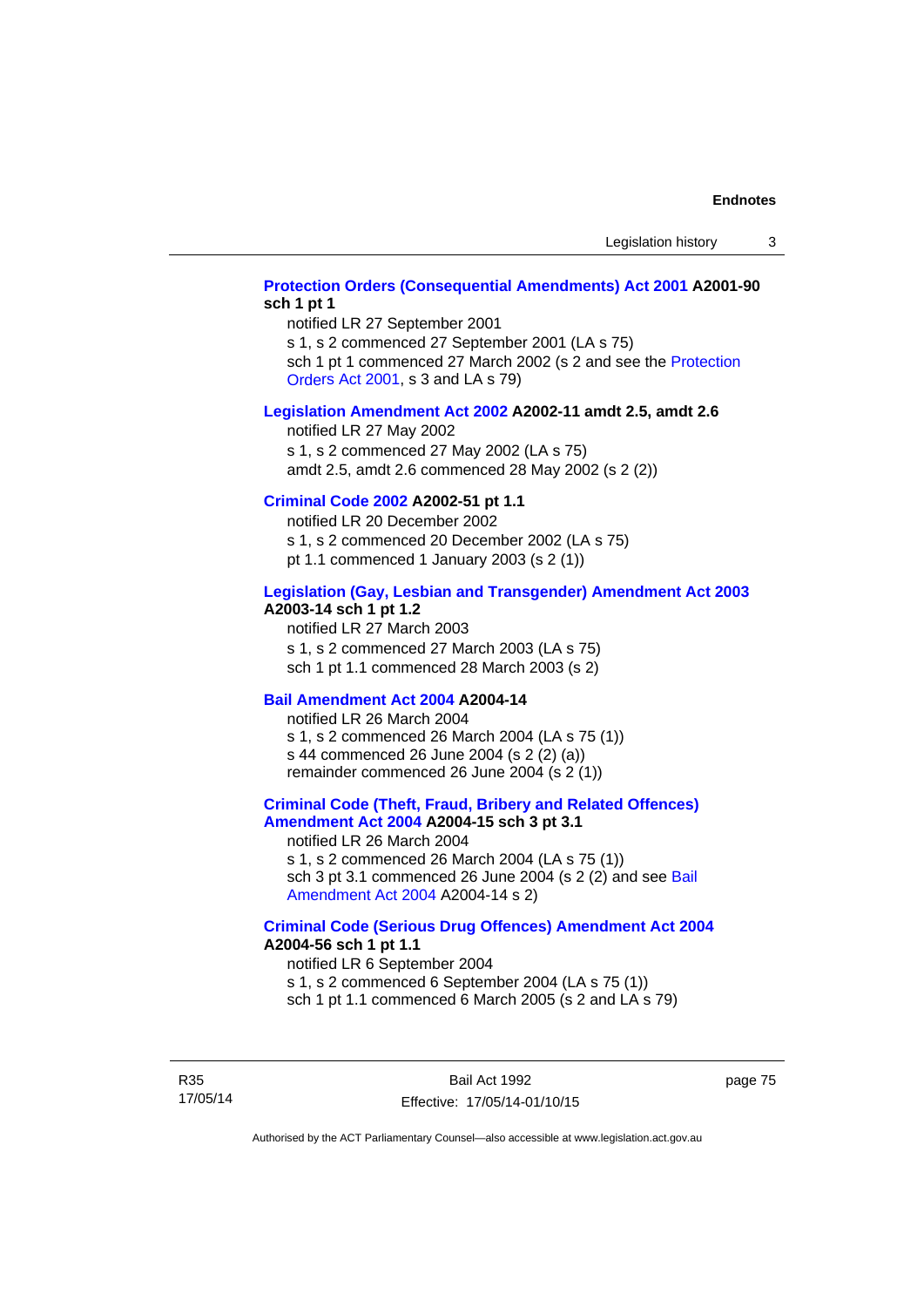## **[Protection Orders \(Consequential Amendments\) Act 2001](http://www.legislation.act.gov.au/a/2001-90) A2001-90 sch 1 pt 1**

notified LR 27 September 2001

s 1, s 2 commenced 27 September 2001 (LA s 75)

sch 1 pt 1 commenced 27 March 2002 (s 2 and see the [Protection](http://www.legislation.act.gov.au/a/2001-89)  [Orders Act 2001,](http://www.legislation.act.gov.au/a/2001-89) s 3 and LA s 79)

#### **[Legislation Amendment Act 2002](http://www.legislation.act.gov.au/a/2002-11) A2002-11 amdt 2.5, amdt 2.6**

notified LR 27 May 2002 s 1, s 2 commenced 27 May 2002 (LA s 75) amdt 2.5, amdt 2.6 commenced 28 May 2002 (s 2 (2))

## **[Criminal Code 2002](http://www.legislation.act.gov.au/a/2002-51) A2002-51 pt 1.1**

notified LR 20 December 2002 s 1, s 2 commenced 20 December 2002 (LA s 75) pt 1.1 commenced 1 January 2003 (s 2 (1))

#### **[Legislation \(Gay, Lesbian and Transgender\) Amendment Act 2003](http://www.legislation.act.gov.au/a/2003-14) A2003-14 sch 1 pt 1.2**

notified LR 27 March 2003 s 1, s 2 commenced 27 March 2003 (LA s 75) sch 1 pt 1.1 commenced 28 March 2003 (s 2)

## **[Bail Amendment Act 2004](http://www.legislation.act.gov.au/a/2004-14) A2004-14**

notified LR 26 March 2004 s 1, s 2 commenced 26 March 2004 (LA s 75 (1)) s 44 commenced 26 June 2004 (s 2 (2) (a)) remainder commenced 26 June 2004 (s 2 (1))

## **[Criminal Code \(Theft, Fraud, Bribery and Related Offences\)](http://www.legislation.act.gov.au/a/2004-15)  [Amendment Act 2004](http://www.legislation.act.gov.au/a/2004-15) A2004-15 sch 3 pt 3.1**

notified LR 26 March 2004 s 1, s 2 commenced 26 March 2004 (LA s 75 (1)) sch 3 pt 3.1 commenced 26 June 2004 (s 2 (2) and see Bail [Amendment Act 2004](http://www.legislation.act.gov.au/a/2004-14) A2004-14 s 2)

### **[Criminal Code \(Serious Drug Offences\) Amendment Act 2004](http://www.legislation.act.gov.au/a/2004-56) A2004-56 sch 1 pt 1.1**

notified LR 6 September 2004 s 1, s 2 commenced 6 September 2004 (LA s 75 (1)) sch 1 pt 1.1 commenced 6 March 2005 (s 2 and LA s 79)

R35 17/05/14 page 75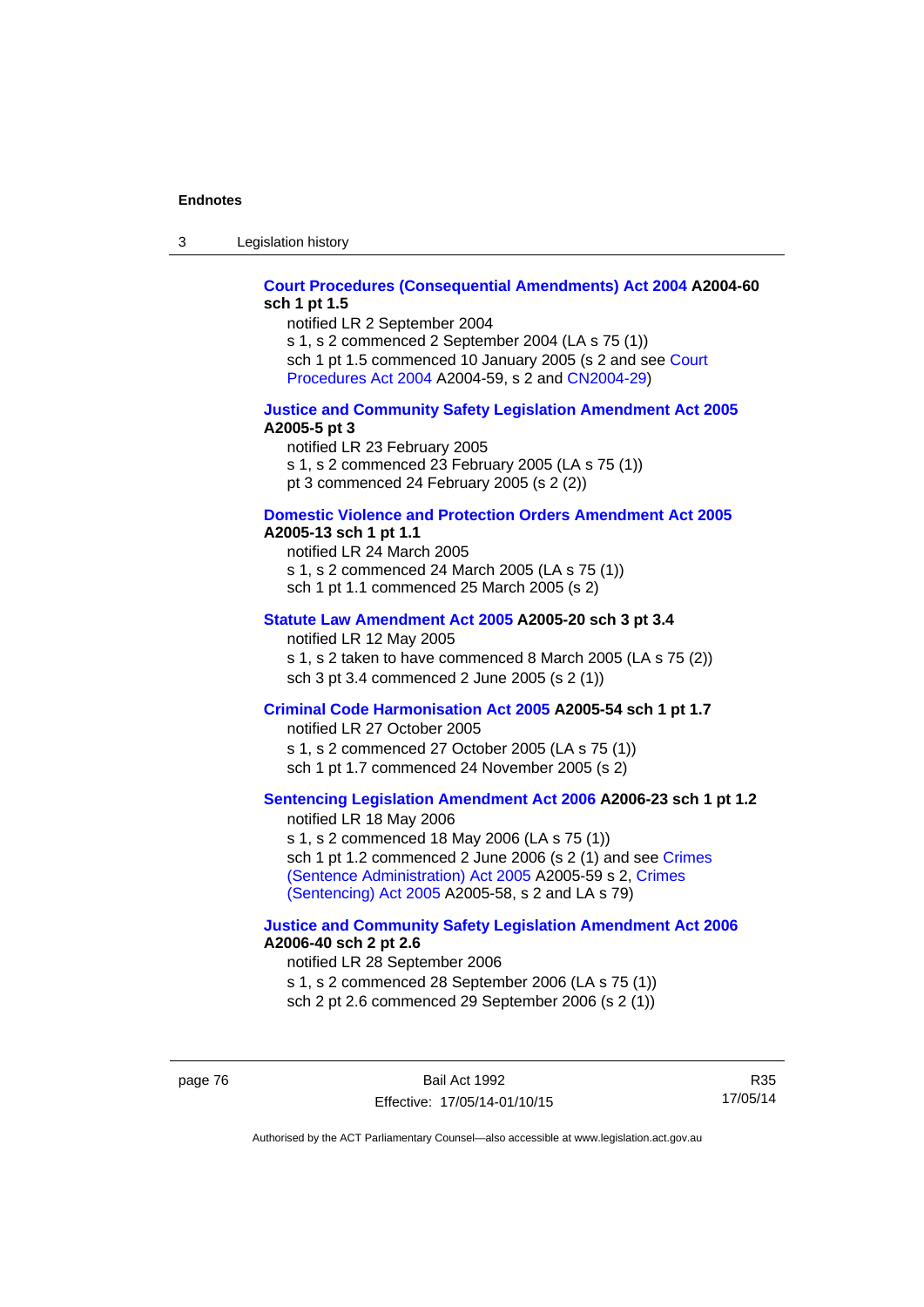3 Legislation history

## **[Court Procedures \(Consequential Amendments\) Act 2004](http://www.legislation.act.gov.au/a/2004-60) A2004-60 sch 1 pt 1.5**

notified LR 2 September 2004 s 1, s 2 commenced 2 September 2004 (LA s 75 (1)) sch 1 pt 1.5 commenced 10 January 2005 (s 2 and see [Court](http://www.legislation.act.gov.au/a/2004-59)  [Procedures Act 2004](http://www.legislation.act.gov.au/a/2004-59) A2004-59, s 2 and [CN2004-29\)](http://www.legislation.act.gov.au/cn/2004-29/default.asp)

#### **[Justice and Community Safety Legislation Amendment Act 2005](http://www.legislation.act.gov.au/a/2005-5) A2005-5 pt 3**

notified LR 23 February 2005 s 1, s 2 commenced 23 February 2005 (LA s 75 (1)) pt 3 commenced 24 February 2005 (s 2 (2))

### **[Domestic Violence and Protection Orders Amendment Act 2005](http://www.legislation.act.gov.au/a/2005-13) A2005-13 sch 1 pt 1.1**

notified LR 24 March 2005 s 1, s 2 commenced 24 March 2005 (LA s 75 (1)) sch 1 pt 1.1 commenced 25 March 2005 (s 2)

#### **[Statute Law Amendment Act 2005](http://www.legislation.act.gov.au/a/2005-20) A2005-20 sch 3 pt 3.4**

notified LR 12 May 2005 s 1, s 2 taken to have commenced 8 March 2005 (LA s 75 (2)) sch 3 pt 3.4 commenced 2 June 2005 (s 2 (1))

## **[Criminal Code Harmonisation Act 2005](http://www.legislation.act.gov.au/a/2005-54) A2005-54 sch 1 pt 1.7**

notified LR 27 October 2005 s 1, s 2 commenced 27 October 2005 (LA s 75 (1)) sch 1 pt 1.7 commenced 24 November 2005 (s 2)

# **[Sentencing Legislation Amendment Act 2006](http://www.legislation.act.gov.au/a/2006-23) A2006-23 sch 1 pt 1.2**

notified LR 18 May 2006 s 1, s 2 commenced 18 May 2006 (LA s 75 (1)) sch 1 pt 1.2 commenced 2 June 2006 (s 2 (1) and see [Crimes](http://www.legislation.act.gov.au/a/2005-59)  [\(Sentence Administration\) Act 2005](http://www.legislation.act.gov.au/a/2005-59) A2005-59 s 2, [Crimes](http://www.legislation.act.gov.au/a/2005-58)  [\(Sentencing\) Act 2005](http://www.legislation.act.gov.au/a/2005-58) A2005-58, s 2 and LA s 79)

#### **[Justice and Community Safety Legislation Amendment Act 2006](http://www.legislation.act.gov.au/a/2006-40) A2006-40 sch 2 pt 2.6**

notified LR 28 September 2006 s 1, s 2 commenced 28 September 2006 (LA s 75 (1)) sch 2 pt 2.6 commenced 29 September 2006 (s 2 (1))

R35 17/05/14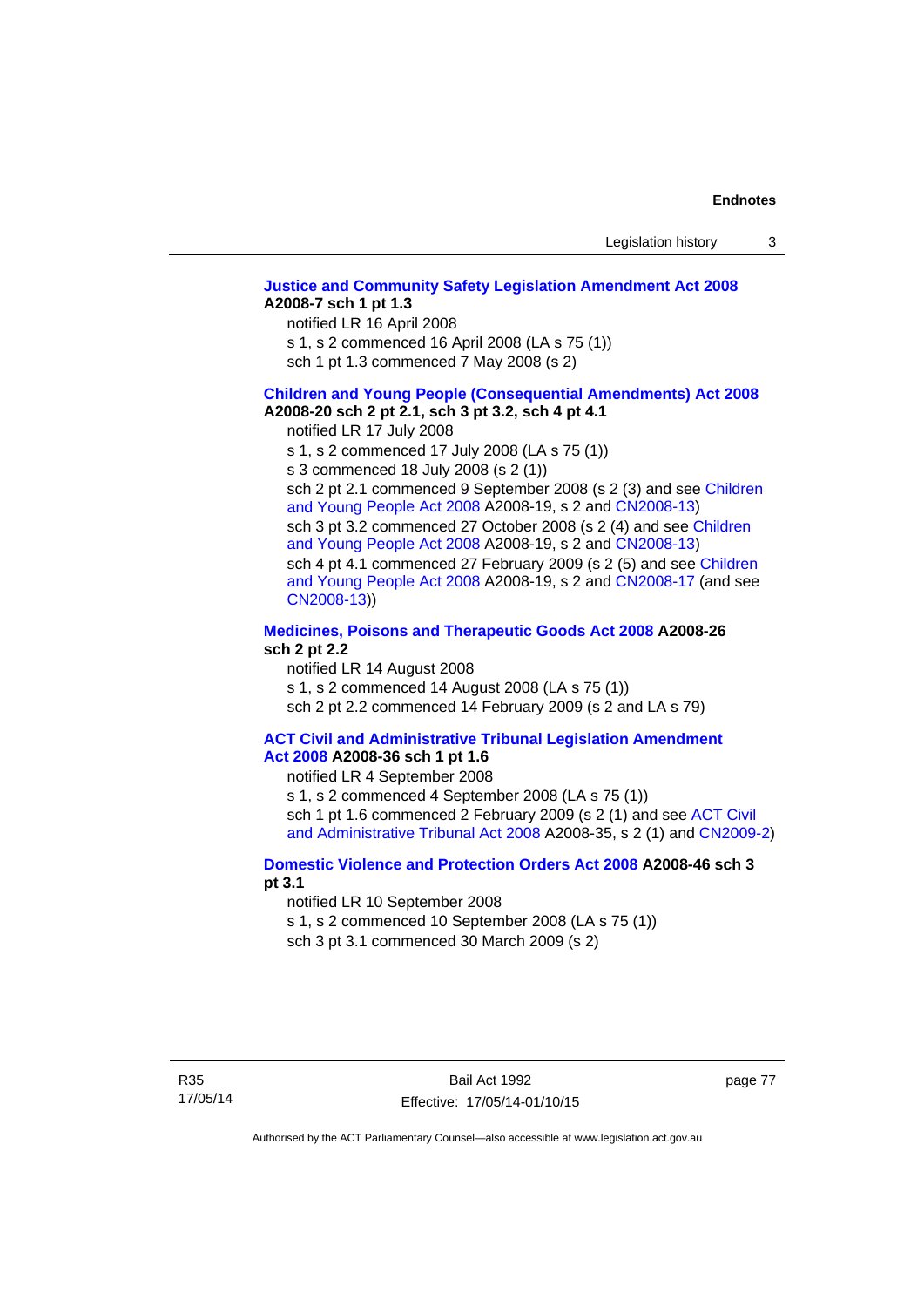## **[Justice and Community Safety Legislation Amendment Act 2008](http://www.legislation.act.gov.au/a/2008-7) A2008-7 sch 1 pt 1.3**  notified LR 16 April 2008

s 1, s 2 commenced 16 April 2008 (LA s 75 (1))

sch 1 pt 1.3 commenced 7 May 2008 (s 2)

#### **[Children and Young People \(Consequential Amendments\) Act 2008](http://www.legislation.act.gov.au/a/2008-20) A2008-20 sch 2 pt 2.1, sch 3 pt 3.2, sch 4 pt 4.1**

notified LR 17 July 2008

s 1, s 2 commenced 17 July 2008 (LA s 75 (1))

s 3 commenced 18 July 2008 (s 2 (1))

sch 2 pt 2.1 commenced 9 September 2008 (s 2 (3) and see [Children](http://www.legislation.act.gov.au/a/2008-19)  [and Young People Act 2008](http://www.legislation.act.gov.au/a/2008-19) A2008-19, s 2 and [CN2008-13](http://www.legislation.act.gov.au/cn/2008-13/default.asp)) sch 3 pt 3.2 commenced 27 October 2008 (s 2 (4) and see [Children](http://www.legislation.act.gov.au/a/2008-19)  [and Young People Act 2008](http://www.legislation.act.gov.au/a/2008-19) A2008-19, s 2 and [CN2008-13](http://www.legislation.act.gov.au/cn/2008-13/default.asp)) sch 4 pt 4.1 commenced 27 February 2009 (s 2 (5) and see [Children](http://www.legislation.act.gov.au/a/2008-19)  [and Young People Act 2008](http://www.legislation.act.gov.au/a/2008-19) A2008-19, s 2 and [CN2008-17 \(](http://www.legislation.act.gov.au/cn/2008-17/default.asp)and see [CN2008-13](http://www.legislation.act.gov.au/cn/2008-13/default.asp)))

## **[Medicines, Poisons and Therapeutic Goods Act 2008](http://www.legislation.act.gov.au/a/2008-26) A2008-26 sch 2 pt 2.2**

notified LR 14 August 2008 s 1, s 2 commenced 14 August 2008 (LA s 75 (1)) sch 2 pt 2.2 commenced 14 February 2009 (s 2 and LA s 79)

#### **[ACT Civil and Administrative Tribunal Legislation Amendment](http://www.legislation.act.gov.au/a/2008-36)  [Act 2008](http://www.legislation.act.gov.au/a/2008-36) A2008-36 sch 1 pt 1.6**

notified LR 4 September 2008

s 1, s 2 commenced 4 September 2008 (LA s 75 (1)) sch 1 pt 1.6 commenced 2 February 2009 (s 2 (1) and see [ACT Civil](http://www.legislation.act.gov.au/a/2008-35)  [and Administrative Tribunal Act 2008](http://www.legislation.act.gov.au/a/2008-35) A2008-35, s 2 (1) and [CN2009-2](http://www.legislation.act.gov.au/cn/2009-2/default.asp))

## **[Domestic Violence and Protection Orders Act 2008](http://www.legislation.act.gov.au/a/2008-46) A2008-46 sch 3 pt 3.1**

notified LR 10 September 2008

s 1, s 2 commenced 10 September 2008 (LA s 75 (1))

sch 3 pt 3.1 commenced 30 March 2009 (s 2)

page 77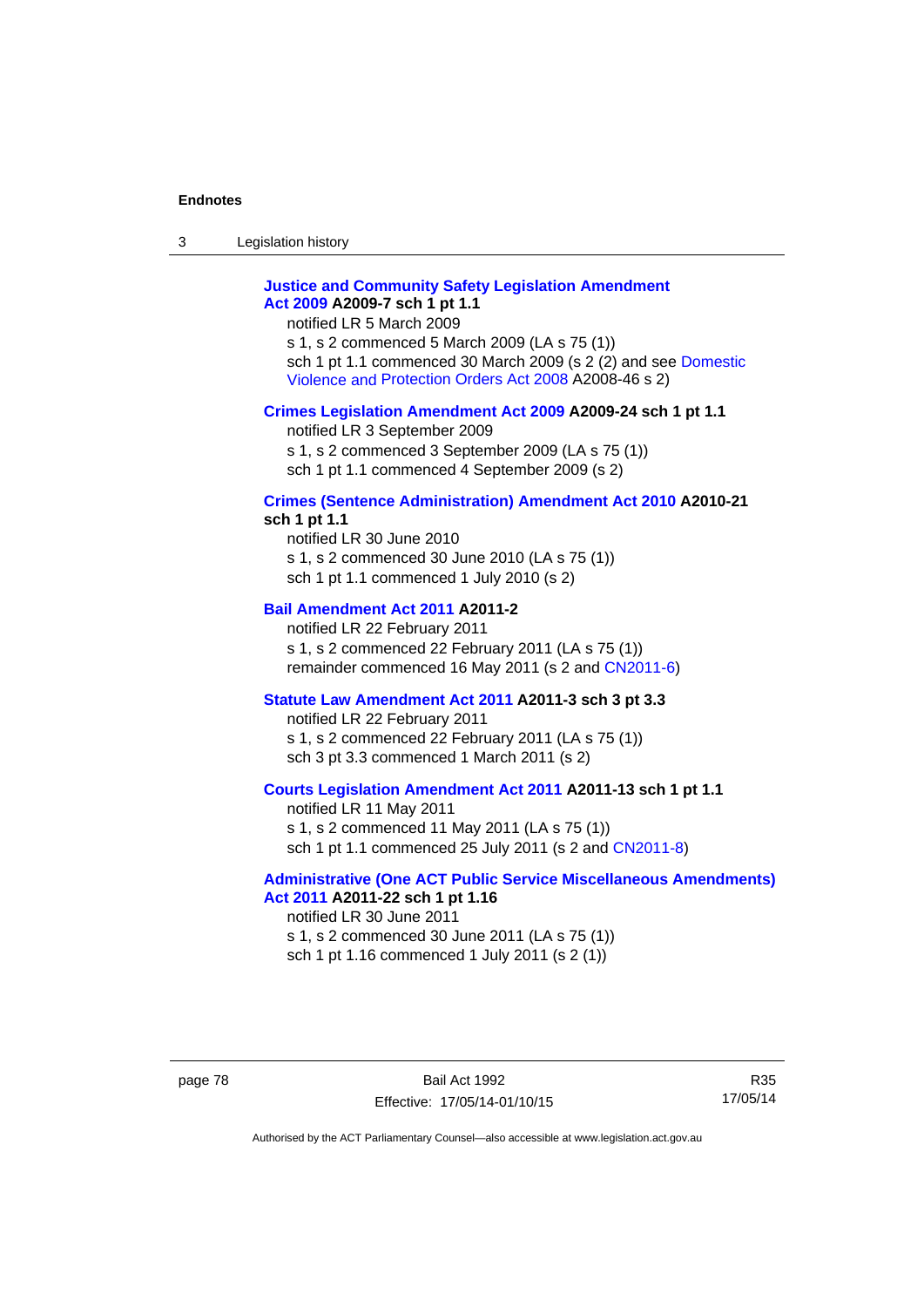3 Legislation history

# **[Justice and Community Safety Legislation Amendment](http://www.legislation.act.gov.au/a/2009-7)  [Act 2009](http://www.legislation.act.gov.au/a/2009-7) A2009-7 sch 1 pt 1.1**

notified LR 5 March 2009

s 1, s 2 commenced 5 March 2009 (LA s 75 (1)) sch 1 pt 1.1 commenced 30 March 2009 (s 2 (2) and see [Domestic](http://www.legislation.act.gov.au/a/2008-46)  [Violence and Protection Orders Act 2008](http://www.legislation.act.gov.au/a/2008-46) A2008-46 s 2)

## **[Crimes Legislation Amendment Act 2009](http://www.legislation.act.gov.au/a/2009-24) A2009-24 sch 1 pt 1.1**

notified LR 3 September 2009 s 1, s 2 commenced 3 September 2009 (LA s 75 (1)) sch 1 pt 1.1 commenced 4 September 2009 (s 2)

#### **[Crimes \(Sentence Administration\) Amendment Act 2010](http://www.legislation.act.gov.au/a/2010-21) A2010-21 sch 1 pt 1.1**

notified LR 30 June 2010 s 1, s 2 commenced 30 June 2010 (LA s 75 (1)) sch 1 pt 1.1 commenced 1 July 2010 (s 2)

## **[Bail Amendment Act 2011](http://www.legislation.act.gov.au/a/2011-2) A2011-2**

notified LR 22 February 2011 s 1, s 2 commenced 22 February 2011 (LA s 75 (1)) remainder commenced 16 May 2011 (s 2 and [CN2011-6](http://www.legislation.act.gov.au/cn/2011-6/default.asp))

### **[Statute Law Amendment Act 2011](http://www.legislation.act.gov.au/a/2011-3) A2011-3 sch 3 pt 3.3**

notified LR 22 February 2011 s 1, s 2 commenced 22 February 2011 (LA s 75 (1)) sch 3 pt 3.3 commenced 1 March 2011 (s 2)

## **[Courts Legislation Amendment Act 2011](http://www.legislation.act.gov.au/a/2011-13) A2011-13 sch 1 pt 1.1**

notified LR 11 May 2011 s 1, s 2 commenced 11 May 2011 (LA s 75 (1)) sch 1 pt 1.1 commenced 25 July 2011 (s 2 and [CN2011-8\)](http://www.legislation.act.gov.au/cn/2011-8/default.asp)

#### **[Administrative \(One ACT Public Service Miscellaneous Amendments\)](http://www.legislation.act.gov.au/a/2011-22)  [Act 2011](http://www.legislation.act.gov.au/a/2011-22) A2011-22 sch 1 pt 1.16**

notified LR 30 June 2011 s 1, s 2 commenced 30 June 2011 (LA s 75 (1)) sch 1 pt 1.16 commenced 1 July 2011 (s 2 (1))

R35 17/05/14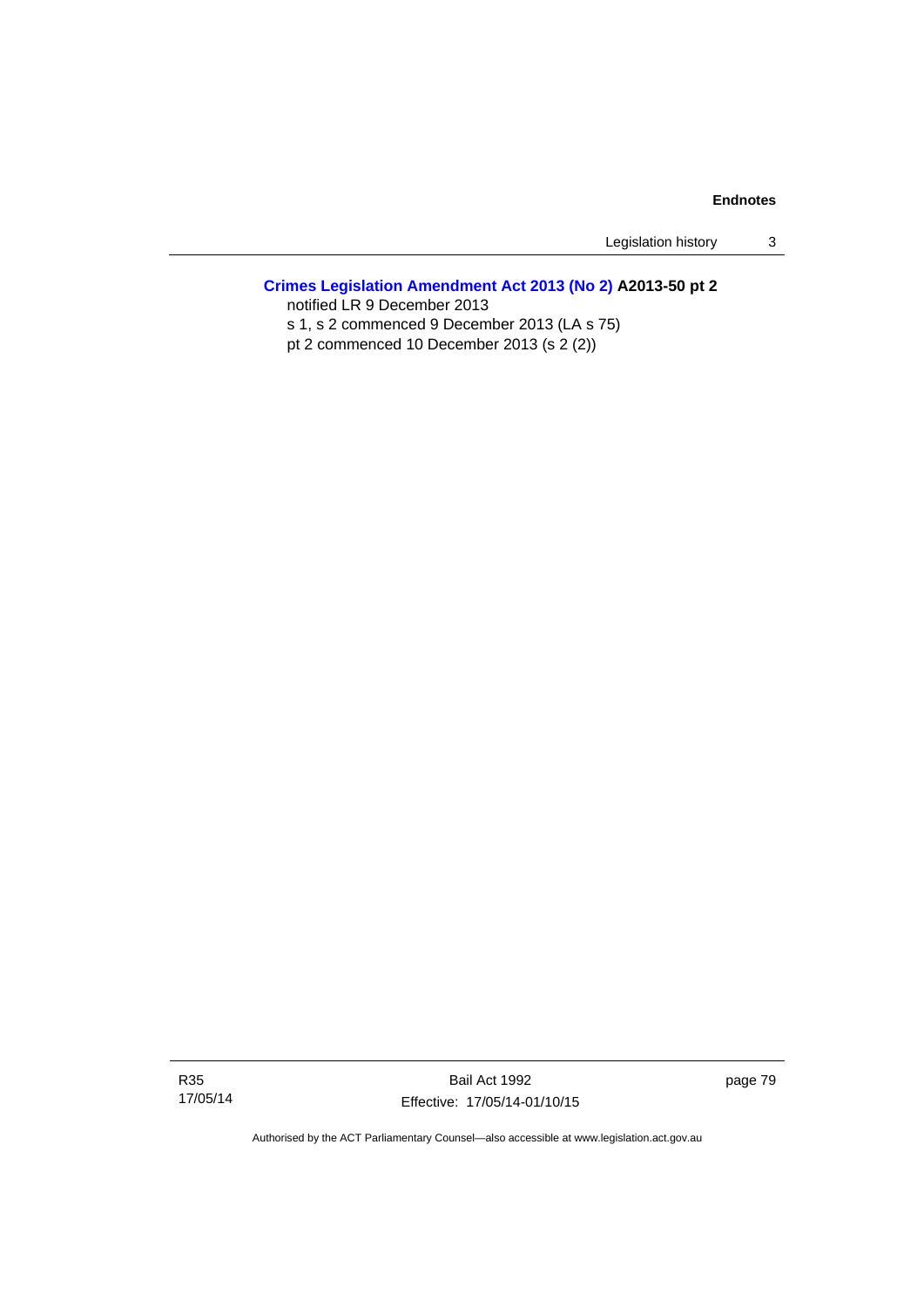Legislation history 3

# **[Crimes Legislation Amendment Act 2013 \(No 2\)](http://www.legislation.act.gov.au/a/2013-50) A2013-50 pt 2**

notified LR 9 December 2013

s 1, s 2 commenced 9 December 2013 (LA s 75)

pt 2 commenced 10 December 2013 (s 2 (2))

Bail Act 1992 Effective: 17/05/14-01/10/15 page 79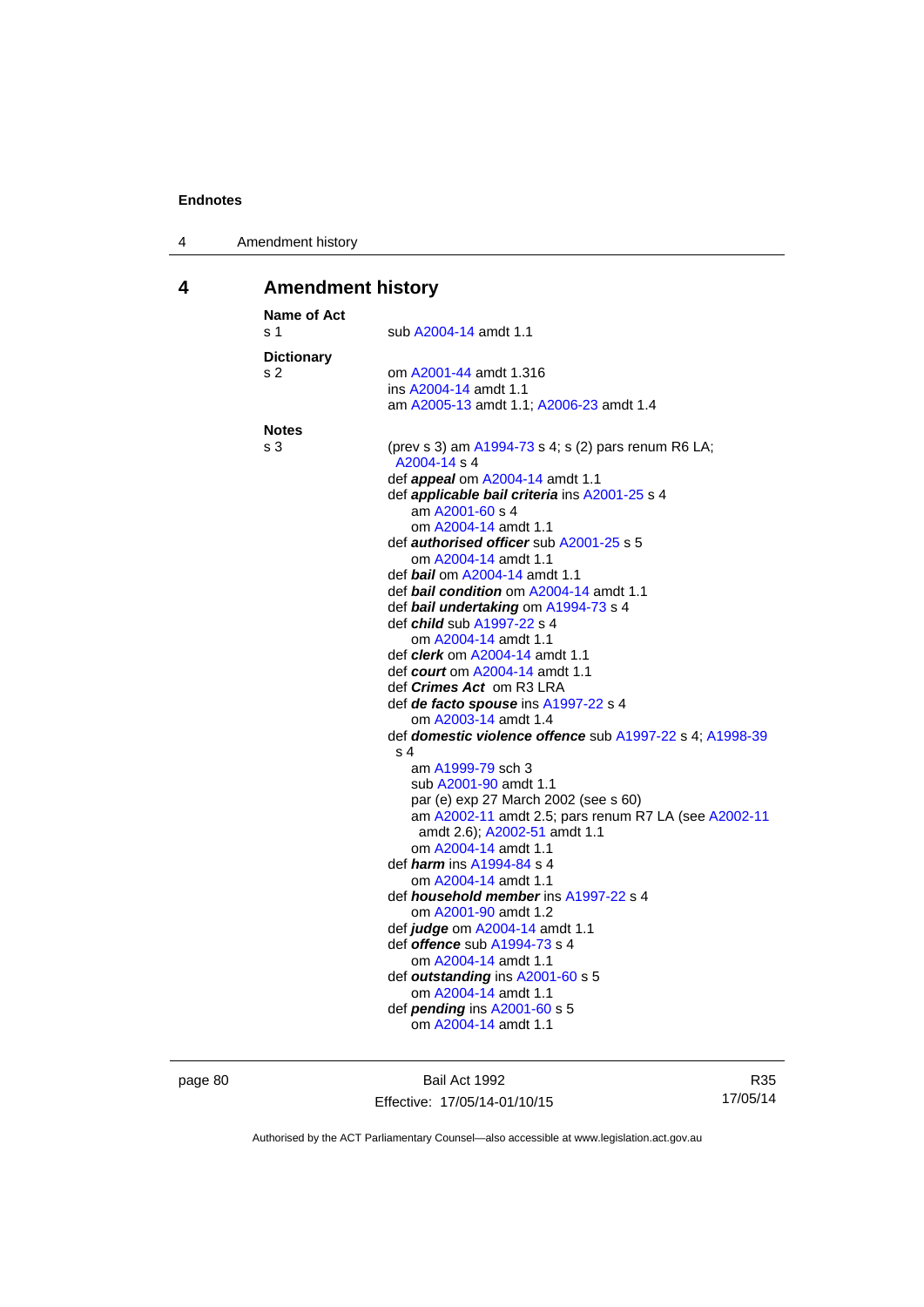| 4 | Amendment history |
|---|-------------------|
|---|-------------------|

# **4 Amendment history**

| <b>Name of Act</b><br>s <sub>1</sub> | sub A2004-14 amdt 1.1                                                           |
|--------------------------------------|---------------------------------------------------------------------------------|
| <b>Dictionary</b>                    |                                                                                 |
| s 2                                  | om A2001-44 amdt 1.316                                                          |
|                                      | ins A2004-14 amdt 1.1                                                           |
|                                      | am A2005-13 amdt 1.1; A2006-23 amdt 1.4                                         |
| <b>Notes</b>                         |                                                                                 |
| s 3                                  | (prev s 3) am A1994-73 s 4; s (2) pars renum R6 LA;                             |
|                                      | A2004-14 s 4                                                                    |
|                                      | def <i>appeal</i> om A2004-14 amdt 1.1                                          |
|                                      | def <i>applicable bail criteria</i> ins A2001-25 s 4                            |
|                                      | am A2001-60 s 4                                                                 |
|                                      | om A2004-14 amdt 1.1                                                            |
|                                      | def <b>authorised officer</b> sub A2001-25 s 5                                  |
|                                      | om A2004-14 amdt 1.1                                                            |
|                                      | def bail om A2004-14 amdt 1.1<br>def <b>bail condition</b> om A2004-14 amdt 1.1 |
|                                      |                                                                                 |
|                                      | def bail undertaking om A1994-73 s 4<br>def <i>child</i> sub A1997-22 s 4       |
|                                      | om A2004-14 amdt 1.1                                                            |
|                                      | def <i>clerk</i> om A2004-14 amdt 1.1                                           |
|                                      | def <i>court</i> om A2004-14 amdt 1.1                                           |
|                                      | def Crimes Act om R3 LRA                                                        |
|                                      | def de facto spouse ins A1997-22 s 4                                            |
|                                      | om A2003-14 amdt 1.4                                                            |
|                                      | def domestic violence offence sub A1997-22 s 4; A1998-39                        |
|                                      | s 4                                                                             |
|                                      | am A1999-79 sch 3                                                               |
|                                      | sub A2001-90 amdt 1.1                                                           |
|                                      | par (e) exp 27 March 2002 (see s 60)                                            |
|                                      | am A2002-11 amdt 2.5; pars renum R7 LA (see A2002-11                            |
|                                      | amdt 2.6); A2002-51 amdt 1.1                                                    |
|                                      | om A2004-14 amdt 1.1                                                            |
|                                      | def <i>harm</i> ins A1994-84 s 4                                                |
|                                      | om A2004-14 amdt 1.1                                                            |
|                                      | def <i>household member</i> ins A1997-22 s 4                                    |
|                                      | om A2001-90 amdt 1.2                                                            |
|                                      | def judge om A2004-14 amdt 1.1                                                  |
|                                      | def <b>offence</b> sub A1994-73 s 4                                             |
|                                      | om A2004-14 amdt 1.1<br>def outstanding ins A2001-60 s 5                        |
|                                      | om A2004-14 amdt 1.1                                                            |
|                                      | def pending ins A2001-60 s 5                                                    |
|                                      |                                                                                 |
|                                      | om A2004-14 amdt 1.1                                                            |

page 80 Bail Act 1992 Effective: 17/05/14-01/10/15

R35 17/05/14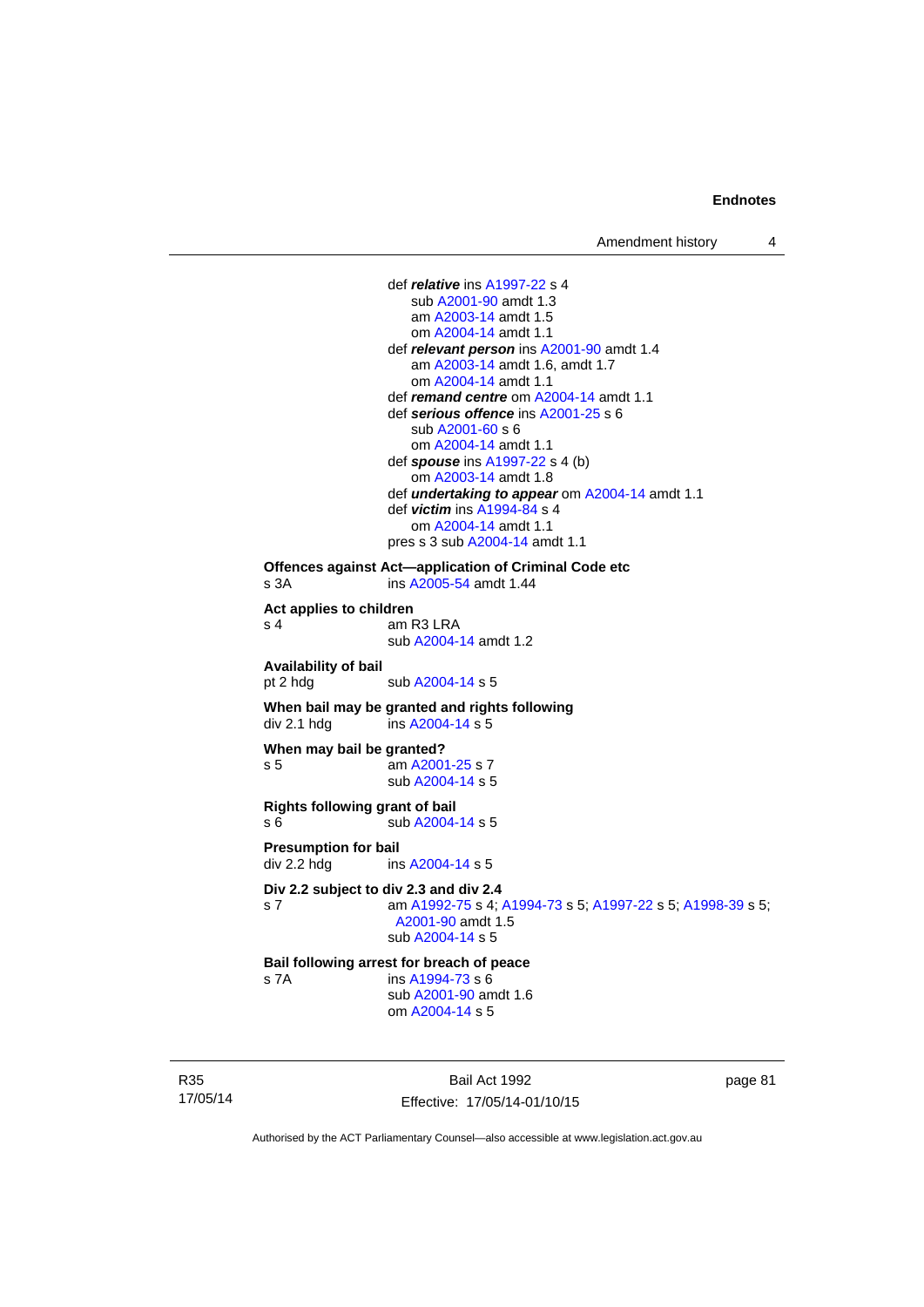def *relative* ins [A1997-22](http://www.legislation.act.gov.au/a/1997-22) s 4 sub [A2001-90](http://www.legislation.act.gov.au/a/2001-90) amdt 1.3 am [A2003-14](http://www.legislation.act.gov.au/a/2003-14) amdt 1.5 om [A2004-14](http://www.legislation.act.gov.au/a/2004-14) amdt 1.1 def *relevant person* ins [A2001-90](http://www.legislation.act.gov.au/a/2001-90) amdt 1.4 am [A2003-14](http://www.legislation.act.gov.au/a/2003-14) amdt 1.6, amdt 1.7 om [A2004-14](http://www.legislation.act.gov.au/a/2004-14) amdt 1.1 def *remand centre* om [A2004-14](http://www.legislation.act.gov.au/a/2004-14) amdt 1.1 def *serious offence* ins [A2001-25](http://www.legislation.act.gov.au/a/2001-25) s 6 sub [A2001-60](http://www.legislation.act.gov.au/a/2001-60) s 6 om [A2004-14](http://www.legislation.act.gov.au/a/2004-14) amdt 1.1 def *spouse* ins [A1997-22](http://www.legislation.act.gov.au/a/1997-22) s 4 (b) om [A2003-14](http://www.legislation.act.gov.au/a/2003-14) amdt 1.8 def *undertaking to appear* om [A2004-14](http://www.legislation.act.gov.au/a/2004-14) amdt 1.1 def *victim* ins [A1994-84](http://www.legislation.act.gov.au/a/1994-84) s 4 om [A2004-14](http://www.legislation.act.gov.au/a/2004-14) amdt 1.1 pres s 3 sub [A2004-14](http://www.legislation.act.gov.au/a/2004-14) amdt 1.1 **Offences against Act—application of Criminal Code etc**  s 3A ins [A2005-54](http://www.legislation.act.gov.au/a/2005-54) amdt 1.44 **Act applies to children**  s 4 am R3 LRA sub [A2004-14](http://www.legislation.act.gov.au/a/2004-14) amdt 1.2 **Availability of bail**  pt 2 hdg sub [A2004-14](http://www.legislation.act.gov.au/a/2004-14) s 5 **When bail may be granted and rights following div 2.1 hdg ins A2004-14 s 5**  $ins$  [A2004-14](http://www.legislation.act.gov.au/a/2004-14) s 5 **When may bail be granted?**  s 5 am [A2001-25](http://www.legislation.act.gov.au/a/2001-25) s 7 sub [A2004-14](http://www.legislation.act.gov.au/a/2004-14) s 5 **Rights following grant of bail**  s 6 sub [A2004-14](http://www.legislation.act.gov.au/a/2004-14) s 5 **Presumption for bail**  div 2.2 hdg ins [A2004-14](http://www.legislation.act.gov.au/a/2004-14) s 5 **Div 2.2 subject to div 2.3 and div 2.4** s 7 am [A1992-75](http://www.legislation.act.gov.au/a/1992-75) s 4; [A1994-73](http://www.legislation.act.gov.au/a/1994-73) s 5; [A1997-22](http://www.legislation.act.gov.au/a/1997-22) s 5; [A1998-39](http://www.legislation.act.gov.au/a/1998-39) s 5; [A2001-90](http://www.legislation.act.gov.au/a/2001-90) amdt 1.5 sub [A2004-14](http://www.legislation.act.gov.au/a/2004-14) s 5 **Bail following arrest for breach of peace** s 7A ins [A1994-73](http://www.legislation.act.gov.au/a/1994-73) s 6 sub [A2001-90](http://www.legislation.act.gov.au/a/2001-90) amdt 1.6 om [A2004-14](http://www.legislation.act.gov.au/a/2004-14) s 5

R35 17/05/14

Bail Act 1992 Effective: 17/05/14-01/10/15 page 81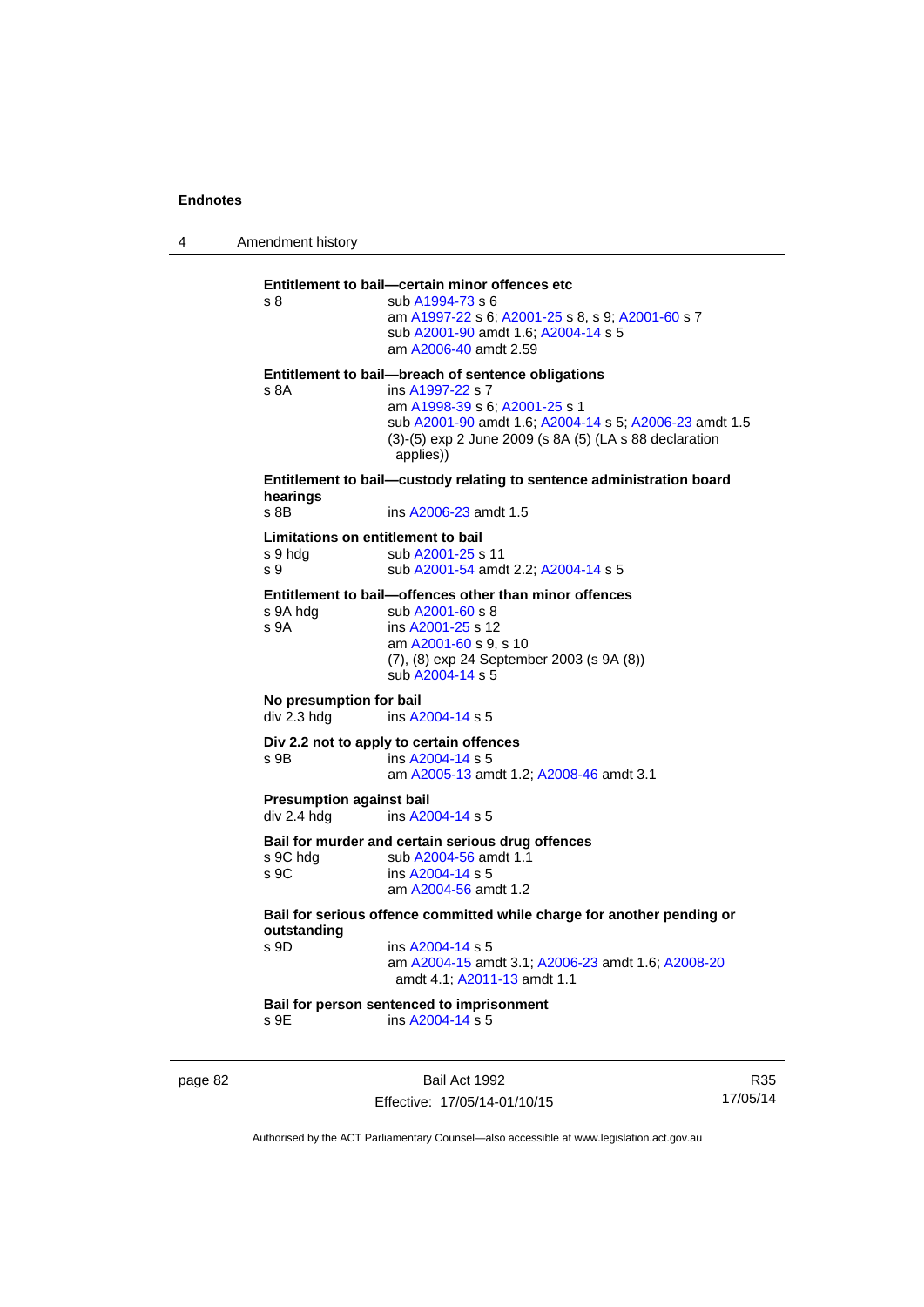4 Amendment history page 82 Bail Act 1992 R35 17/05/14 **Entitlement to bail—certain minor offences etc** s 8 sub [A1994-73](http://www.legislation.act.gov.au/a/1994-73) s 6 am [A1997-22](http://www.legislation.act.gov.au/a/1997-22) s 6; [A2001-25](http://www.legislation.act.gov.au/a/2001-25) s 8, s 9; [A2001-60](http://www.legislation.act.gov.au/a/2001-60) s 7 sub [A2001-90](http://www.legislation.act.gov.au/a/2001-90) amdt 1.6; [A2004-14](http://www.legislation.act.gov.au/a/2004-14) s 5 am [A2006-40](http://www.legislation.act.gov.au/a/2006-40) amdt 2.59 **Entitlement to bail—breach of sentence obligations** s 8A ins [A1997-22](http://www.legislation.act.gov.au/a/1997-22) s 7 am [A1998-39](http://www.legislation.act.gov.au/a/1998-39) s 6; [A2001-25](http://www.legislation.act.gov.au/a/2001-25) s 1 sub [A2001-90](http://www.legislation.act.gov.au/a/2001-90) amdt 1.6; [A2004-14](http://www.legislation.act.gov.au/a/2004-14) s 5; [A2006-23](http://www.legislation.act.gov.au/a/2006-23) amdt 1.5 (3)-(5) exp 2 June 2009 (s 8A (5) (LA s 88 declaration applies)) **Entitlement to bail—custody relating to sentence administration board hearings** s 8B **ins A2006-23** amdt 1.5 **Limitations on entitlement to bail**  s 9 hdg sub [A2001-25](http://www.legislation.act.gov.au/a/2001-25) s 11 s 9 sub [A2001-54](http://www.legislation.act.gov.au/a/2001-54) amdt 2.2; [A2004-14](http://www.legislation.act.gov.au/a/2004-14) s 5 **Entitlement to bail—offences other than minor offences**<br>s 9A hda sub A2001-60 s 8 sub [A2001-60](http://www.legislation.act.gov.au/a/2001-60) s 8 s 9A ins [A2001-25](http://www.legislation.act.gov.au/a/2001-25) s 12 am [A2001-60](http://www.legislation.act.gov.au/a/2001-60) s 9, s 10 (7), (8) exp 24 September 2003 (s 9A (8)) sub [A2004-14](http://www.legislation.act.gov.au/a/2004-14) s 5 **No presumption for bail**  div 2.3 hdg ins [A2004-14](http://www.legislation.act.gov.au/a/2004-14) s 5 **Div 2.2 not to apply to certain offences**  s 9B ins [A2004-14](http://www.legislation.act.gov.au/a/2004-14) s 5 am [A2005-13](http://www.legislation.act.gov.au/a/2005-13) amdt 1.2; [A2008-46](http://www.legislation.act.gov.au/a/2008-46) amdt 3.1 **Presumption against bail**  div 2.4 hdg ins [A2004-14](http://www.legislation.act.gov.au/a/2004-14) s 5 **Bail for murder and certain serious drug offences**  s 9C hdg sub [A2004-56](http://www.legislation.act.gov.au/a/2004-56) amdt 1.1<br>s 9C ins A2004-14 s 5 ins [A2004-14](http://www.legislation.act.gov.au/a/2004-14) s 5 am [A2004-56](http://www.legislation.act.gov.au/a/2004-56) amdt 1.2 **Bail for serious offence committed while charge for another pending or outstanding**  ins [A2004-14](http://www.legislation.act.gov.au/a/2004-14) s 5 am [A2004-15](http://www.legislation.act.gov.au/a/2004-15) amdt 3.1; [A2006-23](http://www.legislation.act.gov.au/a/2006-23) amdt 1.6; [A2008-20](http://www.legislation.act.gov.au/a/2008-20) amdt 4.1; [A2011-13](http://www.legislation.act.gov.au/a/2011-13) amdt 1.1 **Bail for person sentenced to imprisonment**  s 9E ins [A2004-14](http://www.legislation.act.gov.au/a/2004-14) s 5

Authorised by the ACT Parliamentary Counsel—also accessible at www.legislation.act.gov.au

Effective: 17/05/14-01/10/15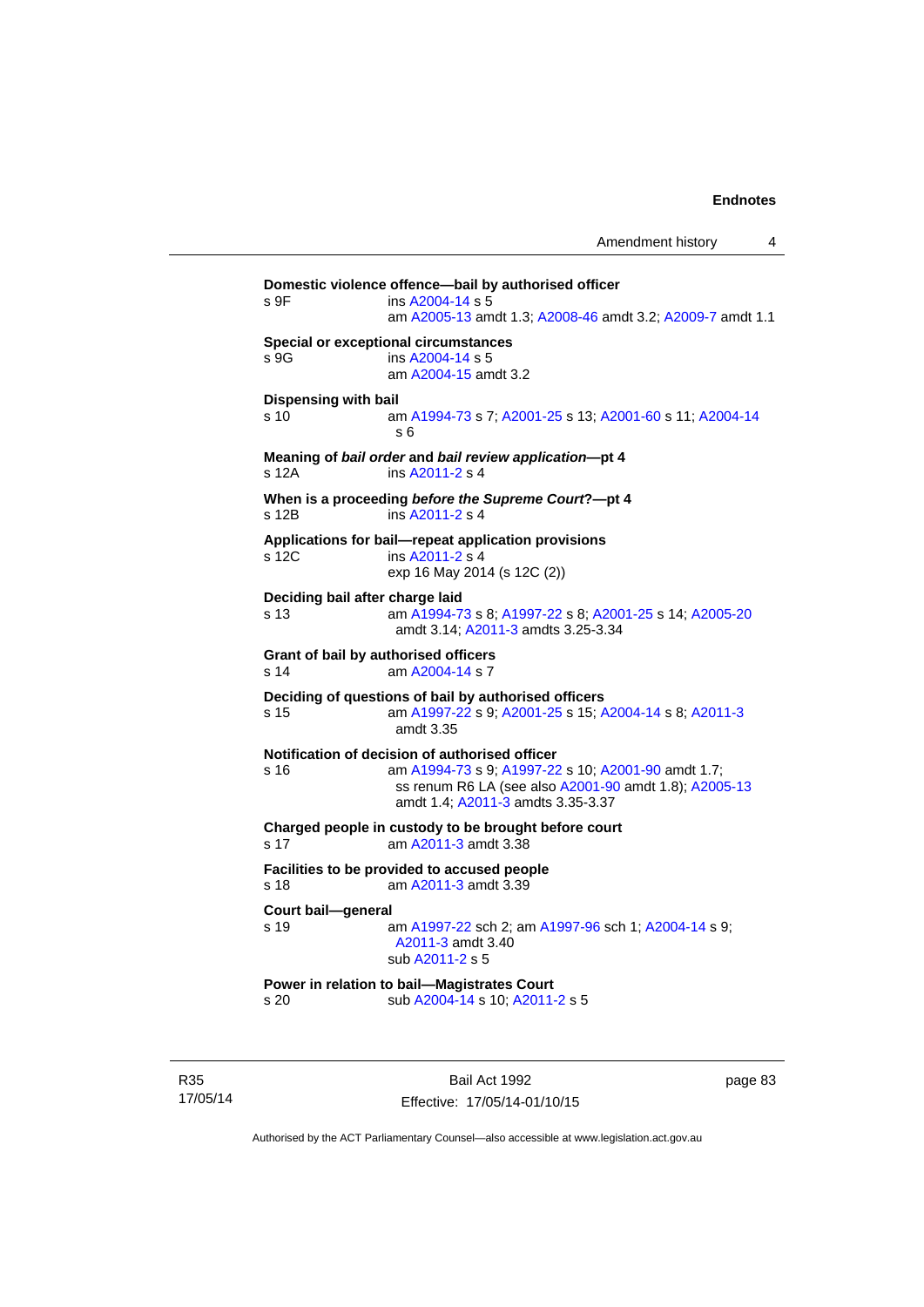**Domestic violence offence—bail by authorised officer**  s 9F ins [A2004-14](http://www.legislation.act.gov.au/a/2004-14) s 5 am [A2005-13](http://www.legislation.act.gov.au/a/2005-13) amdt 1.3; [A2008-46](http://www.legislation.act.gov.au/a/2008-46) amdt 3.2; [A2009-7](http://www.legislation.act.gov.au/a/2009-7) amdt 1.1 **Special or exceptional circumstances**  s 9G ins [A2004-14](http://www.legislation.act.gov.au/a/2004-14) s 5 am [A2004-15](http://www.legislation.act.gov.au/a/2004-15) amdt 3.2 **Dispensing with bail** s 10 am [A1994-73](http://www.legislation.act.gov.au/a/1994-73) s 7; [A2001-25](http://www.legislation.act.gov.au/a/2001-25) s 13; [A2001-60](http://www.legislation.act.gov.au/a/2001-60) s 11; [A2004-14](http://www.legislation.act.gov.au/a/2004-14) s 6 **Meaning of** *bail order* **and** *bail review application***—pt 4**  s 12A ins [A2011-2](http://www.legislation.act.gov.au/a/2011-2) s 4 **When is a proceeding** *before the Supreme Court***?—pt 4**  s 12B ins [A2011-2](http://www.legislation.act.gov.au/a/2011-2) s 4 **Applications for bail—repeat application provisions**  s 12C ins [A2011-2](http://www.legislation.act.gov.au/a/2011-2) s 4 exp 16 May 2014 (s 12C (2)) **Deciding bail after charge laid** s 13 am [A1994-73](http://www.legislation.act.gov.au/a/1994-73) s 8; [A1997-22](http://www.legislation.act.gov.au/a/1997-22) s 8; [A2001-25](http://www.legislation.act.gov.au/a/2001-25) s 14; [A2005-20](http://www.legislation.act.gov.au/a/2005-20) amdt 3.14; [A2011-3](http://www.legislation.act.gov.au/a/2011-3) amdts 3.25-3.34 **Grant of bail by authorised officers**  s 14 am [A2004-14](http://www.legislation.act.gov.au/a/2004-14) s 7 **Deciding of questions of bail by authorised officers** s 15 am [A1997-22](http://www.legislation.act.gov.au/a/1997-22) s 9; [A2001-25](http://www.legislation.act.gov.au/a/2001-25) s 15; [A2004-14](http://www.legislation.act.gov.au/a/2004-14) s 8; [A2011-3](http://www.legislation.act.gov.au/a/2011-3) amdt 3.35 **Notification of decision of authorised officer** s 16 am [A1994-73](http://www.legislation.act.gov.au/a/1994-73) s 9; [A1997-22](http://www.legislation.act.gov.au/a/1997-22) s 10; [A2001-90](http://www.legislation.act.gov.au/a/2001-90) amdt 1.7; ss renum R6 LA (see also [A2001-90](http://www.legislation.act.gov.au/a/2001-90) amdt 1.8); [A2005-13](http://www.legislation.act.gov.au/a/2005-13) amdt 1.4; [A2011-3](http://www.legislation.act.gov.au/a/2011-3) amdts 3.35-3.37 **Charged people in custody to be brought before court**  s 17 am [A2011-3](http://www.legislation.act.gov.au/a/2011-3) amdt 3.38 **Facilities to be provided to accused people**  s 18 am [A2011-3](http://www.legislation.act.gov.au/a/2011-3) amdt 3.39 **Court bail—general**  s 19 am [A1997-22](http://www.legislation.act.gov.au/a/1997-22) sch 2; am [A1997-96](http://www.legislation.act.gov.au/a/1997-96) sch 1; [A2004-14](http://www.legislation.act.gov.au/a/2004-14) s 9; [A2011-3](http://www.legislation.act.gov.au/a/2011-3) amdt 3.40 sub [A2011-2](http://www.legislation.act.gov.au/a/2011-2) s 5 **Power in relation to bail—Magistrates Court**  s 20 sub [A2004-14](http://www.legislation.act.gov.au/a/2004-14) s 10; [A2011-2](http://www.legislation.act.gov.au/a/2011-2) s 5

R35 17/05/14

Bail Act 1992 Effective: 17/05/14-01/10/15 page 83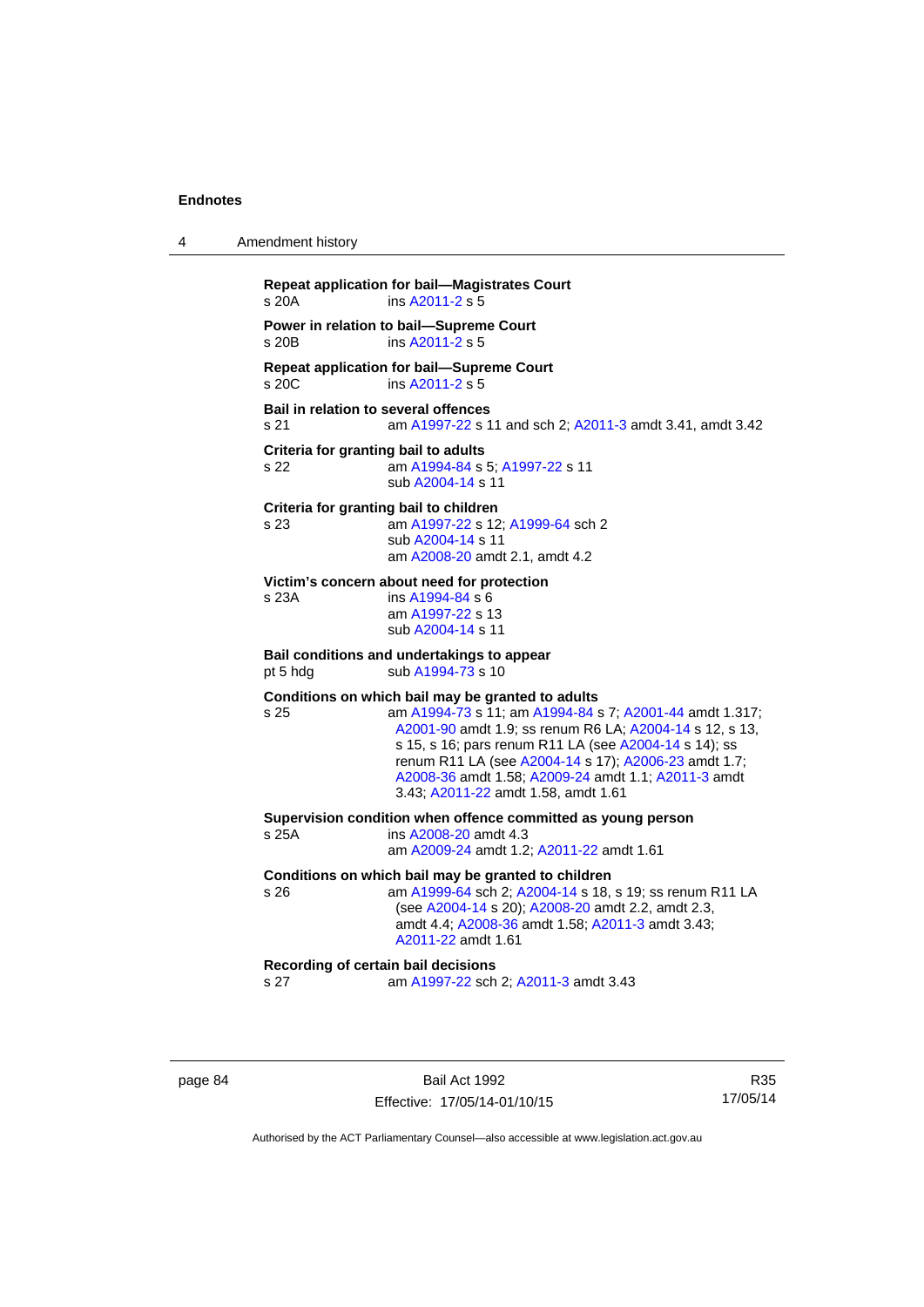| 4 | Amendment history                                   |                                                                                                                                                                                                                                                                                                                                                                                        |
|---|-----------------------------------------------------|----------------------------------------------------------------------------------------------------------------------------------------------------------------------------------------------------------------------------------------------------------------------------------------------------------------------------------------------------------------------------------------|
|   | s 20A                                               | <b>Repeat application for bail-Magistrates Court</b><br>ins A2011-2 s 5                                                                                                                                                                                                                                                                                                                |
|   | s 20B                                               | Power in relation to bail-Supreme Court<br>ins $A2011-2$ s 5                                                                                                                                                                                                                                                                                                                           |
|   | s 20C                                               | Repeat application for bail-Supreme Court<br>ins A2011-2 s 5                                                                                                                                                                                                                                                                                                                           |
|   | <b>Bail in relation to several offences</b><br>s 21 | am A1997-22 s 11 and sch 2; A2011-3 amdt 3.41, amdt 3.42                                                                                                                                                                                                                                                                                                                               |
|   | Criteria for granting bail to adults<br>s 22        | am A1994-84 s 5; A1997-22 s 11<br>sub A2004-14 s 11                                                                                                                                                                                                                                                                                                                                    |
|   | s 23                                                | Criteria for granting bail to children<br>am A1997-22 s 12; A1999-64 sch 2<br>sub A2004-14 s 11<br>am A2008-20 amdt 2.1, amdt 4.2                                                                                                                                                                                                                                                      |
|   | s 23A                                               | Victim's concern about need for protection<br>ins A1994-84 s 6<br>am A1997-22 s 13<br>sub A2004-14 s 11                                                                                                                                                                                                                                                                                |
|   | pt 5 hdg                                            | Bail conditions and undertakings to appear<br>sub A1994-73 s 10                                                                                                                                                                                                                                                                                                                        |
|   | s 25                                                | Conditions on which bail may be granted to adults<br>am A1994-73 s 11; am A1994-84 s 7; A2001-44 amdt 1.317;<br>A2001-90 amdt 1.9; ss renum R6 LA; A2004-14 s 12, s 13,<br>s 15, s 16; pars renum R11 LA (see A2004-14 s 14); ss<br>renum R11 LA (see A2004-14 s 17); A2006-23 amdt 1.7;<br>A2008-36 amdt 1.58; A2009-24 amdt 1.1; A2011-3 amdt<br>3.43; A2011-22 amdt 1.58, amdt 1.61 |
|   | s 25A                                               | Supervision condition when offence committed as young person<br>ins A2008-20 amdt 4.3<br>am A2009-24 amdt 1.2; A2011-22 amdt 1.61                                                                                                                                                                                                                                                      |
|   | s 26                                                | Conditions on which bail may be granted to children<br>am A1999-64 sch 2; A2004-14 s 18, s 19; ss renum R11 LA<br>(see A2004-14 s 20); A2008-20 amdt 2.2, amdt 2.3,<br>amdt 4.4; A2008-36 amdt 1.58; A2011-3 amdt 3.43;<br>A2011-22 amdt 1.61                                                                                                                                          |
|   | s <sub>27</sub>                                     | Recording of certain bail decisions<br>am A1997-22 sch 2; A2011-3 amdt 3.43                                                                                                                                                                                                                                                                                                            |
|   |                                                     |                                                                                                                                                                                                                                                                                                                                                                                        |

page 84 Bail Act 1992 Effective: 17/05/14-01/10/15

R35 17/05/14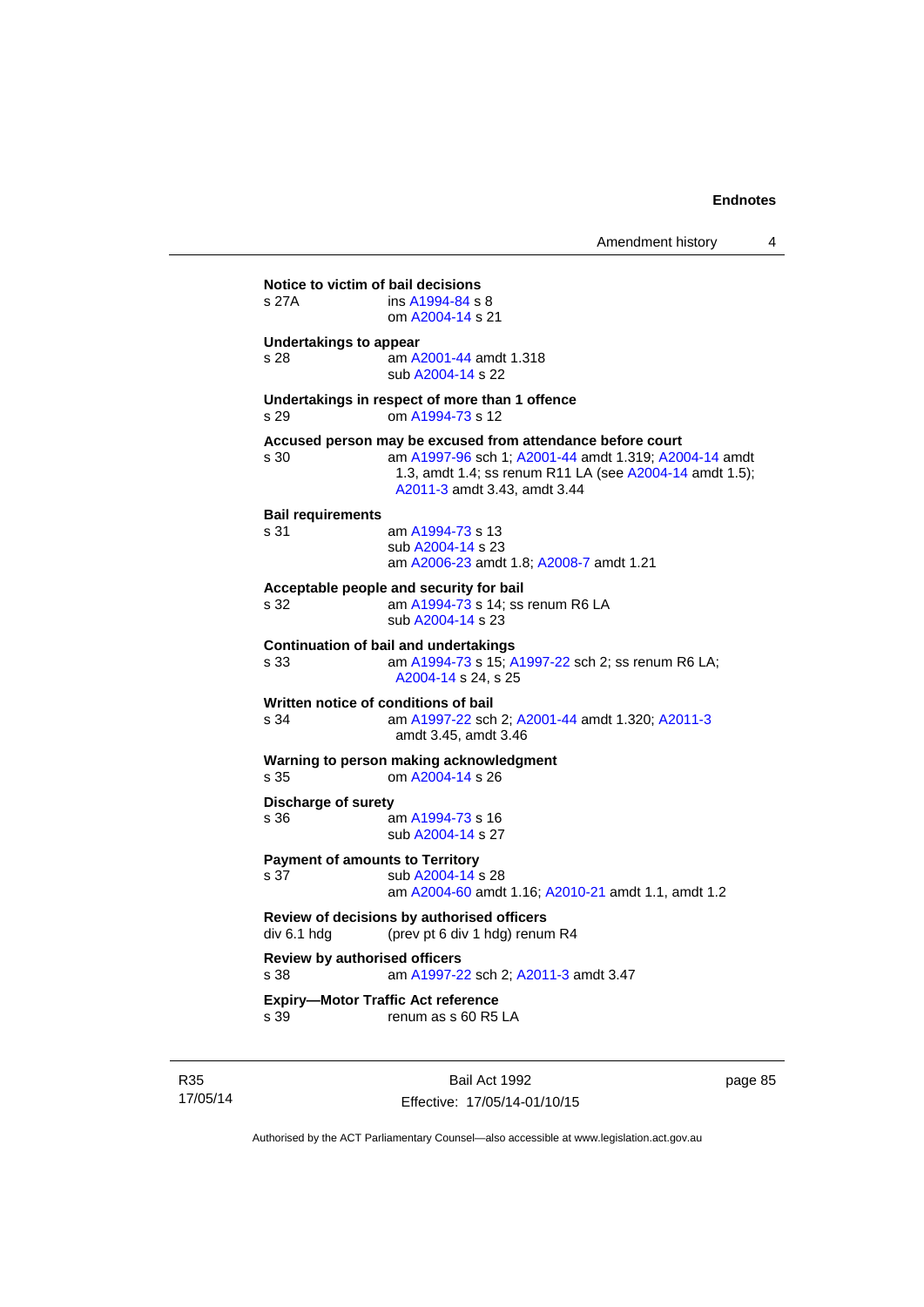| s 27A                                        | Notice to victim of bail decisions<br>ins A1994-84 s 8<br>om A2004-14 s 21                                                                                                                                     |
|----------------------------------------------|----------------------------------------------------------------------------------------------------------------------------------------------------------------------------------------------------------------|
| <b>Undertakings to appear</b><br>s 28        | am A2001-44 amdt 1.318<br>sub A2004-14 s 22                                                                                                                                                                    |
| s 29                                         | Undertakings in respect of more than 1 offence<br>om A1994-73 s 12                                                                                                                                             |
| s 30                                         | Accused person may be excused from attendance before court<br>am A1997-96 sch 1; A2001-44 amdt 1.319; A2004-14 amdt<br>1.3, amdt 1.4; ss renum R11 LA (see A2004-14 amdt 1.5);<br>A2011-3 amdt 3.43, amdt 3.44 |
| <b>Bail requirements</b><br>s 31             | am A1994-73 s 13<br>sub A2004-14 s 23<br>am A2006-23 amdt 1.8; A2008-7 amdt 1.21                                                                                                                               |
| s 32                                         | Acceptable people and security for bail<br>am A1994-73 s 14; ss renum R6 LA<br>sub A2004-14 s 23                                                                                                               |
| s 33                                         | <b>Continuation of bail and undertakings</b><br>am A1994-73 s 15; A1997-22 sch 2; ss renum R6 LA;<br>A2004-14 s 24. s 25                                                                                       |
| s 34                                         | Written notice of conditions of bail<br>am A1997-22 sch 2; A2001-44 amdt 1.320; A2011-3<br>amdt 3.45, amdt 3.46                                                                                                |
| s <sub>35</sub>                              | Warning to person making acknowledgment<br>om A2004-14 s 26                                                                                                                                                    |
| <b>Discharge of surety</b><br>s 36           | am A1994-73 s 16<br>sub A2004-14 s 27                                                                                                                                                                          |
| s 37                                         | <b>Payment of amounts to Territory</b><br>sub A2004-14 s 28<br>am A2004-60 amdt 1.16; A2010-21 amdt 1.1, amdt 1.2                                                                                              |
| div 6.1 hdg                                  | Review of decisions by authorised officers<br>(prev pt 6 div 1 hdg) renum R4                                                                                                                                   |
| <b>Review by authorised officers</b><br>s 38 | am A1997-22 sch 2; A2011-3 amdt 3.47                                                                                                                                                                           |
| s 39                                         | <b>Expiry-Motor Traffic Act reference</b><br>renum as s 60 R5 LA                                                                                                                                               |

R35 17/05/14

Bail Act 1992 Effective: 17/05/14-01/10/15 page 85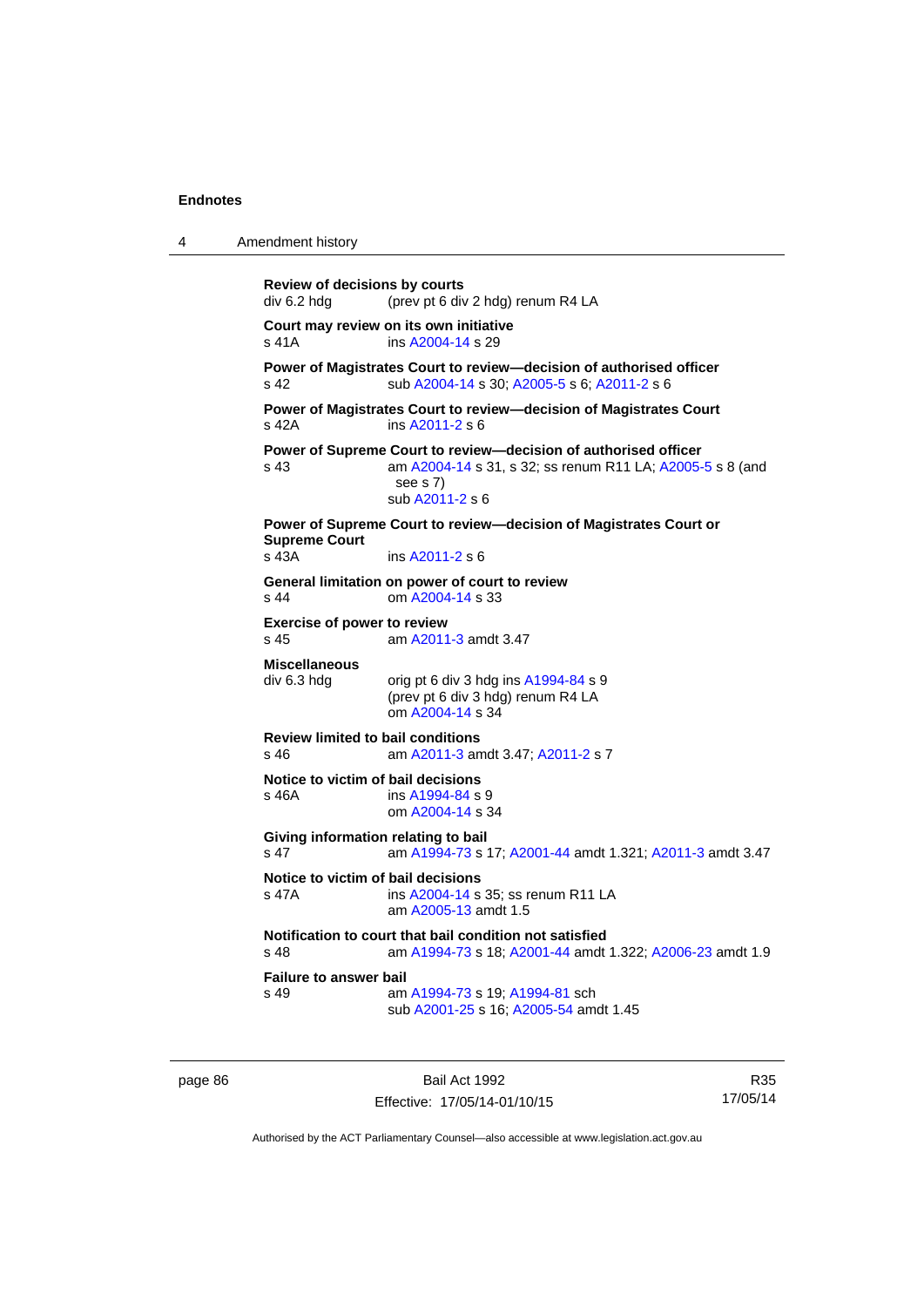4 Amendment history

```
Review of decisions by courts 
div 6.2 hdg (prev pt 6 div 2 hdg) renum R4 LA 
Court may review on its own initiative
A2004-14 s 29
Power of Magistrates Court to review—decision of authorised officer 
s 42 sub A2004-14 s 30; A2005-5 s 6; A2011-2 s 6 
Power of Magistrates Court to review—decision of Magistrates Court 
s 42A ins A2011-2 s 6 
Power of Supreme Court to review—decision of authorised officer 
s 43 am A2004-14 s 31, s 32; ss renum R11 LA; A2005-5 s 8 (and 
                  see s 7)
                  sub A2011-2 s 6 
Power of Supreme Court to review—decision of Magistrates Court or 
Supreme Court 
s 43A ins A2011-2 s 6 
General limitation on power of court to review
s 44 om A2004-14 s 33 
Exercise of power to review 
s 45 am A2011-3 amdt 3.47 
Miscellaneous 
div 6.3 hdg orig pt 6 div 3 hdg ins A1994-84 s 9
                 (prev pt 6 div 3 hdg) renum R4 LA 
                  om A2004-14 s 34 
Review limited to bail conditions 
                  A2011-3 A2011-2 s 7
Notice to victim of bail decisions
s 46A ins A1994-84 s 9
                  om A2004-14 s 34 
Giving information relating to bail
s 47 am A1994-73 s 17; A2001-44 amdt 1.321; A2011-3 amdt 3.47 
Notice to victim of bail decisions<br>s 47A ins A2004-14 s
                 A2004-14 s 35; ss renum R11 LA
                  am A2005-13 amdt 1.5
Notification to court that bail condition not satisfied
s 48 am A1994-73 s 18; A2001-44 amdt 1.322; A2006-23 amdt 1.9 
Failure to answer bail<br>s 49 am
                  A1994-73A1994-81 sch
                  sub A2001-25 s 16; A2005-54 amdt 1.45
```
page 86 Bail Act 1992 Effective: 17/05/14-01/10/15

R35 17/05/14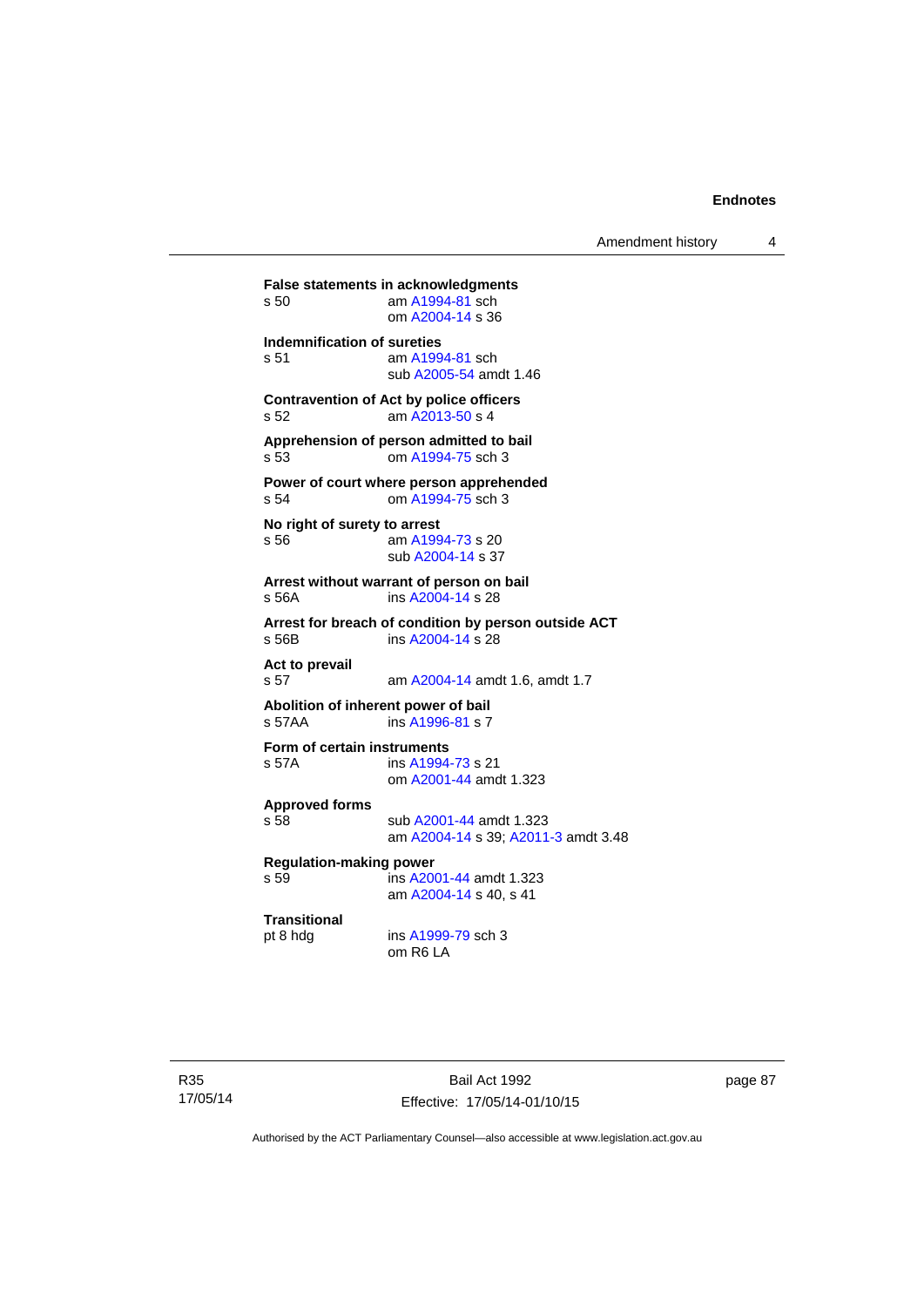| s 50                                                                   | <b>False statements in acknowledgments</b><br>am A1994-81 sch<br>om A2004-14 s 36 |  |  |  |
|------------------------------------------------------------------------|-----------------------------------------------------------------------------------|--|--|--|
| Indemnification of sureties<br>s 51                                    | am A1994-81 sch<br>sub A2005-54 amdt 1.46                                         |  |  |  |
| s 52                                                                   | <b>Contravention of Act by police officers</b><br>am A2013-50 s 4                 |  |  |  |
| s 53                                                                   | Apprehension of person admitted to bail<br>om A1994-75 sch 3                      |  |  |  |
| s 54                                                                   | Power of court where person apprehended<br>om A1994-75 sch 3                      |  |  |  |
| No right of surety to arrest<br>s 56                                   | am A1994-73 s 20<br>sub A2004-14 s 37                                             |  |  |  |
| Arrest without warrant of person on bail<br>ins A2004-14 s 28<br>s 56A |                                                                                   |  |  |  |
| s 56B                                                                  | Arrest for breach of condition by person outside ACT<br>ins A2004-14 s 28         |  |  |  |
| Act to prevail<br>s 57                                                 | am A2004-14 amdt 1.6, amdt 1.7                                                    |  |  |  |
| Abolition of inherent power of bail<br>s 57AA                          | ins A1996-81 s 7                                                                  |  |  |  |
| Form of certain instruments<br>s 57A                                   | ins A1994-73 s 21<br>om A2001-44 amdt 1.323                                       |  |  |  |
| <b>Approved forms</b><br>s 58                                          | sub A2001-44 amdt 1.323<br>am A2004-14 s 39; A2011-3 amdt 3.48                    |  |  |  |
| <b>Regulation-making power</b><br>s 59                                 | ins A2001-44 amdt 1.323<br>am A2004-14 s 40, s 41                                 |  |  |  |
| <b>Transitional</b><br>pt 8 hdg                                        | ins A1999-79 sch 3<br>om R6 LA                                                    |  |  |  |

page 87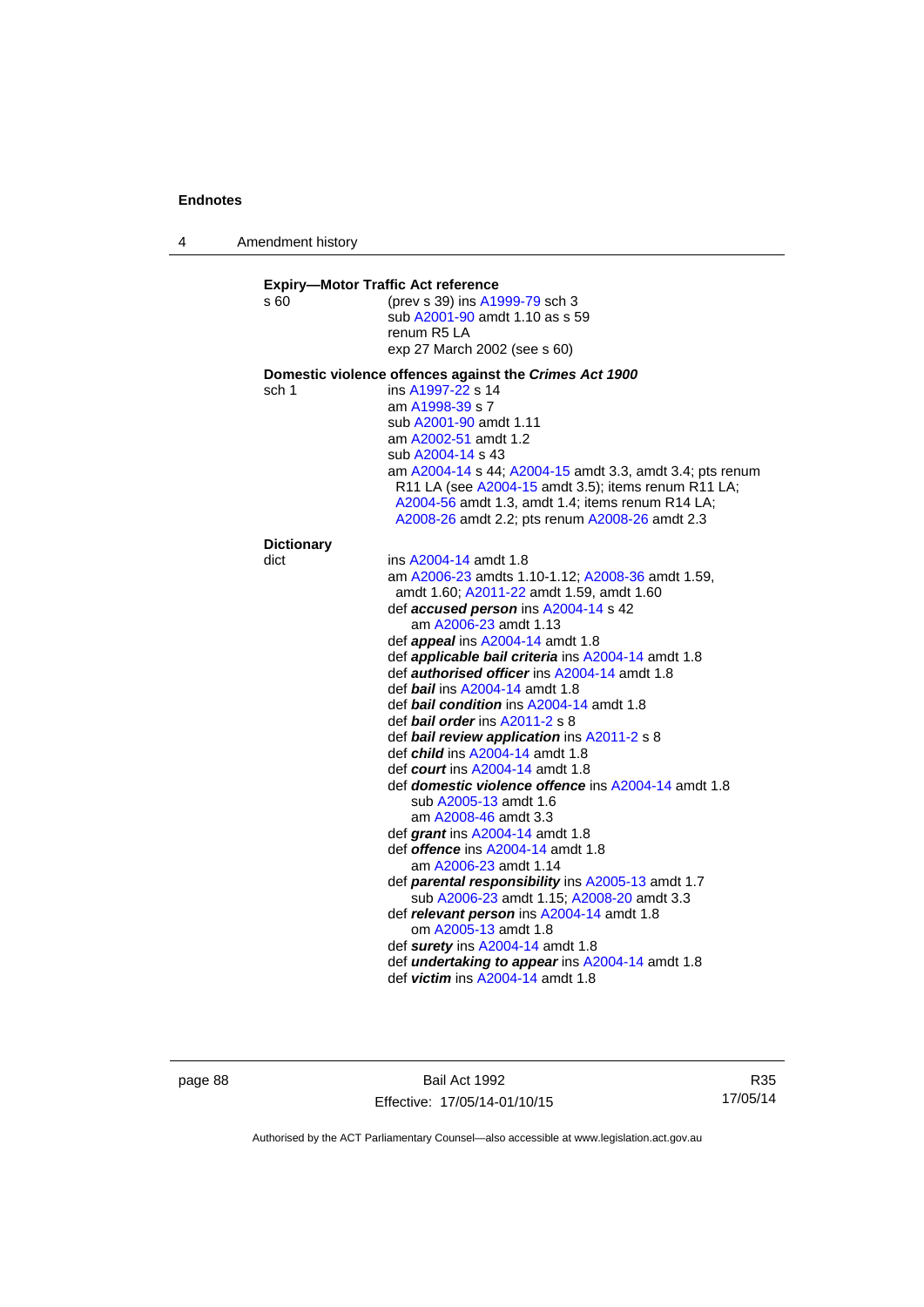4 Amendment history

| (prev s 39) ins A1999-79 sch 3<br>sub A2001-90 amdt 1.10 as s 59<br>renum R5 LA<br>exp 27 March 2002 (see s 60)<br>Domestic violence offences against the Crimes Act 1900<br>ins A1997-22 s 14<br>am A1998-39 s 7<br>sub A2001-90 amdt 1.11<br>am A2002-51 amdt 1.2<br>sub A2004-14 s 43<br>am A2004-14 s 44; A2004-15 amdt 3.3, amdt 3.4; pts renum<br>R11 LA (see A2004-15 amdt 3.5); items renum R11 LA;<br>A2004-56 amdt 1.3, amdt 1.4; items renum R14 LA;<br>A2008-26 amdt 2.2; pts renum A2008-26 amdt 2.3 |
|-------------------------------------------------------------------------------------------------------------------------------------------------------------------------------------------------------------------------------------------------------------------------------------------------------------------------------------------------------------------------------------------------------------------------------------------------------------------------------------------------------------------|
|                                                                                                                                                                                                                                                                                                                                                                                                                                                                                                                   |
|                                                                                                                                                                                                                                                                                                                                                                                                                                                                                                                   |
|                                                                                                                                                                                                                                                                                                                                                                                                                                                                                                                   |
|                                                                                                                                                                                                                                                                                                                                                                                                                                                                                                                   |
|                                                                                                                                                                                                                                                                                                                                                                                                                                                                                                                   |
|                                                                                                                                                                                                                                                                                                                                                                                                                                                                                                                   |
|                                                                                                                                                                                                                                                                                                                                                                                                                                                                                                                   |
|                                                                                                                                                                                                                                                                                                                                                                                                                                                                                                                   |
|                                                                                                                                                                                                                                                                                                                                                                                                                                                                                                                   |
|                                                                                                                                                                                                                                                                                                                                                                                                                                                                                                                   |
|                                                                                                                                                                                                                                                                                                                                                                                                                                                                                                                   |
|                                                                                                                                                                                                                                                                                                                                                                                                                                                                                                                   |
| ins A2004-14 amdt 1.8                                                                                                                                                                                                                                                                                                                                                                                                                                                                                             |
| am A2006-23 amdts 1.10-1.12; A2008-36 amdt 1.59,                                                                                                                                                                                                                                                                                                                                                                                                                                                                  |
| amdt 1.60; A2011-22 amdt 1.59, amdt 1.60                                                                                                                                                                                                                                                                                                                                                                                                                                                                          |
| def accused person ins A2004-14 s 42                                                                                                                                                                                                                                                                                                                                                                                                                                                                              |
| am A2006-23 amdt 1.13                                                                                                                                                                                                                                                                                                                                                                                                                                                                                             |
| def appeal ins A2004-14 amdt 1.8                                                                                                                                                                                                                                                                                                                                                                                                                                                                                  |
| def <i>applicable bail criteria</i> ins A2004-14 amdt 1.8                                                                                                                                                                                                                                                                                                                                                                                                                                                         |
| def <b>authorised officer</b> ins A2004-14 amdt 1.8                                                                                                                                                                                                                                                                                                                                                                                                                                                               |
| def bail ins A2004-14 amdt 1.8                                                                                                                                                                                                                                                                                                                                                                                                                                                                                    |
| def <b>bail condition</b> ins A2004-14 amdt 1.8                                                                                                                                                                                                                                                                                                                                                                                                                                                                   |
| def <b>bail order</b> ins $A2011-2 s 8$                                                                                                                                                                                                                                                                                                                                                                                                                                                                           |
| def bail review application ins A2011-2 s 8                                                                                                                                                                                                                                                                                                                                                                                                                                                                       |
| def <i>child</i> ins A2004-14 amdt 1.8<br>def <i>court</i> ins A2004-14 amdt 1.8                                                                                                                                                                                                                                                                                                                                                                                                                                  |
| def domestic violence offence ins A2004-14 amdt 1.8                                                                                                                                                                                                                                                                                                                                                                                                                                                               |
| sub A2005-13 amdt 1.6                                                                                                                                                                                                                                                                                                                                                                                                                                                                                             |
| am A2008-46 amdt 3.3                                                                                                                                                                                                                                                                                                                                                                                                                                                                                              |
| def grant ins A2004-14 amdt 1.8                                                                                                                                                                                                                                                                                                                                                                                                                                                                                   |
| def <i>offence</i> ins A2004-14 amdt 1.8                                                                                                                                                                                                                                                                                                                                                                                                                                                                          |
| am A2006-23 amdt 1.14                                                                                                                                                                                                                                                                                                                                                                                                                                                                                             |
| def parental responsibility ins A2005-13 amdt 1.7                                                                                                                                                                                                                                                                                                                                                                                                                                                                 |
| sub A2006-23 amdt 1.15; A2008-20 amdt 3.3                                                                                                                                                                                                                                                                                                                                                                                                                                                                         |
| def relevant person ins A2004-14 amdt 1.8                                                                                                                                                                                                                                                                                                                                                                                                                                                                         |
| om A2005-13 amdt 1.8                                                                                                                                                                                                                                                                                                                                                                                                                                                                                              |
|                                                                                                                                                                                                                                                                                                                                                                                                                                                                                                                   |
|                                                                                                                                                                                                                                                                                                                                                                                                                                                                                                                   |
| def surety ins A2004-14 amdt 1.8<br>def <i>undertaking to appear</i> ins A2004-14 amdt 1.8                                                                                                                                                                                                                                                                                                                                                                                                                        |
|                                                                                                                                                                                                                                                                                                                                                                                                                                                                                                                   |

page 88 Bail Act 1992 Effective: 17/05/14-01/10/15

R35 17/05/14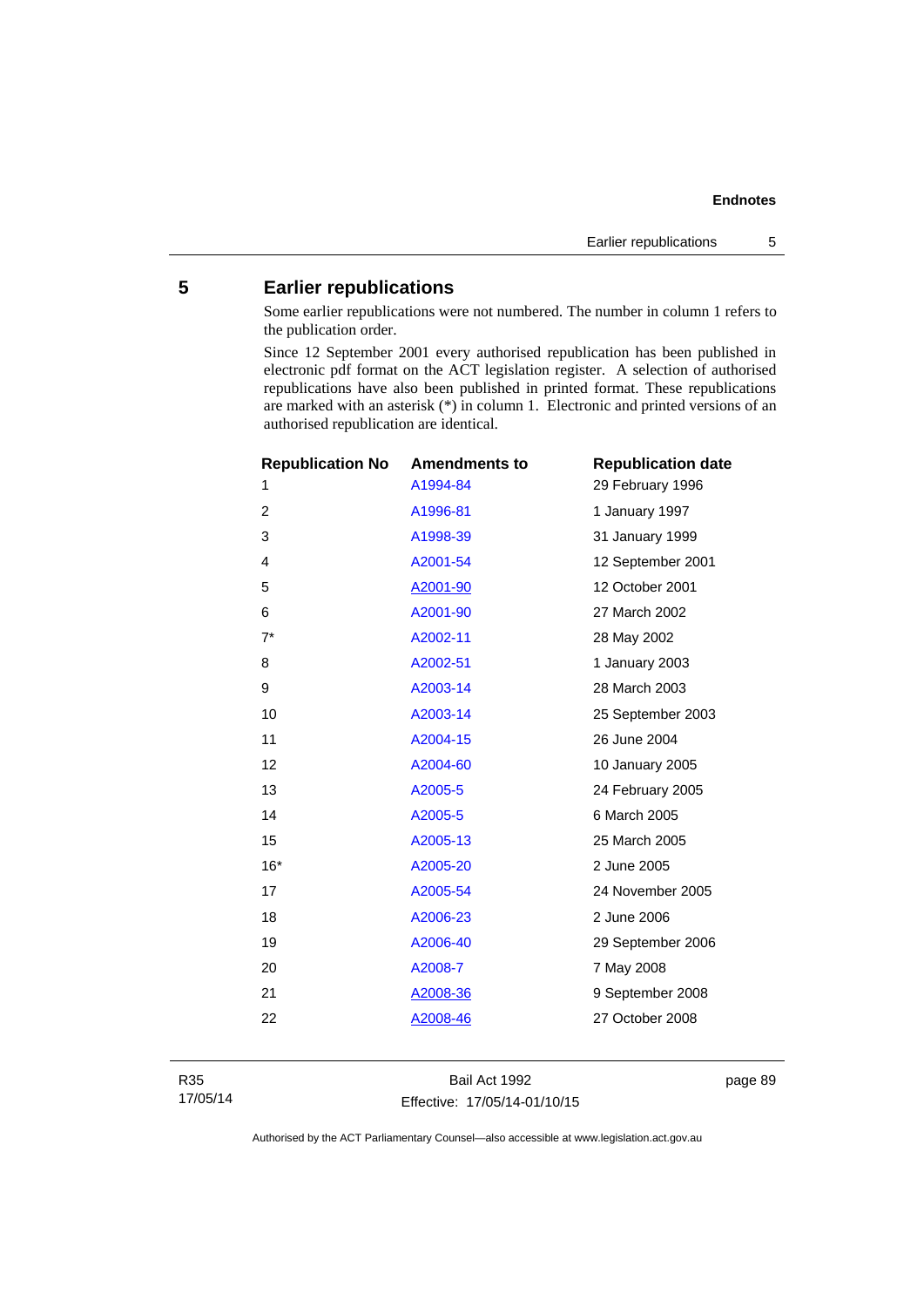# **5 Earlier republications**

Some earlier republications were not numbered. The number in column 1 refers to the publication order.

Since 12 September 2001 every authorised republication has been published in electronic pdf format on the ACT legislation register. A selection of authorised republications have also been published in printed format. These republications are marked with an asterisk (\*) in column 1. Electronic and printed versions of an authorised republication are identical.

| <b>Republication No</b> | <b>Amendments to</b> | <b>Republication date</b> |
|-------------------------|----------------------|---------------------------|
| 1                       | A1994-84             | 29 February 1996          |
| 2                       | A1996-81             | 1 January 1997            |
| 3                       | A1998-39             | 31 January 1999           |
| 4                       | A2001-54             | 12 September 2001         |
| 5                       | A2001-90             | 12 October 2001           |
| 6                       | A2001-90             | 27 March 2002             |
| $7^*$                   | A2002-11             | 28 May 2002               |
| 8                       | A2002-51             | 1 January 2003            |
| 9                       | A2003-14             | 28 March 2003             |
| 10                      | A2003-14             | 25 September 2003         |
| 11                      | A2004-15             | 26 June 2004              |
| 12                      | A2004-60             | 10 January 2005           |
| 13                      | A2005-5              | 24 February 2005          |
| 14                      | A2005-5              | 6 March 2005              |
| 15                      | A2005-13             | 25 March 2005             |
| $16*$                   | A2005-20             | 2 June 2005               |
| 17                      | A2005-54             | 24 November 2005          |
| 18                      | A2006-23             | 2 June 2006               |
| 19                      | A2006-40             | 29 September 2006         |
| 20                      | A2008-7              | 7 May 2008                |
| 21                      | A2008-36             | 9 September 2008          |
| 22                      | A2008-46             | 27 October 2008           |
|                         |                      |                           |

Bail Act 1992 Effective: 17/05/14-01/10/15 page 89